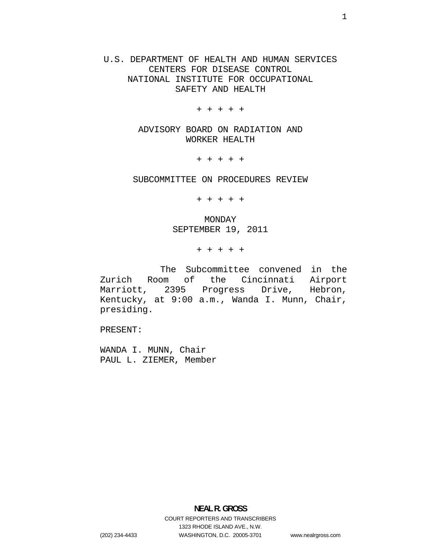U.S. DEPARTMENT OF HEALTH AND HUMAN SERVICES CENTERS FOR DISEASE CONTROL NATIONAL INSTITUTE FOR OCCUPATIONAL SAFETY AND HEALTH

+ + + + +

ADVISORY BOARD ON RADIATION AND WORKER HEALTH

+ + + + +

SUBCOMMITTEE ON PROCEDURES REVIEW

+ + + + +

MONDAY SEPTEMBER 19, 2011

+ + + + +

The Subcommittee convened in the Zurich Room of the Cincinnati Airport Marriott, 2395 Progress Drive, Hebron, Kentucky, at 9:00 a.m., Wanda I. Munn, Chair, presiding.

PRESENT:

WANDA I. MUNN, Chair PAUL L. ZIEMER, Member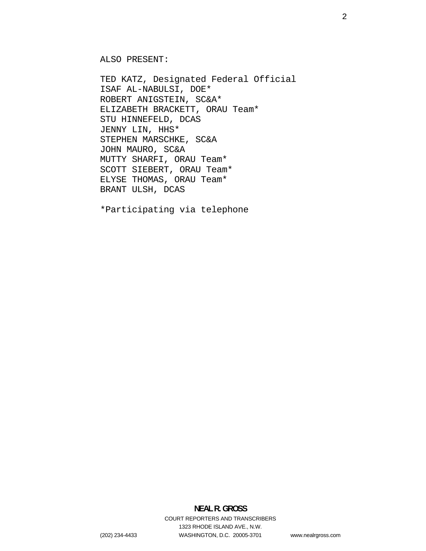ALSO PRESENT:

TED KATZ, Designated Federal Official ISAF AL-NABULSI, DOE\* ROBERT ANIGSTEIN, SC&A\* ELIZABETH BRACKETT, ORAU Team\* STU HINNEFELD, DCAS JENNY LIN, HHS\* STEPHEN MARSCHKE, SC&A JOHN MAURO, SC&A MUTTY SHARFI, ORAU Team\* SCOTT SIEBERT, ORAU Team\* ELYSE THOMAS, ORAU Team\* BRANT ULSH, DCAS

\*Participating via telephone

## **NEAL R. GROSS**  COURT REPORTERS AND TRANSCRIBERS 1323 RHODE ISLAND AVE., N.W. (202) 234-4433 WASHINGTON, D.C. 20005-3701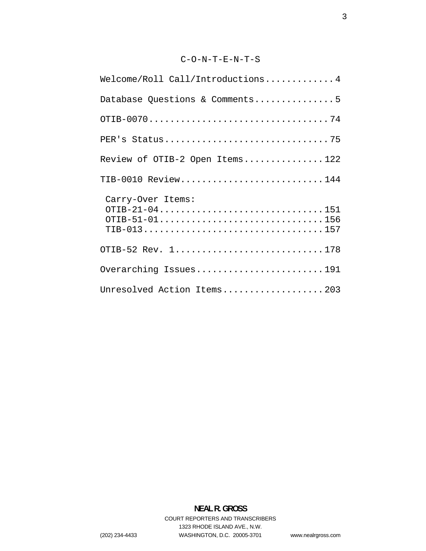## C-O-N-T-E-N-T-S

| Welcome/Roll Call/Introductions 4                                                                                         |
|---------------------------------------------------------------------------------------------------------------------------|
| Database Questions & Comments5                                                                                            |
|                                                                                                                           |
|                                                                                                                           |
| Review of OTIB-2 Open Items122                                                                                            |
| TIB-0010 Review144                                                                                                        |
| Carry-Over Items:<br>OTIB-21-04151<br>$TIB-013 \ldots \ldots \ldots \ldots \ldots \ldots \ldots \ldots \ldots \ldots 157$ |
| OTIB-52 Rev. 1178                                                                                                         |
| Overarching Issues191                                                                                                     |
| Unresolved Action Items203                                                                                                |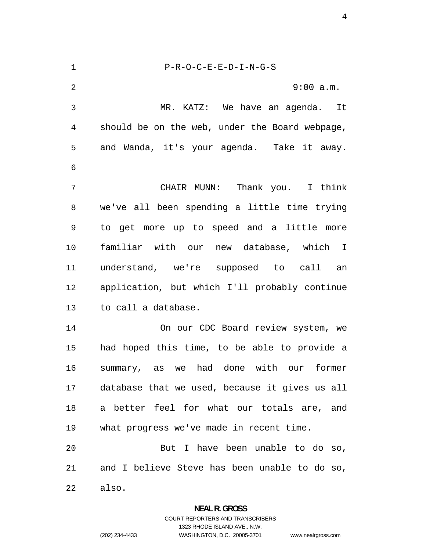<span id="page-3-0"></span>P-R-O-C-E-E-D-I-N-G-S 9:00 a.m. MR. KATZ: We have an agenda. It should be on the web, under the Board webpage, and Wanda, it's your agenda. Take it away. CHAIR MUNN: Thank you. I think we've all been spending a little time trying to get more up to speed and a little more familiar with our new database, which I understand, we're supposed to call an application, but which I'll probably continue to call a database. On our CDC Board review system, we had hoped this time, to be able to provide a summary, as we had done with our former database that we used, because it gives us all a better feel for what our totals are, and what progress we've made in recent time. But I have been unable to do so, and I believe Steve has been unable to do so, also.

**NEAL R. GROSS** 

COURT REPORTERS AND TRANSCRIBERS 1323 RHODE ISLAND AVE., N.W. (202) 234-4433 WASHINGTON, D.C. 20005-3701 www.nealrgross.com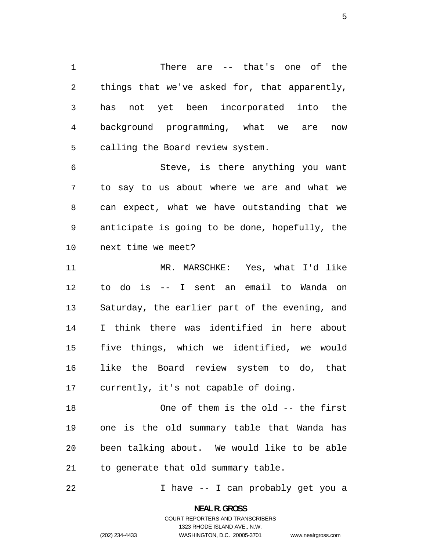<span id="page-4-0"></span>There are -- that's one of the things that we've asked for, that apparently, has not yet been incorporated into the background programming, what we are now calling the Board review system.

Steve, is there anything you want to say to us about where we are and what we can expect, what we have outstanding that we anticipate is going to be done, hopefully, the next time we meet?

MR. MARSCHKE: Yes, what I'd like to do is -- I sent an email to Wanda on Saturday, the earlier part of the evening, and I think there was identified in here about five things, which we identified, we would like the Board review system to do, that currently, it's not capable of doing.

One of them is the old -- the first one is the old summary table that Wanda has been talking about. We would like to be able to generate that old summary table.

I have -- I can probably get you a

**NEAL R. GROSS**  COURT REPORTERS AND TRANSCRIBERS

1323 RHODE ISLAND AVE., N.W.

www.nealrgross.com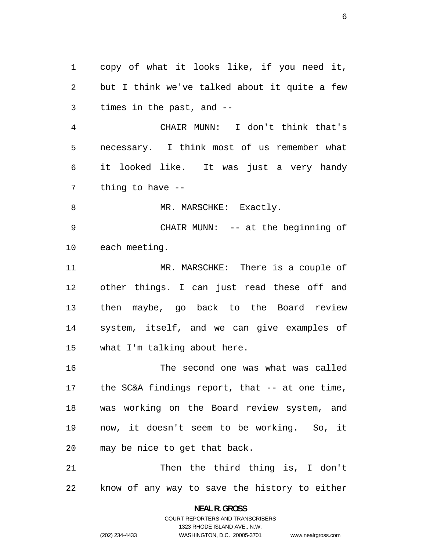copy of what it looks like, if you need it, but I think we've talked about it quite a few times in the past, and --

CHAIR MUNN: I don't think that's necessary. I think most of us remember what it looked like. It was just a very handy thing to have --

8 MR. MARSCHKE: Exactly.

CHAIR MUNN: -- at the beginning of each meeting.

MR. MARSCHKE: There is a couple of other things. I can just read these off and then maybe, go back to the Board review system, itself, and we can give examples of what I'm talking about here.

The second one was what was called the SC&A findings report, that -- at one time, was working on the Board review system, and now, it doesn't seem to be working. So, it may be nice to get that back.

Then the third thing is, I don't know of any way to save the history to either

> **NEAL R. GROSS**  COURT REPORTERS AND TRANSCRIBERS

> > 1323 RHODE ISLAND AVE., N.W.

www.nealrgross.com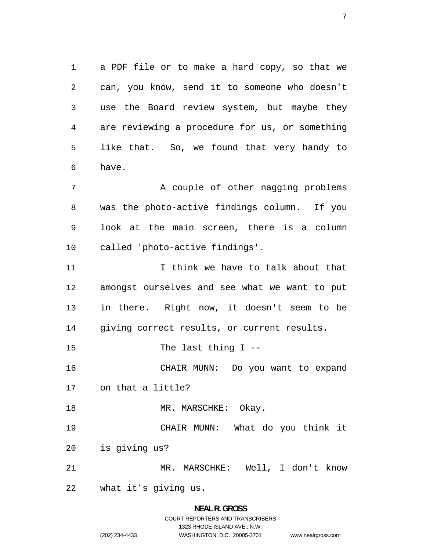a PDF file or to make a hard copy, so that we can, you know, send it to someone who doesn't use the Board review system, but maybe they are reviewing a procedure for us, or something like that. So, we found that very handy to have.

7 A couple of other nagging problems was the photo-active findings column. If you look at the main screen, there is a column called 'photo-active findings'.

I think we have to talk about that amongst ourselves and see what we want to put in there. Right now, it doesn't seem to be giving correct results, or current results.

15 The last thing I --

CHAIR MUNN: Do you want to expand on that a little?

18 MR. MARSCHKE: Okay.

CHAIR MUNN: What do you think it is giving us?

MR. MARSCHKE: Well, I don't know

what it's giving us.

## **NEAL R. GROSS**  COURT REPORTERS AND TRANSCRIBERS 1323 RHODE ISLAND AVE., N.W. (202) 234-4433 WASHINGTON, D.C. 20005-3701 www.nealrgross.com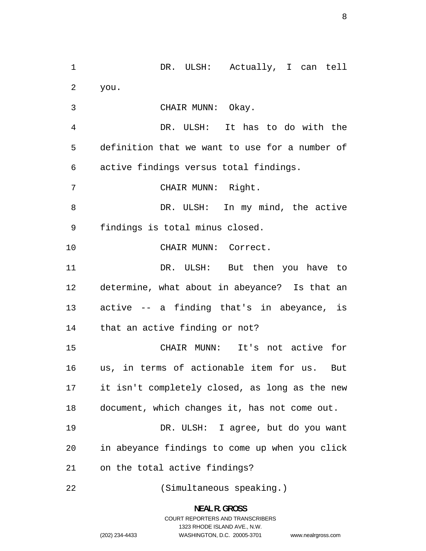DR. ULSH: Actually, I can tell you. CHAIR MUNN: Okay. DR. ULSH: It has to do with the definition that we want to use for a number of active findings versus total findings. CHAIR MUNN: Right. DR. ULSH: In my mind, the active findings is total minus closed. CHAIR MUNN: Correct. 11 DR. ULSH: But then you have to determine, what about in abeyance? Is that an active -- a finding that's in abeyance, is that an active finding or not? CHAIR MUNN: It's not active for us, in terms of actionable item for us. But it isn't completely closed, as long as the new document, which changes it, has not come out. DR. ULSH: I agree, but do you want in abeyance findings to come up when you click on the total active findings? (Simultaneous speaking.)

> **NEAL R. GROSS**  COURT REPORTERS AND TRANSCRIBERS 1323 RHODE ISLAND AVE., N.W. (202) 234-4433 WASHINGTON, D.C. 20005-3701 www.nealrgross.com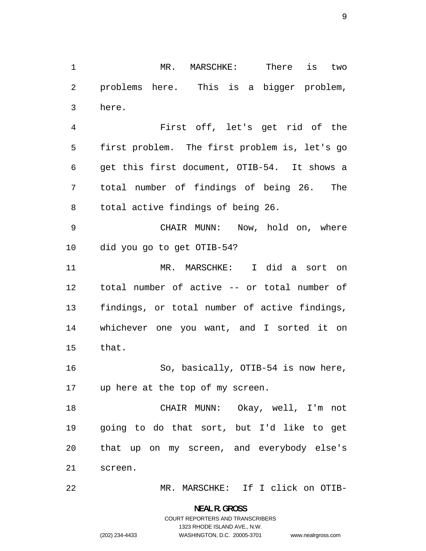MR. MARSCHKE: There is two problems here. This is a bigger problem, here.

First off, let's get rid of the first problem. The first problem is, let's go get this first document, OTIB-54. It shows a total number of findings of being 26. The total active findings of being 26.

CHAIR MUNN: Now, hold on, where did you go to get OTIB-54?

MR. MARSCHKE: I did a sort on total number of active -- or total number of findings, or total number of active findings, whichever one you want, and I sorted it on that.

So, basically, OTIB-54 is now here, up here at the top of my screen.

CHAIR MUNN: Okay, well, I'm not going to do that sort, but I'd like to get that up on my screen, and everybody else's screen.

MR. MARSCHKE: If I click on OTIB-

**NEAL R. GROSS**  COURT REPORTERS AND TRANSCRIBERS

1323 RHODE ISLAND AVE., N.W.

www.nealrgross.com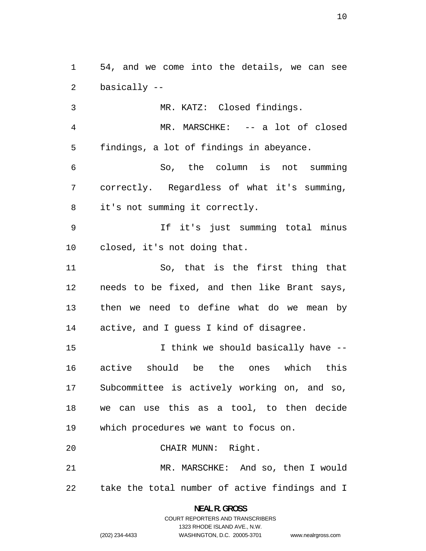54, and we come into the details, we can see basically --

MR. KATZ: Closed findings. MR. MARSCHKE: -- a lot of closed findings, a lot of findings in abeyance. So, the column is not summing correctly. Regardless of what it's summing, it's not summing it correctly. If it's just summing total minus closed, it's not doing that. So, that is the first thing that needs to be fixed, and then like Brant says, then we need to define what do we mean by active, and I guess I kind of disagree. 15 15 I think we should basically have  $-$ active should be the ones which this Subcommittee is actively working on, and so,

we can use this as a tool, to then decide which procedures we want to focus on.

CHAIR MUNN: Right.

MR. MARSCHKE: And so, then I would take the total number of active findings and I

> **NEAL R. GROSS**  COURT REPORTERS AND TRANSCRIBERS 1323 RHODE ISLAND AVE., N.W. (202) 234-4433 WASHINGTON, D.C. 20005-3701

www.nealrgross.com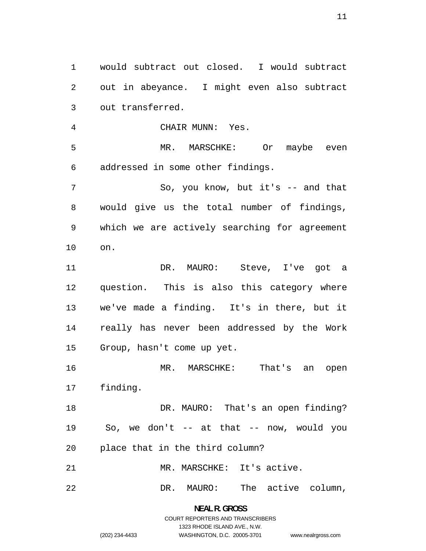would subtract out closed. I would subtract out in abeyance. I might even also subtract out transferred. CHAIR MUNN: Yes. MR. MARSCHKE: Or maybe even addressed in some other findings. So, you know, but it's -- and that would give us the total number of findings, which we are actively searching for agreement on. DR. MAURO: Steve, I've got a question. This is also this category where we've made a finding. It's in there, but it really has never been addressed by the Work Group, hasn't come up yet. 16 MR. MARSCHKE: That's an open finding. 18 DR. MAURO: That's an open finding? So, we don't -- at that -- now, would you place that in the third column? 21 MR. MARSCHKE: It's active. DR. MAURO: The active column,

> **NEAL R. GROSS**  COURT REPORTERS AND TRANSCRIBERS 1323 RHODE ISLAND AVE., N.W. (202) 234-4433 WASHINGTON, D.C. 20005-3701

www.nealrgross.com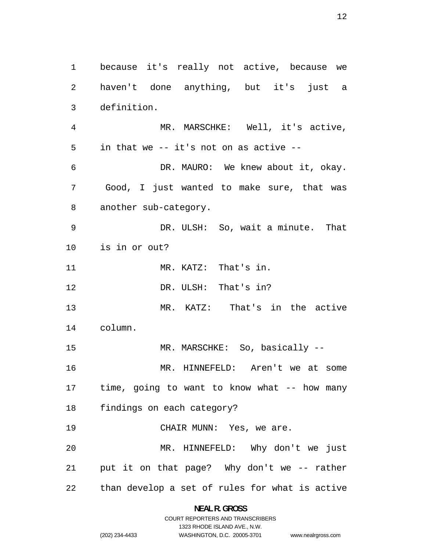because it's really not active, because we haven't done anything, but it's just a definition. MR. MARSCHKE: Well, it's active, in that we -- it's not on as active -- DR. MAURO: We knew about it, okay. Good, I just wanted to make sure, that was another sub-category. DR. ULSH: So, wait a minute. That is in or out? MR. KATZ: DR. ULSH: MR. KATZ: column. That's in. That's in? That's in the active 15 MR. MARSCHKE: So, basically --MR. HINNEFELD: Aren't we at some time, going to want to know what -- how many findings on each category? 19 CHAIR MUNN: Yes, we are. MR. HINNEFELD: Why don't we just put it on that page? Why don't we -- rather than develop a set of rules for what is active

> **NEAL R. GROSS**  COURT REPORTERS AND TRANSCRIBERS

> > 1323 RHODE ISLAND AVE., N.W.

(202) 234-4433 WASHINGTON, D.C. 20005-3701

www.nealrgross.com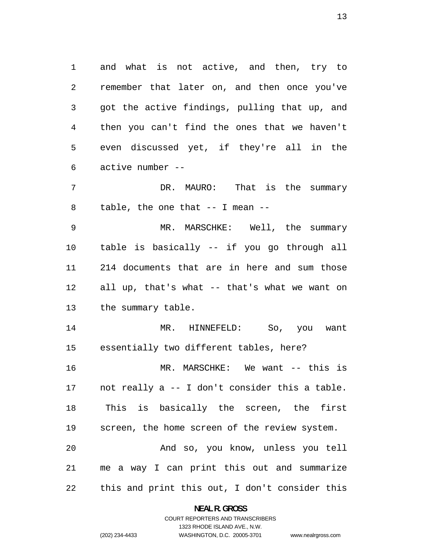and what is not active, and then, try to remember that later on, and then once you've got the active findings, pulling that up, and then you can't find the ones that we haven't even discussed yet, if they're all in the active number --

7 DR. MAURO: That is the summary table, the one that -- I mean --

MR. MARSCHKE: Well, the summary table is basically -- if you go through all 214 documents that are in here and sum those all up, that's what -- that's what we want on the summary table.

MR. HINNEFELD: So, you want essentially two different tables, here?

MR. MARSCHKE: We want -- this is not really a -- I don't consider this a table. This is basically the screen, the first screen, the home screen of the review system. And so, you know, unless you tell me a way I can print this out and summarize

this and print this out, I don't consider this

**NEAL R. GROSS**  COURT REPORTERS AND TRANSCRIBERS

1323 RHODE ISLAND AVE., N.W.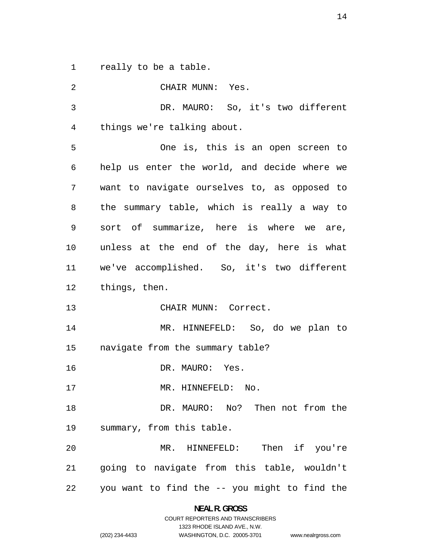really to be a table.

CHAIR MUNN: Yes. DR. MAURO: So, it's two different things we're talking about. One is, this is an open screen to help us enter the world, and decide where we want to navigate ourselves to, as opposed to the summary table, which is really a way to sort of summarize, here is where we are, unless at the end of the day, here is what we've accomplished. So, it's two different things, then. CHAIR MUNN: Correct. MR. HINNEFELD: So, do we plan to navigate from the summary table? DR. MAURO: Yes. 17 MR. HINNEFELD: No. DR. MAURO: No? Then not from the summary, from this table. MR. HINNEFELD: Then if you're going to navigate from this table, wouldn't you want to find the -- you might to find the

> **NEAL R. GROSS**  COURT REPORTERS AND TRANSCRIBERS

> > 1323 RHODE ISLAND AVE., N.W.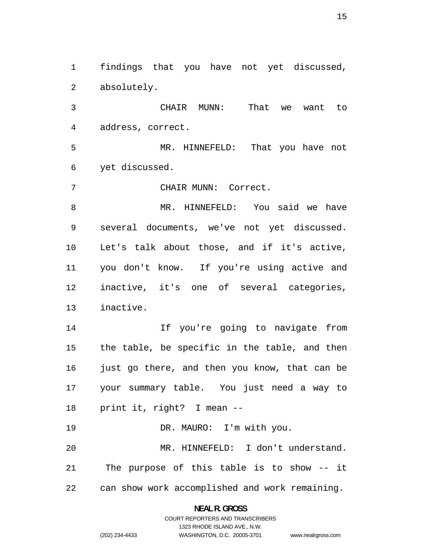findings that you have not yet discussed, absolutely.

CHAIR MUNN: That we want to address, correct.

MR. HINNEFELD: That you have not yet discussed.

CHAIR MUNN: Correct.

MR. HINNEFELD: You said we have several documents, we've not yet discussed. Let's talk about those, and if it's active, you don't know. If you're using active and inactive, it's one of several categories, inactive.

If you're going to navigate from the table, be specific in the table, and then 16 just go there, and then you know, that can be your summary table. You just need a way to print it, right? I mean --

DR. MAURO: I'm with you. MR. HINNEFELD: I don't understand. The purpose of this table is to show -- it can show work accomplished and work remaining.

> **NEAL R. GROSS**  COURT REPORTERS AND TRANSCRIBERS

> > 1323 RHODE ISLAND AVE., N.W.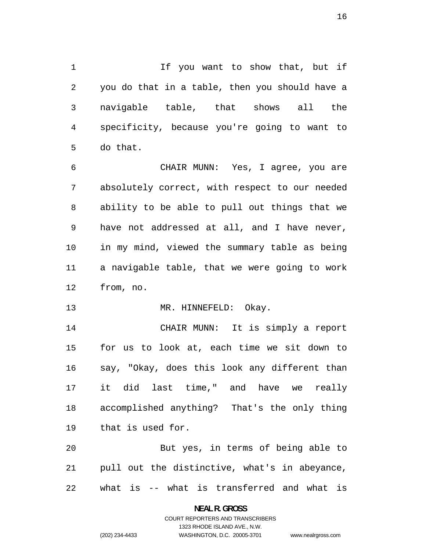If you want to show that, but if you do that in a table, then you should have a navigable table, that shows all the specificity, because you're going to want to do that.

CHAIR MUNN: Yes, I agree, you are absolutely correct, with respect to our needed ability to be able to pull out things that we have not addressed at all, and I have never, in my mind, viewed the summary table as being a navigable table, that we were going to work from, no.

13 MR. HINNEFELD: Okay.

CHAIR MUNN: It is simply a report for us to look at, each time we sit down to say, "Okay, does this look any different than it did last time," and have we really accomplished anything? That's the only thing that is used for.

But yes, in terms of being able to pull out the distinctive, what's in abeyance, what is -- what is transferred and what is

# **NEAL R. GROSS**

COURT REPORTERS AND TRANSCRIBERS 1323 RHODE ISLAND AVE., N.W. (202) 234-4433 WASHINGTON, D.C. 20005-3701

www.nealrgross.com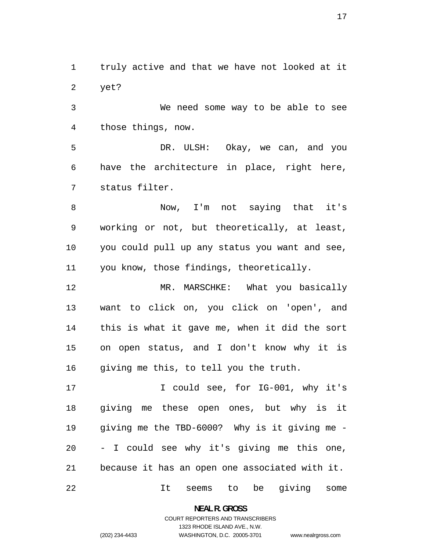truly active and that we have not looked at it yet?

We need some way to be able to see those things, now.

DR. ULSH: Okay, we can, and you have the architecture in place, right here, status filter.

Now, I'm not saying that it's working or not, but theoretically, at least, you could pull up any status you want and see, you know, those findings, theoretically.

12 MR. MARSCHKE: What you basically want to click on, you click on 'open', and this is what it gave me, when it did the sort on open status, and I don't know why it is 16 giving me this, to tell you the truth.

17 I could see, for IG-001, why it's giving me these open ones, but why is it giving me the TBD-6000? Why is it giving me - - I could see why it's giving me this one, because it has an open one associated with it.

It seems to be giving some

**NEAL R. GROSS**  COURT REPORTERS AND TRANSCRIBERS

1323 RHODE ISLAND AVE., N.W.

www.nealrgross.com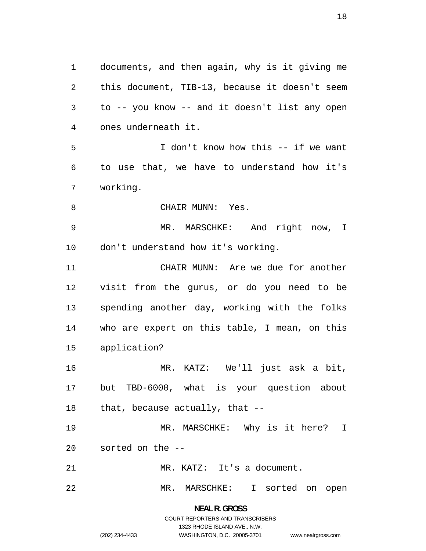documents, and then again, why is it giving me this document, TIB-13, because it doesn't seem to -- you know -- and it doesn't list any open ones underneath it. I don't know how this -- if we want to use that, we have to understand how it's working. 8 CHAIR MUNN: Yes. MR. MARSCHKE: And right now, I don't understand how it's working. CHAIR MUNN: Are we due for another visit from the gurus, or do you need to be spending another day, working with the folks who are expert on this table, I mean, on this application? MR. KATZ: We'll just ask a bit, but TBD-6000, what is your question about that, because actually, that -- MR. MARSCHKE: Why is it here? I sorted on the -- MR. KATZ: It's a document. MR. MARSCHKE: I sorted on open

> **NEAL R. GROSS**  COURT REPORTERS AND TRANSCRIBERS 1323 RHODE ISLAND AVE., N.W. (202) 234-4433 WASHINGTON, D.C. 20005-3701

www.nealrgross.com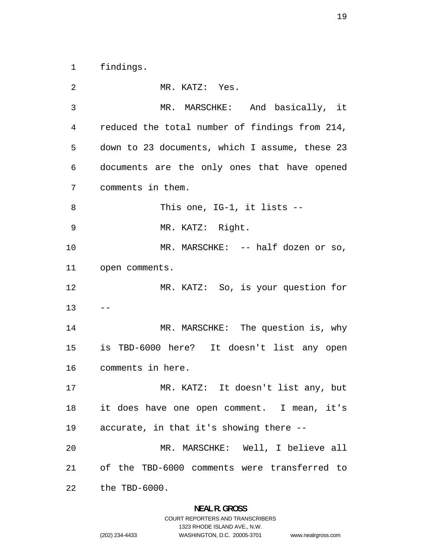findings.

MR. KATZ: Yes. MR. MARSCHKE: And basically, it reduced the total number of findings from 214, down to 23 documents, which I assume, these 23 documents are the only ones that have opened comments in them. 8 This one, IG-1, it lists --MR. KATZ: Right. 10 MR. MARSCHKE: -- half dozen or so, open comments. MR. KATZ: So, is your question for  $13 - -$ MR. MARSCHKE: The question is, why is TBD-6000 here? It doesn't list any open comments in here. MR. KATZ: It doesn't list any, but it does have one open comment. I mean, it's accurate, in that it's showing there -- MR. MARSCHKE: Well, I believe all of the TBD-6000 comments were transferred to the TBD-6000.

### **NEAL R. GROSS**  COURT REPORTERS AND TRANSCRIBERS

1323 RHODE ISLAND AVE., N.W.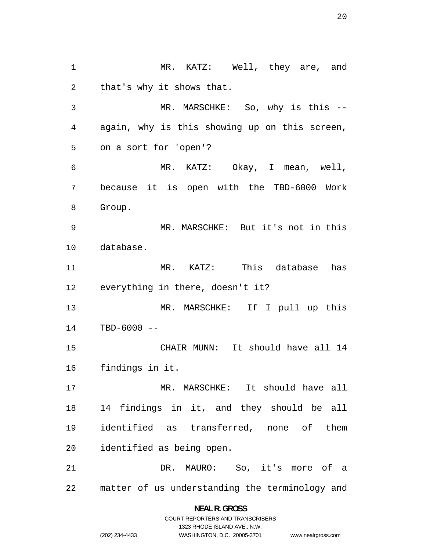MR. KATZ: Well, they are, and that's why it shows that. MR. MARSCHKE: So, why is this -- again, why is this showing up on this screen, on a sort for 'open'? MR. KATZ: Okay, I mean, well, because it is open with the TBD-6000 Work Group. MR. MARSCHKE: But it's not in this database. MR. KATZ: This database has everything in there, doesn't it? MR. MARSCHKE: If I pull up this TBD-6000 -- CHAIR MUNN: It should have all 14 findings in it. MR. MARSCHKE: It should have all 14 findings in it, and they should be all identified as transferred, none of them identified as being open. DR. MAURO: So, it's more of a matter of us understanding the terminology and

www.nealrgross.com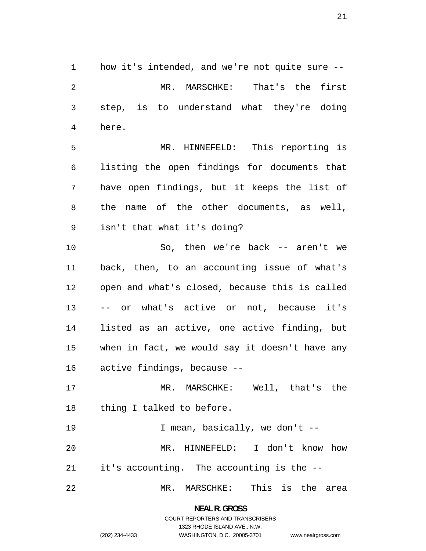how it's intended, and we're not quite sure -- MR. MARSCHKE: That's the first step, is to understand what they're doing here.

MR. HINNEFELD: This reporting is listing the open findings for documents that have open findings, but it keeps the list of the name of the other documents, as well, isn't that what it's doing?

So, then we're back -- aren't we back, then, to an accounting issue of what's open and what's closed, because this is called -- or what's active or not, because it's listed as an active, one active finding, but when in fact, we would say it doesn't have any active findings, because --

MR. MARSCHKE: Well, that's the thing I talked to before.

I mean, basically, we don't -- MR. HINNEFELD: I don't know how it's accounting. The accounting is the --

MR. MARSCHKE: This is the area

**NEAL R. GROSS**  COURT REPORTERS AND TRANSCRIBERS

1323 RHODE ISLAND AVE., N.W.

www.nealrgross.com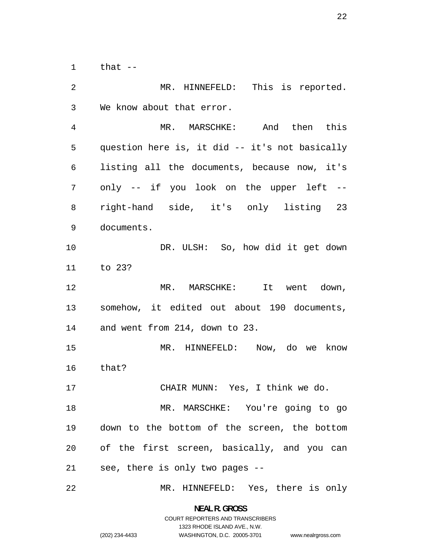that  $-$ 

MR. HINNEFELD: This is reported. We know about that error. MR. MARSCHKE: And then this question here is, it did -- it's not basically listing all the documents, because now, it's only -- if you look on the upper left -- right-hand side, it's only listing 23 documents. DR. ULSH: So, how did it get down to 23? MR. MARSCHKE: It went down, somehow, it edited out about 190 documents, and went from 214, down to 23. MR. HINNEFELD: Now, do we know that? CHAIR MUNN: Yes, I think we do. MR. MARSCHKE: You're going to go down to the bottom of the screen, the bottom of the first screen, basically, and you can see, there is only two pages -- MR. HINNEFELD: Yes, there is only

> **NEAL R. GROSS**  COURT REPORTERS AND TRANSCRIBERS

> > 1323 RHODE ISLAND AVE., N.W.

www.nealrgross.com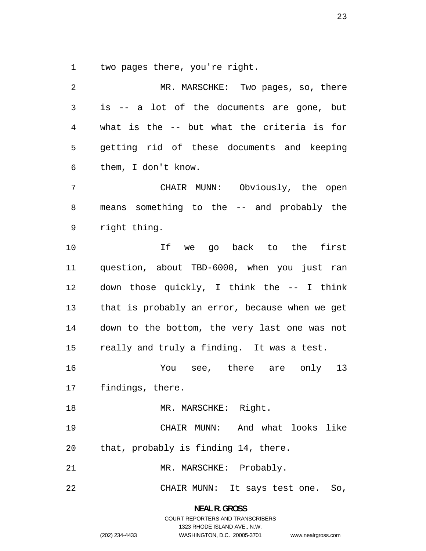two pages there, you're right.

| 2              | MR. MARSCHKE: Two pages, so, there             |
|----------------|------------------------------------------------|
| $\mathfrak{Z}$ | is -- a lot of the documents are gone, but     |
| 4              | what is the -- but what the criteria is for    |
| 5              | getting rid of these documents and keeping     |
| 6              | them, I don't know.                            |
| 7              | CHAIR MUNN: Obviously, the open                |
| 8              | means something to the -- and probably the     |
| 9              | right thing.                                   |
| 10             | If we go back to the first                     |
| 11             | question, about TBD-6000, when you just ran    |
| 12             | down those quickly, I think the -- I think     |
| 13             | that is probably an error, because when we get |
| 14             | down to the bottom, the very last one was not  |
| 15             | really and truly a finding. It was a test.     |
| 16             | You see, there are only 13                     |
| 17             | findings, there.                               |
| 18             | MR. MARSCHKE: Right.                           |
| 19             | CHAIR MUNN: And what looks like                |
| 20             | that, probably is finding 14, there.           |
| 21             | MR. MARSCHKE: Probably.                        |
| 22             | CHAIR MUNN: It says test one. So,              |

**NEAL R. GROSS**  COURT REPORTERS AND TRANSCRIBERS

1323 RHODE ISLAND AVE., N.W.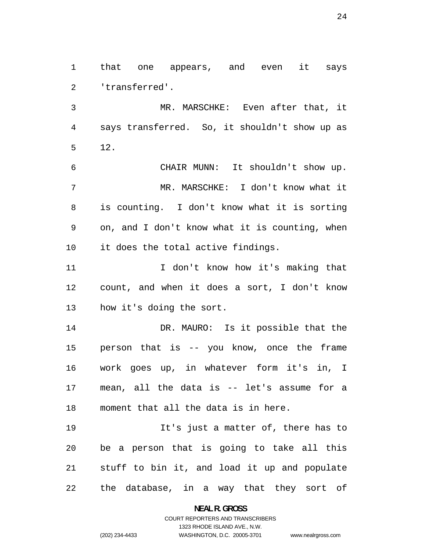that one appears, and even it says 'transferred'.

MR. MARSCHKE: Even after that, it says transferred. So, it shouldn't show up as 12.

CHAIR MUNN: It shouldn't show up. MR. MARSCHKE: I don't know what it is counting. I don't know what it is sorting on, and I don't know what it is counting, when it does the total active findings.

11 I don't know how it's making that count, and when it does a sort, I don't know how it's doing the sort.

DR. MAURO: Is it possible that the person that is -- you know, once the frame work goes up, in whatever form it's in, I mean, all the data is -- let's assume for a moment that all the data is in here.

It's just a matter of, there has to be a person that is going to take all this stuff to bin it, and load it up and populate the database, in a way that they sort of

> **NEAL R. GROSS**  COURT REPORTERS AND TRANSCRIBERS

> > 1323 RHODE ISLAND AVE., N.W.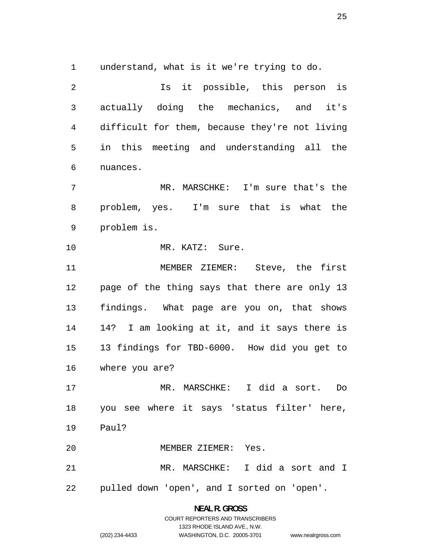understand, what is it we're trying to do.

Is it possible, this person is actually doing the mechanics, and it's difficult for them, because they're not living in this meeting and understanding all the nuances. MR. MARSCHKE: I'm sure that's the problem, yes. I'm sure that is what the problem is. MR. KATZ: Sure. MEMBER ZIEMER: Steve, the first page of the thing says that there are only 13 findings. What page are you on, that shows 14? I am looking at it, and it says there is 13 findings for TBD-6000. How did you get to

where you are?

MR. MARSCHKE: I did a sort. Do you see where it says 'status filter' here, Paul?

MEMBER ZIEMER: Yes.

MR. MARSCHKE: I did a sort and I pulled down 'open', and I sorted on 'open'.

> **NEAL R. GROSS**  COURT REPORTERS AND TRANSCRIBERS 1323 RHODE ISLAND AVE., N.W. (202) 234-4433 WASHINGTON, D.C. 20005-3701 www.nealrgross.com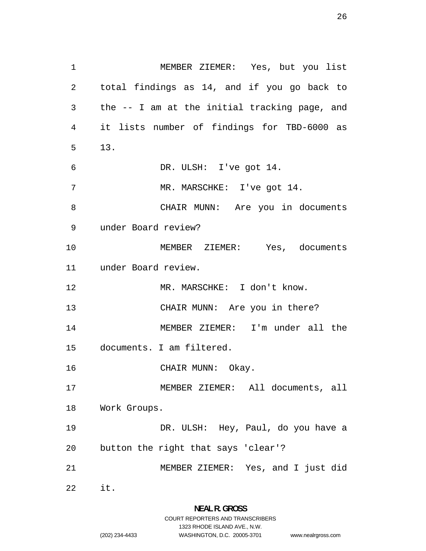MEMBER ZIEMER: Yes, but you list total findings as 14, and if you go back to the -- I am at the initial tracking page, and it lists number of findings for TBD-6000 as 13. DR. ULSH: I've got 14. MR. MARSCHKE: I've got 14. CHAIR MUNN: Are you in documents under Board review? MEMBER ZIEMER: Yes, documents under Board review. 12 MR. MARSCHKE: I don't know. CHAIR MUNN: Are you in there? MEMBER ZIEMER: I'm under all the documents. I am filtered. 16 CHAIR MUNN: Okay. MEMBER ZIEMER: All documents, all Work Groups. DR. ULSH: Hey, Paul, do you have a button the right that says 'clear'? MEMBER ZIEMER: Yes, and I just did it.

1323 RHODE ISLAND AVE., N.W.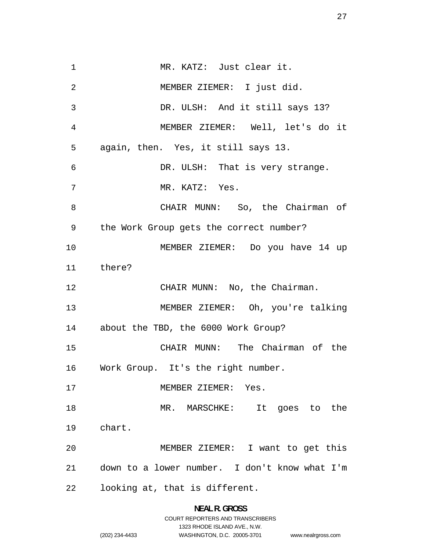MR. KATZ: Just clear it. MEMBER ZIEMER: I just did. DR. ULSH: And it still says 13? MEMBER ZIEMER: Well, let's do it again, then. Yes, it still says 13. DR. ULSH: That is very strange. MR. KATZ: Yes. CHAIR MUNN: So, the Chairman of the Work Group gets the correct number? MEMBER ZIEMER: Do you have 14 up there? 12 CHAIR MUNN: No, the Chairman. MEMBER ZIEMER: Oh, you're talking about the TBD, the 6000 Work Group? CHAIR MUNN: The Chairman of the Work Group. It's the right number. 17 MEMBER ZIEMER: Yes. MR. MARSCHKE: It goes to the chart. MEMBER ZIEMER: I want to get this down to a lower number. I don't know what I'm looking at, that is different.

## **NEAL R. GROSS**  COURT REPORTERS AND TRANSCRIBERS 1323 RHODE ISLAND AVE., N.W. (202) 234-4433 WASHINGTON, D.C. 20005-3701 www.nealrgross.com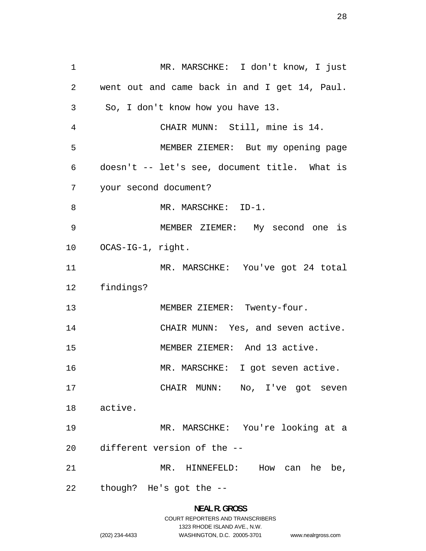MR. MARSCHKE: I don't know, I just went out and came back in and I get 14, Paul. So, I don't know how you have 13. CHAIR MUNN: Still, mine is 14. MEMBER ZIEMER: But my opening page doesn't -- let's see, document title. What is your second document? MR. MARSCHKE: ID-1. MEMBER ZIEMER: My second one is OCAS-IG-1, right. MR. MARSCHKE: You've got 24 total findings? 13 MEMBER ZIEMER: Twenty-four. 14 CHAIR MUNN: Yes, and seven active. MEMBER ZIEMER: And 13 active. 16 MR. MARSCHKE: I got seven active. 17 CHAIR MUNN: No, I've got seven active. MR. MARSCHKE: You're looking at a different version of the -- MR. HINNEFELD: How can he be, though? He's got the --

## **NEAL R. GROSS**  COURT REPORTERS AND TRANSCRIBERS 1323 RHODE ISLAND AVE., N.W. (202) 234-4433 WASHINGTON, D.C. 20005-3701 www.nealrgross.com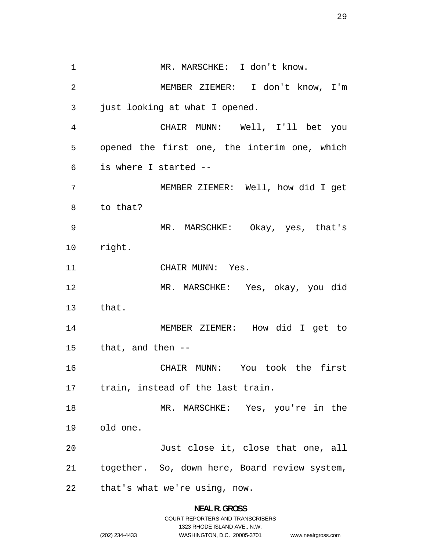1 MR. MARSCHKE: I don't know. MEMBER ZIEMER: I don't know, I'm just looking at what I opened. CHAIR MUNN: Well, I'll bet you opened the first one, the interim one, which is where I started -- MEMBER ZIEMER: Well, how did I get to that? MR. MARSCHKE: Okay, yes, that's right. 11 CHAIR MUNN: Yes. MR. MARSCHKE: Yes, okay, you did that. MEMBER ZIEMER: How did I get to that, and then -- CHAIR MUNN: You took the first train, instead of the last train. MR. MARSCHKE: Yes, you're in the old one. 20 Just close it, close that one, all together. So, down here, Board review system, that's what we're using, now.

#### **NEAL R. GROSS**  COURT REPORTERS AND TRANSCRIBERS

1323 RHODE ISLAND AVE., N.W.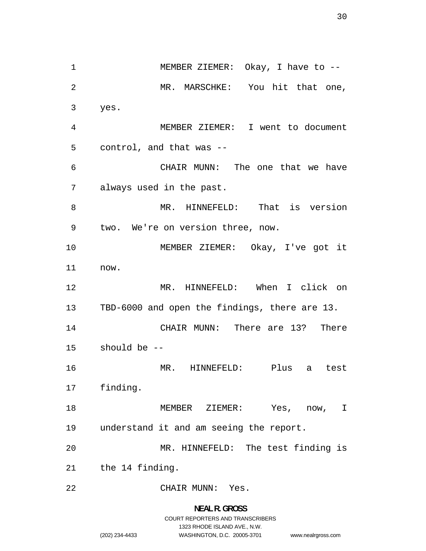1 MEMBER ZIEMER: Okay, I have to --MR. MARSCHKE: You hit that one, yes. MEMBER ZIEMER: I went to document control, and that was -- CHAIR MUNN: The one that we have always used in the past. MR. HINNEFELD: That is version two. We're on version three, now. MEMBER ZIEMER: Okay, I've got it now. MR. HINNEFELD: When I click on TBD-6000 and open the findings, there are 13. CHAIR MUNN: There are 13? There should be -- MR. HINNEFELD: Plus a test finding. MEMBER ZIEMER: Yes, now, I understand it and am seeing the report. MR. HINNEFELD: The test finding is the 14 finding. CHAIR MUNN: Yes.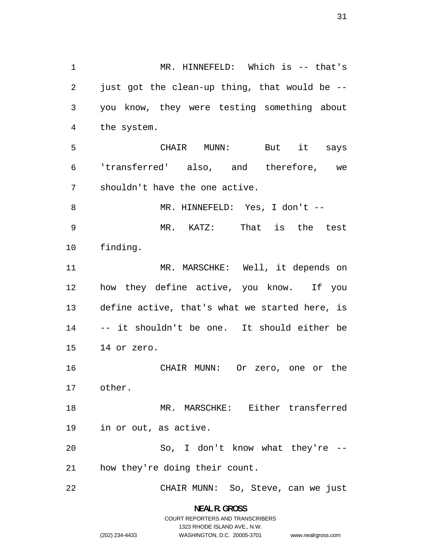MR. HINNEFELD: Which is -- that's just got the clean-up thing, that would be -- you know, they were testing something about the system. CHAIR MUNN: But it says 'transferred' also, and therefore, we shouldn't have the one active. 8 MR. HINNEFELD: Yes, I don't --MR. KATZ: That is the test finding. 11 MR. MARSCHKE: Well, it depends on how they define active, you know. If you define active, that's what we started here, is -- it shouldn't be one. It should either be 14 or zero. CHAIR MUNN: Or zero, one or the other. MR. MARSCHKE: Either transferred in or out, as active. So, I don't know what they're -- how they're doing their count. CHAIR MUNN: So, Steve, can we just

> **NEAL R. GROSS**  COURT REPORTERS AND TRANSCRIBERS 1323 RHODE ISLAND AVE., N.W. (202) 234-4433 WASHINGTON, D.C. 20005-3701

www.nealrgross.com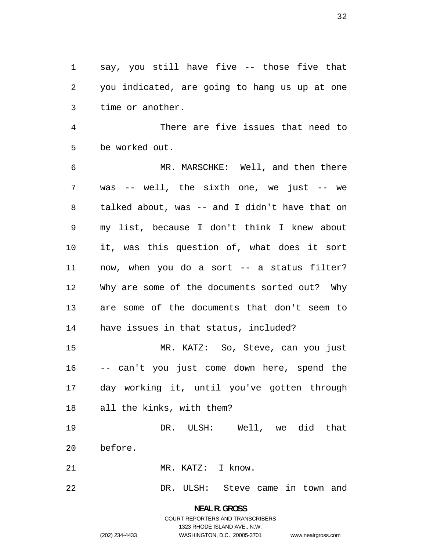say, you still have five -- those five that you indicated, are going to hang us up at one time or another.

There are five issues that need to be worked out.

MR. MARSCHKE: Well, and then there was -- well, the sixth one, we just -- we talked about, was -- and I didn't have that on my list, because I don't think I knew about it, was this question of, what does it sort now, when you do a sort -- a status filter? Why are some of the documents sorted out? Why are some of the documents that don't seem to have issues in that status, included?

MR. KATZ: So, Steve, can you just -- can't you just come down here, spend the day working it, until you've gotten through all the kinks, with them?

DR. ULSH: Well, we did that

before.

MR. KATZ: I know.

DR. ULSH: Steve came in town and

**NEAL R. GROSS**  COURT REPORTERS AND TRANSCRIBERS 1323 RHODE ISLAND AVE., N.W. (202) 234-4433 WASHINGTON, D.C. 20005-3701

www.nealrgross.com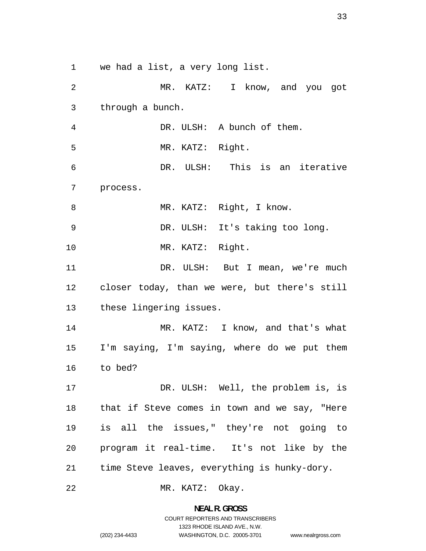we had a list, a very long list.

MR. KATZ: I know, and you got through a bunch. DR. ULSH: A bunch of them. MR. KATZ: Right. DR. ULSH: This is an iterative process. 8 MR. KATZ: Right, I know. DR. ULSH: It's taking too long. MR. KATZ: Right. 11 DR. ULSH: But I mean, we're much closer today, than we were, but there's still these lingering issues. MR. KATZ: I know, and that's what I'm saying, I'm saying, where do we put them to bed? 17 DR. ULSH: Well, the problem is, is that if Steve comes in town and we say, "Here is all the issues," they're not going to program it real-time. It's not like by the time Steve leaves, everything is hunky-dory.

MR. KATZ: Okay.

**NEAL R. GROSS**  COURT REPORTERS AND TRANSCRIBERS

1323 RHODE ISLAND AVE., N.W.

(202) 234-4433 WASHINGTON, D.C. 20005-3701 www.nealrgross.com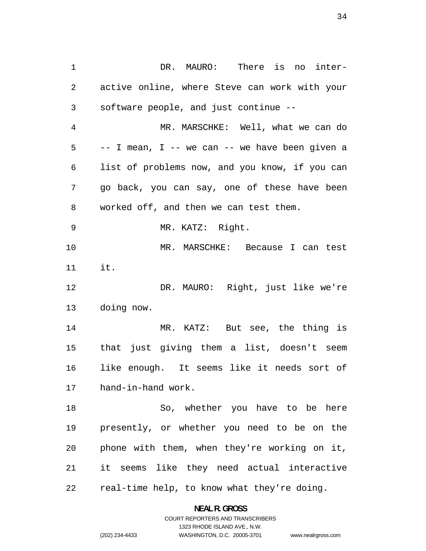DR. MAURO: There is no inter-active online, where Steve can work with your software people, and just continue -- MR. MARSCHKE: Well, what we can do -- I mean, I -- we can -- we have been given a list of problems now, and you know, if you can go back, you can say, one of these have been worked off, and then we can test them. MR. KATZ: Right. MR. MARSCHKE: Because I can test it. DR. MAURO: Right, just like we're doing now. MR. KATZ: But see, the thing is that just giving them a list, doesn't seem like enough. It seems like it needs sort of hand-in-hand work. So, whether you have to be here presently, or whether you need to be on the phone with them, when they're working on it, it seems like they need actual interactive real-time help, to know what they're doing.

> **NEAL R. GROSS**  COURT REPORTERS AND TRANSCRIBERS

> > 1323 RHODE ISLAND AVE., N.W.

(202) 234-4433 WASHINGTON, D.C. 20005-3701 www.nealrgross.com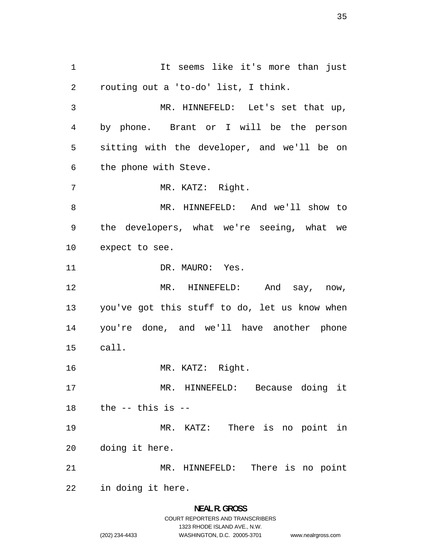1 1 It seems like it's more than just routing out a 'to-do' list, I think. MR. HINNEFELD: Let's set that up, by phone. Brant or I will be the person sitting with the developer, and we'll be on the phone with Steve. 7 MR. KATZ: Right. MR. HINNEFELD: And we'll show to the developers, what we're seeing, what we expect to see. 11 DR. MAURO: Yes. MR. HINNEFELD: And say, now, you've got this stuff to do, let us know when you're done, and we'll have another phone call. MR. KATZ: Right. MR. HINNEFELD: Because doing it the  $-$  this is  $-$ MR. KATZ: There is no point in doing it here. MR. HINNEFELD: There is no point in doing it here.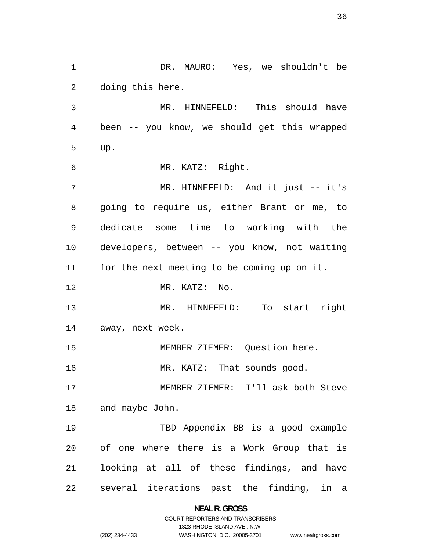DR. MAURO: Yes, we shouldn't be doing this here. MR. HINNEFELD: This should have been -- you know, we should get this wrapped up. MR. KATZ: Right. 7 MR. HINNEFELD: And it just -- it's going to require us, either Brant or me, to dedicate some time to working with the developers, between -- you know, not waiting for the next meeting to be coming up on it. MR. KATZ: No. MR. HINNEFELD: To start right away, next week. MEMBER ZIEMER: Question here. 16 MR. KATZ: That sounds good. MEMBER ZIEMER: I'll ask both Steve and maybe John. TBD Appendix BB is a good example of one where there is a Work Group that is looking at all of these findings, and have several iterations past the finding, in a

### **NEAL R. GROSS**  COURT REPORTERS AND TRANSCRIBERS 1323 RHODE ISLAND AVE., N.W.

www.nealrgross.com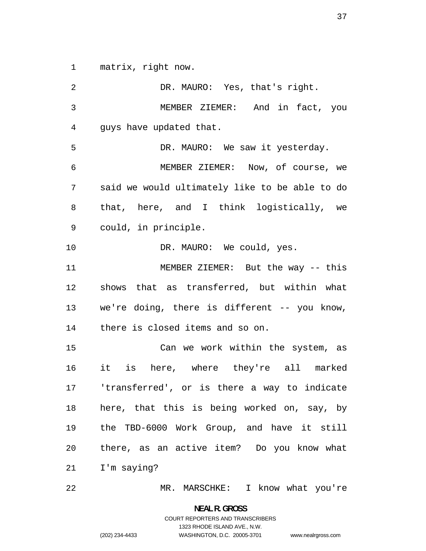matrix, right now.

DR. MAURO: Yes, that's right. MEMBER ZIEMER: And in fact, you guys have updated that. 5 DR. MAURO: We saw it yesterday. MEMBER ZIEMER: Now, of course, we said we would ultimately like to be able to do that, here, and I think logistically, we could, in principle. 10 DR. MAURO: We could, yes. MEMBER ZIEMER: But the way -- this shows that as transferred, but within what we're doing, there is different -- you know, there is closed items and so on. Can we work within the system, as it is here, where they're all marked 'transferred', or is there a way to indicate here, that this is being worked on, say, by the TBD-6000 Work Group, and have it still there, as an active item? Do you know what I'm saying? MR. MARSCHKE: I know what you're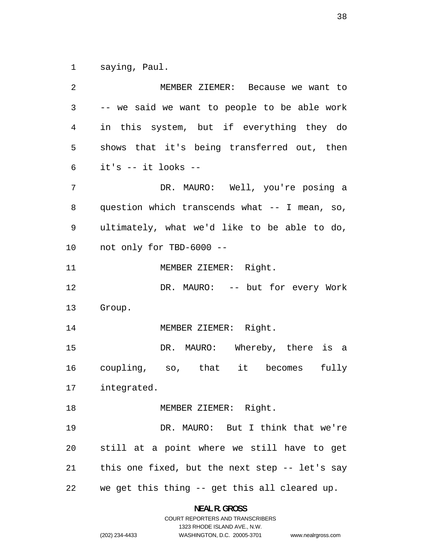saying, Paul.

| 2  | MEMBER ZIEMER: Because we want to              |
|----|------------------------------------------------|
| 3  | -- we said we want to people to be able work   |
| 4  | in this system, but if everything they do      |
| 5  | shows that it's being transferred out, then    |
| 6  | it's -- it looks --                            |
| 7  | DR. MAURO: Well, you're posing a               |
| 8  | question which transcends what -- I mean, so,  |
| 9  | ultimately, what we'd like to be able to do,   |
| 10 | not only for TBD-6000 --                       |
| 11 | MEMBER ZIEMER: Right.                          |
| 12 | DR. MAURO: -- but for every Work               |
| 13 | Group.                                         |
| 14 | MEMBER ZIEMER: Right.                          |
| 15 | DR. MAURO: Whereby, there is a                 |
| 16 | coupling, so, that it becomes fully            |
| 17 | integrated.                                    |
| 18 | MEMBER ZIEMER: Right.                          |
| 19 | DR. MAURO: But I think that we're              |
| 20 | still at a point where we still have to get    |
| 21 | this one fixed, but the next step -- let's say |
| 22 | we get this thing -- get this all cleared up.  |

**NEAL R. GROSS**  COURT REPORTERS AND TRANSCRIBERS

1323 RHODE ISLAND AVE., N.W.

(202) 234-4433 WASHINGTON, D.C. 20005-3701 www.nealrgross.com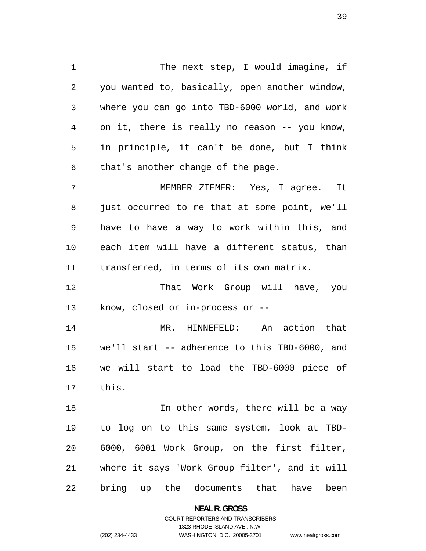1 The next step, I would imagine, if you wanted to, basically, open another window, where you can go into TBD-6000 world, and work on it, there is really no reason -- you know, in principle, it can't be done, but I think that's another change of the page. MEMBER ZIEMER: Yes, I agree. It just occurred to me that at some point, we'll have to have a way to work within this, and each item will have a different status, than transferred, in terms of its own matrix. That Work Group will have, you know, closed or in-process or -- MR. HINNEFELD: An action that

we'll start -- adherence to this TBD-6000, and we will start to load the TBD-6000 piece of this.

**In other words, there will be a way** to log on to this same system, look at TBD-6000, 6001 Work Group, on the first filter, where it says 'Work Group filter', and it will bring up the documents that have been

**NEAL R. GROSS** 

COURT REPORTERS AND TRANSCRIBERS 1323 RHODE ISLAND AVE., N.W. (202) 234-4433 WASHINGTON, D.C. 20005-3701

www.nealrgross.com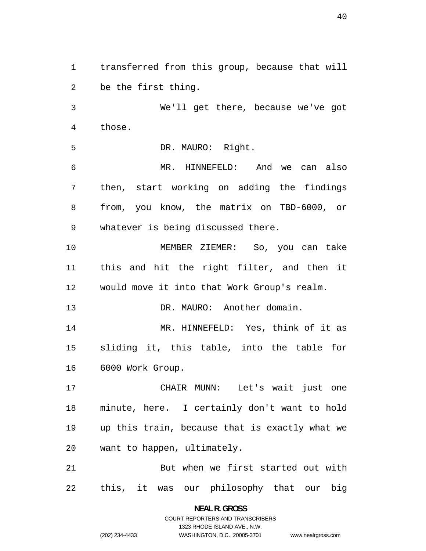transferred from this group, because that will be the first thing. We'll get there, because we've got those. DR. MAURO: Right. MR. HINNEFELD: And we can also then, start working on adding the findings from, you know, the matrix on TBD-6000, or whatever is being discussed there. MEMBER ZIEMER: So, you can take this and hit the right filter, and then it would move it into that Work Group's realm. 13 DR. MAURO: Another domain. MR. HINNEFELD: Yes, think of it as sliding it, this table, into the table for 6000 Work Group. CHAIR MUNN: Let's wait just one minute, here. I certainly don't want to hold up this train, because that is exactly what we want to happen, ultimately. But when we first started out with this, it was our philosophy that our big

> **NEAL R. GROSS**  COURT REPORTERS AND TRANSCRIBERS 1323 RHODE ISLAND AVE., N.W. (202) 234-4433 WASHINGTON, D.C. 20005-3701

www.nealrgross.com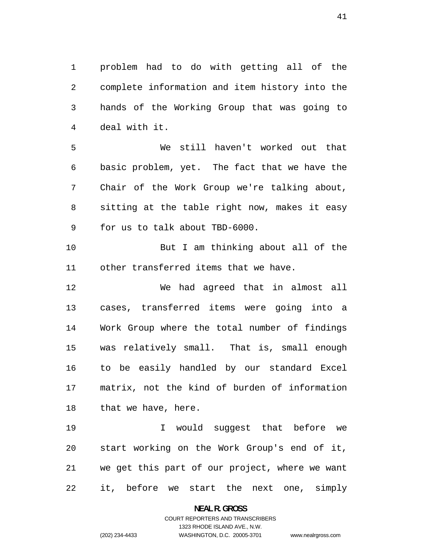problem had to do with getting all of the complete information and item history into the hands of the Working Group that was going to deal with it.

We still haven't worked out that basic problem, yet. The fact that we have the Chair of the Work Group we're talking about, sitting at the table right now, makes it easy for us to talk about TBD-6000.

But I am thinking about all of the other transferred items that we have.

We had agreed that in almost all cases, transferred items were going into a Work Group where the total number of findings was relatively small. That is, small enough to be easily handled by our standard Excel matrix, not the kind of burden of information 18 that we have, here.

I would suggest that before we start working on the Work Group's end of it, we get this part of our project, where we want it, before we start the next one, simply

**NEAL R. GROSS** 

### COURT REPORTERS AND TRANSCRIBERS 1323 RHODE ISLAND AVE., N.W. (202) 234-4433 WASHINGTON, D.C. 20005-3701

www.nealrgross.com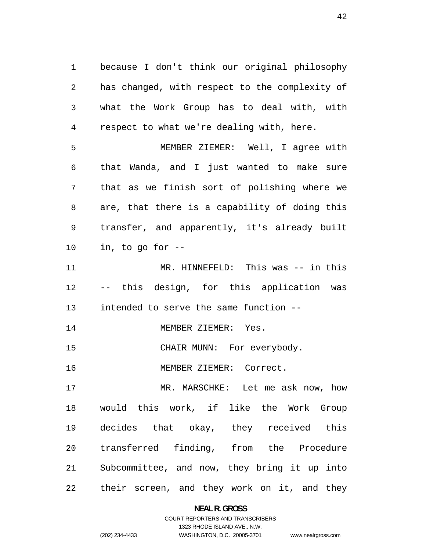because I don't think our original philosophy has changed, with respect to the complexity of what the Work Group has to deal with, with respect to what we're dealing with, here.

MEMBER ZIEMER: Well, I agree with that Wanda, and I just wanted to make sure that as we finish sort of polishing where we are, that there is a capability of doing this transfer, and apparently, it's already built in, to go for --

11 MR. HINNEFELD: This was -- in this -- this design, for this application was intended to serve the same function --

14 MEMBER ZIEMER: Yes.

15 CHAIR MUNN: For everybody.

MEMBER ZIEMER: Correct.

MR. MARSCHKE: Let me ask now, how would this work, if like the Work Group decides that okay, they received this transferred finding, from the Procedure Subcommittee, and now, they bring it up into their screen, and they work on it, and they

> **NEAL R. GROSS**  COURT REPORTERS AND TRANSCRIBERS

> > 1323 RHODE ISLAND AVE., N.W.

(202) 234-4433 WASHINGTON, D.C. 20005-3701

www.nealrgross.com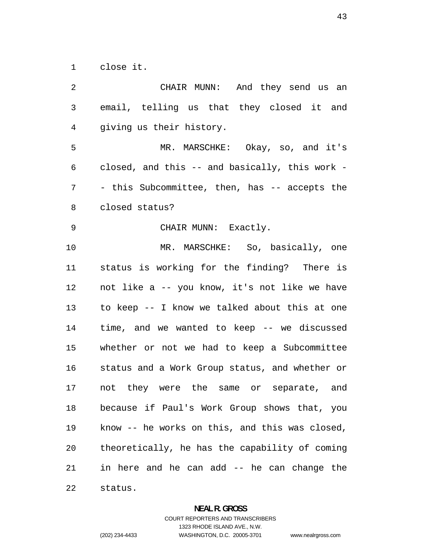close it.

CHAIR MUNN: And they send us an email, telling us that they closed it and giving us their history. MR. MARSCHKE: Okay, so, and it's closed, and this -- and basically, this work - - this Subcommittee, then, has -- accepts the closed status? CHAIR MUNN: Exactly. MR. MARSCHKE: So, basically, one status is working for the finding? There is not like a -- you know, it's not like we have to keep -- I know we talked about this at one time, and we wanted to keep -- we discussed whether or not we had to keep a Subcommittee status and a Work Group status, and whether or not they were the same or separate, and because if Paul's Work Group shows that, you know -- he works on this, and this was closed, theoretically, he has the capability of coming in here and he can add -- he can change the status.

#### **NEAL R. GROSS**

COURT REPORTERS AND TRANSCRIBERS 1323 RHODE ISLAND AVE., N.W. (202) 234-4433 WASHINGTON, D.C. 20005-3701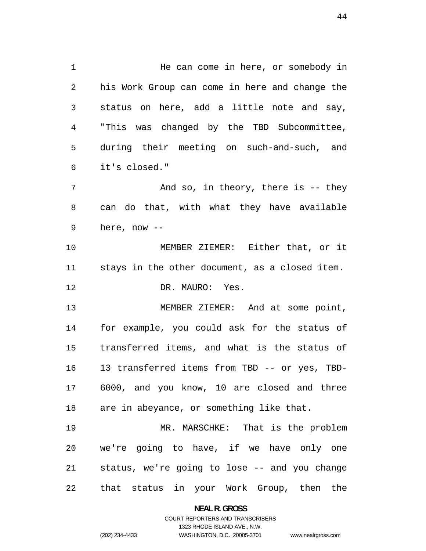1 1 He can come in here, or somebody in his Work Group can come in here and change the status on here, add a little note and say, "This was changed by the TBD Subcommittee, during their meeting on such-and-such, and it's closed."

7 And so, in theory, there is -- they can do that, with what they have available here, now --

MEMBER ZIEMER: Either that, or it stays in the other document, as a closed item. 12 DR. MAURO: Yes.

MEMBER ZIEMER: And at some point, for example, you could ask for the status of transferred items, and what is the status of 13 transferred items from TBD -- or yes, TBD-6000, and you know, 10 are closed and three are in abeyance, or something like that.

MR. MARSCHKE: That is the problem we're going to have, if we have only one status, we're going to lose -- and you change that status in your Work Group, then the

**NEAL R. GROSS** 

### COURT REPORTERS AND TRANSCRIBERS 1323 RHODE ISLAND AVE., N.W. (202) 234-4433 WASHINGTON, D.C. 20005-3701

www.nealrgross.com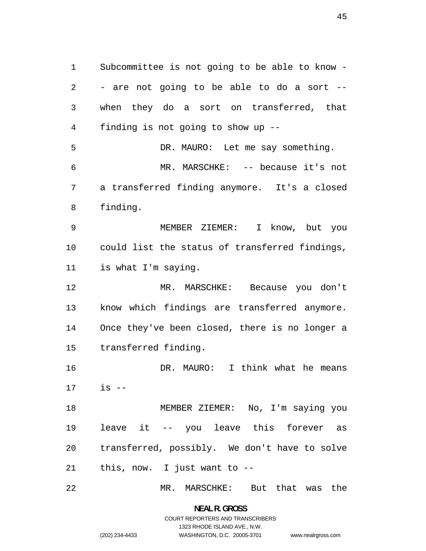Subcommittee is not going to be able to know - - are not going to be able to do a sort -- when they do a sort on transferred, that finding is not going to show up -- DR. MAURO: Let me say something. MR. MARSCHKE: -- because it's not a transferred finding anymore. It's a closed finding. MEMBER ZIEMER: I know, but you could list the status of transferred findings, is what I'm saying. MR. MARSCHKE: Because you don't know which findings are transferred anymore. Once they've been closed, there is no longer a transferred finding. DR. MAURO: I think what he means is -- MEMBER ZIEMER: No, I'm saying you leave it -- you leave this forever as transferred, possibly. We don't have to solve this, now. I just want to -- MR. MARSCHKE: But that was the

> **NEAL R. GROSS**  COURT REPORTERS AND TRANSCRIBERS 1323 RHODE ISLAND AVE., N.W. (202) 234-4433 WASHINGTON, D.C. 20005-3701

www.nealrgross.com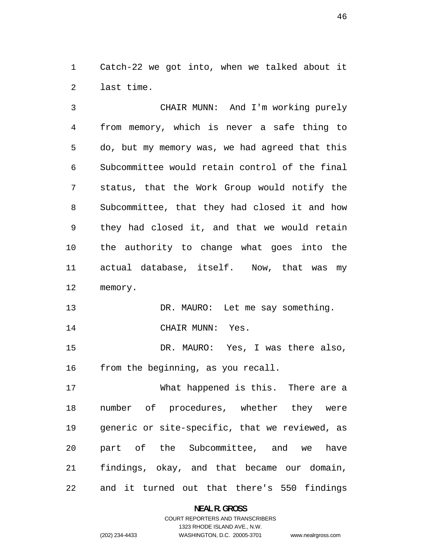Catch-22 we got into, when we talked about it last time.

CHAIR MUNN: And I'm working purely from memory, which is never a safe thing to do, but my memory was, we had agreed that this Subcommittee would retain control of the final status, that the Work Group would notify the Subcommittee, that they had closed it and how they had closed it, and that we would retain the authority to change what goes into the actual database, itself. Now, that was my memory.

13 DR. MAURO: Let me say something. 14 CHAIR MUNN: Yes.

DR. MAURO: Yes, I was there also, from the beginning, as you recall.

What happened is this. There are a number of procedures, whether they were generic or site-specific, that we reviewed, as part of the Subcommittee, and we have findings, okay, and that became our domain, and it turned out that there's 550 findings

**NEAL R. GROSS** 

## COURT REPORTERS AND TRANSCRIBERS 1323 RHODE ISLAND AVE., N.W. (202) 234-4433 WASHINGTON, D.C. 20005-3701

www.nealrgross.com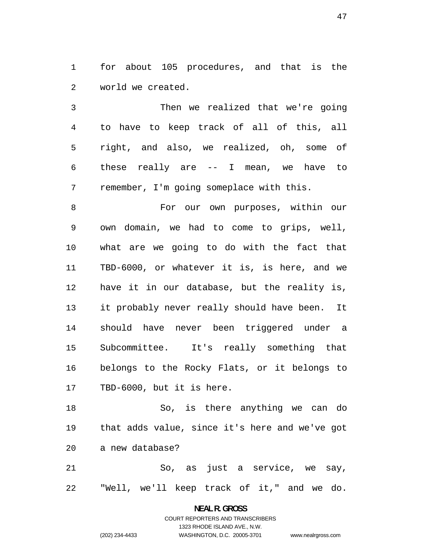for about 105 procedures, and that is the world we created.

Then we realized that we're going to have to keep track of all of this, all right, and also, we realized, oh, some of these really are -- I mean, we have to remember, I'm going someplace with this.

For our own purposes, within our own domain, we had to come to grips, well, what are we going to do with the fact that TBD-6000, or whatever it is, is here, and we have it in our database, but the reality is, it probably never really should have been. It should have never been triggered under a Subcommittee. It's really something that belongs to the Rocky Flats, or it belongs to TBD-6000, but it is here.

So, is there anything we can do that adds value, since it's here and we've got a new database?

So, as just a service, we say, "Well, we'll keep track of it," and we do.

# **NEAL R. GROSS**  COURT REPORTERS AND TRANSCRIBERS 1323 RHODE ISLAND AVE., N.W. (202) 234-4433 WASHINGTON, D.C. 20005-3701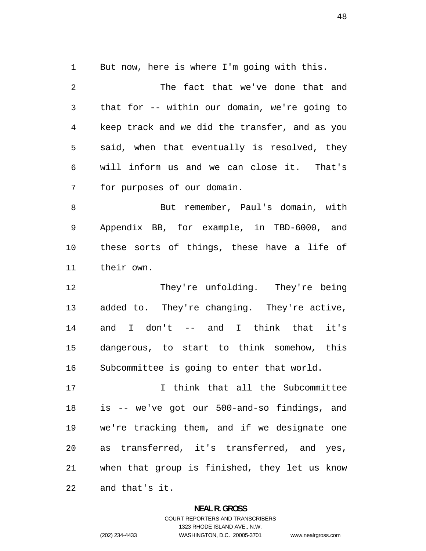But now, here is where I'm going with this.

The fact that we've done that and that for -- within our domain, we're going to keep track and we did the transfer, and as you said, when that eventually is resolved, they will inform us and we can close it. That's for purposes of our domain.

But remember, Paul's domain, with Appendix BB, for example, in TBD-6000, and these sorts of things, these have a life of their own.

12 They're unfolding. They're being added to. They're changing. They're active, and I don't -- and I think that it's dangerous, to start to think somehow, this Subcommittee is going to enter that world.

I think that all the Subcommittee is -- we've got our 500-and-so findings, and we're tracking them, and if we designate one as transferred, it's transferred, and yes, when that group is finished, they let us know and that's it.

#### **NEAL R. GROSS**

COURT REPORTERS AND TRANSCRIBERS 1323 RHODE ISLAND AVE., N.W. (202) 234-4433 WASHINGTON, D.C. 20005-3701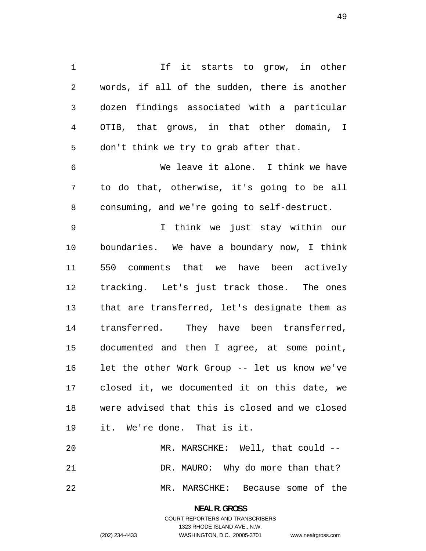1 1 If it starts to grow, in other words, if all of the sudden, there is another dozen findings associated with a particular OTIB, that grows, in that other domain, I don't think we try to grab after that.

We leave it alone. I think we have to do that, otherwise, it's going to be all consuming, and we're going to self-destruct.

I think we just stay within our boundaries. We have a boundary now, I think 550 comments that we have been actively tracking. Let's just track those. The ones that are transferred, let's designate them as transferred. They have been transferred, documented and then I agree, at some point, let the other Work Group -- let us know we've closed it, we documented it on this date, we were advised that this is closed and we closed it. We're done. That is it.

MR. MARSCHKE: Well, that could -- DR. MAURO: Why do more than that? MR. MARSCHKE: Because some of the

> **NEAL R. GROSS**  COURT REPORTERS AND TRANSCRIBERS 1323 RHODE ISLAND AVE., N.W. (202) 234-4433 WASHINGTON, D.C. 20005-3701

www.nealrgross.com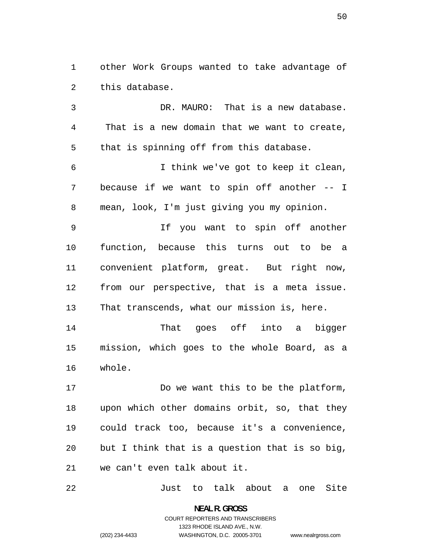other Work Groups wanted to take advantage of this database.

DR. MAURO: That is a new database. That is a new domain that we want to create, that is spinning off from this database.

I think we've got to keep it clean, because if we want to spin off another -- I mean, look, I'm just giving you my opinion.

If you want to spin off another function, because this turns out to be a convenient platform, great. But right now, from our perspective, that is a meta issue. That transcends, what our mission is, here.

That goes off into a bigger mission, which goes to the whole Board, as a whole.

Do we want this to be the platform, upon which other domains orbit, so, that they could track too, because it's a convenience, but I think that is a question that is so big, we can't even talk about it.

Just to talk about a one Site

**NEAL R. GROSS**  COURT REPORTERS AND TRANSCRIBERS 1323 RHODE ISLAND AVE., N.W. (202) 234-4433 WASHINGTON, D.C. 20005-3701

www.nealrgross.com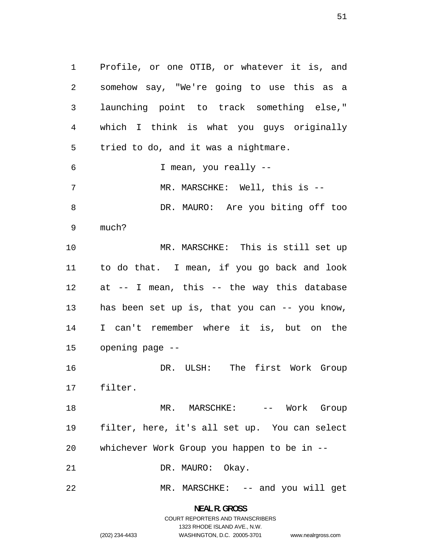Profile, or one OTIB, or whatever it is, and somehow say, "We're going to use this as a launching point to track something else," which I think is what you guys originally tried to do, and it was a nightmare. I mean, you really -- 7 MR. MARSCHKE: Well, this is --DR. MAURO: Are you biting off too much? MR. MARSCHKE: This is still set up to do that. I mean, if you go back and look at -- I mean, this -- the way this database has been set up is, that you can -- you know, I can't remember where it is, but on the opening page -- DR. ULSH: The first Work Group filter. 18 MR. MARSCHKE: -- Work Group filter, here, it's all set up. You can select

whichever Work Group you happen to be in --

21 DR. MAURO: Okay.

MR. MARSCHKE: -- and you will get

**NEAL R. GROSS**  COURT REPORTERS AND TRANSCRIBERS 1323 RHODE ISLAND AVE., N.W. (202) 234-4433 WASHINGTON, D.C. 20005-3701

www.nealrgross.com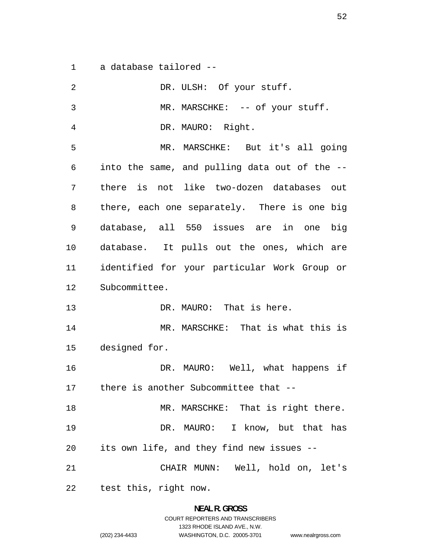a database tailored --

| $\overline{2}$ | DR. ULSH: Of your stuff.                      |
|----------------|-----------------------------------------------|
| 3              | MR. MARSCHKE: -- of your stuff.               |
| 4              | DR. MAURO: Right.                             |
| 5              | MR. MARSCHKE: But it's all going              |
| 6              | into the same, and pulling data out of the -- |
| 7              | there is not like two-dozen databases out     |
| 8              | there, each one separately. There is one big  |
| 9              | database, all 550 issues are in one big       |
| 10             | database. It pulls out the ones, which are    |
| 11             | identified for your particular Work Group or  |
| 12             | Subcommittee.                                 |
| 13             | DR. MAURO: That is here.                      |
| 14             | MR. MARSCHKE: That is what this is            |
| 15             | designed for.                                 |
| 16             | DR. MAURO: Well, what happens if              |
| 17             | there is another Subcommittee that --         |
| 18             | MR. MARSCHKE: That is right there.            |
| 19             | DR. MAURO: I know, but that has               |
| 20             | its own life, and they find new issues --     |
| 21             | CHAIR MUNN: Well, hold on, let's              |
| 22             | test this, right now.                         |

**NEAL R. GROSS**  COURT REPORTERS AND TRANSCRIBERS 1323 RHODE ISLAND AVE., N.W.

(202) 234-4433 WASHINGTON, D.C. 20005-3701 www.nealrgross.com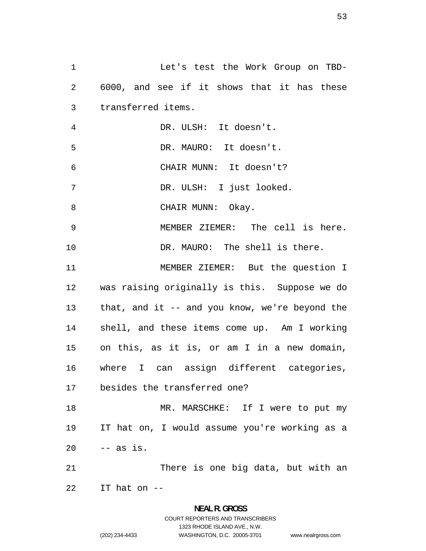Let's test the Work Group on TBD-6000, and see if it shows that it has these transferred items. DR. ULSH: It doesn't. DR. MAURO: It doesn't. CHAIR MUNN: It doesn't? DR. ULSH: I just looked. 8 CHAIR MUNN: Okay. MEMBER ZIEMER: The cell is here. DR. MAURO: The shell is there. MEMBER ZIEMER: But the question I was raising originally is this. Suppose we do that, and it -- and you know, we're beyond the shell, and these items come up. Am I working on this, as it is, or am I in a new domain, where I can assign different categories, besides the transferred one? 18 MR. MARSCHKE: If I were to put my IT hat on, I would assume you're working as a -- as is. There is one big data, but with an IT hat on --

# **NEAL R. GROSS**  COURT REPORTERS AND TRANSCRIBERS 1323 RHODE ISLAND AVE., N.W. (202) 234-4433 WASHINGTON, D.C. 20005-3701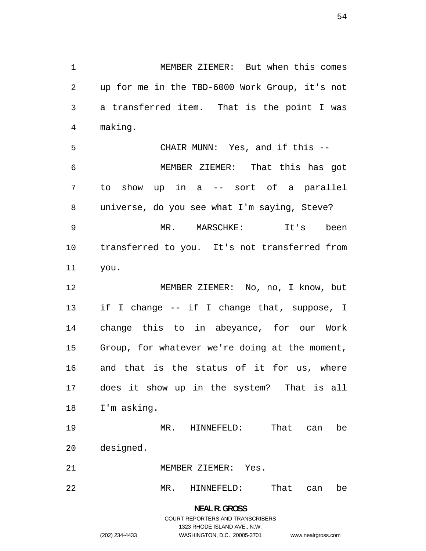MEMBER ZIEMER: But when this comes up for me in the TBD-6000 Work Group, it's not a transferred item. That is the point I was making.

 to show CHAIR MUNN: Yes, and if this -- MEMBER ZIEMER: That this has got in a -- sort of a parallel universe, do you see what I'm saying, Steve? MR. MARSCHKE: It's been transferred to you. It's not transferred from you.

MEMBER ZIEMER: No, no, I know, but if I change -- if I change that, suppose, I change this to in abeyance, for our Work Group, for whatever we're doing at the moment, and that is the status of it for us, where does it show up in the system? That is all I'm asking.

MR. HINNEFELD: That can be designed.

MEMBER ZIEMER: Yes.

MR. HINNEFELD: That can be

# **NEAL R. GROSS**  COURT REPORTERS AND TRANSCRIBERS 1323 RHODE ISLAND AVE., N.W. (202) 234-4433 WASHINGTON, D.C. 20005-3701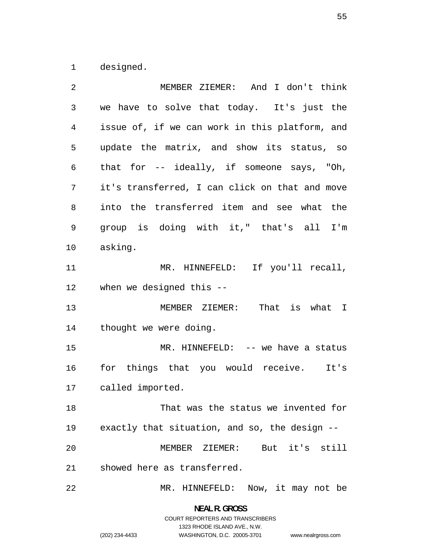designed.

| 2  | MEMBER ZIEMER: And I don't think               |
|----|------------------------------------------------|
| 3  | we have to solve that today. It's just the     |
| 4  | issue of, if we can work in this platform, and |
| 5  | update the matrix, and show its status, so     |
| 6  | that for $-$ - ideally, if someone says, "Oh,  |
| 7  | it's transferred, I can click on that and move |
| 8  | into the transferred item and see what the     |
| 9  | group is doing with it," that's all I'm        |
| 10 | asking.                                        |
| 11 | MR. HINNEFELD: If you'll recall,               |
| 12 | when we designed this --                       |
| 13 | MEMBER ZIEMER: That is what I                  |
| 14 | thought we were doing.                         |
| 15 | MR. HINNEFELD: -- we have a status             |
| 16 | for things that you would receive. It's        |
| 17 | called imported.                               |
| 18 | That was the status we invented for            |
| 19 | exactly that situation, and so, the design --  |
| 20 | MEMBER ZIEMER: But it's still                  |
| 21 | showed here as transferred.                    |
| 22 | MR. HINNEFELD:<br>Now, it may not be           |

**NEAL R. GROSS**  COURT REPORTERS AND TRANSCRIBERS 1323 RHODE ISLAND AVE., N.W. (202) 234-4433 WASHINGTON, D.C. 20005-3701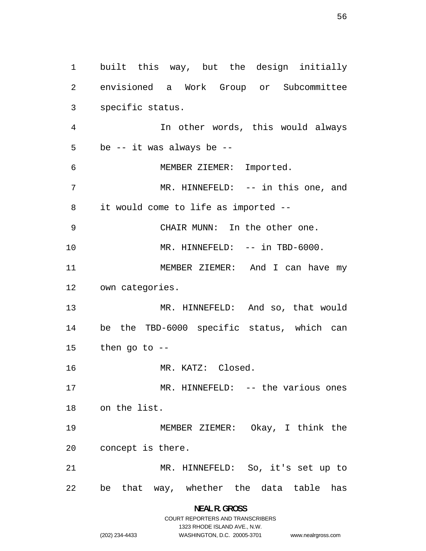built this way, but the design initially envisioned a Work Group or Subcommittee specific status. In other words, this would always be -- it was always be -- MEMBER ZIEMER: Imported. 7 MR. HINNEFELD: -- in this one, and it would come to life as imported -- CHAIR MUNN: In the other one. 10 MR. HINNEFELD:  $--$  in TBD-6000. 11 MEMBER ZIEMER: And I can have my own categories. MR. HINNEFELD: And so, that would be the TBD-6000 specific status, which can then go to -- MR. KATZ: Closed. MR. HINNEFELD: -- the various ones on the list. MEMBER ZIEMER: Okay, I think the concept is there. MR. HINNEFELD: So, it's set up to be that way, whether the data table has

> **NEAL R. GROSS**  COURT REPORTERS AND TRANSCRIBERS

> > 1323 RHODE ISLAND AVE., N.W. WASHINGTON, D.C. 20005-3701

(202) 234-4433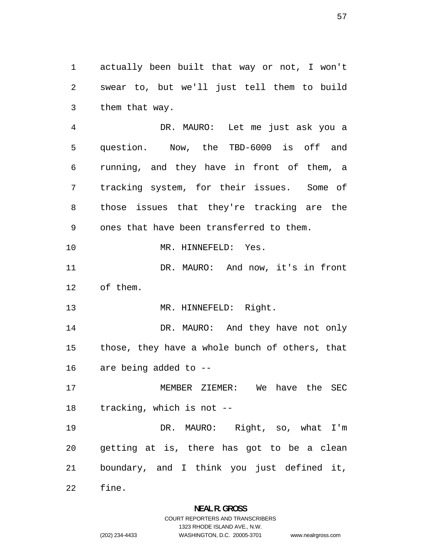actually been built that way or not, I won't swear to, but we'll just tell them to build them that way.

DR. MAURO: Let me just ask you a question. Now, the TBD-6000 is off and running, and they have in front of them, a tracking system, for their issues. Some of those issues that they're tracking are the ones that have been transferred to them. 10 MR. HINNEFELD: Yes. DR. MAURO: And now, it's in front of them. 13 MR. HINNEFELD: Right. 14 DR. MAURO: And they have not only those, they have a whole bunch of others, that are being added to -- MEMBER ZIEMER: We have the SEC tracking, which is not -- DR. MAURO: Right, so, what I'm getting at is, there has got to be a clean boundary, and I think you just defined it,

fine.

### **NEAL R. GROSS**  COURT REPORTERS AND TRANSCRIBERS

1323 RHODE ISLAND AVE., N.W.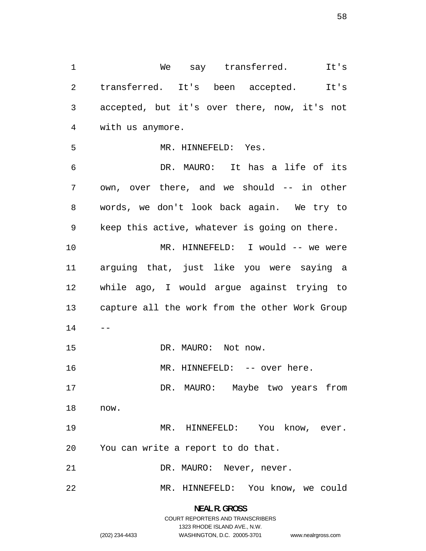We say transferred. It's transferred. It's been accepted. It's accepted, but it's over there, now, it's not with us anymore. MR. HINNEFELD: Yes. DR. MAURO: It has a life of its own, over there, and we should -- in other words, we don't look back again. We try to keep this active, whatever is going on there. MR. HINNEFELD: I would -- we were arguing that, just like you were saying a while ago, I would argue against trying to capture all the work from the other Work Group  $14 - -$ 15 DR. MAURO: Not now. 16 MR. HINNEFELD: -- over here. DR. MAURO: Maybe two years from now. 19 MR. HINNEFELD: You know, ever. You can write a report to do that. 21 DR. MAURO: Never, never. MR. HINNEFELD: You know, we could

> **NEAL R. GROSS**  COURT REPORTERS AND TRANSCRIBERS

> > 1323 RHODE ISLAND AVE., N.W.

(202) 234-4433 WASHINGTON, D.C. 20005-3701 www.nealrgross.com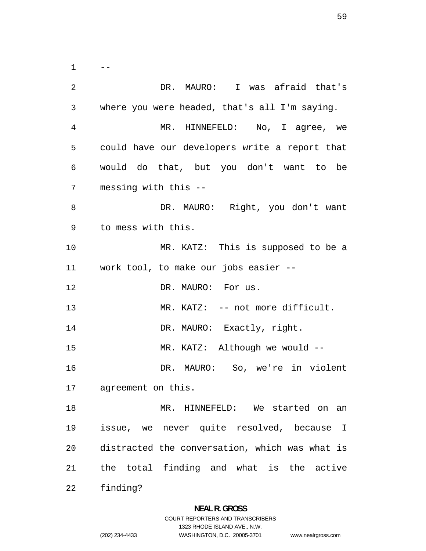$1 \qquad --$ DR. MAURO: I was afraid that's where you were headed, that's all I'm saying. MR. HINNEFELD: No, I agree, we could have our developers write a report that would do that, but you don't want to be messing with this -- DR. MAURO: Right, you don't want to mess with this. MR. KATZ: This is supposed to be a work tool, to make our jobs easier -- 12 DR. MAURO: For us. 13 MR. KATZ: -- not more difficult. 14 DR. MAURO: Exactly, right. MR. KATZ: Although we would -- DR. MAURO: So, we're in violent agreement on this. MR. HINNEFELD: We started on an issue, we never quite resolved, because I distracted the conversation, which was what is the total finding and what is the active finding?

1323 RHODE ISLAND AVE., N.W.

(202) 234-4433 WASHINGTON, D.C. 20005-3701 www.nealrgross.com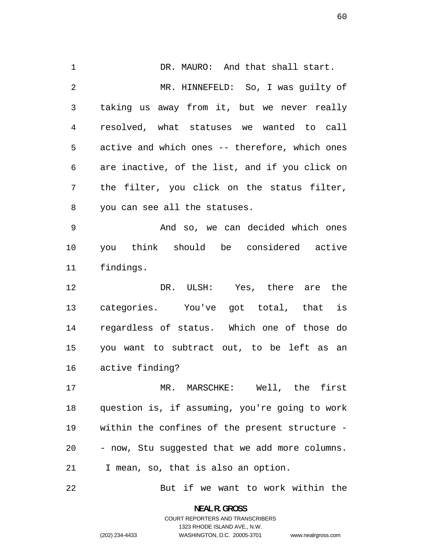DR. MAURO: And that shall start. MR. HINNEFELD: So, I was guilty of taking us away from it, but we never really resolved, what statuses we wanted to call active and which ones -- therefore, which ones are inactive, of the list, and if you click on the filter, you click on the status filter, you can see all the statuses.

And so, we can decided which ones you think should be considered active findings.

DR. ULSH: Yes, there are the categories. You've got total, that is regardless of status. Which one of those do you want to subtract out, to be left as an active finding?

MR. MARSCHKE: Well, the first question is, if assuming, you're going to work within the confines of the present structure - - now, Stu suggested that we add more columns. I mean, so, that is also an option.

But if we want to work within the

**NEAL R. GROSS**  COURT REPORTERS AND TRANSCRIBERS 1323 RHODE ISLAND AVE., N.W. (202) 234-4433 WASHINGTON, D.C. 20005-3701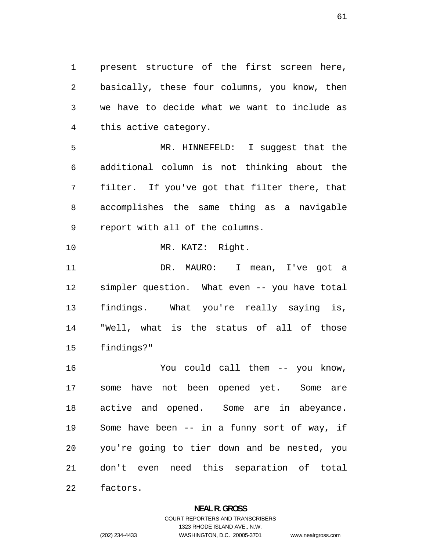present structure of the first screen here, basically, these four columns, you know, then we have to decide what we want to include as this active category.

MR. HINNEFELD: I suggest that the additional column is not thinking about the filter. If you've got that filter there, that accomplishes the same thing as a navigable report with all of the columns.

MR. KATZ: Right.

DR. MAURO: I mean, I've got a simpler question. What even -- you have total findings. What you're really saying is, "Well, what is the status of all of those findings?"

You could call them -- you know, some have not been opened yet. Some are active and opened. Some are in abeyance. Some have been -- in a funny sort of way, if you're going to tier down and be nested, you don't even need this separation of total

factors.

#### **NEAL R. GROSS**

COURT REPORTERS AND TRANSCRIBERS 1323 RHODE ISLAND AVE., N.W. (202) 234-4433 WASHINGTON, D.C. 20005-3701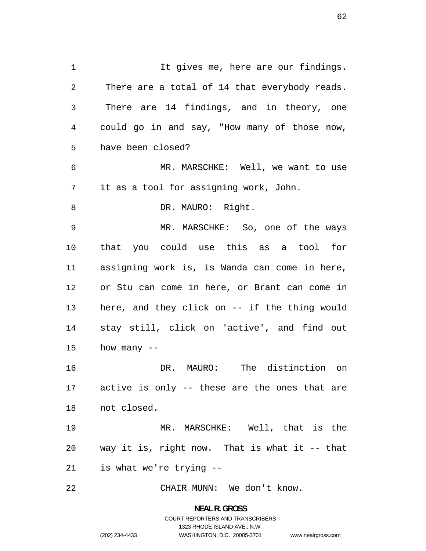1 It gives me, here are our findings. There are a total of 14 that everybody reads. There are 14 findings, and in theory, one could go in and say, "How many of those now, have been closed? MR. MARSCHKE: Well, we want to use it as a tool for assigning work, John. 8 DR. MAURO: Right. MR. MARSCHKE: So, one of the ways that you could use this as a tool for assigning work is, is Wanda can come in here, or Stu can come in here, or Brant can come in here, and they click on -- if the thing would stay still, click on 'active', and find out how many -- DR. MAURO: The distinction on active is only -- these are the ones that are not closed. MR. MARSCHKE: Well, that is the way it is, right now. That is what it -- that is what we're trying -- CHAIR MUNN: We don't know.

> **NEAL R. GROSS**  COURT REPORTERS AND TRANSCRIBERS 1323 RHODE ISLAND AVE., N.W. (202) 234-4433 WASHINGTON, D.C. 20005-3701

www.nealrgross.com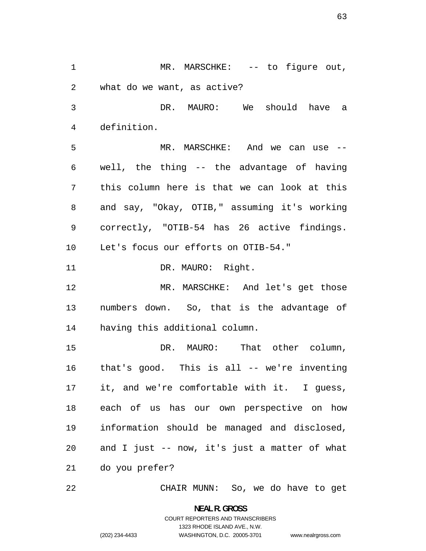1 MR. MARSCHKE: -- to figure out, what do we want, as active? DR. MAURO: We should have a definition. MR. MARSCHKE: And we can use -- well, the thing -- the advantage of having this column here is that we can look at this and say, "Okay, OTIB," assuming it's working correctly, "OTIB-54 has 26 active findings. Let's focus our efforts on OTIB-54." 11 DR. MAURO: Right. MR. MARSCHKE: And let's get those numbers down. So, that is the advantage of having this additional column. DR. MAURO: That other column, that's good. This is all -- we're inventing it, and we're comfortable with it. I guess, each of us has our own perspective on how information should be managed and disclosed, and I just -- now, it's just a matter of what do you prefer?

CHAIR MUNN: So, we do have to get

**NEAL R. GROSS**  COURT REPORTERS AND TRANSCRIBERS 1323 RHODE ISLAND AVE., N.W.

www.nealrgross.com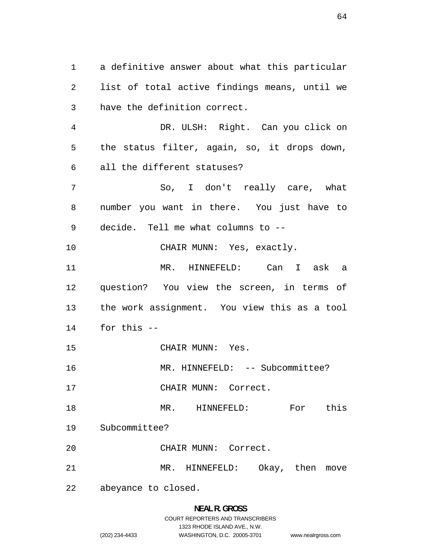a definitive answer about what this particular list of total active findings means, until we have the definition correct. DR. ULSH: Right. Can you click on the status filter, again, so, it drops down, all the different statuses? So, I don't really care, what number you want in there. You just have to decide. Tell me what columns to -- 10 CHAIR MUNN: Yes, exactly. MR. HINNEFELD: Can I ask a

question? You view the screen, in terms of the work assignment. You view this as a tool for this --

CHAIR MUNN: Yes.

16 MR. HINNEFELD: -- Subcommittee?

CHAIR MUNN: Correct.

18 MR. HINNEFELD: For this

Subcommittee?

CHAIR MUNN: Correct.

MR. HINNEFELD: Okay, then move

abeyance to closed.

### **NEAL R. GROSS**  COURT REPORTERS AND TRANSCRIBERS

1323 RHODE ISLAND AVE., N.W.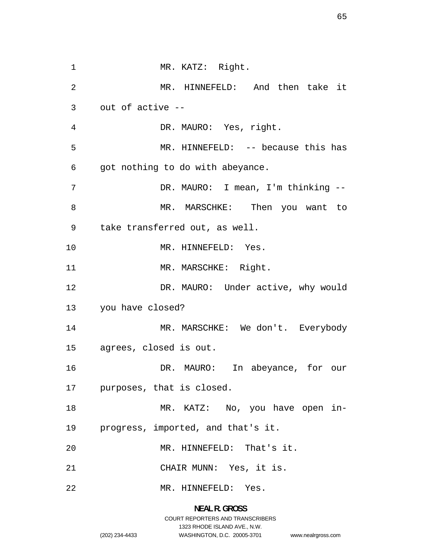1 MR. KATZ: Right. MR. HINNEFELD: And then take it out of active -- DR. MAURO: Yes, right. MR. HINNEFELD: -- because this has got nothing to do with abeyance. DR. MAURO: I mean, I'm thinking -- MR. MARSCHKE: Then you want to take transferred out, as well. 10 MR. HINNEFELD: Yes. 11 MR. MARSCHKE: Right. 12 DR. MAURO: Under active, why would you have closed? 14 MR. MARSCHKE: We don't. Everybody agrees, closed is out. DR. MAURO: In abeyance, for our purposes, that is closed. 18 MR. KATZ: No, you have open in-progress, imported, and that's it. MR. HINNEFELD: That's it. CHAIR MUNN: Yes, it is. MR. HINNEFELD: Yes.

> **NEAL R. GROSS**  COURT REPORTERS AND TRANSCRIBERS 1323 RHODE ISLAND AVE., N.W. (202) 234-4433 WASHINGTON, D.C. 20005-3701

www.nealrgross.com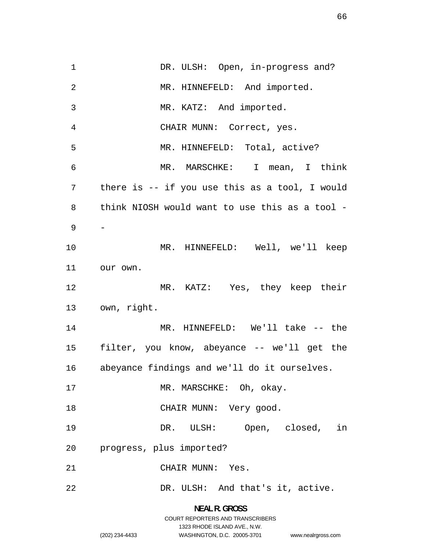1 DR. ULSH: Open, in-progress and? 2 MR. HINNEFELD: And imported. MR. KATZ: And imported. CHAIR MUNN: Correct, yes. MR. HINNEFELD: Total, active? MR. MARSCHKE: I mean, I think there is -- if you use this as a tool, I would think NIOSH would want to use this as a tool - - MR. HINNEFELD: Well, we'll keep our own. MR. KATZ: Yes, they keep their own, right. MR. HINNEFELD: We'll take -- the filter, you know, abeyance -- we'll get the abeyance findings and we'll do it ourselves. 17 MR. MARSCHKE: Oh, okay. 18 CHAIR MUNN: Very good. DR. ULSH: Open, closed, in progress, plus imported? CHAIR MUNN: Yes. DR. ULSH: And that's it, active.

> **NEAL R. GROSS**  COURT REPORTERS AND TRANSCRIBERS 1323 RHODE ISLAND AVE., N.W. (202) 234-4433 WASHINGTON, D.C. 20005-3701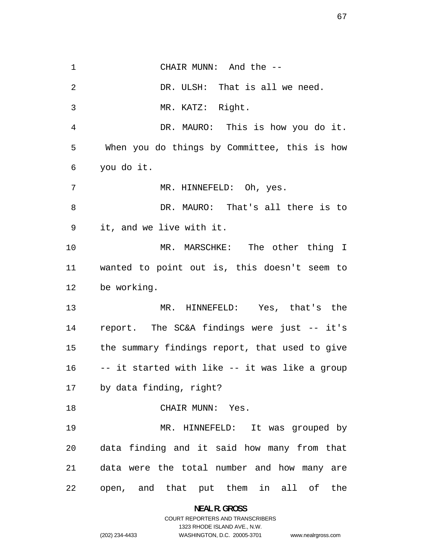1 CHAIR MUNN: And the --2 DR. ULSH: That is all we need. MR. KATZ: Right. DR. MAURO: This is how you do it. When you do things by Committee, this is how you do it. MR. HINNEFELD: Oh, yes. DR. MAURO: That's all there is to it, and we live with it. MR. MARSCHKE: The other thing I wanted to point out is, this doesn't seem to be working. MR. HINNEFELD: Yes, that's the report. The SC&A findings were just -- it's the summary findings report, that used to give -- it started with like -- it was like a group by data finding, right? 18 CHAIR MUNN: Yes. MR. HINNEFELD: It was grouped by data finding and it said how many from that data were the total number and how many are open, and that put them in all of the

**NEAL R. GROSS** 

COURT REPORTERS AND TRANSCRIBERS 1323 RHODE ISLAND AVE., N.W. (202) 234-4433 WASHINGTON, D.C. 20005-3701

www.nealrgross.com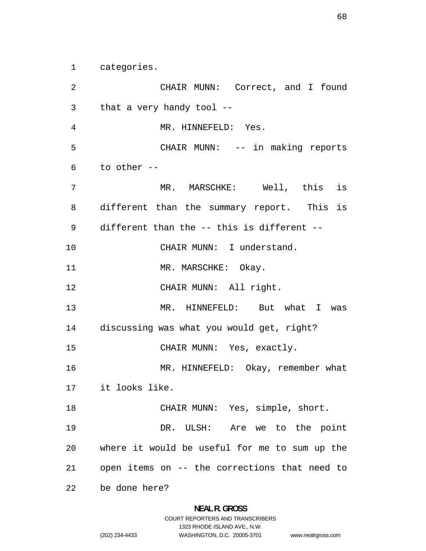categories.

CHAIR MUNN: Correct, and I found that a very handy tool -- MR. HINNEFELD: Yes. CHAIR MUNN: -- in making reports to other -- MR. MARSCHKE: Well, this is different than the summary report. This is different than the -- this is different -- 10 CHAIR MUNN: I understand. 11 MR. MARSCHKE: Okay. 12 CHAIR MUNN: All right. MR. HINNEFELD: But what I was discussing was what you would get, right? CHAIR MUNN: Yes, exactly. 16 MR. HINNEFELD: Okay, remember what it looks like. CHAIR MUNN: Yes, simple, short. DR. ULSH: Are we to the point where it would be useful for me to sum up the open items on -- the corrections that need to be done here?

1323 RHODE ISLAND AVE., N.W.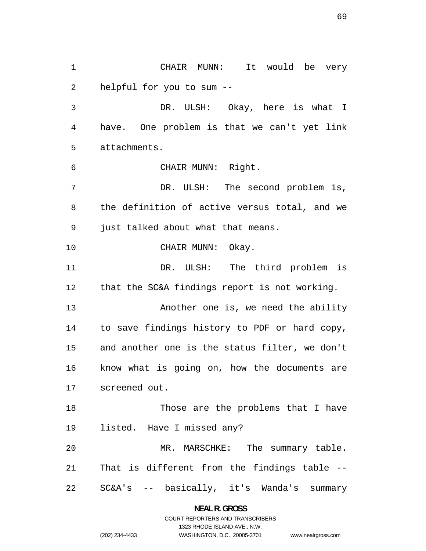CHAIR MUNN: It would be very helpful for you to sum -- DR. ULSH: Okay, here is what I have. One problem is that we can't yet link attachments. CHAIR MUNN: Right. DR. ULSH: The second problem is, the definition of active versus total, and we just talked about what that means. 10 CHAIR MUNN: Okay. DR. ULSH: The third problem is that the SC&A findings report is not working. 13 Another one is, we need the ability to save findings history to PDF or hard copy, and another one is the status filter, we don't know what is going on, how the documents are screened out. 18 Those are the problems that I have listed. Have I missed any? MR. MARSCHKE: The summary table. That is different from the findings table -- SC&A's -- basically, it's Wanda's summary

> **NEAL R. GROSS**  COURT REPORTERS AND TRANSCRIBERS

> > 1323 RHODE ISLAND AVE., N.W.

www.nealrgross.com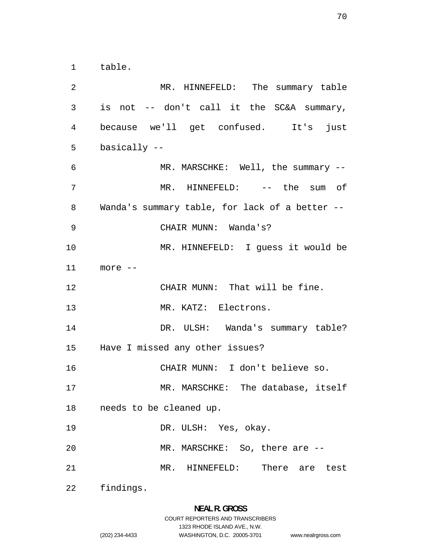table.

MR. HINNEFELD: The summary table is not -- don't call it the SC&A summary, because we'll get confused. It's just basically -- MR. MARSCHKE: Well, the summary -- MR. HINNEFELD: -- the sum of Wanda's summary table, for lack of a better -- CHAIR MUNN: Wanda's? MR. HINNEFELD: I guess it would be more -- CHAIR MUNN: That will be fine. 13 MR. KATZ: Electrons. 14 DR. ULSH: Wanda's summary table? Have I missed any other issues? CHAIR MUNN: I don't believe so. MR. MARSCHKE: The database, itself needs to be cleaned up. DR. ULSH: Yes, okay. MR. MARSCHKE: So, there are -- MR. HINNEFELD: There are test findings.

### **NEAL R. GROSS**  COURT REPORTERS AND TRANSCRIBERS

1323 RHODE ISLAND AVE., N.W.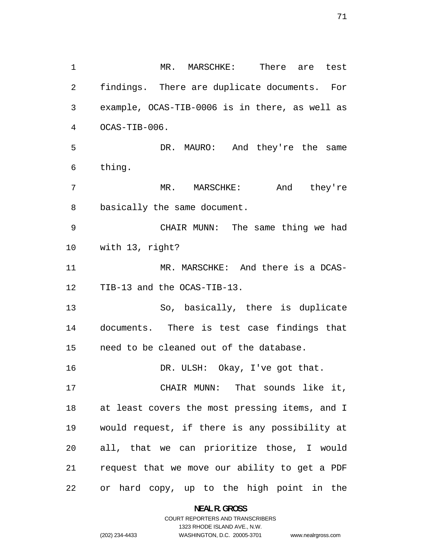MR. MARSCHKE: There are test findings. There are duplicate documents. For example, OCAS-TIB-0006 is in there, as well as OCAS-TIB-006. DR. MAURO: And they're the same thing. MR. MARSCHKE: And they're basically the same document. CHAIR MUNN: The same thing we had with 13, right? MR. MARSCHKE: And there is a DCAS-TIB-13 and the OCAS-TIB-13. So, basically, there is duplicate documents. There is test case findings that need to be cleaned out of the database. 16 DR. ULSH: Okay, I've got that. CHAIR MUNN: That sounds like it, at least covers the most pressing items, and I would request, if there is any possibility at all, that we can prioritize those, I would request that we move our ability to get a PDF or hard copy, up to the high point in the

> **NEAL R. GROSS**  COURT REPORTERS AND TRANSCRIBERS

> > 1323 RHODE ISLAND AVE., N.W.

(202) 234-4433 WASHINGTON, D.C. 20005-3701

www.nealrgross.com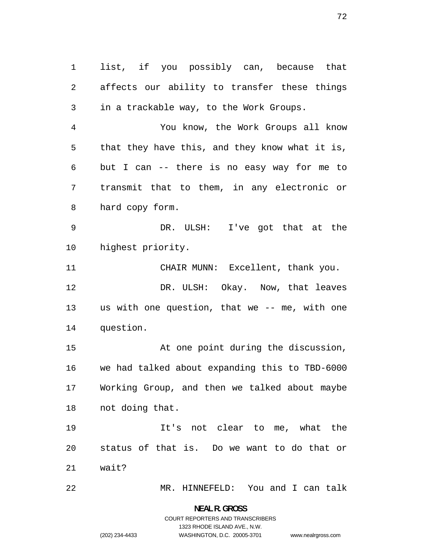list, if you possibly can, because that affects our ability to transfer these things in a trackable way, to the Work Groups. You know, the Work Groups all know that they have this, and they know what it is, but I can -- there is no easy way for me to transmit that to them, in any electronic or hard copy form. DR. ULSH: I've got that at the highest priority. 11 CHAIR MUNN: Excellent, thank you. DR. ULSH: Okay. Now, that leaves us with one question, that we -- me, with one question. At one point during the discussion, we had talked about expanding this to TBD-6000 Working Group, and then we talked about maybe not doing that. It's not clear to me, what the status of that is. Do we want to do that or wait? MR. HINNEFELD: You and I can talk

> **NEAL R. GROSS**  COURT REPORTERS AND TRANSCRIBERS 1323 RHODE ISLAND AVE., N.W. (202) 234-4433 WASHINGTON, D.C. 20005-3701

www.nealrgross.com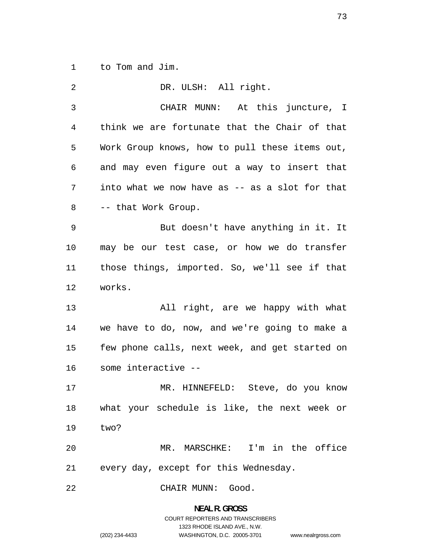to Tom and Jim.

| 2  | DR. ULSH: All right.                           |
|----|------------------------------------------------|
| 3  | CHAIR MUNN: At this juncture, I                |
| 4  | think we are fortunate that the Chair of that  |
| 5  | Work Group knows, how to pull these items out, |
| 6  | and may even figure out a way to insert that   |
| 7  | into what we now have as -- as a slot for that |
| 8  | -- that Work Group.                            |
| 9  | But doesn't have anything in it. It            |
| 10 | may be our test case, or how we do transfer    |
| 11 | those things, imported. So, we'll see if that  |
| 12 | works.                                         |
| 13 | All right, are we happy with what              |
| 14 | we have to do, now, and we're going to make a  |
| 15 | few phone calls, next week, and get started on |
| 16 | some interactive --                            |
| 17 | MR. HINNEFELD: Steve, do you know              |
| 18 | what your schedule is like, the next week or   |
| 19 | two?                                           |
| 20 | MR. MARSCHKE: I'm in the office                |
| 21 | every day, except for this Wednesday.          |
| 22 | CHAIR MUNN: Good.                              |

**NEAL R. GROSS**  COURT REPORTERS AND TRANSCRIBERS 1323 RHODE ISLAND AVE., N.W. (202) 234-4433 WASHINGTON, D.C. 20005-3701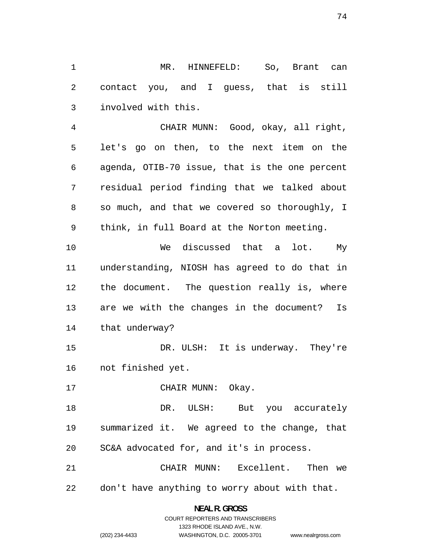MR. HINNEFELD: So, Brant can contact you, and I guess, that is still involved with this.

CHAIR MUNN: Good, okay, all right, let's go on then, to the next item on the agenda, OTIB-70 issue, that is the one percent residual period finding that we talked about so much, and that we covered so thoroughly, I think, in full Board at the Norton meeting.

We discussed that a lot. My understanding, NIOSH has agreed to do that in the document. The question really is, where are we with the changes in the document? Is that underway?

DR. ULSH: It is underway. They're not finished yet.

17 CHAIR MUNN: Okay.

DR. ULSH: But you accurately summarized it. We agreed to the change, that SC&A advocated for, and it's in process.

CHAIR MUNN: Excellent. Then we don't have anything to worry about with that.

> **NEAL R. GROSS**  COURT REPORTERS AND TRANSCRIBERS

> > 1323 RHODE ISLAND AVE., N.W.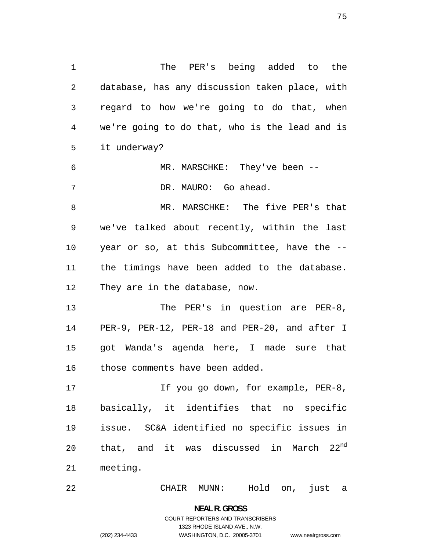The PER's being added to the database, has any discussion taken place, with regard to how we're going to do that, when we're going to do that, who is the lead and is it underway? MR. MARSCHKE: They've been -- DR. MAURO: Go ahead. MR. MARSCHKE: The five PER's that we've talked about recently, within the last year or so, at this Subcommittee, have the -- the timings have been added to the database. They are in the database, now. 13 The PER's in question are PER-8,

PER-9, PER-12, PER-18 and PER-20, and after I got Wanda's agenda here, I made sure that those comments have been added.

17 17 If you go down, for example, PER-8, basically, it identifies that no specific issue. SC&A identified no specific issues in 20 that, and it was discussed in March  $22^{nd}$ meeting.

CHAIR MUNN: Hold on, just a

**NEAL R. GROSS**  COURT REPORTERS AND TRANSCRIBERS 1323 RHODE ISLAND AVE., N.W. (202) 234-4433 WASHINGTON, D.C. 20005-3701

www.nealrgross.com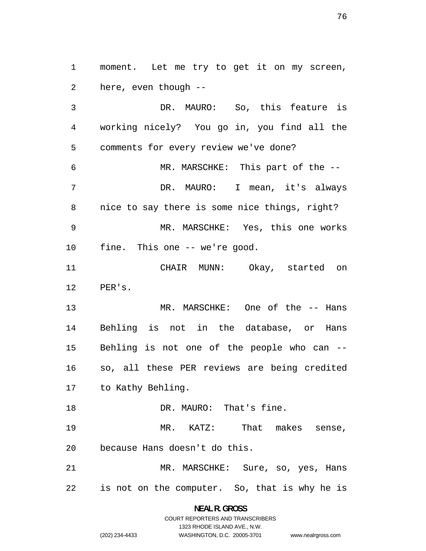moment. Let me try to get it on my screen, here, even though --

DR. MAURO: So, this feature is working nicely? You go in, you find all the comments for every review we've done? MR. MARSCHKE: This part of the -- DR. MAURO: I mean, it's always nice to say there is some nice things, right? MR. MARSCHKE: Yes, this one works fine. This one -- we're good. CHAIR MUNN: Okay, started on PER's. 13 MR. MARSCHKE: One of the -- Hans Behling is not in the database, or Hans Behling is not one of the people who can -- so, all these PER reviews are being credited to Kathy Behling. 18 DR. MAURO: That's fine. MR. KATZ: That makes sense, because Hans doesn't do this. MR. MARSCHKE: Sure, so, yes, Hans is not on the computer. So, that is why he is

> **NEAL R. GROSS**  COURT REPORTERS AND TRANSCRIBERS

> > 1323 RHODE ISLAND AVE., N.W.

www.nealrgross.com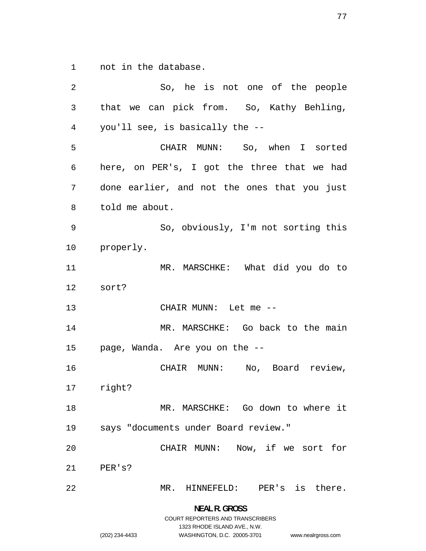not in the database.

So, he is not one of the people that we can pick from. So, Kathy Behling, you'll see, is basically the -- CHAIR MUNN: So, when I sorted here, on PER's, I got the three that we had done earlier, and not the ones that you just told me about. So, obviously, I'm not sorting this properly. MR. MARSCHKE: What did you do to sort? CHAIR MUNN: Let me -- MR. MARSCHKE: Go back to the main page, Wanda. Are you on the -- CHAIR MUNN: No, Board review, right? MR. MARSCHKE: Go down to where it says "documents under Board review." CHAIR MUNN: Now, if we sort for PER's? MR. HINNEFELD: PER's is there. **NEAL R. GROSS** 

COURT REPORTERS AND TRANSCRIBERS

www.nealrgross.com 1323 RHODE ISLAND AVE., N.W.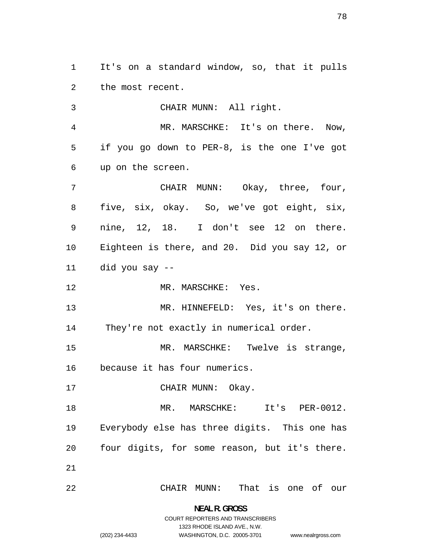It's on a standard window, so, that it pulls the most recent.

CHAIR MUNN: All right. MR. MARSCHKE: It's on there. Now, if you go down to PER-8, is the one I've got up on the screen. CHAIR MUNN: Okay, three, four, five, six, okay. So, we've got eight, six, nine, 12, 18. I don't see 12 on there. Eighteen is there, and 20. Did you say 12, or did you say -- 12 MR. MARSCHKE: Yes. 13 MR. HINNEFELD: Yes, it's on there. They're not exactly in numerical order. 15 MR. MARSCHKE: Twelve is strange, because it has four numerics. 17 CHAIR MUNN: Okay. MR. MARSCHKE: It's PER-0012. Everybody else has three digits. This one has four digits, for some reason, but it's there. CHAIR MUNN: That is one of our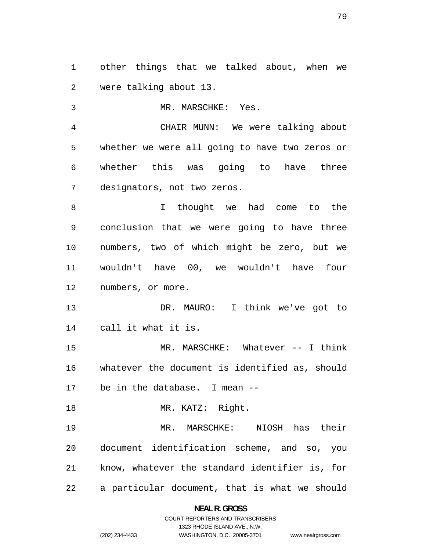other things that we talked about, when we were talking about 13.

MR. MARSCHKE: Yes. CHAIR MUNN: We were talking about whether we were all going to have two zeros or whether this was going to have three designators, not two zeros. I thought we had come to the conclusion that we were going to have three numbers, two of which might be zero, but we wouldn't have 00, we wouldn't have four numbers, or more.

DR. MAURO: I think we've got to call it what it is.

MR. MARSCHKE: Whatever -- I think whatever the document is identified as, should be in the database. I mean --

18 MR. KATZ: Right.

MR. MARSCHKE: NIOSH has their document identification scheme, and so, you know, whatever the standard identifier is, for a particular document, that is what we should

**NEAL R. GROSS**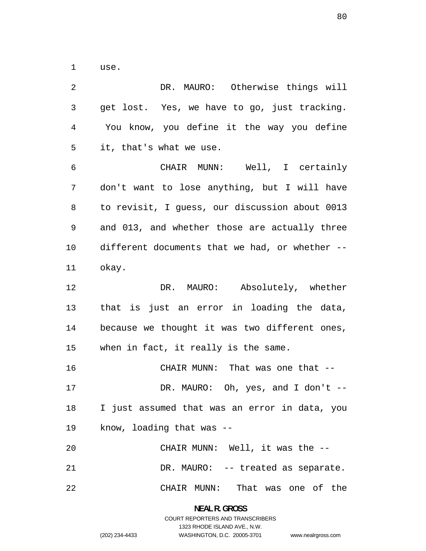use.

| $\overline{2}$ | DR. MAURO: Otherwise things will               |
|----------------|------------------------------------------------|
| $\mathfrak{Z}$ | get lost. Yes, we have to go, just tracking.   |
| 4              | You know, you define it the way you define     |
| 5              | it, that's what we use.                        |
| 6              | CHAIR MUNN: Well, I certainly                  |
| 7              | don't want to lose anything, but I will have   |
| 8              | to revisit, I guess, our discussion about 0013 |
| 9              | and 013, and whether those are actually three  |
| 10             | different documents that we had, or whether -- |
| 11             | okay.                                          |
| 12             | DR. MAURO: Absolutely, whether                 |
| 13             | that is just an error in loading the data,     |
| 14             | because we thought it was two different ones,  |
| 15             | when in fact, it really is the same.           |
| 16             | CHAIR MUNN: That was one that --               |
| 17             | DR. MAURO: Oh, yes, and I don't $-$            |
| 18             | I just assumed that was an error in data, you  |
| 19             | know, loading that was --                      |
| 20             | CHAIR MUNN: Well, it was the --                |
| 21             | DR. MAURO: -- treated as separate.             |
| 22             | CHAIR MUNN: That was one of the                |

**NEAL R. GROSS**  COURT REPORTERS AND TRANSCRIBERS 1323 RHODE ISLAND AVE., N.W. (202) 234-4433 WASHINGTON, D.C. 20005-3701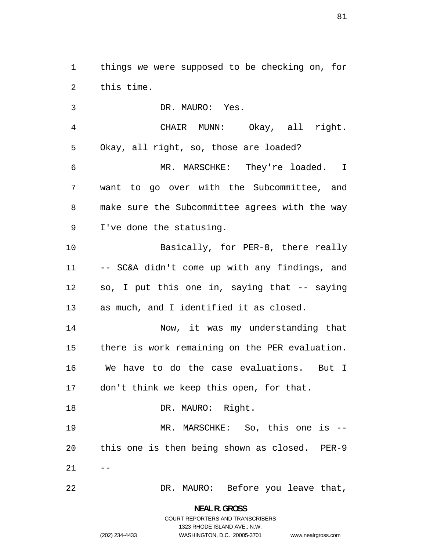things we were supposed to be checking on, for this time.

DR. MAURO: Yes. CHAIR MUNN: Okay, all right. Okay, all right, so, those are loaded? MR. MARSCHKE: They're loaded. I want to go over with the Subcommittee, and make sure the Subcommittee agrees with the way I've done the statusing. 10 Basically, for PER-8, there really -- SC&A didn't come up with any findings, and so, I put this one in, saying that -- saying as much, and I identified it as closed. Now, it was my understanding that there is work remaining on the PER evaluation. We have to do the case evaluations. But I don't think we keep this open, for that. 18 DR. MAURO: Right. MR. MARSCHKE: So, this one is -- this one is then being shown as closed. PER-9  $21 - -$ DR. MAURO: Before you leave that,

COURT REPORTERS AND TRANSCRIBERS 1323 RHODE ISLAND AVE., N.W.

www.nealrgross.com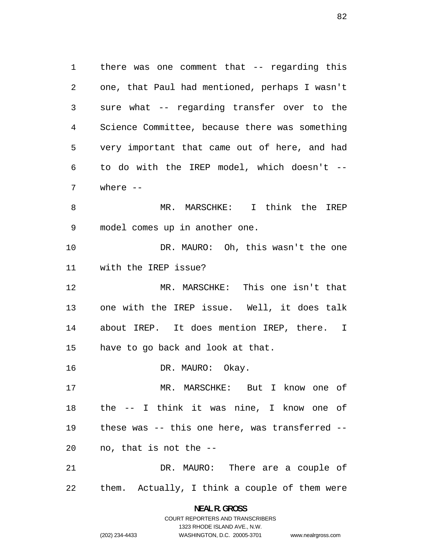there was one comment that -- regarding this one, that Paul had mentioned, perhaps I wasn't sure what -- regarding transfer over to the Science Committee, because there was something very important that came out of here, and had to do with the IREP model, which doesn't -- where -- MR. MARSCHKE: I think the IREP model comes up in another one. DR. MAURO: Oh, this wasn't the one with the IREP issue? MR. MARSCHKE: This one isn't that one with the IREP issue. Well, it does talk about IREP. It does mention IREP, there. I have to go back and look at that. 16 DR. MAURO: Okay. MR. MARSCHKE: But I know one of the -- I think it was nine, I know one of these was -- this one here, was transferred -- no, that is not the --

DR. MAURO: There are a couple of them. Actually, I think a couple of them were

> **NEAL R. GROSS**  COURT REPORTERS AND TRANSCRIBERS

> > 1323 RHODE ISLAND AVE., N.W.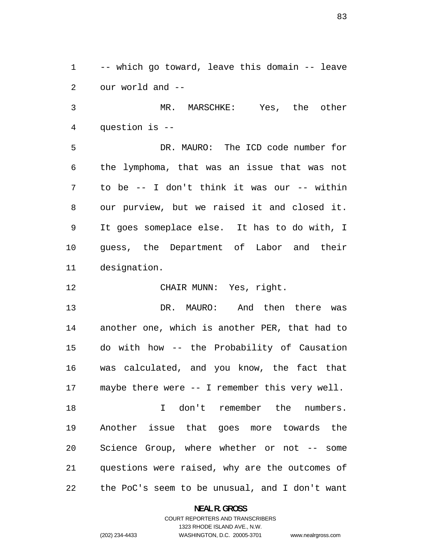-- which go toward, leave this domain -- leave our world and --

MR. MARSCHKE: Yes, the other question is --

DR. MAURO: The ICD code number for the lymphoma, that was an issue that was not to be -- I don't think it was our -- within our purview, but we raised it and closed it. It goes someplace else. It has to do with, I guess, the Department of Labor and their designation.

CHAIR MUNN: Yes, right.

DR. MAURO: And then there was another one, which is another PER, that had to do with how -- the Probability of Causation was calculated, and you know, the fact that maybe there were -- I remember this very well. I don't remember the numbers. Another issue that goes more towards the

questions were raised, why are the outcomes of the PoC's seem to be unusual, and I don't want

Science Group, where whether or not -- some

**NEAL R. GROSS**  COURT REPORTERS AND TRANSCRIBERS 1323 RHODE ISLAND AVE., N.W.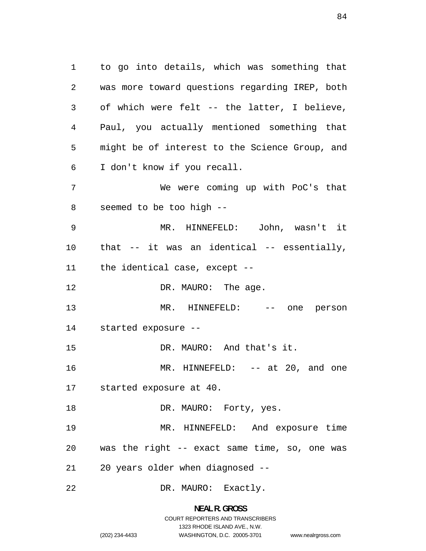to go into details, which was something that was more toward questions regarding IREP, both of which were felt -- the latter, I believe, Paul, you actually mentioned something that might be of interest to the Science Group, and I don't know if you recall. We were coming up with PoC's that seemed to be too high -- MR. HINNEFELD: John, wasn't it that -- it was an identical -- essentially, the identical case, except -- 12 DR. MAURO: The age. MR. HINNEFELD: -- one person started exposure -- 15 DR. MAURO: And that's it. 16 MR. HINNEFELD: -- at 20, and one started exposure at 40. 18 DR. MAURO: Forty, yes. MR. HINNEFELD: And exposure time was the right -- exact same time, so, one was 20 years older when diagnosed -- DR. MAURO: Exactly.

# **NEAL R. GROSS**  COURT REPORTERS AND TRANSCRIBERS 1323 RHODE ISLAND AVE., N.W. (202) 234-4433 WASHINGTON, D.C. 20005-3701 www.nealrgross.com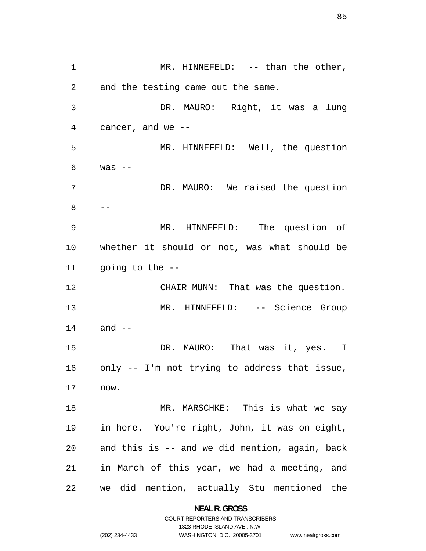1 MR. HINNEFELD: -- than the other, and the testing came out the same. DR. MAURO: Right, it was a lung cancer, and we -- MR. HINNEFELD: Well, the question was  $-$ DR. MAURO: We raised the question --MR. HINNEFELD: The question of whether it should or not, was what should be going to the -- CHAIR MUNN: That was the question. MR. HINNEFELD: -- Science Group and -- 15 DR. MAURO: That was it, yes. I only -- I'm not trying to address that issue, now. MR. MARSCHKE: This is what we say in here. You're right, John, it was on eight, and this is -- and we did mention, again, back in March of this year, we had a meeting, and we did mention, actually Stu mentioned the

> **NEAL R. GROSS**  COURT REPORTERS AND TRANSCRIBERS

> > 1323 RHODE ISLAND AVE., N.W.

(202) 234-4433 WASHINGTON, D.C. 20005-3701

www.nealrgross.com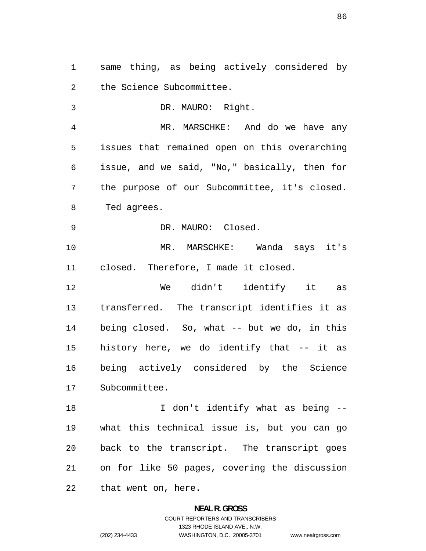same thing, as being actively considered by the Science Subcommittee.

DR. MAURO: Right. MR. MARSCHKE: And do we have any issues that remained open on this overarching issue, and we said, "No," basically, then for the purpose of our Subcommittee, it's closed. Ted agrees. DR. MAURO: Closed. MR. MARSCHKE: Wanda says it's closed. Therefore, I made it closed. We didn't identify it as transferred. The transcript identifies it as being closed. So, what -- but we do, in this history here, we do identify that -- it as

being actively considered by the Science Subcommittee.

18 I don't identify what as being --what this technical issue is, but you can go back to the transcript. The transcript goes on for like 50 pages, covering the discussion that went on, here.

# **NEAL R. GROSS**  COURT REPORTERS AND TRANSCRIBERS 1323 RHODE ISLAND AVE., N.W. (202) 234-4433 WASHINGTON, D.C. 20005-3701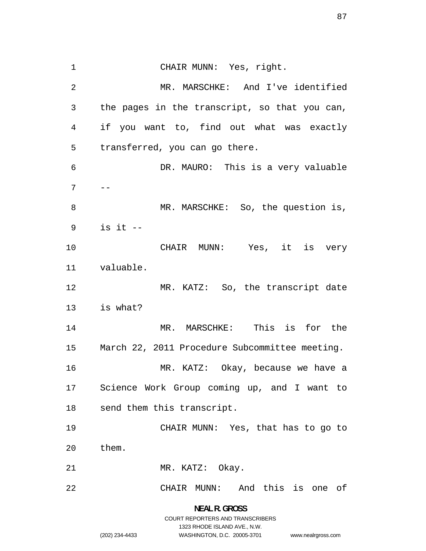CHAIR MUNN: Yes, right. MR. MARSCHKE: And I've identified the pages in the transcript, so that you can, if you want to, find out what was exactly transferred, you can go there. DR. MAURO: This is a very valuable 8 MR. MARSCHKE: So, the question is, is it -- CHAIR MUNN: Yes, it is very valuable. 12 MR. KATZ: So, the transcript date is what? MR. MARSCHKE: This is for the March 22, 2011 Procedure Subcommittee meeting. MR. KATZ: Okay, because we have a Science Work Group coming up, and I want to send them this transcript. CHAIR MUNN: Yes, that has to go to them. 21 MR. KATZ: Okay. CHAIR MUNN: And this is one of

www.nealrgross.com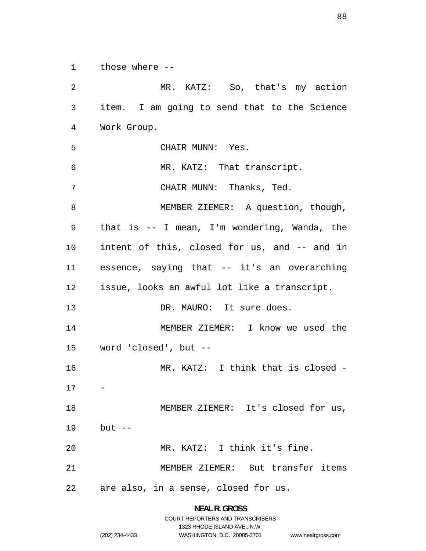those where --

MR. KATZ: So, that's my action item. I am going to send that to the Science Work Group. CHAIR MUNN: Yes. MR. KATZ: That transcript. CHAIR MUNN: Thanks, Ted. 8 MEMBER ZIEMER: A question, though, that is -- I mean, I'm wondering, Wanda, the intent of this, closed for us, and -- and in essence, saying that -- it's an overarching issue, looks an awful lot like a transcript. 13 DR. MAURO: It sure does. MEMBER ZIEMER: I know we used the word 'closed', but -- MR. KATZ: I think that is closed - 18 MEMBER ZIEMER: It's closed for us, but -- MR. KATZ: I think it's fine. MEMBER ZIEMER: But transfer items are also, in a sense, closed for us.

> **NEAL R. GROSS**  COURT REPORTERS AND TRANSCRIBERS 1323 RHODE ISLAND AVE., N.W.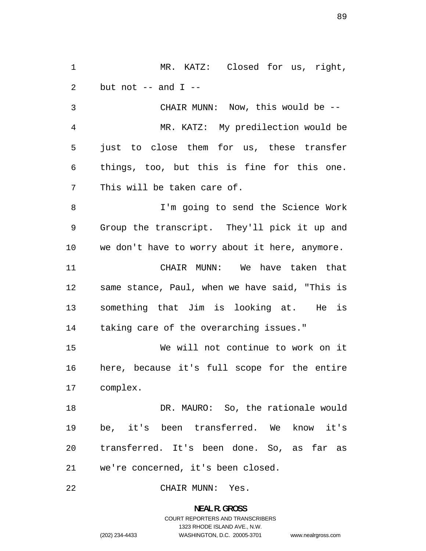MR. KATZ: 2 but not  $--$  and  $I$   $--$ Closed for us, right,

CHAIR MUNN: Now, this would be -- MR. KATZ: My predilection would be just to close them for us, these transfer things, too, but this is fine for this one. This will be taken care of.

I'm going to send the Science Work Group the transcript. They'll pick it up and we don't have to worry about it here, anymore.

CHAIR MUNN: We have taken that same stance, Paul, when we have said, "This is something that Jim is looking at. He is taking care of the overarching issues."

We will not continue to work on it here, because it's full scope for the entire complex.

18 DR. MAURO: So, the rationale would be, it's been transferred. We know it's transferred. It's been done. So, as far as we're concerned, it's been closed.

CHAIR MUNN: Yes.

# **NEAL R. GROSS**  COURT REPORTERS AND TRANSCRIBERS 1323 RHODE ISLAND AVE., N.W. (202) 234-4433 WASHINGTON, D.C. 20005-3701

www.nealrgross.com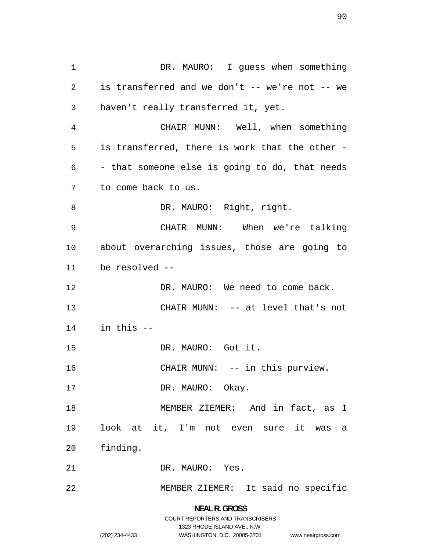1 DR. MAURO: I guess when something is transferred and we don't -- we're not -- we haven't really transferred it, yet. CHAIR MUNN: Well, when something is transferred, there is work that the other - - that someone else is going to do, that needs to come back to us. 8 DR. MAURO: Right, right. CHAIR MUNN: When we're talking about overarching issues, those are going to be resolved -- 12 DR. MAURO: We need to come back. CHAIR MUNN: -- at level that's not in this -- DR. MAURO: Got it. 16 CHAIR MUNN: -- in this purview. 17 DR. MAURO: Okay. MEMBER ZIEMER: And in fact, as I look at it, I'm not even sure it was a finding. DR. MAURO: Yes. MEMBER ZIEMER: It said no specific

www.nealrgross.com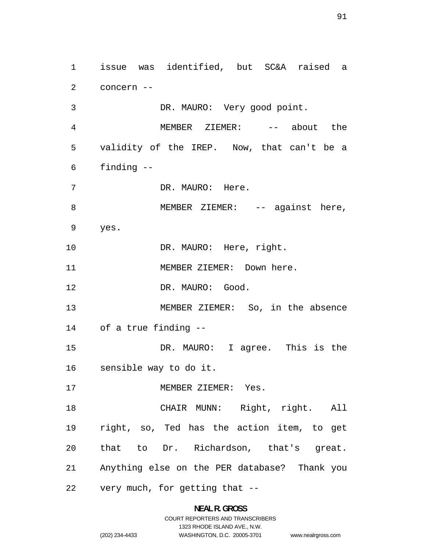issue was identified, but SC&A raised a concern -- DR. MAURO: Very good point. MEMBER ZIEMER: -- about the validity of the IREP. Now, that can't be a finding -- 7 DR. MAURO: Here. 8 MEMBER ZIEMER: -- against here, yes. 10 DR. MAURO: Here, right. 11 MEMBER ZIEMER: Down here. 12 DR. MAURO: Good. MEMBER ZIEMER: So, in the absence of a true finding -- DR. MAURO: I agree. This is the sensible way to do it. 17 MEMBER ZIEMER: Yes. CHAIR MUNN: Right, right. All right, so, Ted has the action item, to get that to Dr. Richardson, that's great. Anything else on the PER database? Thank you very much, for getting that --

#### **NEAL R. GROSS**

COURT REPORTERS AND TRANSCRIBERS 1323 RHODE ISLAND AVE., N.W. (202) 234-4433 WASHINGTON, D.C. 20005-3701 www.nealrgross.com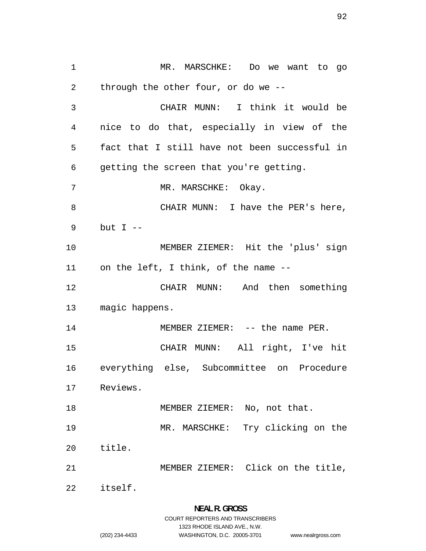MR. MARSCHKE: Do we want to go through the other four, or do we -- CHAIR MUNN: I think it would be nice to do that, especially in view of the fact that I still have not been successful in getting the screen that you're getting. 7 MR. MARSCHKE: Okay. CHAIR MUNN: I have the PER's here, but I -- MEMBER ZIEMER: Hit the 'plus' sign on the left, I think, of the name -- CHAIR MUNN: And then something magic happens. 14 MEMBER ZIEMER: -- the name PER. CHAIR MUNN: All right, I've hit everything else, Subcommittee on Procedure Reviews. 18 MEMBER ZIEMER: No, not that. MR. MARSCHKE: Try clicking on the title. MEMBER ZIEMER: Click on the title, itself.

**NEAL R. GROSS**  COURT REPORTERS AND TRANSCRIBERS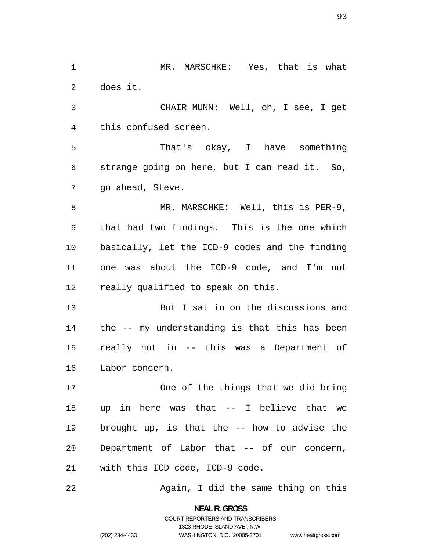1 MR. MARSCHKE: Yes, that is what does it.

CHAIR MUNN: Well, oh, I see, I get this confused screen.

That's okay, I have something strange going on here, but I can read it. So, go ahead, Steve.

8 MR. MARSCHKE: Well, this is PER-9, that had two findings. This is the one which basically, let the ICD-9 codes and the finding one was about the ICD-9 code, and I'm not really qualified to speak on this.

But I sat in on the discussions and the -- my understanding is that this has been really not in -- this was a Department of Labor concern.

One of the things that we did bring up in here was that -- I believe that we brought up, is that the -- how to advise the Department of Labor that -- of our concern, with this ICD code, ICD-9 code.

22 Again, I did the same thing on this

**NEAL R. GROSS**  COURT REPORTERS AND TRANSCRIBERS 1323 RHODE ISLAND AVE., N.W. (202) 234-4433 WASHINGTON, D.C. 20005-3701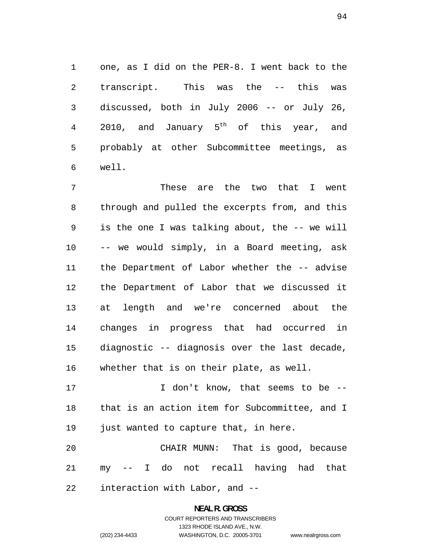one, as I did on the PER-8. I went back to the transcript. This was the -- this was discussed, both in July 2006 -- or July 26, 4 2010, and January  $5<sup>th</sup>$  of this year, and probably at other Subcommittee meetings, as well.

These are the two that I went through and pulled the excerpts from, and this is the one I was talking about, the -- we will -- we would simply, in a Board meeting, ask the Department of Labor whether the -- advise the Department of Labor that we discussed it at length and we're concerned about the changes in progress that had occurred in diagnostic -- diagnosis over the last decade, whether that is on their plate, as well.

17 17 I don't know, that seems to be --that is an action item for Subcommittee, and I just wanted to capture that, in here.

CHAIR MUNN: That is good, because my -- I do not recall having had that interaction with Labor, and --

### **NEAL R. GROSS**  COURT REPORTERS AND TRANSCRIBERS 1323 RHODE ISLAND AVE., N.W. (202) 234-4433 WASHINGTON, D.C. 20005-3701

www.nealrgross.com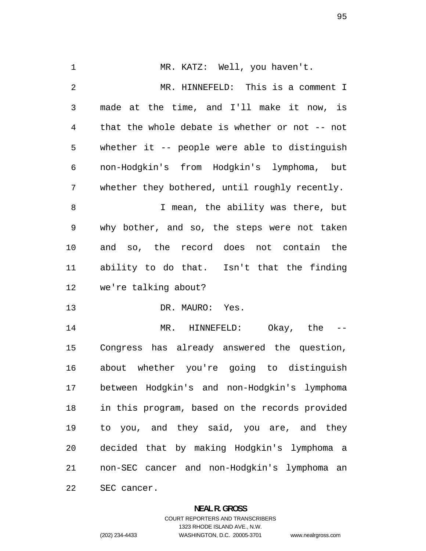1 MR. KATZ: Well, you haven't. MR. HINNEFELD: This is a comment I made at the time, and I'll make it now, is that the whole debate is whether or not -- not whether it -- people were able to distinguish non-Hodgkin's from Hodgkin's lymphoma, but whether they bothered, until roughly recently. 8 I mean, the ability was there, but why bother, and so, the steps were not taken and so, the record does not contain the ability to do that. Isn't that the finding we're talking about? DR. MAURO: Yes. MR. HINNEFELD: Okay, the -- Congress has already answered the question, about whether you're going to distinguish between Hodgkin's and non-Hodgkin's lymphoma in this program, based on the records provided to you, and they said, you are, and they decided that by making Hodgkin's lymphoma a non-SEC cancer and non-Hodgkin's lymphoma an SEC cancer.

#### **NEAL R. GROSS**

www.nealrgross.com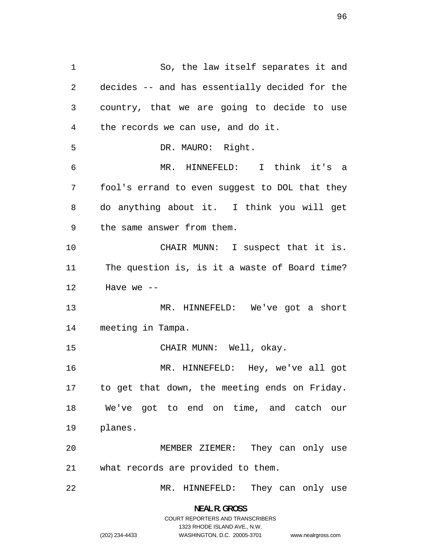So, the law itself separates it and decides -- and has essentially decided for the country, that we are going to decide to use the records we can use, and do it. DR. MAURO: Right. MR. HINNEFELD: I think it's a fool's errand to even suggest to DOL that they do anything about it. I think you will get the same answer from them. 10 CHAIR MUNN: I suspect that it is. The question is, is it a waste of Board time? Have we  $-$ MR. HINNEFELD: We've got a short meeting in Tampa. CHAIR MUNN: Well, okay. MR. HINNEFELD: Hey, we've all got to get that down, the meeting ends on Friday. We've got to end on time, and catch our planes. MEMBER ZIEMER: They can only use what records are provided to them. MR. HINNEFELD: They can only use

> **NEAL R. GROSS**  COURT REPORTERS AND TRANSCRIBERS

> > 1323 RHODE ISLAND AVE., N.W.

www.nealrgross.com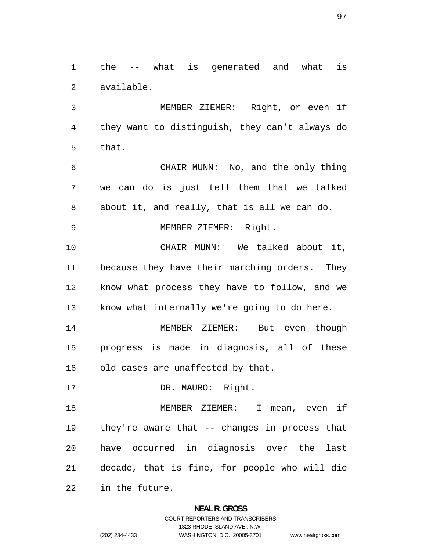the -- what is generated and what is available.

MEMBER ZIEMER: Right, or even if they want to distinguish, they can't always do that.

CHAIR MUNN: No, and the only thing we can do is just tell them that we talked about it, and really, that is all we can do.

MEMBER ZIEMER: Right.

CHAIR MUNN: We talked about it, because they have their marching orders. They know what process they have to follow, and we know what internally we're going to do here.

MEMBER ZIEMER: But even though progress is made in diagnosis, all of these old cases are unaffected by that.

17 DR. MAURO: Right.

MEMBER ZIEMER: I mean, even if they're aware that -- changes in process that have occurred in diagnosis over the last decade, that is fine, for people who will die in the future.

> **NEAL R. GROSS**  COURT REPORTERS AND TRANSCRIBERS

> > 1323 RHODE ISLAND AVE., N.W.

(202) 234-4433 WASHINGTON, D.C. 20005-3701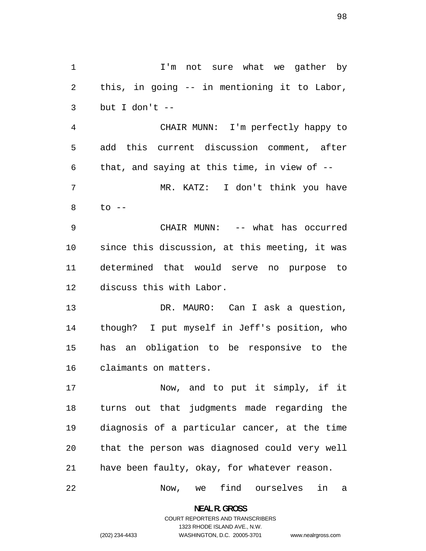1 1 I'm not sure what we gather by this, in going -- in mentioning it to Labor, but I don't -- CHAIR MUNN: I'm perfectly happy to add this current discussion comment, after 6 that, and saying at this time, in view of  $-$ -MR. KATZ: I don't think you have to  $-$ CHAIR MUNN: -- what has occurred since this discussion, at this meeting, it was determined that would serve no purpose to discuss this with Labor.

13 DR. MAURO: Can I ask a question, though? I put myself in Jeff's position, who has an obligation to be responsive to the claimants on matters.

Now, and to put it simply, if it turns out that judgments made regarding the diagnosis of a particular cancer, at the time that the person was diagnosed could very well have been faulty, okay, for whatever reason.

Now, we find ourselves in a

**NEAL R. GROSS**  COURT REPORTERS AND TRANSCRIBERS

1323 RHODE ISLAND AVE., N.W.

(202) 234-4433 WASHINGTON, D.C. 20005-3701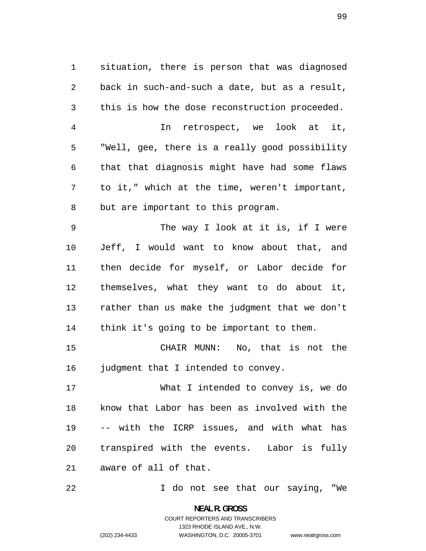situation, there is person that was diagnosed back in such-and-such a date, but as a result, this is how the dose reconstruction proceeded. In retrospect, we look at it, "Well, gee, there is a really good possibility that that diagnosis might have had some flaws to it," which at the time, weren't important, but are important to this program. The way I look at it is, if I were

Jeff, I would want to know about that, and then decide for myself, or Labor decide for themselves, what they want to do about it, rather than us make the judgment that we don't think it's going to be important to them.

CHAIR MUNN: No, that is not the 16 judgment that I intended to convey.

What I intended to convey is, we do know that Labor has been as involved with the -- with the ICRP issues, and with what has transpired with the events. Labor is fully aware of all of that.

I do not see that our saying, "We

**NEAL R. GROSS**  COURT REPORTERS AND TRANSCRIBERS 1323 RHODE ISLAND AVE., N.W. (202) 234-4433 WASHINGTON, D.C. 20005-3701

www.nealrgross.com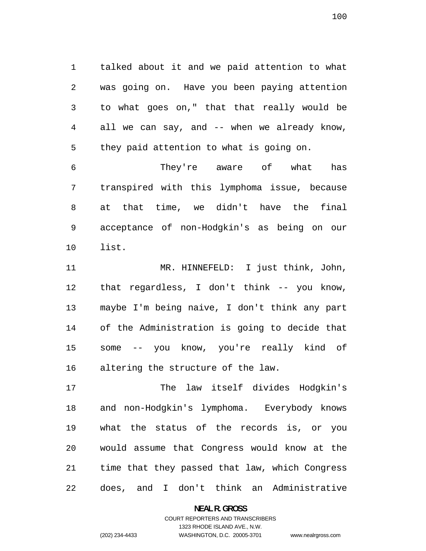talked about it and we paid attention to what was going on. Have you been paying attention to what goes on," that that really would be all we can say, and -- when we already know, they paid attention to what is going on.

They're aware of what has transpired with this lymphoma issue, because at that time, we didn't have the final acceptance of non-Hodgkin's as being on our list.

MR. HINNEFELD: I just think, John, that regardless, I don't think -- you know, maybe I'm being naive, I don't think any part of the Administration is going to decide that some -- you know, you're really kind of altering the structure of the law.

The law itself divides Hodgkin's and non-Hodgkin's lymphoma. Everybody knows what the status of the records is, or you would assume that Congress would know at the time that they passed that law, which Congress does, and I don't think an Administrative

**NEAL R. GROSS** 

COURT REPORTERS AND TRANSCRIBERS 1323 RHODE ISLAND AVE., N.W. (202) 234-4433 WASHINGTON, D.C. 20005-3701

www.nealrgross.com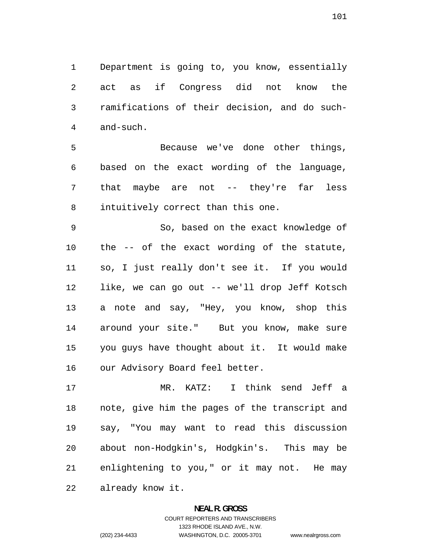Department is going to, you know, essentially act as if Congress did not know the ramifications of their decision, and do such-and-such.

Because we've done other things, based on the exact wording of the language, that maybe are not -- they're far less intuitively correct than this one.

So, based on the exact knowledge of the -- of the exact wording of the statute, so, I just really don't see it. If you would like, we can go out -- we'll drop Jeff Kotsch a note and say, "Hey, you know, shop this around your site." But you know, make sure you guys have thought about it. It would make our Advisory Board feel better.

MR. KATZ: I think send Jeff a note, give him the pages of the transcript and say, "You may want to read this discussion about non-Hodgkin's, Hodgkin's. This may be enlightening to you," or it may not. He may already know it.

# **NEAL R. GROSS**  COURT REPORTERS AND TRANSCRIBERS 1323 RHODE ISLAND AVE., N.W. (202) 234-4433 WASHINGTON, D.C. 20005-3701 www.nealrgross.com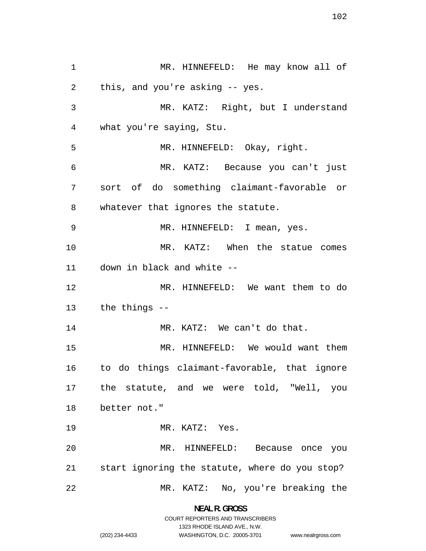MR. HINNEFELD: He may know all of this, and you're asking -- yes. MR. KATZ: Right, but I understand what you're saying, Stu. MR. HINNEFELD: Okay, right. MR. KATZ: Because you can't just sort of do something claimant-favorable or whatever that ignores the statute. MR. HINNEFELD: I mean, yes. MR. KATZ: When the statue comes down in black and white -- MR. HINNEFELD: We want them to do the things -- 14 MR. KATZ: We can't do that. MR. HINNEFELD: We would want them to do things claimant-favorable, that ignore the statute, and we were told, "Well, you better not." MR. KATZ: Yes. MR. HINNEFELD: Because once you start ignoring the statute, where do you stop? MR. KATZ: No, you're breaking the

> **NEAL R. GROSS**  COURT REPORTERS AND TRANSCRIBERS

> > 1323 RHODE ISLAND AVE., N.W.

www.nealrgross.com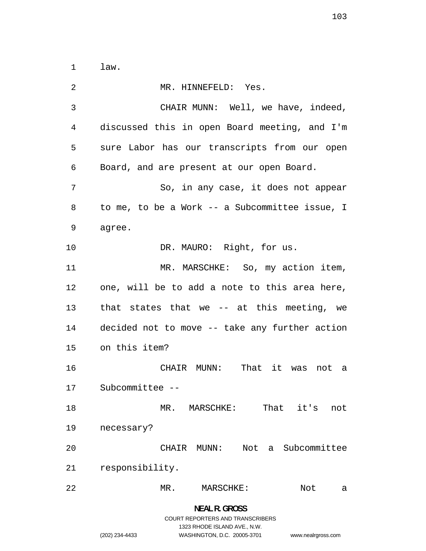law.

MR. HINNEFELD: Yes. CHAIR MUNN: Well, we have, indeed, discussed this in open Board meeting, and I'm sure Labor has our transcripts from our open Board, and are present at our open Board. So, in any case, it does not appear to me, to be a Work -- a Subcommittee issue, I agree. 10 DR. MAURO: Right, for us. 11 MR. MARSCHKE: So, my action item, one, will be to add a note to this area here, that states that we -- at this meeting, we decided not to move -- take any further action on this item? CHAIR MUNN: That it was not a Subcommittee -- MR. MARSCHKE: That it's not necessary? CHAIR MUNN: Not a Subcommittee responsibility. MR. MARSCHKE: Not a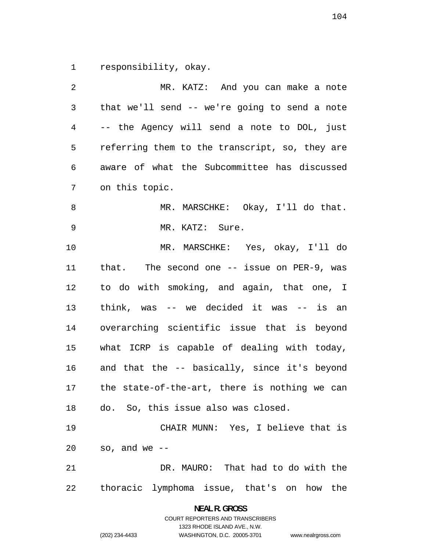responsibility, okay.

| 2              | MR. KATZ: And you can make a note              |
|----------------|------------------------------------------------|
| $\mathfrak{Z}$ | that we'll send -- we're going to send a note  |
| 4              | -- the Agency will send a note to DOL, just    |
| 5              | referring them to the transcript, so, they are |
| 6              | aware of what the Subcommittee has discussed   |
| 7              | on this topic.                                 |
| 8              | MR. MARSCHKE: Okay, I'll do that.              |
| 9              | MR. KATZ: Sure.                                |
| 10             | MR. MARSCHKE: Yes, okay, I'll do               |
| 11             | that. The second one $-$ issue on PER-9, was   |
| 12             | to do with smoking, and again, that one, I     |
| 13             | think, was $--$ we decided it was $--$ is an   |
| 14             | overarching scientific issue that is beyond    |
| 15             | what ICRP is capable of dealing with today,    |
| 16             | and that the -- basically, since it's beyond   |
| 17             | the state-of-the-art, there is nothing we can  |
| 18             | do. So, this issue also was closed.            |
| 19             | CHAIR MUNN: Yes, I believe that is             |
| 20             | so, and we --                                  |
| 21             | DR. MAURO: That had to do with the             |
| 22             | thoracic lymphoma issue, that's on how the     |

**NEAL R. GROSS**  COURT REPORTERS AND TRANSCRIBERS

1323 RHODE ISLAND AVE., N.W.

(202) 234-4433 WASHINGTON, D.C. 20005-3701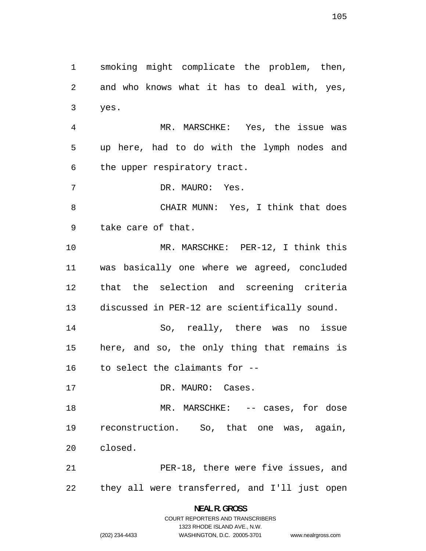smoking might complicate the problem, then, and who knows what it has to deal with, yes, yes. MR. MARSCHKE: Yes, the issue was up here, had to do with the lymph nodes and the upper respiratory tract. DR. MAURO: Yes. CHAIR MUNN: Yes, I think that does take care of that. MR. MARSCHKE: PER-12, I think this was basically one where we agreed, concluded that the selection and screening criteria discussed in PER-12 are scientifically sound. So, really, there was no issue here, and so, the only thing that remains is to select the claimants for -- 17 DR. MAURO: Cases. 18 MR. MARSCHKE: -- cases, for dose reconstruction. So, that one was, again, closed. PER-18, there were five issues, and they all were transferred, and I'll just open

> **NEAL R. GROSS**  COURT REPORTERS AND TRANSCRIBERS 1323 RHODE ISLAND AVE., N.W. (202) 234-4433 WASHINGTON, D.C. 20005-3701

www.nealrgross.com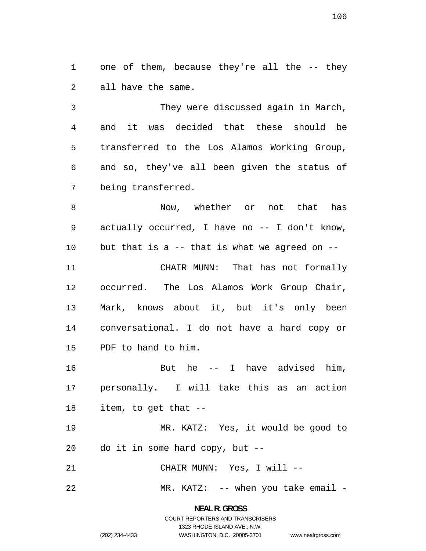1 one of them, because they're all the -- they all have the same.

They were discussed again in March, and it was decided that these should be transferred to the Los Alamos Working Group, and so, they've all been given the status of being transferred.

8 Now, whether or not that has actually occurred, I have no -- I don't know, but that is a -- that is what we agreed on -- CHAIR MUNN: That has not formally occurred. The Los Alamos Work Group Chair, Mark, knows about it, but it's only been conversational. I do not have a hard copy or PDF to hand to him.

16 But he -- I have advised him, personally. I will take this as an action item, to get that --

MR. KATZ: Yes, it would be good to do it in some hard copy, but --

CHAIR MUNN: Yes, I will --

22 MR. KATZ: -- when you take email -

**NEAL R. GROSS**  COURT REPORTERS AND TRANSCRIBERS

1323 RHODE ISLAND AVE., N.W.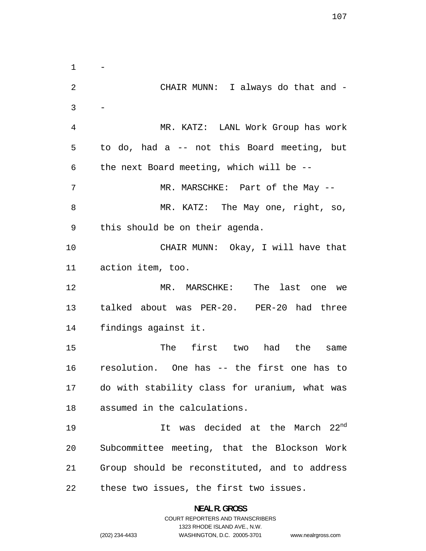$\mathbf 1$ CHAIR MUNN: I always do that and - - MR. KATZ: LANL Work Group has work to do, had a -- not this Board meeting, but the next Board meeting, which will be -- 7 MR. MARSCHKE: Part of the May --8 MR. KATZ: The May one, right, so, this should be on their agenda. CHAIR MUNN: Okay, I will have that action item, too. MR. MARSCHKE: The last one we talked about was PER-20. PER-20 had three findings against it. The first two had the same resolution. One has -- the first one has to do with stability class for uranium, what was assumed in the calculations. 19 19 It was decided at the March 22<sup>nd</sup> Subcommittee meeting, that the Blockson Work Group should be reconstituted, and to address these two issues, the first two issues.

> **NEAL R. GROSS**  COURT REPORTERS AND TRANSCRIBERS

> > 1323 RHODE ISLAND AVE., N.W.

(202) 234-4433 WASHINGTON, D.C. 20005-3701

www.nealrgross.com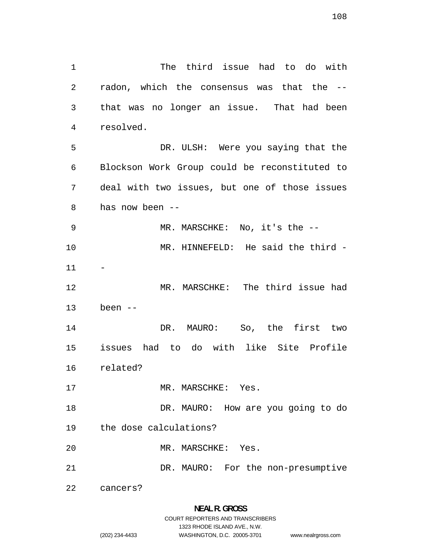The third issue had to do with radon, which the consensus was that the -- that was no longer an issue. That had been resolved. DR. ULSH: Were you saying that the Blockson Work Group could be reconstituted to deal with two issues, but one of those issues has now been -- MR. MARSCHKE: No, it's the -- MR. HINNEFELD: He said the third - MR. MARSCHKE: The third issue had been -- DR. MAURO: So, the first two issues had to do with like Site Profile related? 17 MR. MARSCHKE: Yes. 18 DR. MAURO: How are you going to do the dose calculations? MR. MARSCHKE: Yes. DR. MAURO: For the non-presumptive cancers?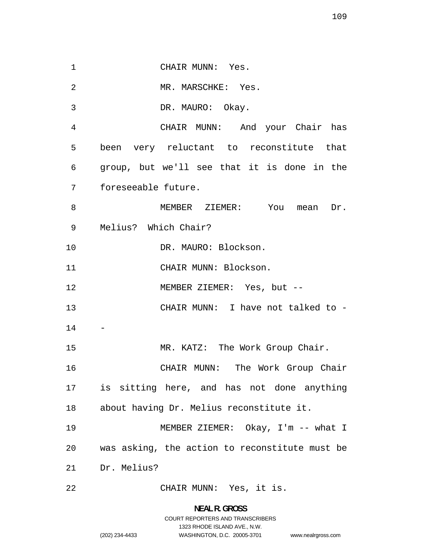1 CHAIR MUNN: Yes. MR. MARSCHKE: Yes. DR. MAURO: Okay. CHAIR MUNN: And your Chair has been very reluctant to reconstitute that group, but we'll see that it is done in the foreseeable future. 8 MEMBER ZIEMER: You mean Dr. Melius? Which Chair? 10 DR. MAURO: Blockson. 11 CHAIR MUNN: Blockson. MEMBER ZIEMER: Yes, but -- CHAIR MUNN: I have not talked to - - 15 MR. KATZ: The Work Group Chair. CHAIR MUNN: The Work Group Chair is sitting here, and has not done anything about having Dr. Melius reconstitute it. MEMBER ZIEMER: Okay, I'm -- what I was asking, the action to reconstitute must be Dr. Melius? CHAIR MUNN: Yes, it is.

www.nealrgross.com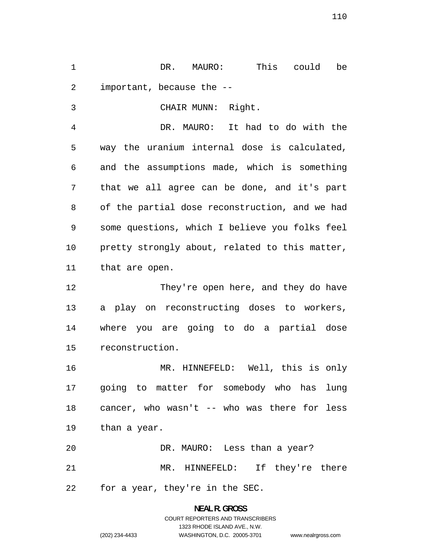DR. MAURO: This could be important, because the --

CHAIR MUNN: Right. DR. MAURO: It had to do with the way the uranium internal dose is calculated, and the assumptions made, which is something that we all agree can be done, and it's part of the partial dose reconstruction, and we had some questions, which I believe you folks feel pretty strongly about, related to this matter, that are open.

They're open here, and they do have a play on reconstructing doses to workers, where you are going to do a partial dose reconstruction.

MR. HINNEFELD: Well, this is only going to matter for somebody who has lung cancer, who wasn't -- who was there for less than a year.

DR. MAURO: Less than a year? MR. HINNEFELD: If they're there for a year, they're in the SEC.

## **NEAL R. GROSS**  COURT REPORTERS AND TRANSCRIBERS 1323 RHODE ISLAND AVE., N.W. (202) 234-4433 WASHINGTON, D.C. 20005-3701 www.nealrgross.com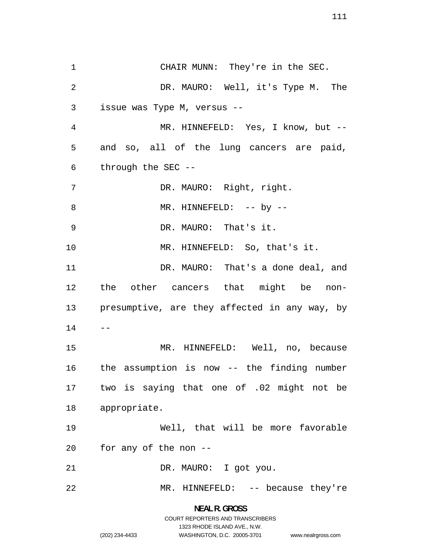CHAIR MUNN: They're in the SEC. DR. MAURO: Well, it's Type M. The issue was Type M, versus -- MR. HINNEFELD: Yes, I know, but -- and so, all of the lung cancers are paid, through the SEC -- DR. MAURO: Right, right. 8 MR. HINNEFELD:  $--$  by  $--$ DR. MAURO: That's it. 10 MR. HINNEFELD: So, that's it. 11 DR. MAURO: That's a done deal, and the other cancers that might be non-presumptive, are they affected in any way, by  $14 - -$ MR. HINNEFELD: Well, no, because the assumption is now -- the finding number two is saying that one of .02 might not be appropriate. Well, that will be more favorable for any of the non -- DR. MAURO: I got you. MR. HINNEFELD: -- because they're

## **NEAL R. GROSS**  COURT REPORTERS AND TRANSCRIBERS 1323 RHODE ISLAND AVE., N.W. (202) 234-4433 WASHINGTON, D.C. 20005-3701

www.nealrgross.com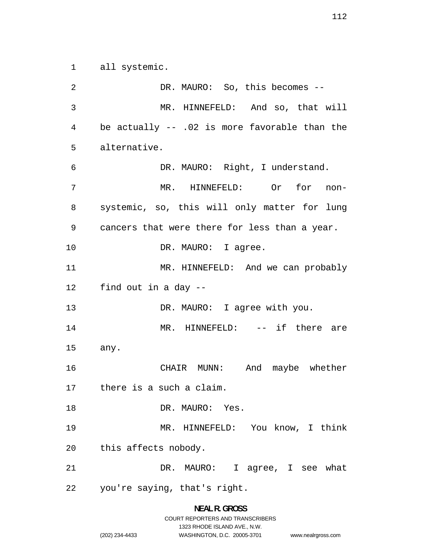all systemic.

DR. MAURO: So, this becomes -- MR. HINNEFELD: And so, that will be actually -- .02 is more favorable than the alternative. DR. MAURO: Right, I understand. MR. HINNEFELD: Or for non-systemic, so, this will only matter for lung cancers that were there for less than a year. 10 DR. MAURO: I agree. MR. HINNEFELD: And we can probably find out in a day -- 13 DR. MAURO: I agree with you. MR. HINNEFELD: -- if there are any. CHAIR MUNN: And maybe whether there is a such a claim. DR. MAURO: Yes. MR. HINNEFELD: You know, I think this affects nobody. DR. MAURO: I agree, I see what you're saying, that's right.

# **NEAL R. GROSS**  COURT REPORTERS AND TRANSCRIBERS 1323 RHODE ISLAND AVE., N.W. (202) 234-4433 WASHINGTON, D.C. 20005-3701 www.nealrgross.com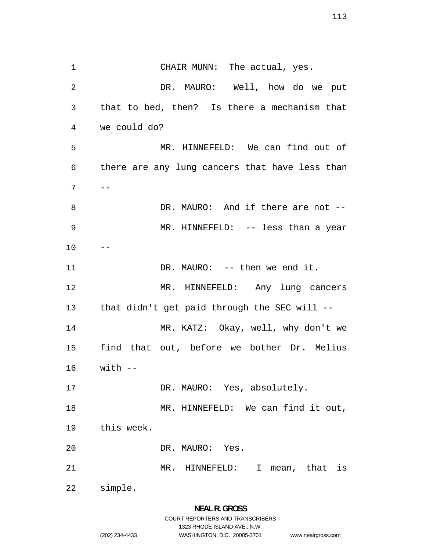CHAIR MUNN: The actual, yes. DR. MAURO: Well, how do we put that to bed, then? Is there a mechanism that we could do? MR. HINNEFELD: We can find out of there are any lung cancers that have less than  $7 \quad -$ DR. MAURO: And if there are not -- MR. HINNEFELD: -- less than a year  $10 - -$ 11 DR. MAURO: -- then we end it. MR. HINNEFELD: Any lung cancers that didn't get paid through the SEC will -- MR. KATZ: Okay, well, why don't we find that out, before we bother Dr. Melius with -- 17 DR. MAURO: Yes, absolutely. 18 MR. HINNEFELD: We can find it out, this week. DR. MAURO: Yes. MR. HINNEFELD: I mean, that is simple.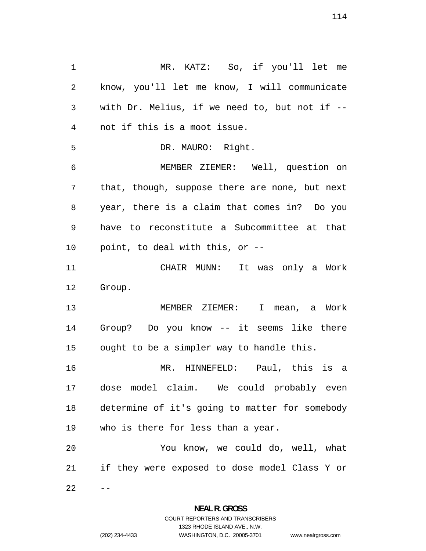MR. KATZ: So, if you'll let me know, you'll let me know, I will communicate with Dr. Melius, if we need to, but not if -- not if this is a moot issue. DR. MAURO: Right. MEMBER ZIEMER: Well, question on that, though, suppose there are none, but next year, there is a claim that comes in? Do you have to reconstitute a Subcommittee at that point, to deal with this, or -- CHAIR MUNN: It was only a Work Group. MEMBER ZIEMER: I mean, a Work Group? Do you know -- it seems like there ought to be a simpler way to handle this. MR. HINNEFELD: Paul, this is a dose model claim. We could probably even determine of it's going to matter for somebody who is there for less than a year. You know, we could do, well, what if they were exposed to dose model Class Y or  $22 - -$ 

> **NEAL R. GROSS**  COURT REPORTERS AND TRANSCRIBERS

www.nealrgross.com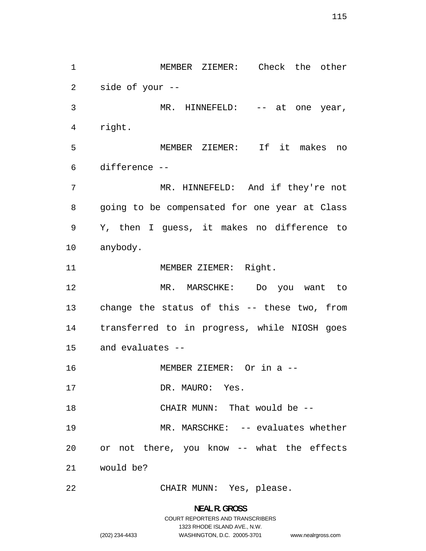MEMBER ZIEMER: Check the other side of your -- MR. HINNEFELD: -- at one year, right. MEMBER ZIEMER: If it makes no difference -- MR. HINNEFELD: And if they're not going to be compensated for one year at Class Y, then I guess, it makes no difference to anybody. 11 MEMBER ZIEMER: Right. MR. MARSCHKE: Do you want to change the status of this -- these two, from transferred to in progress, while NIOSH goes and evaluates -- MEMBER ZIEMER: Or in a -- 17 DR. MAURO: Yes. CHAIR MUNN: That would be -- 19 MR. MARSCHKE: -- evaluates whether or not there, you know -- what the effects would be? CHAIR MUNN: Yes, please.

> **NEAL R. GROSS**  COURT REPORTERS AND TRANSCRIBERS 1323 RHODE ISLAND AVE., N.W. (202) 234-4433 WASHINGTON, D.C. 20005-3701 www.nealrgross.com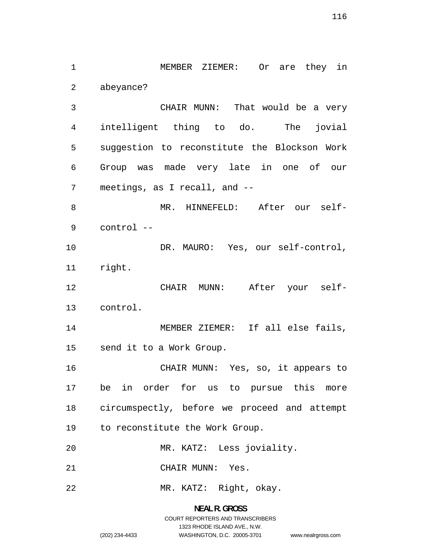MEMBER ZIEMER: Or are they in abeyance? CHAIR MUNN: That would be a very intelligent thing to do. The jovial suggestion to reconstitute the Blockson Work Group was made very late in one of our meetings, as I recall, and -- MR. HINNEFELD: After our self-control -- 10 DR. MAURO: Yes, our self-control, right. CHAIR MUNN: After your self-control. MEMBER ZIEMER: If all else fails, send it to a Work Group. CHAIR MUNN: Yes, so, it appears to be in order for us to pursue this more circumspectly, before we proceed and attempt to reconstitute the Work Group. MR. KATZ: Less joviality. CHAIR MUNN: Yes. MR. KATZ: Right, okay.

> **NEAL R. GROSS**  COURT REPORTERS AND TRANSCRIBERS 1323 RHODE ISLAND AVE., N.W. (202) 234-4433 WASHINGTON, D.C. 20005-3701 www.nealrgross.com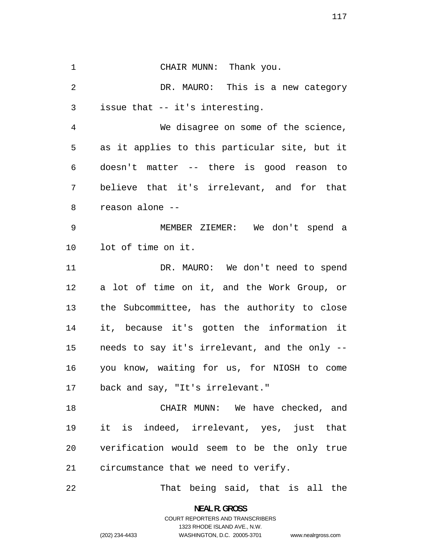CHAIR MUNN: Thank you. DR. MAURO: This is a new category issue that -- it's interesting. We disagree on some of the science, as it applies to this particular site, but it doesn't matter -- there is good reason to believe that it's irrelevant, and for that reason alone -- MEMBER ZIEMER: We don't spend a lot of time on it. 11 DR. MAURO: We don't need to spend a lot of time on it, and the Work Group, or the Subcommittee, has the authority to close it, because it's gotten the information it needs to say it's irrelevant, and the only -- you know, waiting for us, for NIOSH to come back and say, "It's irrelevant." CHAIR MUNN: We have checked, and it is indeed, irrelevant, yes, just that verification would seem to be the only true circumstance that we need to verify. That being said, that is all the

> **NEAL R. GROSS**  COURT REPORTERS AND TRANSCRIBERS

> > 1323 RHODE ISLAND AVE., N.W.

(202) 234-4433 WASHINGTON, D.C. 20005-3701

www.nealrgross.com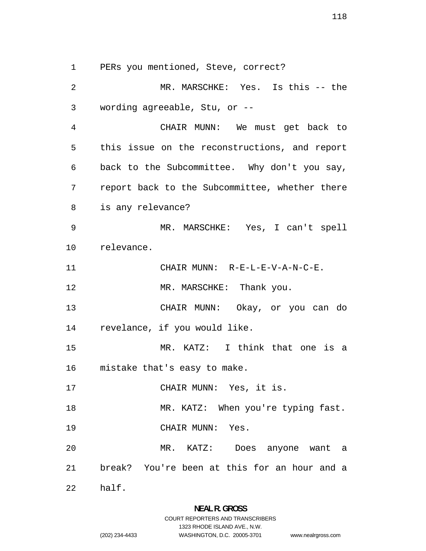PERs you mentioned, Steve, correct?

MR. MARSCHKE: Yes. Is this -- the wording agreeable, Stu, or -- CHAIR MUNN: We must get back to this issue on the reconstructions, and report back to the Subcommittee. Why don't you say, report back to the Subcommittee, whether there is any relevance? MR. MARSCHKE: Yes, I can't spell relevance. 11 CHAIR MUNN: R-E-L-E-V-A-N-C-E. 12 MR. MARSCHKE: Thank you. CHAIR MUNN: Okay, or you can do revelance, if you would like. MR. KATZ: I think that one is a mistake that's easy to make. CHAIR MUNN: Yes, it is. 18 MR. KATZ: When you're typing fast. CHAIR MUNN: Yes. MR. KATZ: Does anyone want a break? You're been at this for an hour and a half.

www.nealrgross.com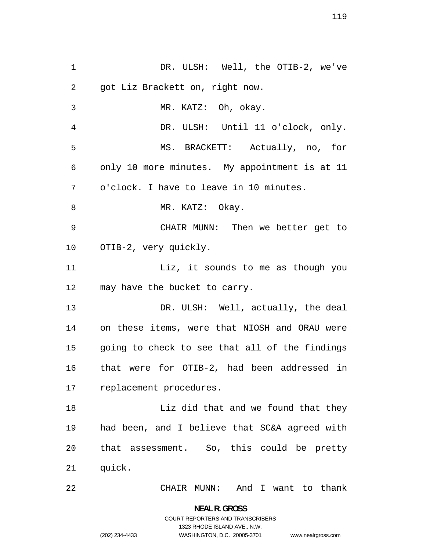DR. ULSH: Well, the OTIB-2, we've got Liz Brackett on, right now. MR. KATZ: Oh, okay. DR. ULSH: Until 11 o'clock, only. MS. BRACKETT: Actually, no, for only 10 more minutes. My appointment is at 11 o'clock. I have to leave in 10 minutes. 8 MR. KATZ: Okay. CHAIR MUNN: Then we better get to OTIB-2, very quickly. 11 Liz, it sounds to me as though you may have the bucket to carry. 13 DR. ULSH: Well, actually, the deal on these items, were that NIOSH and ORAU were going to check to see that all of the findings that were for OTIB-2, had been addressed in replacement procedures. Liz did that and we found that they had been, and I believe that SC&A agreed with that assessment. So, this could be pretty quick. CHAIR MUNN: And I want to thank

> **NEAL R. GROSS**  COURT REPORTERS AND TRANSCRIBERS 1323 RHODE ISLAND AVE., N.W. (202) 234-4433 WASHINGTON, D.C. 20005-3701

www.nealrgross.com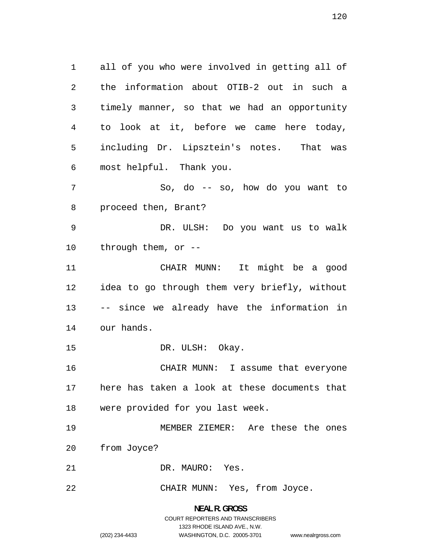all of you who were involved in getting all of the information about OTIB-2 out in such a timely manner, so that we had an opportunity to look at it, before we came here today, including Dr. Lipsztein's notes. That was most helpful. Thank you.

So, do -- so, how do you want to proceed then, Brant?

DR. ULSH: Do you want us to walk through them, or --

CHAIR MUNN: It might be a good idea to go through them very briefly, without -- since we already have the information in our hands.

15 DR. ULSH: Okay.

CHAIR MUNN: I assume that everyone here has taken a look at these documents that were provided for you last week.

MEMBER ZIEMER: Are these the ones from Joyce?

DR. MAURO: Yes.

CHAIR MUNN: Yes, from Joyce.

### **NEAL R. GROSS**

COURT REPORTERS AND TRANSCRIBERS 1323 RHODE ISLAND AVE., N.W. (202) 234-4433 WASHINGTON, D.C. 20005-3701 www.nealrgross.com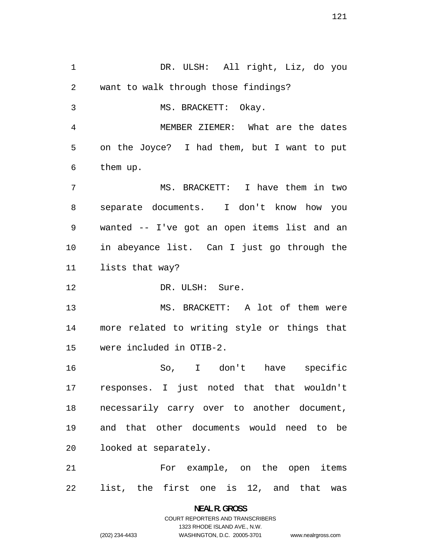DR. ULSH: All right, Liz, do you want to walk through those findings? MS. BRACKETT: Okay. MEMBER ZIEMER: What are the dates on the Joyce? I had them, but I want to put them up. MS. BRACKETT: I have them in two separate documents. I don't know how you wanted -- I've got an open items list and an in abeyance list. Can I just go through the lists that way? 12 DR. ULSH: Sure. MS. BRACKETT: A lot of them were more related to writing style or things that were included in OTIB-2. So, I don't have specific responses. I just noted that that wouldn't necessarily carry over to another document, and that other documents would need to be looked at separately. For example, on the open items list, the first one is 12, and that was

> **NEAL R. GROSS**  COURT REPORTERS AND TRANSCRIBERS 1323 RHODE ISLAND AVE., N.W. (202) 234-4433 WASHINGTON, D.C. 20005-3701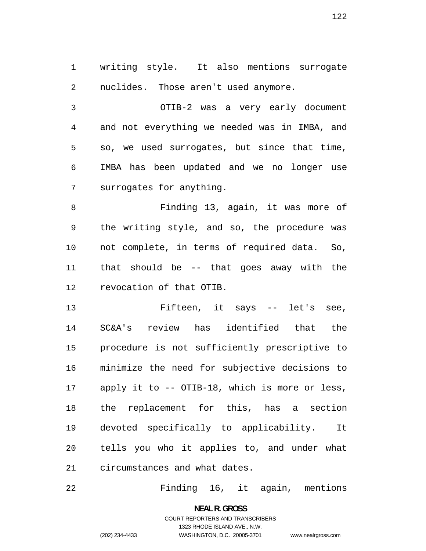writing style. It also mentions surrogate nuclides. Those aren't used anymore.

OTIB-2 was a very early document and not everything we needed was in IMBA, and so, we used surrogates, but since that time, IMBA has been updated and we no longer use surrogates for anything.

Finding 13, again, it was more of the writing style, and so, the procedure was not complete, in terms of required data. So, that should be -- that goes away with the revocation of that OTIB.

Fifteen, it says -- let's see, SC&A's review has identified that the procedure is not sufficiently prescriptive to minimize the need for subjective decisions to apply it to -- OTIB-18, which is more or less, the replacement for this, has a section devoted specifically to applicability. It tells you who it applies to, and under what circumstances and what dates.

Finding 16, it again, mentions

**NEAL R. GROSS**  COURT REPORTERS AND TRANSCRIBERS 1323 RHODE ISLAND AVE., N.W. (202) 234-4433 WASHINGTON, D.C. 20005-3701

www.nealrgross.com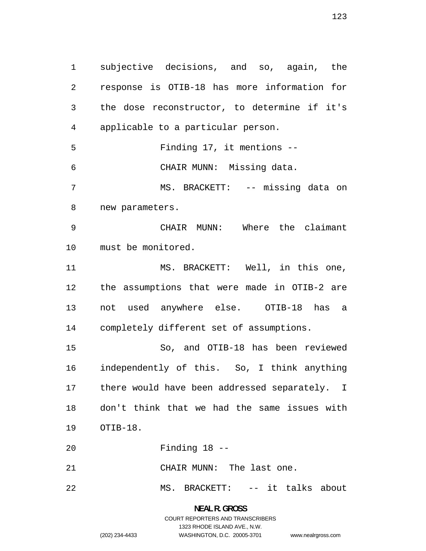subjective decisions, and so, again, the response is OTIB-18 has more information for the dose reconstructor, to determine if it's applicable to a particular person. Finding 17, it mentions -- CHAIR MUNN: Missing data. MS. BRACKETT: -- missing data on new parameters. CHAIR MUNN: Where the claimant must be monitored. MS. BRACKETT: Well, in this one, the assumptions that were made in OTIB-2 are not used anywhere else. OTIB-18 has a completely different set of assumptions. So, and OTIB-18 has been reviewed independently of this. So, I think anything there would have been addressed separately. I don't think that we had the same issues with OTIB-18. Finding 18 -- CHAIR MUNN: The last one. MS. BRACKETT: -- it talks about

> **NEAL R. GROSS**  COURT REPORTERS AND TRANSCRIBERS 1323 RHODE ISLAND AVE., N.W. (202) 234-4433 WASHINGTON, D.C. 20005-3701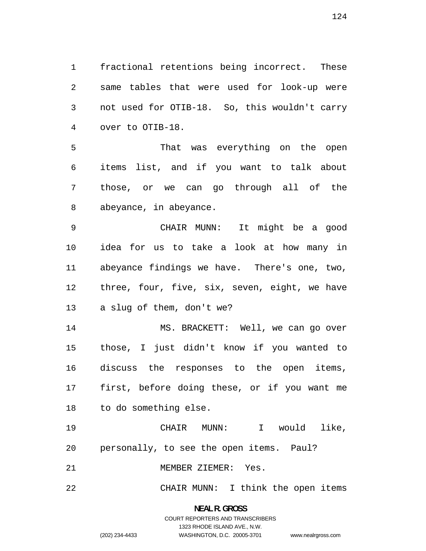fractional retentions being incorrect. These same tables that were used for look-up were not used for OTIB-18. So, this wouldn't carry over to OTIB-18.

That was everything on the open items list, and if you want to talk about those, or we can go through all of the abeyance, in abeyance.

CHAIR MUNN: It might be a good idea for us to take a look at how many in abeyance findings we have. There's one, two, three, four, five, six, seven, eight, we have a slug of them, don't we?

MS. BRACKETT: Well, we can go over those, I just didn't know if you wanted to discuss the responses to the open items, first, before doing these, or if you want me to do something else.

CHAIR MUNN: I would like, personally, to see the open items. Paul?

MEMBER ZIEMER: Yes.

CHAIR MUNN: I think the open items

### **NEAL R. GROSS**  COURT REPORTERS AND TRANSCRIBERS

1323 RHODE ISLAND AVE., N.W. (202) 234-4433 WASHINGTON, D.C. 20005-3701

www.nealrgross.com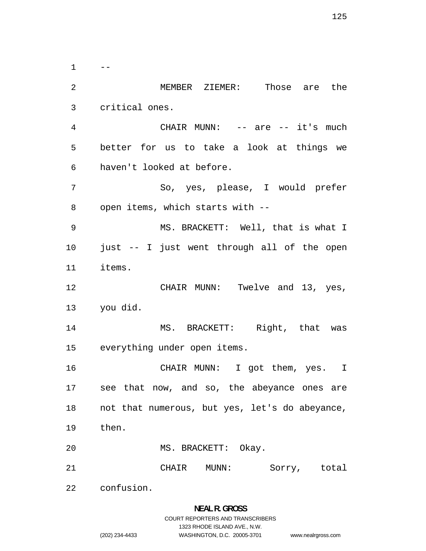$1 \qquad --$ MEMBER ZIEMER: Those are the critical ones. CHAIR MUNN: -- are -- it's much better for us to take a look at things we haven't looked at before. So, yes, please, I would prefer open items, which starts with -- MS. BRACKETT: Well, that is what I just -- I just went through all of the open items. 12 CHAIR MUNN: Twelve and 13, yes, you did. MS. BRACKETT: Right, that was everything under open items. CHAIR MUNN: I got them, yes. I see that now, and so, the abeyance ones are not that numerous, but yes, let's do abeyance, then. MS. BRACKETT: Okay. CHAIR MUNN: Sorry, total confusion.

## **NEAL R. GROSS**  COURT REPORTERS AND TRANSCRIBERS 1323 RHODE ISLAND AVE., N.W. (202) 234-4433 WASHINGTON, D.C. 20005-3701

www.nealrgross.com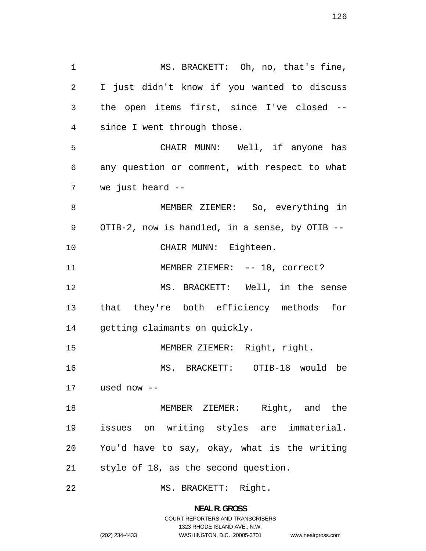MS. BRACKETT: Oh, no, that's fine, I just didn't know if you wanted to discuss the open items first, since I've closed -- since I went through those. CHAIR MUNN: Well, if anyone has any question or comment, with respect to what we just heard -- MEMBER ZIEMER: So, everything in OTIB-2, now is handled, in a sense, by OTIB -- 10 CHAIR MUNN: Eighteen. 11 MEMBER ZIEMER: -- 18, correct? MS. BRACKETT: Well, in the sense that they're both efficiency methods for getting claimants on quickly. used now -- issues on writing styles are immaterial. MEMBER ZIEMER: Right, right. MS. BRACKETT: OTIB-18 would be MEMBER ZIEMER: Right, and the You'd have to say, okay, what is the writing style of 18, as the second question. MS. BRACKETT: Right.

> **NEAL R. GROSS**  COURT REPORTERS AND TRANSCRIBERS 1323 RHODE ISLAND AVE., N.W. (202) 234-4433 WASHINGTON, D.C. 20005-3701 www.nealrgross.com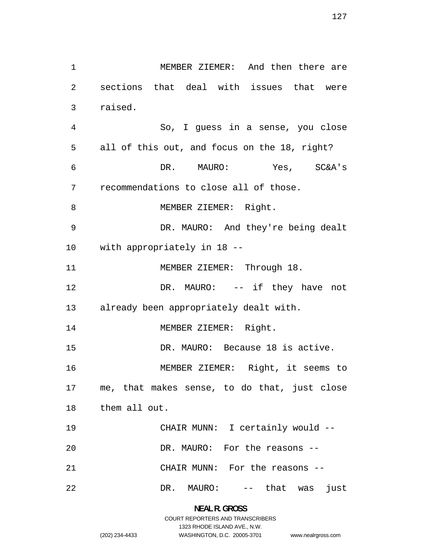MEMBER ZIEMER: And then there are sections that deal with issues that were raised. So, I guess in a sense, you close all of this out, and focus on the 18, right? DR. MAURO: Yes, SC&A's recommendations to close all of those. 8 MEMBER ZIEMER: Right. DR. MAURO: And they're being dealt with appropriately in 18 -- 11 MEMBER ZIEMER: Through 18. 12 DR. MAURO: -- if they have not already been appropriately dealt with. 14 MEMBER ZIEMER: Right. 15 DR. MAURO: Because 18 is active. MEMBER ZIEMER: Right, it seems to me, that makes sense, to do that, just close them all out. CHAIR MUNN: I certainly would -- DR. MAURO: For the reasons -- CHAIR MUNN: For the reasons -- 22 DR. MAURO: -- that was just

> **NEAL R. GROSS**  COURT REPORTERS AND TRANSCRIBERS 1323 RHODE ISLAND AVE., N.W. (202) 234-4433 WASHINGTON, D.C. 20005-3701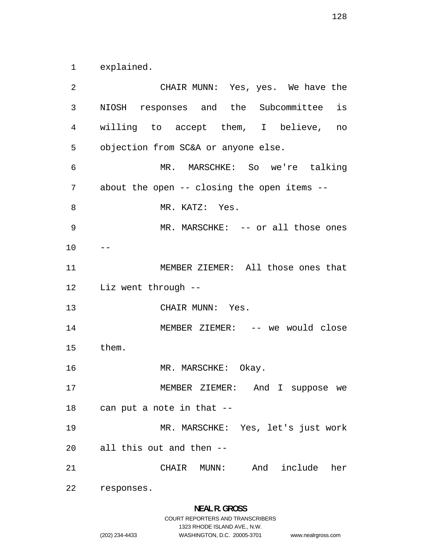explained.

CHAIR MUNN: Yes, yes. We have the NIOSH responses and the Subcommittee is willing to accept them, I believe, no objection from SC&A or anyone else. MR. MARSCHKE: So we're talking about the open -- closing the open items -- 8 MR. KATZ: Yes. MR. MARSCHKE: -- or all those ones  $10 - -$ MEMBER ZIEMER: All those ones that Liz went through -- 13 CHAIR MUNN: Yes. 14 MEMBER ZIEMER: -- we would close them. 16 MR. MARSCHKE: Okay. MEMBER ZIEMER: And I suppose we can put a note in that -- MR. MARSCHKE: Yes, let's just work all this out and then -- CHAIR MUNN: And include her responses.

> **NEAL R. GROSS**  COURT REPORTERS AND TRANSCRIBERS

1323 RHODE ISLAND AVE., N.W.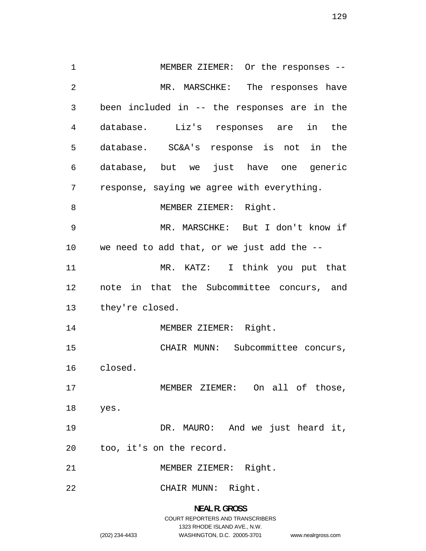MEMBER ZIEMER: Or the responses -- 2 MR. MARSCHKE: The responses have been included in -- the responses are in the database. Liz's responses are in the database. SC&A's response is not in the database, but we just have one generic response, saying we agree with everything. 8 MEMBER ZIEMER: Right. MR. MARSCHKE: But I don't know if we need to add that, or we just add the -- MR. KATZ: I think you put that note in that the Subcommittee concurs, and they're closed. 14 MEMBER ZIEMER: Right. CHAIR MUNN: Subcommittee concurs, closed. MEMBER ZIEMER: On all of those, yes. DR. MAURO: And we just heard it, too, it's on the record. MEMBER ZIEMER: Right. CHAIR MUNN: Right.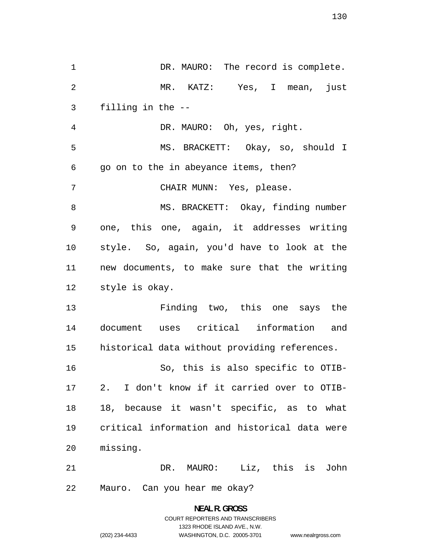1 DR. MAURO: The record is complete. MR. KATZ: Yes, I mean, just filling in the -- DR. MAURO: Oh, yes, right. MS. BRACKETT: Okay, so, should I go on to the in abeyance items, then? CHAIR MUNN: Yes, please. MS. BRACKETT: Okay, finding number one, this one, again, it addresses writing style. So, again, you'd have to look at the new documents, to make sure that the writing style is okay. Finding two, this one says the document uses critical information and historical data without providing references. So, this is also specific to OTIB-2. I don't know if it carried over to OTIB-18, because it wasn't specific, as to what critical information and historical data were missing. DR. MAURO: Liz, this is John Mauro. Can you hear me okay?

> **NEAL R. GROSS**  COURT REPORTERS AND TRANSCRIBERS 1323 RHODE ISLAND AVE., N.W. (202) 234-4433 WASHINGTON, D.C. 20005-3701 www.nealrgross.com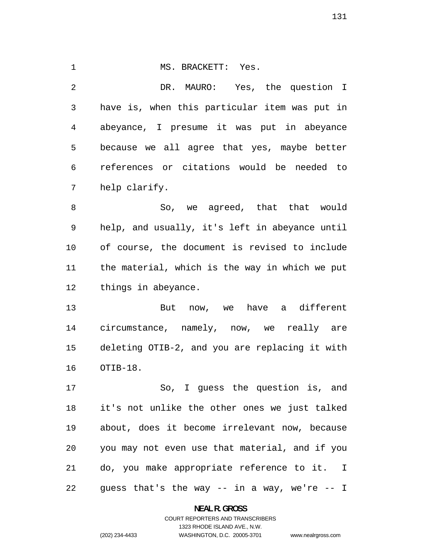#### 1 MS. BRACKETT: Yes.

DR. MAURO: Yes, the question I have is, when this particular item was put in abeyance, I presume it was put in abeyance because we all agree that yes, maybe better references or citations would be needed to help clarify.

8 So, we aqreed, that that would help, and usually, it's left in abeyance until of course, the document is revised to include the material, which is the way in which we put things in abeyance.

But now, we have a different circumstance, namely, now, we really are deleting OTIB-2, and you are replacing it with OTIB-18.

So, I guess the question is, and it's not unlike the other ones we just talked about, does it become irrelevant now, because you may not even use that material, and if you do, you make appropriate reference to it. I guess that's the way -- in a way, we're -- I

#### **NEAL R. GROSS**

### COURT REPORTERS AND TRANSCRIBERS 1323 RHODE ISLAND AVE., N.W. (202) 234-4433 WASHINGTON, D.C. 20005-3701

www.nealrgross.com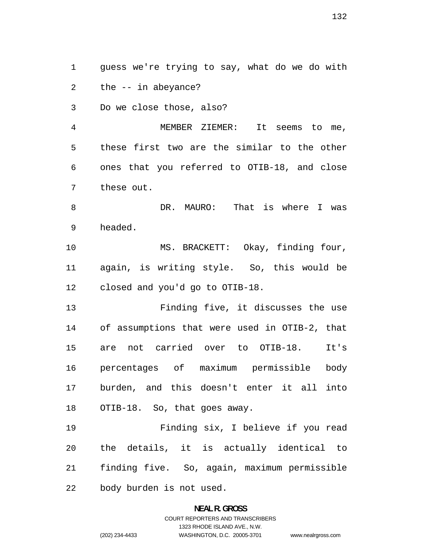guess we're trying to say, what do we do with the -- in abeyance?

Do we close those, also?

MEMBER ZIEMER: It seems to me, these first two are the similar to the other ones that you referred to OTIB-18, and close these out.

DR. MAURO: That is where I was headed.

10 MS. BRACKETT: Okay, finding four, again, is writing style. So, this would be closed and you'd go to OTIB-18.

Finding five, it discusses the use of assumptions that were used in OTIB-2, that are not carried over to OTIB-18. It's percentages of maximum permissible body burden, and this doesn't enter it all into OTIB-18. So, that goes away.

Finding six, I believe if you read the details, it is actually identical to finding five. So, again, maximum permissible body burden is not used.

### **NEAL R. GROSS**  COURT REPORTERS AND TRANSCRIBERS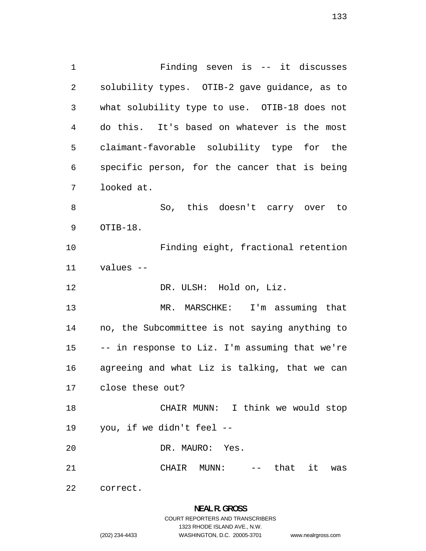Finding seven is -- it discusses solubility types. OTIB-2 gave guidance, as to what solubility type to use. OTIB-18 does not do this. It's based on whatever is the most claimant-favorable solubility type for the specific person, for the cancer that is being looked at. So, this doesn't carry over to OTIB-18. Finding eight, fractional retention values -- DR. ULSH: Hold on, Liz. MR. MARSCHKE: I'm assuming that no, the Subcommittee is not saying anything to -- in response to Liz. I'm assuming that we're agreeing and what Liz is talking, that we can close these out? CHAIR MUNN: I think we would stop you, if we didn't feel -- DR. MAURO: Yes. CHAIR MUNN: -- that it was

correct.

## **NEAL R. GROSS**  COURT REPORTERS AND TRANSCRIBERS 1323 RHODE ISLAND AVE., N.W. (202) 234-4433 WASHINGTON, D.C. 20005-3701

www.nealrgross.com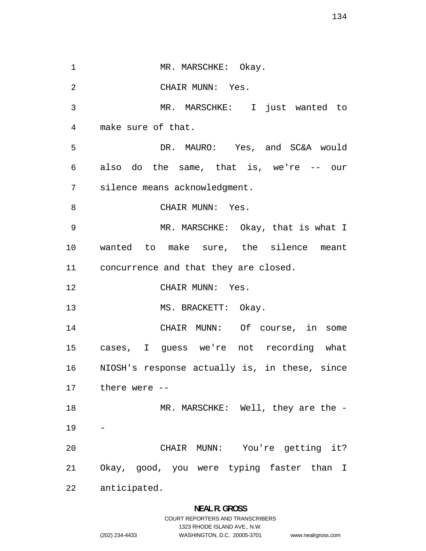1 MR. MARSCHKE: Okay. CHAIR MUNN: Yes. MR. MARSCHKE: I just wanted to make sure of that. DR. MAURO: Yes, and SC&A would also do the same, that is, we're -- our silence means acknowledgment. 8 CHAIR MUNN: Yes. MR. MARSCHKE: Okay, that is what I wanted to make sure, the silence meant concurrence and that they are closed. CHAIR MUNN: Yes. 13 MS. BRACKETT: Okay. CHAIR MUNN: Of course, in some cases, I guess we're not recording what NIOSH's response actually is, in these, since there were -- 18 MR. MARSCHKE: Well, they are the -CHAIR MUNN: You're getting it? Okay, good, you were typing faster than I anticipated.

### **NEAL R. GROSS**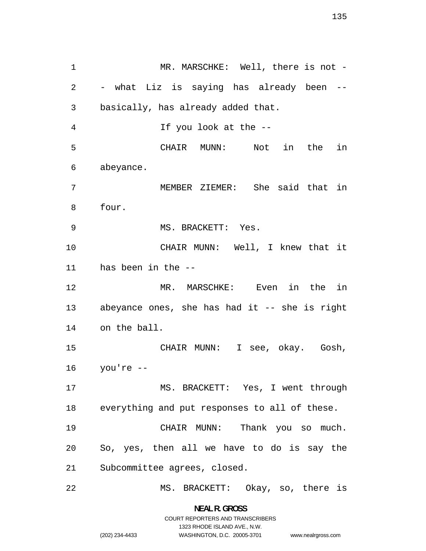1 MR. MARSCHKE: Well, there is not -- what Liz is saying has already been -- basically, has already added that. If you look at the -- CHAIR MUNN: Not in the in abeyance. MEMBER ZIEMER: She said that in four. 9 MS. BRACKETT: Yes. CHAIR MUNN: Well, I knew that it has been in the -- MR. MARSCHKE: Even in the in abeyance ones, she has had it -- she is right on the ball. CHAIR MUNN: I see, okay. Gosh, you're -- MS. BRACKETT: Yes, I went through everything and put responses to all of these. CHAIR MUNN: Thank you so much. So, yes, then all we have to do is say the Subcommittee agrees, closed. MS. BRACKETT: Okay, so, there is

COURT REPORTERS AND TRANSCRIBERS 1323 RHODE ISLAND AVE., N.W. (202) 234-4433 WASHINGTON, D.C. 20005-3701

**NEAL R. GROSS**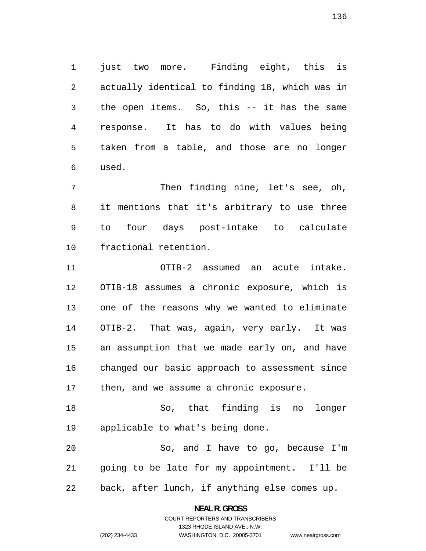just two more. Finding eight, this is actually identical to finding 18, which was in the open items. So, this -- it has the same response. It has to do with values being taken from a table, and those are no longer used.

Then finding nine, let's see, oh, it mentions that it's arbitrary to use three to four days post-intake to calculate fractional retention.

OTIB-2 assumed an acute intake. OTIB-18 assumes a chronic exposure, which is one of the reasons why we wanted to eliminate OTIB-2. That was, again, very early. It was an assumption that we made early on, and have changed our basic approach to assessment since 17 then, and we assume a chronic exposure.

So, that finding is no longer applicable to what's being done.

So, and I have to go, because I'm going to be late for my appointment. I'll be back, after lunch, if anything else comes up.

> **NEAL R. GROSS**  COURT REPORTERS AND TRANSCRIBERS

> > 1323 RHODE ISLAND AVE., N.W.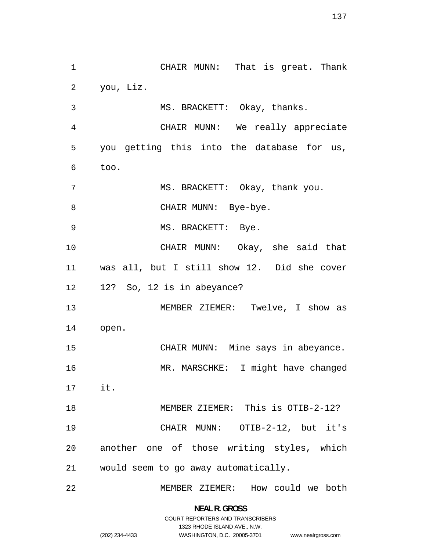CHAIR MUNN: That is great. Thank you, Liz. MS. BRACKETT: Okay, thanks. CHAIR MUNN: We really appreciate you getting this into the database for us, too. 7 MS. BRACKETT: Okay, thank you. 8 CHAIR MUNN: Bye-bye. 9 MS. BRACKETT: Bye. CHAIR MUNN: Okay, she said that was all, but I still show 12. Did she cover 12? So, 12 is in abeyance? MEMBER ZIEMER: Twelve, I show as open. 15 CHAIR MUNN: Mine says in abeyance. MR. MARSCHKE: I might have changed it. MEMBER ZIEMER: This is OTIB-2-12? CHAIR MUNN: OTIB-2-12, but it's another one of those writing styles, which would seem to go away automatically. MEMBER ZIEMER: How could we both

> **NEAL R. GROSS**  COURT REPORTERS AND TRANSCRIBERS

> > 1323 RHODE ISLAND AVE., N.W.

www.nealrgross.com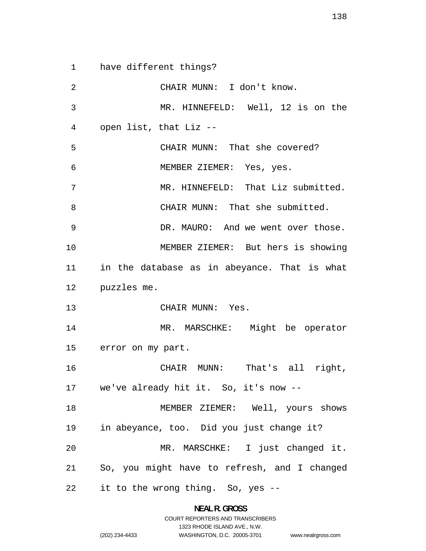have different things?

CHAIR MUNN: I don't know. MR. HINNEFELD: Well, 12 is on the open list, that Liz -- CHAIR MUNN: That she covered? MEMBER ZIEMER: Yes, yes. 7 MR. HINNEFELD: That Liz submitted. CHAIR MUNN: That she submitted. 9 DR. MAURO: And we went over those. MEMBER ZIEMER: But hers is showing in the database as in abeyance. That is what puzzles me. CHAIR MUNN: Yes. MR. MARSCHKE: Might be operator error on my part. CHAIR MUNN: That's all right, we've already hit it. So, it's now -- MEMBER ZIEMER: Well, yours shows in abeyance, too. Did you just change it? MR. MARSCHKE: I just changed it. So, you might have to refresh, and I changed it to the wrong thing. So, yes --

> **NEAL R. GROSS**  COURT REPORTERS AND TRANSCRIBERS

> > 1323 RHODE ISLAND AVE., N.W.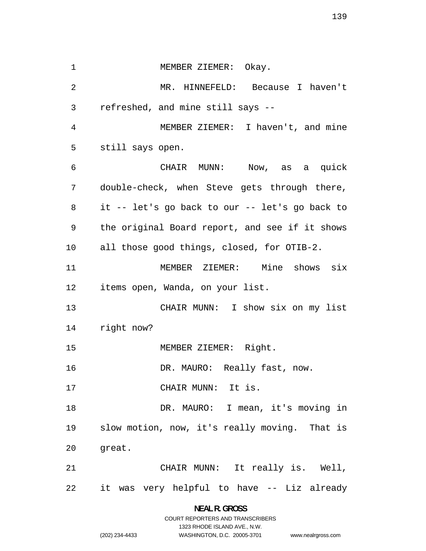1 MEMBER ZIEMER: Okay. MR. HINNEFELD: Because I haven't refreshed, and mine still says -- MEMBER ZIEMER: I haven't, and mine still says open. CHAIR MUNN: Now, as a quick double-check, when Steve gets through there, it -- let's go back to our -- let's go back to the original Board report, and see if it shows all those good things, closed, for OTIB-2. MEMBER ZIEMER: Mine shows six items open, Wanda, on your list. CHAIR MUNN: I show six on my list right now? MEMBER ZIEMER: Right. 16 DR. MAURO: Really fast, now. CHAIR MUNN: It is. 18 DR. MAURO: I mean, it's moving in slow motion, now, it's really moving. That is great. CHAIR MUNN: It really is. Well, it was very helpful to have -- Liz already

> **NEAL R. GROSS**  COURT REPORTERS AND TRANSCRIBERS 1323 RHODE ISLAND AVE., N.W. (202) 234-4433 WASHINGTON, D.C. 20005-3701

www.nealrgross.com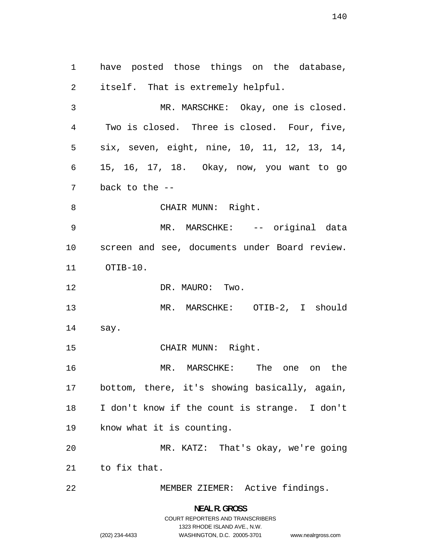have posted those things on the database, itself. That is extremely helpful. MR. MARSCHKE: Okay, one is closed. Two is closed. Three is closed. Four, five, six, seven, eight, nine, 10, 11, 12, 13, 14, 15, 16, 17, 18. Okay, now, you want to go back to the -- 8 CHAIR MUNN: Right. 9 MR. MARSCHKE: -- original data screen and see, documents under Board review. OTIB-10. 12 DR. MAURO: Two. MR. MARSCHKE: OTIB-2, I should say. 15 CHAIR MUNN: Right. MR. MARSCHKE: The one on the bottom, there, it's showing basically, again, I don't know if the count is strange. I don't know what it is counting. MR. KATZ: That's okay, we're going to fix that. MEMBER ZIEMER: Active findings.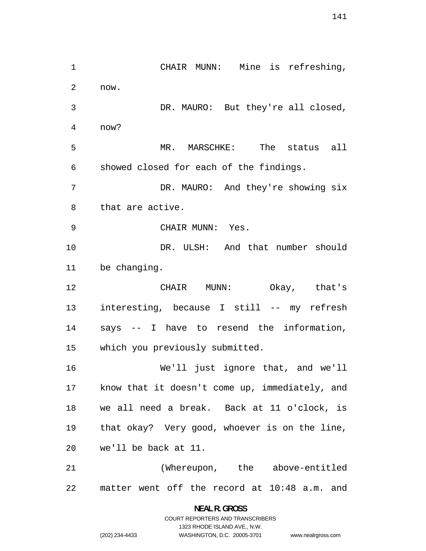CHAIR MUNN: Mine is refreshing, now. DR. MAURO: But they're all closed, now? MR. MARSCHKE: The status all showed closed for each of the findings. DR. MAURO: And they're showing six that are active. CHAIR MUNN: Yes. DR. ULSH: And that number should be changing. CHAIR MUNN: Okay, that's interesting, because I still -- my refresh says -- I have to resend the information, which you previously submitted. We'll just ignore that, and we'll know that it doesn't come up, immediately, and we all need a break. Back at 11 o'clock, is that okay? Very good, whoever is on the line, we'll be back at 11. (Whereupon, the above-entitled matter went off the record at 10:48 a.m. and

> **NEAL R. GROSS**  COURT REPORTERS AND TRANSCRIBERS

> > 1323 RHODE ISLAND AVE., N.W.

(202) 234-4433 WASHINGTON, D.C. 20005-3701

www.nealrgross.com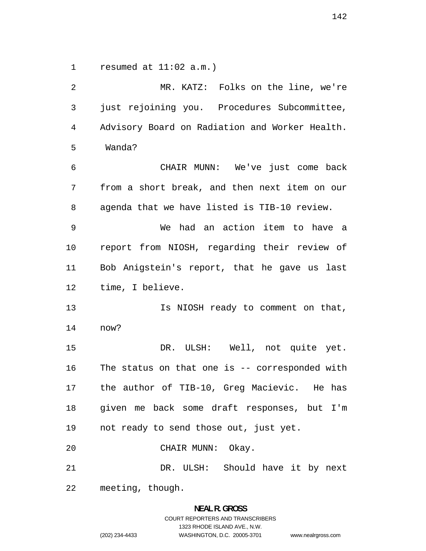resumed at 11:02 a.m.)

MR. KATZ: Folks on the line, we're just rejoining you. Procedures Subcommittee, Advisory Board on Radiation and Worker Health. Wanda? CHAIR MUNN: We've just come back from a short break, and then next item on our agenda that we have listed is TIB-10 review. We had an action item to have a report from NIOSH, regarding their review of Bob Anigstein's report, that he gave us last time, I believe. **Is NIOSH** ready to comment on that, now? DR. ULSH: Well, not quite yet. The status on that one is -- corresponded with the author of TIB-10, Greg Macievic. He has given me back some draft responses, but I'm not ready to send those out, just yet. CHAIR MUNN: Okay. DR. ULSH: Should have it by next meeting, though.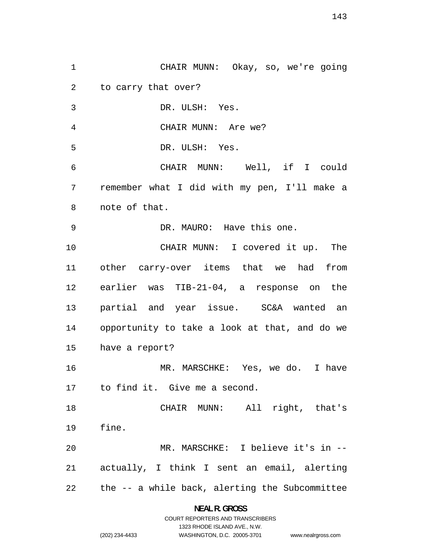CHAIR MUNN: Okay, so, we're going to carry that over? DR. ULSH: Yes. CHAIR MUNN: Are we? DR. ULSH: Yes. CHAIR MUNN: Well, if I could remember what I did with my pen, I'll make a note of that. DR. MAURO: Have this one. CHAIR MUNN: I covered it up. The other carry-over items that we had from earlier was TIB-21-04, a response on the partial and year issue. SC&A wanted an opportunity to take a look at that, and do we have a report? MR. MARSCHKE: Yes, we do. I have to find it. Give me a second. CHAIR MUNN: All right, that's fine. MR. MARSCHKE: I believe it's in -- actually, I think I sent an email, alerting the -- a while back, alerting the Subcommittee

> **NEAL R. GROSS**  COURT REPORTERS AND TRANSCRIBERS

> > 1323 RHODE ISLAND AVE., N.W.

www.nealrgross.com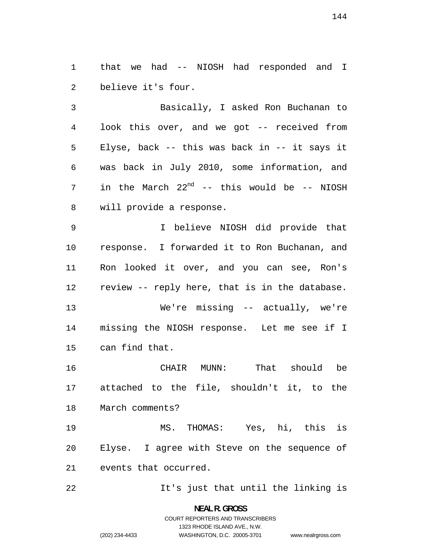that we had -- NIOSH had responded and I believe it's four.

Basically, I asked Ron Buchanan to look this over, and we got -- received from Elyse, back -- this was back in -- it says it was back in July 2010, some information, and 7 in the March  $22^{nd}$  -- this would be -- NIOSH will provide a response.

I believe NIOSH did provide that response. I forwarded it to Ron Buchanan, and Ron looked it over, and you can see, Ron's review -- reply here, that is in the database.

We're missing -- actually, we're missing the NIOSH response. Let me see if I can find that.

CHAIR MUNN: That should be attached to the file, shouldn't it, to the March comments?

MS. THOMAS: Yes, hi, this is Elyse. I agree with Steve on the sequence of events that occurred.

It's just that until the linking is

**NEAL R. GROSS**  COURT REPORTERS AND TRANSCRIBERS 1323 RHODE ISLAND AVE., N.W.

www.nealrgross.com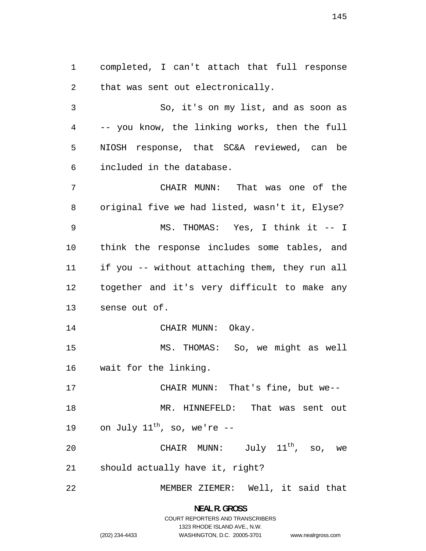completed, I can't attach that full response that was sent out electronically.

So, it's on my list, and as soon as -- you know, the linking works, then the full NIOSH response, that SC&A reviewed, can be included in the database.

CHAIR MUNN: That was one of the original five we had listed, wasn't it, Elyse? MS. THOMAS: Yes, I think it -- I think the response includes some tables, and if you -- without attaching them, they run all together and it's very difficult to make any sense out of.

14 CHAIR MUNN: Okay.

MS. THOMAS: So, we might as well wait for the linking.

CHAIR MUNN: That's fine, but we-- MR. HINNEFELD: That was sent out 19 on July  $11^{\text{th}}$ , so, we're --

20 CHAIR MUNN:  $\text{July 11}^{\text{th}}$ , so, we should actually have it, right?

MEMBER ZIEMER: Well, it said that

**NEAL R. GROSS**  COURT REPORTERS AND TRANSCRIBERS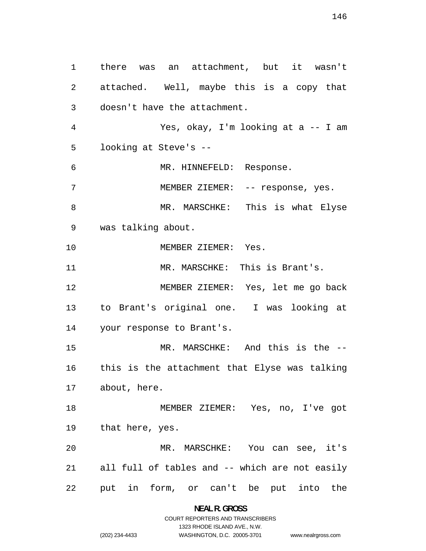there was an attachment, but it wasn't attached. Well, maybe this is a copy that doesn't have the attachment. Yes, okay, I'm looking at a -- I am looking at Steve's -- MR. HINNEFELD: Response. MEMBER ZIEMER: -- response, yes. MR. MARSCHKE: This is what Elyse was talking about. 10 MEMBER ZIEMER: Yes. MR. MARSCHKE: This is Brant's. MEMBER ZIEMER: Yes, let me go back to Brant's original one. I was looking at your response to Brant's. MR. MARSCHKE: And this is the -- this is the attachment that Elyse was talking about, here. MEMBER ZIEMER: Yes, no, I've got that here, yes. MR. MARSCHKE: You can see, it's all full of tables and -- which are not easily put in form, or can't be put into the

> **NEAL R. GROSS**  COURT REPORTERS AND TRANSCRIBERS

> > 1323 RHODE ISLAND AVE., N.W.

www.nealrgross.com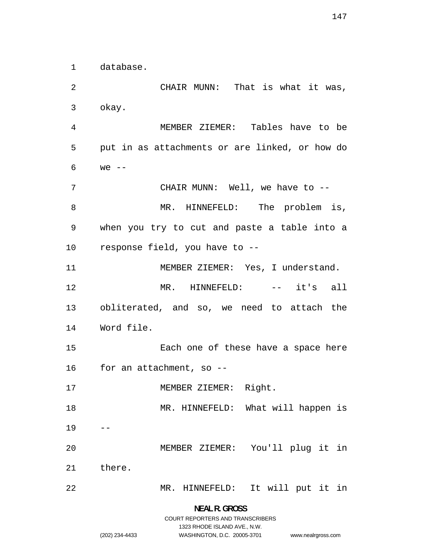database.

CHAIR MUNN: That is what it was, okay. MEMBER ZIEMER: Tables have to be put in as attachments or are linked, or how do we -- CHAIR MUNN: Well, we have to -- 8 MR. HINNEFELD: The problem is, when you try to cut and paste a table into a response field, you have to -- 11 MEMBER ZIEMER: Yes, I understand. MR. HINNEFELD: -- it's all obliterated, and so, we need to attach the Word file. Each one of these have a space here for an attachment, so -- 17 MEMBER ZIEMER: Right. 18 MR. HINNEFELD: What will happen is MEMBER ZIEMER: You'll plug it in there. MR. HINNEFELD: It will put it in

> **NEAL R. GROSS**  COURT REPORTERS AND TRANSCRIBERS

> > 1323 RHODE ISLAND AVE., N.W.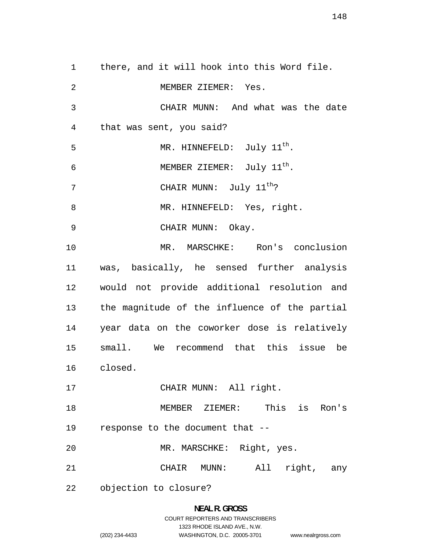there, and it will hook into this Word file. MEMBER ZIEMER: Yes. CHAIR MUNN: And what was the date that was sent, you said? 5 MR. HINNEFELD: July 11<sup>th</sup>. 6 MEMBER ZIEMER:  $July$   $11<sup>th</sup>$ . 7 CHAIR MUNN: July 11<sup>th</sup>? 8 MR. HINNEFELD: Yes, right. 9 CHAIR MUNN: Okay. MR. MARSCHKE: Ron's conclusion was, basically, he sensed further analysis would not provide additional resolution and the magnitude of the influence of the partial year data on the coworker dose is relatively small. We recommend that this issue be closed. CHAIR MUNN: All right. MEMBER ZIEMER: This is Ron's response to the document that -- MR. MARSCHKE: Right, yes. CHAIR MUNN: All right, any objection to closure?

> **NEAL R. GROSS**  COURT REPORTERS AND TRANSCRIBERS 1323 RHODE ISLAND AVE., N.W.

(202) 234-4433 WASHINGTON, D.C. 20005-3701 www.nealrgross.com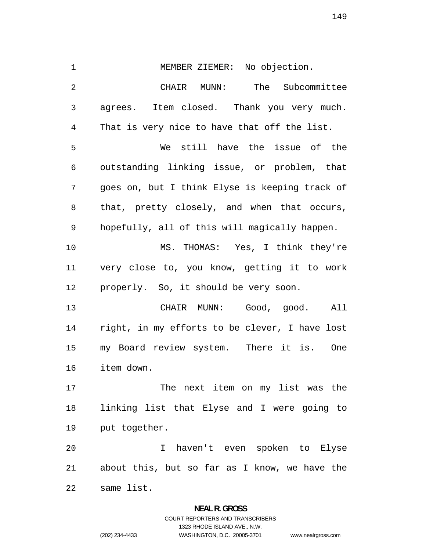MEMBER ZIEMER: No objection. CHAIR MUNN: The Subcommittee agrees. Item closed. Thank you very much. That is very nice to have that off the list. We still have the issue of the outstanding linking issue, or problem, that goes on, but I think Elyse is keeping track of that, pretty closely, and when that occurs, hopefully, all of this will magically happen. MS. THOMAS: Yes, I think they're very close to, you know, getting it to work properly. So, it should be very soon. CHAIR MUNN: Good, good. All right, in my efforts to be clever, I have lost my Board review system. There it is. One item down. The next item on my list was the linking list that Elyse and I were going to put together. I haven't even spoken to Elyse about this, but so far as I know, we have the same list.

## **NEAL R. GROSS**  COURT REPORTERS AND TRANSCRIBERS 1323 RHODE ISLAND AVE., N.W. (202) 234-4433 WASHINGTON, D.C. 20005-3701

www.nealrgross.com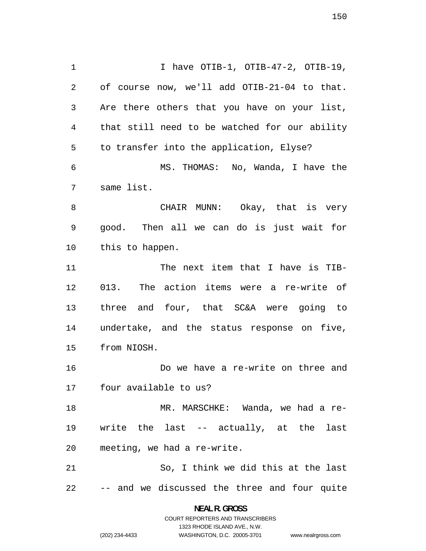1 1 I have OTIB-1, OTIB-47-2, OTIB-19, of course now, we'll add OTIB-21-04 to that. Are there others that you have on your list, that still need to be watched for our ability to transfer into the application, Elyse? MS. THOMAS: No, Wanda, I have the same list. CHAIR MUNN: Okay, that is very good. Then all we can do is just wait for this to happen. 11 The next item that I have is TIB-013. The action items were a re-write of three and four, that SC&A were going to undertake, and the status response on five, from NIOSH. Do we have a re-write on three and four available to us? MR. MARSCHKE: Wanda, we had a re-write the last -- actually, at the last meeting, we had a re-write. So, I think we did this at the last -- and we discussed the three and four quite

> **NEAL R. GROSS**  COURT REPORTERS AND TRANSCRIBERS

> > 1323 RHODE ISLAND AVE., N.W.

(202) 234-4433 WASHINGTON, D.C. 20005-3701 www.nealrgross.com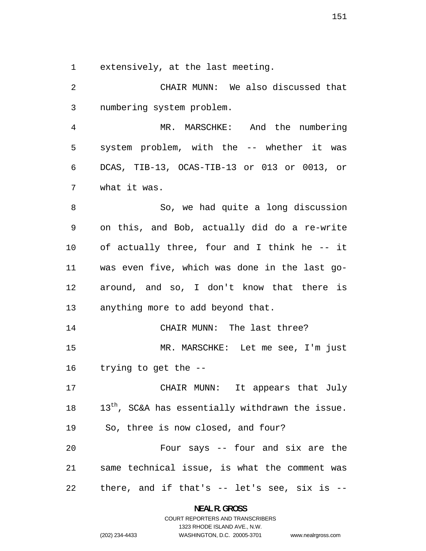extensively, at the last meeting.

CHAIR MUNN: We also discussed that numbering system problem. MR. MARSCHKE: And the numbering system problem, with the -- whether it was DCAS, TIB-13, OCAS-TIB-13 or 013 or 0013, or what it was. So, we had quite a long discussion on this, and Bob, actually did do a re-write of actually three, four and I think he -- it was even five, which was done in the last go-around, and so, I don't know that there is anything more to add beyond that. 14 CHAIR MUNN: The last three? MR. MARSCHKE: Let me see, I'm just trying to get the -- CHAIR MUNN: It appears that July  $13<sup>th</sup>$ , SC&A has essentially withdrawn the issue. So, three is now closed, and four? Four says -- four and six are the same technical issue, is what the comment was there, and if that's -- let's see, six is --

> **NEAL R. GROSS**  COURT REPORTERS AND TRANSCRIBERS

> > 1323 RHODE ISLAND AVE., N.W.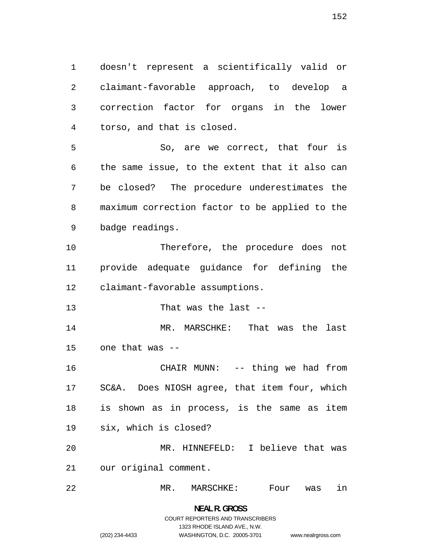doesn't represent a scientifically valid or claimant-favorable approach, to develop a correction factor for organs in the lower torso, and that is closed.

So, are we correct, that four is the same issue, to the extent that it also can be closed? The procedure underestimates the maximum correction factor to be applied to the badge readings.

Therefore, the procedure does not provide adequate guidance for defining the claimant-favorable assumptions.

That was the last --

MR. MARSCHKE: That was the last one that was --

CHAIR MUNN: -- thing we had from SC&A. Does NIOSH agree, that item four, which is shown as in process, is the same as item six, which is closed? MR. HINNEFELD: I believe that was

our original comment.

MR. MARSCHKE: Four was in

**NEAL R. GROSS**  COURT REPORTERS AND TRANSCRIBERS

1323 RHODE ISLAND AVE., N.W.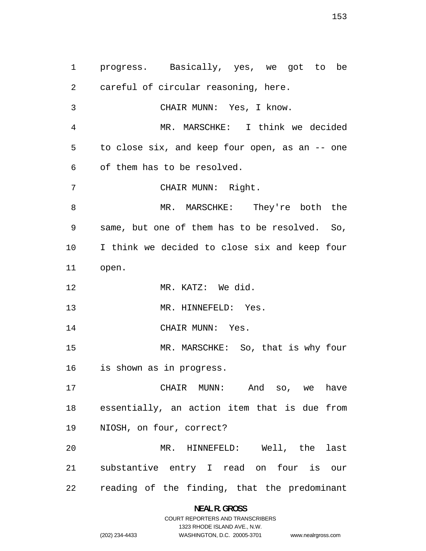progress. Basically, yes, we got to be careful of circular reasoning, here. CHAIR MUNN: Yes, I know. MR. MARSCHKE: I think we decided to close six, and keep four open, as an -- one of them has to be resolved. CHAIR MUNN: Right. 8 MR. MARSCHKE: They're both the same, but one of them has to be resolved. So, I think we decided to close six and keep four open. MR. KATZ: We did. 13 MR. HINNEFELD: Yes. 14 CHAIR MUNN: Yes. MR. MARSCHKE: So, that is why four is shown as in progress. CHAIR MUNN: And so, we have essentially, an action item that is due from NIOSH, on four, correct? MR. HINNEFELD: Well, the last substantive entry I read on four is our reading of the finding, that the predominant

> **NEAL R. GROSS**  COURT REPORTERS AND TRANSCRIBERS

> > 1323 RHODE ISLAND AVE., N.W.

www.nealrgross.com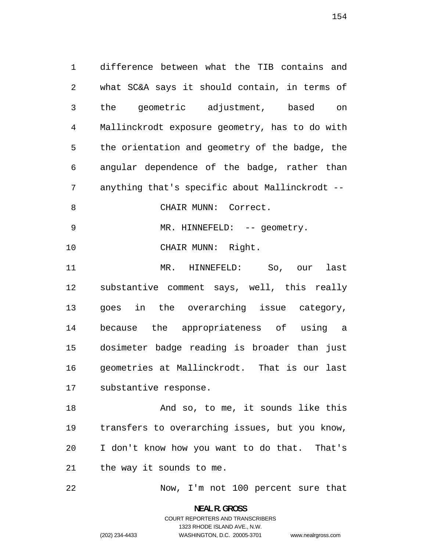difference between what the TIB contains and what SC&A says it should contain, in terms of the geometric adjustment, based on Mallinckrodt exposure geometry, has to do with the orientation and geometry of the badge, the angular dependence of the badge, rather than anything that's specific about Mallinckrodt -- 8 CHAIR MUNN: Correct. 9 MR. HINNEFELD: -- geometry. CHAIR MUNN: Right. MR. HINNEFELD: So, our last substantive comment says, well, this really goes in the overarching issue category, because the appropriateness of using a dosimeter badge reading is broader than just geometries at Mallinckrodt. That is our last substantive response.

18 And so, to me, it sounds like this transfers to overarching issues, but you know, I don't know how you want to do that. That's the way it sounds to me.

Now, I'm not 100 percent sure that

**NEAL R. GROSS**  COURT REPORTERS AND TRANSCRIBERS 1323 RHODE ISLAND AVE., N.W. (202) 234-4433 WASHINGTON, D.C. 20005-3701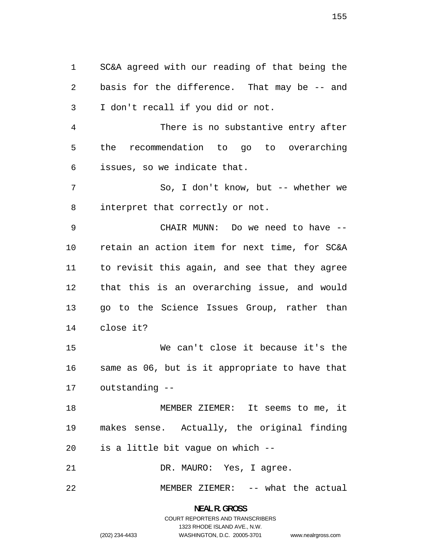SC&A agreed with our reading of that being the basis for the difference. That may be -- and I don't recall if you did or not. There is no substantive entry after the recommendation to go to overarching issues, so we indicate that. So, I don't know, but -- whether we interpret that correctly or not. CHAIR MUNN: Do we need to have -- retain an action item for next time, for SC&A to revisit this again, and see that they agree that this is an overarching issue, and would go to the Science Issues Group, rather than close it? We can't close it because it's the same as 06, but is it appropriate to have that outstanding -- MEMBER ZIEMER: It seems to me, it makes sense. Actually, the original finding is a little bit vague on which -- DR. MAURO: Yes, I agree.

MEMBER ZIEMER: -- what the actual

**NEAL R. GROSS**  COURT REPORTERS AND TRANSCRIBERS 1323 RHODE ISLAND AVE., N.W. (202) 234-4433 WASHINGTON, D.C. 20005-3701

www.nealrgross.com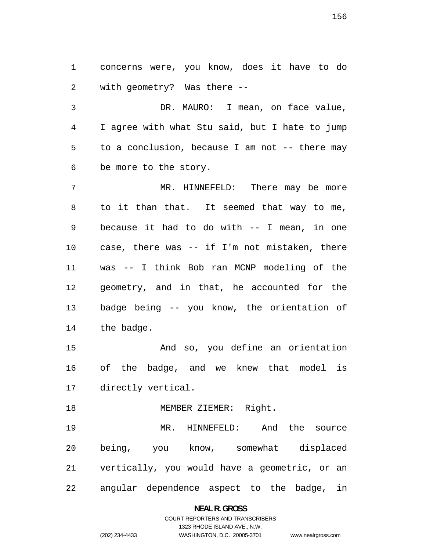concerns were, you know, does it have to do with geometry? Was there --

DR. MAURO: I mean, on face value, I agree with what Stu said, but I hate to jump to a conclusion, because I am not -- there may be more to the story.

MR. HINNEFELD: There may be more to it than that. It seemed that way to me, because it had to do with -- I mean, in one case, there was -- if I'm not mistaken, there was -- I think Bob ran MCNP modeling of the geometry, and in that, he accounted for the badge being -- you know, the orientation of the badge.

And so, you define an orientation of the badge, and we knew that model is directly vertical.

18 MEMBER ZIEMER: Right.

MR. HINNEFELD: And the source being, you know, somewhat displaced vertically, you would have a geometric, or an angular dependence aspect to the badge, in

**NEAL R. GROSS**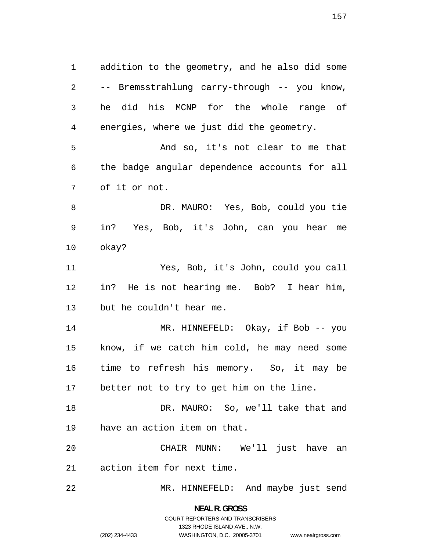addition to the geometry, and he also did some -- Bremsstrahlung carry-through -- you know, he did his MCNP for the whole range of energies, where we just did the geometry. And so, it's not clear to me that the badge angular dependence accounts for all of it or not. DR. MAURO: Yes, Bob, could you tie in? Yes, Bob, it's John, can you hear me okay? Yes, Bob, it's John, could you call in? He is not hearing me. Bob? I hear him, but he couldn't hear me. 14 MR. HINNEFELD: Okay, if Bob -- you know, if we catch him cold, he may need some time to refresh his memory. So, it may be better not to try to get him on the line. DR. MAURO: So, we'll take that and have an action item on that. CHAIR MUNN: We'll just have an action item for next time.

MR. HINNEFELD: And maybe just send

**NEAL R. GROSS**  COURT REPORTERS AND TRANSCRIBERS

1323 RHODE ISLAND AVE., N.W.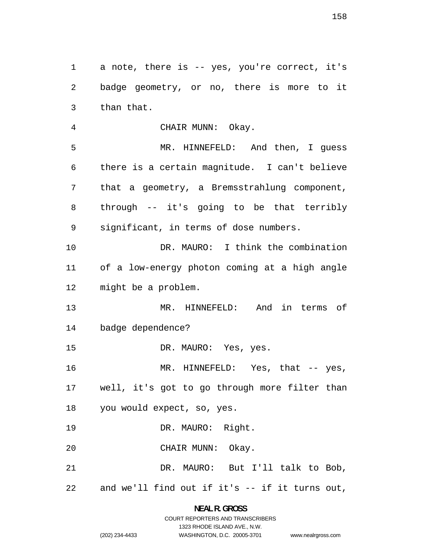1 a note, there is -- yes, you're correct, it's badge geometry, or no, there is more to it than that.

CHAIR MUNN: Okay. MR. HINNEFELD: And then, I guess there is a certain magnitude. I can't believe that a geometry, a Bremsstrahlung component, through -- it's going to be that terribly significant, in terms of dose numbers. DR. MAURO: I think the combination of a low-energy photon coming at a high angle might be a problem. MR. HINNEFELD: And in terms of badge dependence? DR. MAURO: Yes, yes. 16 MR. HINNEFELD: Yes, that -- yes, well, it's got to go through more filter than you would expect, so, yes. 19 DR. MAURO: Right. CHAIR MUNN: Okay. DR. MAURO: But I'll talk to Bob, and we'll find out if it's -- if it turns out,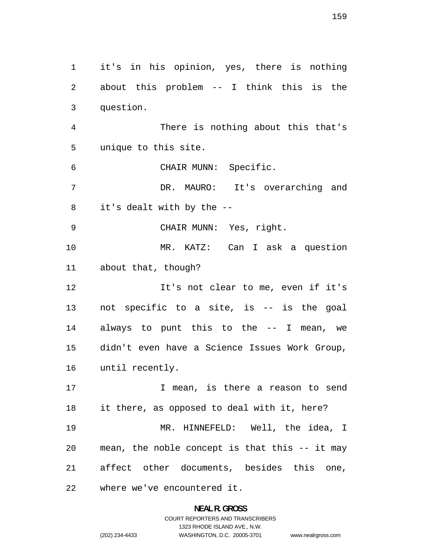it's in his opinion, yes, there is nothing about this problem -- I think this is the question. There is nothing about this that's unique to this site. CHAIR MUNN: Specific. DR. MAURO: It's overarching and it's dealt with by the -- CHAIR MUNN: Yes, right. MR. KATZ: Can I ask a question about that, though? It's not clear to me, even if it's not specific to a site, is -- is the goal always to punt this to the -- I mean, we didn't even have a Science Issues Work Group, until recently. I mean, is there a reason to send it there, as opposed to deal with it, here? MR. HINNEFELD: Well, the idea, I mean, the noble concept is that this -- it may affect other documents, besides this one, where we've encountered it.

# **NEAL R. GROSS**  COURT REPORTERS AND TRANSCRIBERS 1323 RHODE ISLAND AVE., N.W. (202) 234-4433 WASHINGTON, D.C. 20005-3701

www.nealrgross.com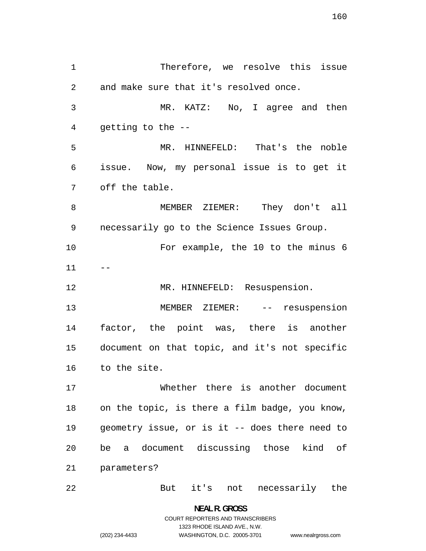Therefore, we resolve this issue and make sure that it's resolved once. MR. KATZ: No, I agree and then getting to the -- MR. HINNEFELD: That's the noble issue. Now, my personal issue is to get it off the table. MEMBER ZIEMER: They don't all necessarily go to the Science Issues Group. For example, the 10 to the minus 6 12 MR. HINNEFELD: Resuspension. MEMBER ZIEMER: -- resuspension factor, the point was, there is another document on that topic, and it's not specific to the site. Whether there is another document on the topic, is there a film badge, you know, geometry issue, or is it -- does there need to be a document discussing those kind of parameters? But it's not necessarily the

> **NEAL R. GROSS**  COURT REPORTERS AND TRANSCRIBERS 1323 RHODE ISLAND AVE., N.W. (202) 234-4433 WASHINGTON, D.C. 20005-3701

www.nealrgross.com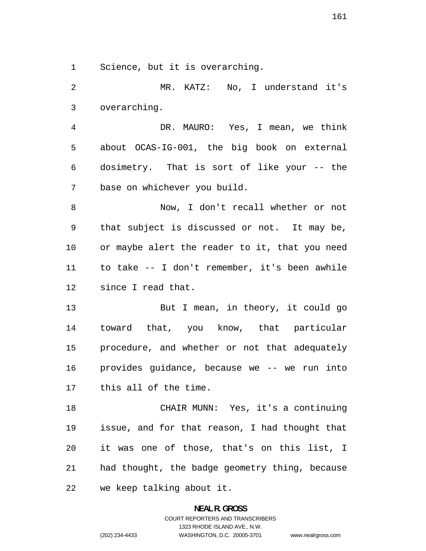Science, but it is overarching.

MR. KATZ: No, I understand it's overarching. DR. MAURO: Yes, I mean, we think about OCAS-IG-001, the big book on external dosimetry. That is sort of like your -- the base on whichever you build. Now, I don't recall whether or not that subject is discussed or not. It may be, or maybe alert the reader to it, that you need to take -- I don't remember, it's been awhile since I read that. But I mean, in theory, it could go toward that, you know, that particular procedure, and whether or not that adequately provides guidance, because we -- we run into this all of the time. CHAIR MUNN: Yes, it's a continuing issue, and for that reason, I had thought that it was one of those, that's on this list, I had thought, the badge geometry thing, because

we keep talking about it.

### **NEAL R. GROSS**

COURT REPORTERS AND TRANSCRIBERS 1323 RHODE ISLAND AVE., N.W. (202) 234-4433 WASHINGTON, D.C. 20005-3701 www.nealrgross.com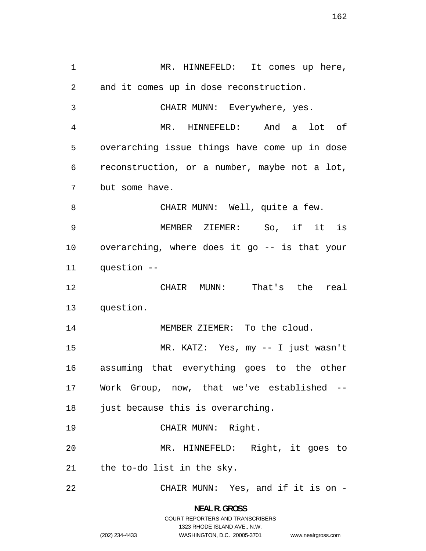MR. HINNEFELD: It comes up here, and it comes up in dose reconstruction. CHAIR MUNN: Everywhere, yes. MR. HINNEFELD: And a lot of overarching issue things have come up in dose reconstruction, or a number, maybe not a lot, but some have. 8 CHAIR MUNN: Well, quite a few. MEMBER ZIEMER: So, if it is overarching, where does it go -- is that your question -- CHAIR MUNN: That's the real question. 14 MEMBER ZIEMER: To the cloud. MR. KATZ: Yes, my -- I just wasn't assuming that everything goes to the other Work Group, now, that we've established -- 18 just because this is overarching. CHAIR MUNN: Right. MR. HINNEFELD: Right, it goes to the to-do list in the sky. CHAIR MUNN: Yes, and if it is on -

> **NEAL R. GROSS**  COURT REPORTERS AND TRANSCRIBERS

> > 1323 RHODE ISLAND AVE., N.W.

www.nealrgross.com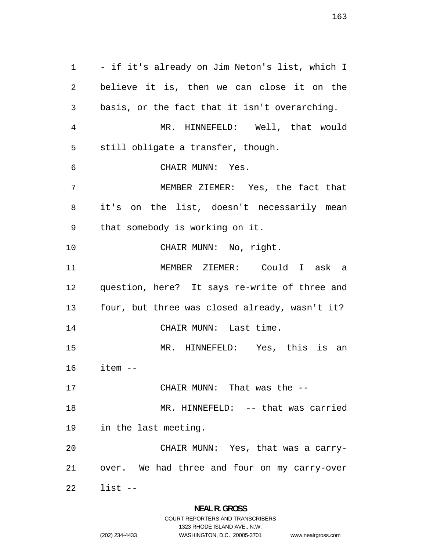- if it's already on Jim Neton's list, which I believe it is, then we can close it on the basis, or the fact that it isn't overarching. MR. HINNEFELD: Well, that would still obligate a transfer, though. CHAIR MUNN: Yes. MEMBER ZIEMER: Yes, the fact that it's on the list, doesn't necessarily mean that somebody is working on it. 10 CHAIR MUNN: No, right. MEMBER ZIEMER: Could I ask a question, here? It says re-write of three and four, but three was closed already, wasn't it? 14 CHAIR MUNN: Last time. MR. HINNEFELD: Yes, this is an item -- CHAIR MUNN: That was the -- 18 MR. HINNEFELD: -- that was carried in the last meeting. CHAIR MUNN: Yes, that was a carry-over. We had three and four on my carry-over list --

1323 RHODE ISLAND AVE., N.W.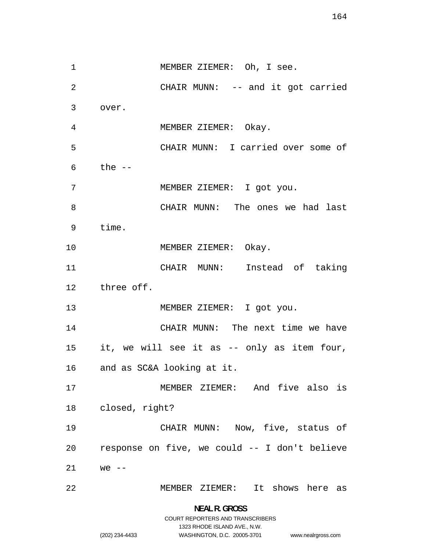1 MEMBER ZIEMER: Oh, I see. CHAIR MUNN: -- and it got carried over. MEMBER ZIEMER: Okay. CHAIR MUNN: I carried over some of the  $-$ MEMBER ZIEMER: I got you. CHAIR MUNN: The ones we had last time. 10 MEMBER ZIEMER: Okay. CHAIR MUNN: Instead of taking three off. 13 MEMBER ZIEMER: I got you. CHAIR MUNN: The next time we have it, we will see it as -- only as item four, and as SC&A looking at it. MEMBER ZIEMER: And five also is closed, right? CHAIR MUNN: Now, five, status of response on five, we could -- I don't believe we  $-$ MEMBER ZIEMER: It shows here as

> **NEAL R. GROSS**  COURT REPORTERS AND TRANSCRIBERS 1323 RHODE ISLAND AVE., N.W. (202) 234-4433 WASHINGTON, D.C. 20005-3701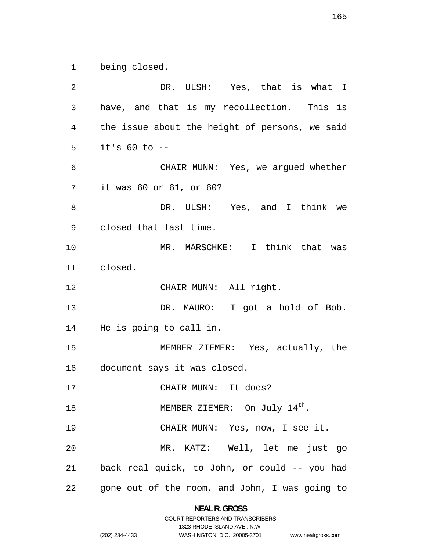being closed.

DR. ULSH: Yes, that is what I have, and that is my recollection. This is the issue about the height of persons, we said it's 60 to -- CHAIR MUNN: Yes, we argued whether it was 60 or 61, or 60? DR. ULSH: Yes, and I think we closed that last time. MR. MARSCHKE: I think that was closed. CHAIR MUNN: All right. DR. MAURO: I got a hold of Bob. He is going to call in. MEMBER ZIEMER: Yes, actually, the document says it was closed. CHAIR MUNN: It does? 18 MEMBER ZIEMER: On July 14<sup>th</sup>. CHAIR MUNN: Yes, now, I see it. MR. KATZ: Well, let me just go back real quick, to John, or could -- you had gone out of the room, and John, I was going to

> **NEAL R. GROSS**  COURT REPORTERS AND TRANSCRIBERS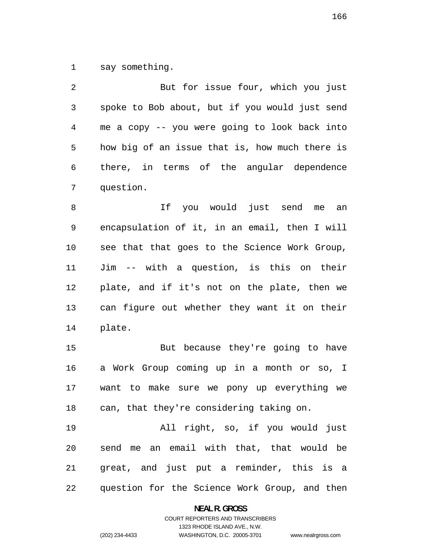say something.

| 2              | But for issue four, which you just             |
|----------------|------------------------------------------------|
| $\mathfrak{Z}$ | spoke to Bob about, but if you would just send |
| 4              | me a copy -- you were going to look back into  |
| 5              | how big of an issue that is, how much there is |
| 6              | there, in terms of the angular dependence      |
| 7              | question.                                      |
| 8              | If you would just send me<br>an                |
| 9              | encapsulation of it, in an email, then I will  |
| 10             | see that that goes to the Science Work Group,  |
| 11             | Jim -- with a question, is this on their       |
| 12             | plate, and if it's not on the plate, then we   |
| 13             | can figure out whether they want it on their   |
| 14             | plate.                                         |
| 15             | But because they're going to have              |
| 16             | a Work Group coming up in a month or so, I     |
| 17             | want to make sure we pony up everything we     |
| 18             | can, that they're considering taking on.       |
| 19             | All right, so, if you would just               |
| 20             | send me an email with that, that would be      |
| 21             | great, and just put a reminder, this is a      |

question for the Science Work Group, and then

**NEAL R. GROSS**  COURT REPORTERS AND TRANSCRIBERS

1323 RHODE ISLAND AVE., N.W.

(202) 234-4433 WASHINGTON, D.C. 20005-3701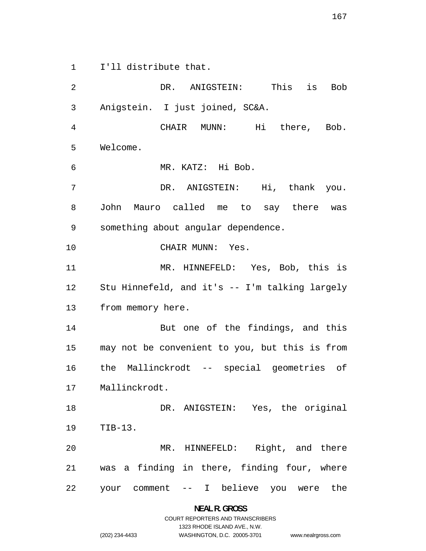I'll distribute that.

DR. ANIGSTEIN: This is Bob Anigstein. I just joined, SC&A. CHAIR MUNN: Hi there, Bob. Welcome. MR. KATZ: Hi Bob. DR. ANIGSTEIN: Hi, thank you. John Mauro called me to say there was something about angular dependence. CHAIR MUNN: Yes. MR. HINNEFELD: Yes, Bob, this is Stu Hinnefeld, and it's -- I'm talking largely from memory here. But one of the findings, and this may not be convenient to you, but this is from the Mallinckrodt -- special geometries of Mallinckrodt. DR. ANIGSTEIN: Yes, the original TIB-13. MR. HINNEFELD: Right, and there was a finding in there, finding four, where your comment -- I believe you were the

**NEAL R. GROSS**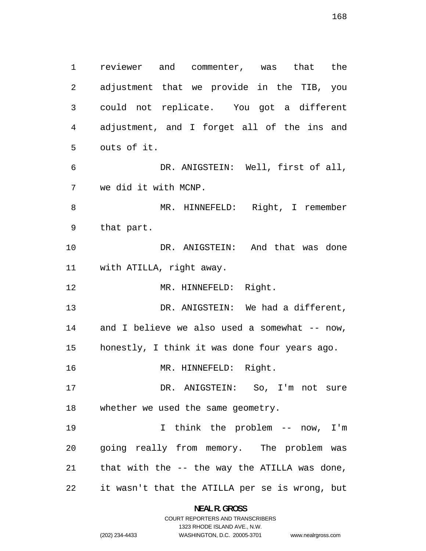reviewer and commenter, was that the adjustment that we provide in the TIB, you could not replicate. You got a different adjustment, and I forget all of the ins and outs of it. DR. ANIGSTEIN: Well, first of all, we did it with MCNP. MR. HINNEFELD: Right, I remember that part. DR. ANIGSTEIN: And that was done with ATILLA, right away. 12 MR. HINNEFELD: Right. DR. ANIGSTEIN: We had a different, 14 and I believe we also used a somewhat -- now, honestly, I think it was done four years ago. 16 MR. HINNEFELD: Right. DR. ANIGSTEIN: So, I'm not sure whether we used the same geometry. I think the problem -- now, I'm going really from memory. The problem was that with the -- the way the ATILLA was done, it wasn't that the ATILLA per se is wrong, but

### **NEAL R. GROSS**  COURT REPORTERS AND TRANSCRIBERS

1323 RHODE ISLAND AVE., N.W.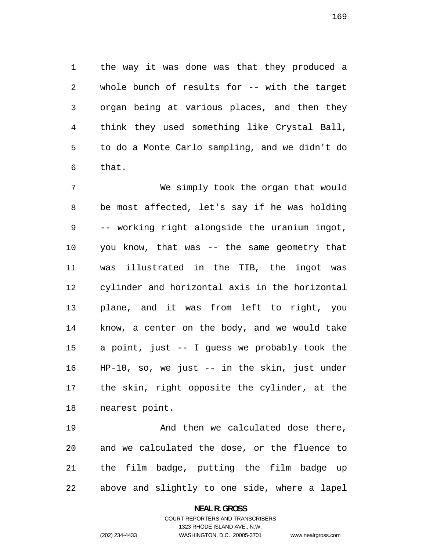the way it was done was that they produced a whole bunch of results for -- with the target organ being at various places, and then they think they used something like Crystal Ball, to do a Monte Carlo sampling, and we didn't do that.

We simply took the organ that would be most affected, let's say if he was holding -- working right alongside the uranium ingot, you know, that was -- the same geometry that was illustrated in the TIB, the ingot was cylinder and horizontal axis in the horizontal plane, and it was from left to right, you know, a center on the body, and we would take a point, just -- I guess we probably took the HP-10, so, we just -- in the skin, just under the skin, right opposite the cylinder, at the nearest point.

And then we calculated dose there, and we calculated the dose, or the fluence to the film badge, putting the film badge up above and slightly to one side, where a lapel

### **NEAL R. GROSS**

COURT REPORTERS AND TRANSCRIBERS 1323 RHODE ISLAND AVE., N.W. (202) 234-4433 WASHINGTON, D.C. 20005-3701

www.nealrgross.com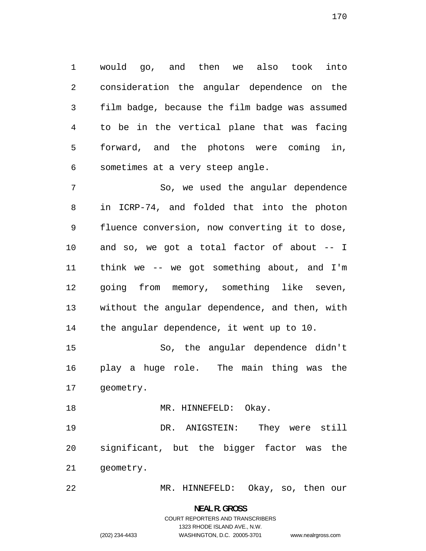would go, and then we also took into consideration the angular dependence on the film badge, because the film badge was assumed to be in the vertical plane that was facing forward, and the photons were coming in, sometimes at a very steep angle.

So, we used the angular dependence in ICRP-74, and folded that into the photon fluence conversion, now converting it to dose, and so, we got a total factor of about -- I think we -- we got something about, and I'm going from memory, something like seven, without the angular dependence, and then, with the angular dependence, it went up to 10.

So, the angular dependence didn't play a huge role. The main thing was the geometry.

18 MR. HINNEFELD: Okay.

DR. ANIGSTEIN: They were still significant, but the bigger factor was the geometry.

MR. HINNEFELD: Okay, so, then our

**NEAL R. GROSS**  COURT REPORTERS AND TRANSCRIBERS 1323 RHODE ISLAND AVE., N.W.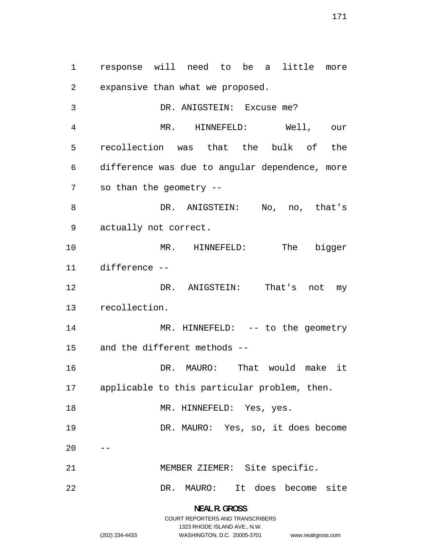response will need to be a little more expansive than what we proposed. DR. ANIGSTEIN: Excuse me? MR. HINNEFELD: Well, our recollection was that the bulk of the difference was due to angular dependence, more so than the geometry -- 8 DR. ANIGSTEIN: No, no, that's actually not correct. MR. HINNEFELD: The bigger difference -- DR. ANIGSTEIN: That's not my recollection. 14 MR. HINNEFELD: -- to the geometry and the different methods -- 16 DR. MAURO: That would make it applicable to this particular problem, then. 18 MR. HINNEFELD: Yes, yes. DR. MAURO: Yes, so, it does become MEMBER ZIEMER: Site specific. DR. MAURO: It does become site

> **NEAL R. GROSS**  COURT REPORTERS AND TRANSCRIBERS 1323 RHODE ISLAND AVE., N.W. (202) 234-4433 WASHINGTON, D.C. 20005-3701

www.nealrgross.com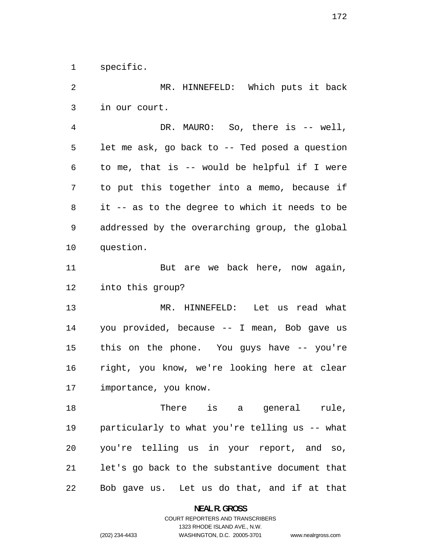specific.

MR. HINNEFELD: Which puts it back in our court. DR. MAURO: So, there is -- well, let me ask, go back to -- Ted posed a question to me, that is -- would be helpful if I were to put this together into a memo, because if it -- as to the degree to which it needs to be addressed by the overarching group, the global question. 11 But are we back here, now again, into this group? MR. HINNEFELD: Let us read what you provided, because -- I mean, Bob gave us this on the phone. You guys have -- you're right, you know, we're looking here at clear importance, you know. 18 There is a general rule, particularly to what you're telling us -- what you're telling us in your report, and so, let's go back to the substantive document that Bob gave us. Let us do that, and if at that

**NEAL R. GROSS** 

COURT REPORTERS AND TRANSCRIBERS 1323 RHODE ISLAND AVE., N.W. (202) 234-4433 WASHINGTON, D.C. 20005-3701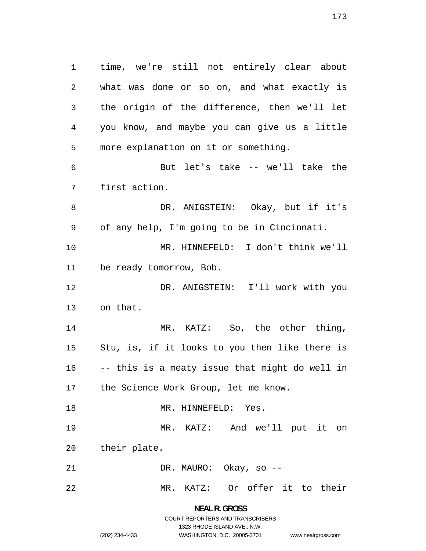time, we're still not entirely clear about what was done or so on, and what exactly is the origin of the difference, then we'll let you know, and maybe you can give us a little more explanation on it or something. But let's take -- we'll take the first action. DR. ANIGSTEIN: Okay, but if it's of any help, I'm going to be in Cincinnati. MR. HINNEFELD: I don't think we'll be ready tomorrow, Bob. DR. ANIGSTEIN: I'll work with you on that. 14 MR. KATZ: So, the other thing, Stu, is, if it looks to you then like there is -- this is a meaty issue that might do well in the Science Work Group, let me know. 18 MR. HINNEFELD: Yes. MR. KATZ: And we'll put it on their plate. DR. MAURO: Okay, so -- MR. KATZ: Or offer it to their

# **NEAL R. GROSS**  COURT REPORTERS AND TRANSCRIBERS 1323 RHODE ISLAND AVE., N.W. (202) 234-4433 WASHINGTON, D.C. 20005-3701

www.nealrgross.com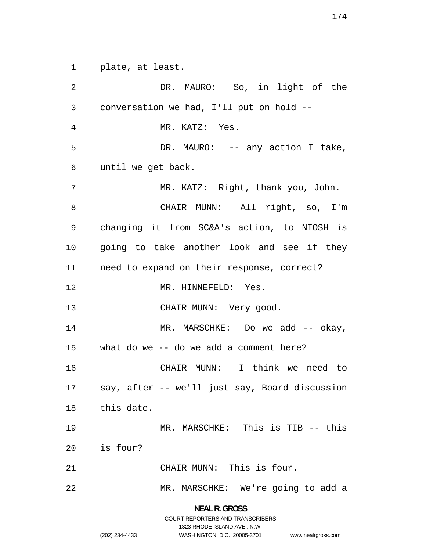plate, at least.

DR. MAURO: So, in light of the conversation we had, I'll put on hold -- MR. KATZ: Yes. 5 DR. MAURO: -- any action I take, until we get back. MR. KATZ: Right, thank you, John. CHAIR MUNN: All right, so, I'm changing it from SC&A's action, to NIOSH is going to take another look and see if they need to expand on their response, correct? 12 MR. HINNEFELD: Yes. 13 CHAIR MUNN: Very good. 14 MR. MARSCHKE: Do we add -- okay, what do we -- do we add a comment here? CHAIR MUNN: I think we need to say, after -- we'll just say, Board discussion this date. MR. MARSCHKE: This is TIB -- this is four? CHAIR MUNN: This is four. MR. MARSCHKE: We're going to add a

> **NEAL R. GROSS**  COURT REPORTERS AND TRANSCRIBERS 1323 RHODE ISLAND AVE., N.W.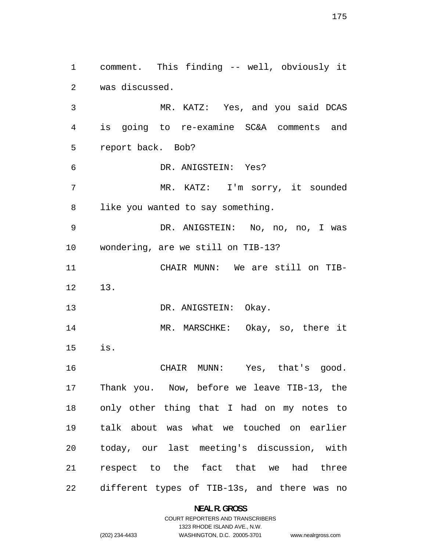comment. This finding -- well, obviously it was discussed. MR. KATZ: Yes, and you said DCAS is going to re-examine SC&A comments and report back. Bob? DR. ANIGSTEIN: Yes? MR. KATZ: I'm sorry, it sounded like you wanted to say something. DR. ANIGSTEIN: No, no, no, I was wondering, are we still on TIB-13? CHAIR MUNN: We are still on TIB-13. 13 DR. ANIGSTEIN: Okay. MR. MARSCHKE: Okay, so, there it is. CHAIR MUNN: Yes, that's good. Thank you. Now, before we leave TIB-13, the only other thing that I had on my notes to talk about was what we touched on earlier today, our last meeting's discussion, with respect to the fact that we had three different types of TIB-13s, and there was no

### **NEAL R. GROSS**

COURT REPORTERS AND TRANSCRIBERS 1323 RHODE ISLAND AVE., N.W. (202) 234-4433 WASHINGTON, D.C. 20005-3701

www.nealrgross.com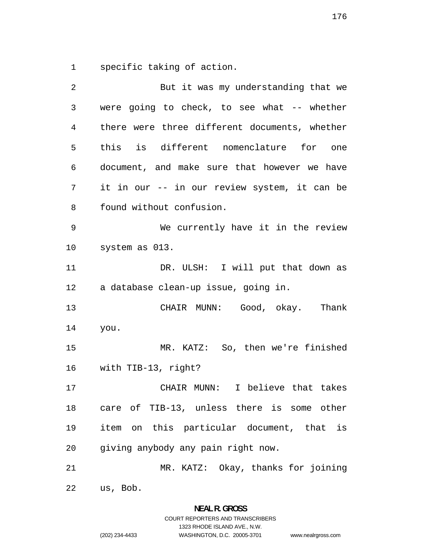specific taking of action.

| 2  | But it was my understanding that we           |
|----|-----------------------------------------------|
| 3  | were going to check, to see what -- whether   |
| 4  | there were three different documents, whether |
| 5  | this is different nomenclature for one        |
| 6  | document, and make sure that however we have  |
| 7  | it in our -- in our review system, it can be  |
| 8  | found without confusion.                      |
| 9  | We currently have it in the review            |
| 10 | system as 013.                                |
| 11 | DR. ULSH: I will put that down as             |
| 12 | a database clean-up issue, going in.          |
| 13 | CHAIR MUNN: Good, okay. Thank                 |
| 14 | you.                                          |
| 15 | MR. KATZ: So, then we're finished             |
| 16 | with TIB-13, right?                           |
| 17 | CHAIR MUNN: I believe that takes              |
| 18 | care of TIB-13, unless there is some other    |
| 19 | item on this particular document, that is     |
| 20 | giving anybody any pain right now.            |
| 21 | MR. KATZ: Okay, thanks for joining            |
| 22 | us, Bob.                                      |

**NEAL R. GROSS**  COURT REPORTERS AND TRANSCRIBERS 1323 RHODE ISLAND AVE., N.W.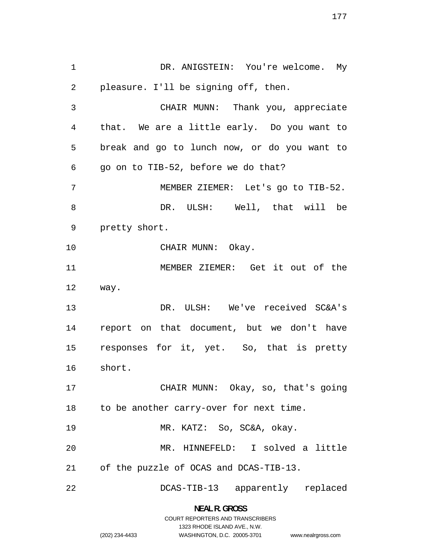1 DR. ANIGSTEIN: You're welcome. My pleasure. I'll be signing off, then. CHAIR MUNN: Thank you, appreciate that. We are a little early. Do you want to break and go to lunch now, or do you want to go on to TIB-52, before we do that? MEMBER ZIEMER: Let's go to TIB-52. DR. ULSH: Well, that will be pretty short. 10 CHAIR MUNN: Okay. MEMBER ZIEMER: Get it out of the way. DR. ULSH: We've received SC&A's report on that document, but we don't have responses for it, yet. So, that is pretty short. CHAIR MUNN: Okay, so, that's going 18 to be another carry-over for next time. MR. KATZ: So, SC&A, okay. MR. HINNEFELD: I solved a little of the puzzle of OCAS and DCAS-TIB-13. DCAS-TIB-13 apparently replaced

> **NEAL R. GROSS**  COURT REPORTERS AND TRANSCRIBERS

> > 1323 RHODE ISLAND AVE., N.W.

www.nealrgross.com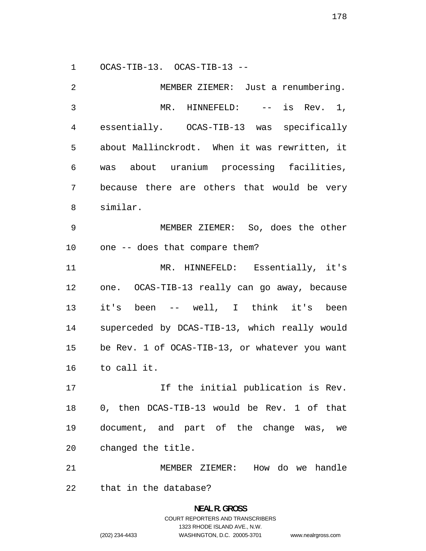OCAS-TIB-13. OCAS-TIB-13 --

| 2              | MEMBER ZIEMER: Just a renumbering.             |
|----------------|------------------------------------------------|
| $\mathfrak{Z}$ | MR. HINNEFELD: $--$ is Rev. 1,                 |
| 4              | essentially. OCAS-TIB-13 was specifically      |
| 5              | about Mallinckrodt. When it was rewritten, it  |
| 6              | was about uranium processing facilities,       |
| 7              | because there are others that would be very    |
| 8              | similar.                                       |
| 9              | MEMBER ZIEMER: So, does the other              |
| 10             | one -- does that compare them?                 |
| 11             | MR. HINNEFELD: Essentially, it's               |
| 12             | one. OCAS-TIB-13 really can go away, because   |
| 13             | it's been -- well, I think it's been           |
| 14             | superceded by DCAS-TIB-13, which really would  |
| 15             | be Rev. 1 of OCAS-TIB-13, or whatever you want |
| 16             | to call it.                                    |
| 17             | If the initial publication is Rev.             |
| 18             | 0, then DCAS-TIB-13 would be Rev. 1 of that    |
| 19             | document, and part of the change was, we       |
| 20             | changed the title.                             |
| 21             | MEMBER ZIEMER: How do we handle                |
| 22             | that in the database?                          |

**NEAL R. GROSS**  COURT REPORTERS AND TRANSCRIBERS 1323 RHODE ISLAND AVE., N.W. (202) 234-4433 WASHINGTON, D.C. 20005-3701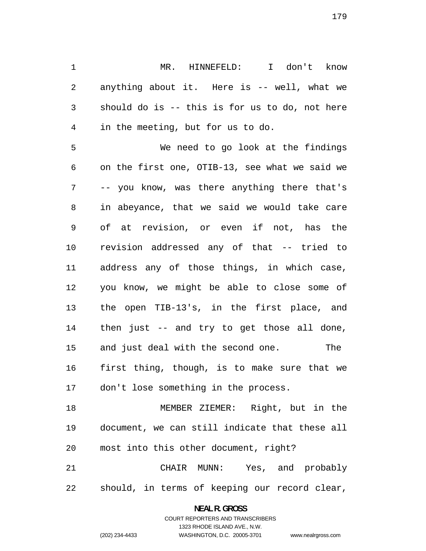MR. HINNEFELD: I don't know anything about it. Here is -- well, what we should do is -- this is for us to do, not here in the meeting, but for us to do.

We need to go look at the findings on the first one, OTIB-13, see what we said we -- you know, was there anything there that's in abeyance, that we said we would take care of at revision, or even if not, has the revision addressed any of that -- tried to address any of those things, in which case, you know, we might be able to close some of the open TIB-13's, in the first place, and then just -- and try to get those all done, and just deal with the second one. The first thing, though, is to make sure that we don't lose something in the process.

MEMBER ZIEMER: Right, but in the document, we can still indicate that these all most into this other document, right?

CHAIR MUNN: Yes, and probably should, in terms of keeping our record clear,

> **NEAL R. GROSS**  COURT REPORTERS AND TRANSCRIBERS

> > 1323 RHODE ISLAND AVE., N.W.

(202) 234-4433 WASHINGTON, D.C. 20005-3701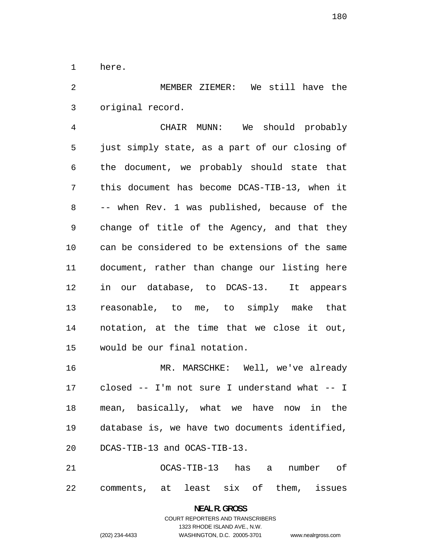here.

MEMBER ZIEMER: We still have the original record.

CHAIR MUNN: We should probably just simply state, as a part of our closing of the document, we probably should state that this document has become DCAS-TIB-13, when it -- when Rev. 1 was published, because of the change of title of the Agency, and that they can be considered to be extensions of the same document, rather than change our listing here in our database, to DCAS-13. It appears reasonable, to me, to simply make that notation, at the time that we close it out, would be our final notation.

MR. MARSCHKE: Well, we've already closed -- I'm not sure I understand what -- I mean, basically, what we have now in the database is, we have two documents identified, DCAS-TIB-13 and OCAS-TIB-13.

OCAS-TIB-13 has a number of comments, at least six of them, issues

> **NEAL R. GROSS**  COURT REPORTERS AND TRANSCRIBERS 1323 RHODE ISLAND AVE., N.W. (202) 234-4433 WASHINGTON, D.C. 20005-3701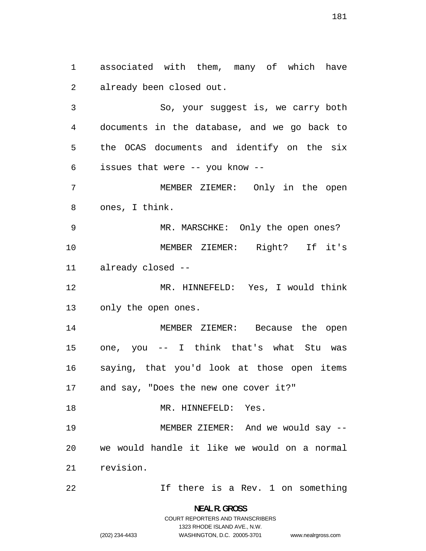associated with them, many of which have already been closed out.

So, your suggest is, we carry both documents in the database, and we go back to the OCAS documents and identify on the six issues that were -- you know --

MEMBER ZIEMER: Only in the open ones, I think.

MR. MARSCHKE: Only the open ones? MEMBER ZIEMER: Right? If it's already closed --

MR. HINNEFELD: Yes, I would think only the open ones.

MEMBER ZIEMER: Because the open one, you -- I think that's what Stu was saying, that you'd look at those open items and say, "Does the new one cover it?"

18 MR. HINNEFELD: Yes. MEMBER ZIEMER: And we would say -- we would handle it like we would on a normal revision.

22 1f there is a Rev. 1 on something

**NEAL R. GROSS**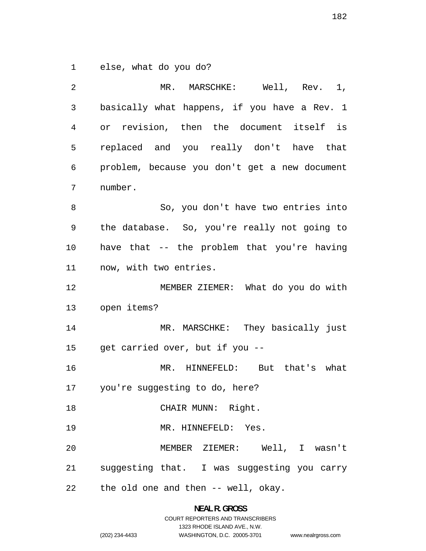else, what do you do?

| 2  | MR. MARSCHKE: Well, Rev. 1,                   |
|----|-----------------------------------------------|
| 3  | basically what happens, if you have a Rev. 1  |
| 4  | or revision, then the document itself is      |
| 5  | replaced and you really don't have that       |
| 6  | problem, because you don't get a new document |
| 7  | number.                                       |
| 8  | So, you don't have two entries into           |
| 9  | the database. So, you're really not going to  |
| 10 | have that -- the problem that you're having   |
| 11 | now, with two entries.                        |
| 12 | MEMBER ZIEMER: What do you do with            |
| 13 | open items?                                   |
| 14 | MR. MARSCHKE: They basically just             |
| 15 | get carried over, but if you --               |
| 16 | MR. HINNEFELD: But that's what                |
| 17 | you're suggesting to do, here?                |
| 18 | CHAIR MUNN: Right.                            |
| 19 | MR. HINNEFELD: Yes.                           |
| 20 | MEMBER ZIEMER: Well, I wasn't                 |
| 21 | suggesting that. I was suggesting you carry   |
| 22 | the old one and then -- well, okay.           |

**NEAL R. GROSS**  COURT REPORTERS AND TRANSCRIBERS 1323 RHODE ISLAND AVE., N.W.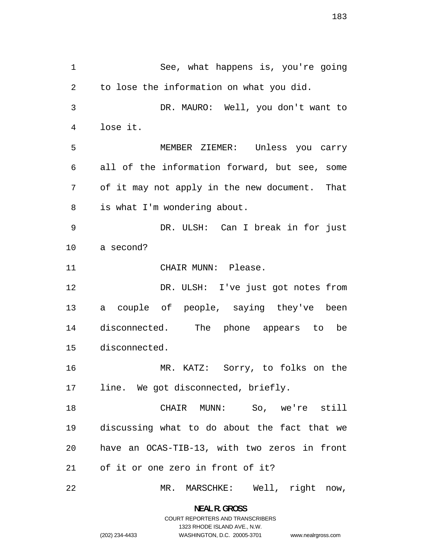See, what happens is, you're going to lose the information on what you did. DR. MAURO: Well, you don't want to lose it. MEMBER ZIEMER: Unless you carry all of the information forward, but see, some of it may not apply in the new document. That is what I'm wondering about. DR. ULSH: Can I break in for just a second? 11 CHAIR MUNN: Please. DR. ULSH: I've just got notes from a couple of people, saying they've been disconnected. The phone appears to be disconnected. MR. KATZ: Sorry, to folks on the line. We got disconnected, briefly. CHAIR MUNN: So, we're still discussing what to do about the fact that we have an OCAS-TIB-13, with two zeros in front of it or one zero in front of it? MR. MARSCHKE: Well, right now,

> **NEAL R. GROSS**  COURT REPORTERS AND TRANSCRIBERS 1323 RHODE ISLAND AVE., N.W. (202) 234-4433 WASHINGTON, D.C. 20005-3701

www.nealrgross.com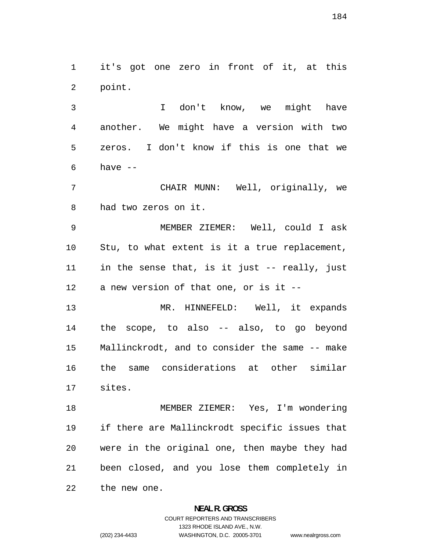it's got one zero in front of it, at this point.

I don't know, we might have another. We might have a version with two zeros. I don't know if this is one that we have  $-$ 

CHAIR MUNN: Well, originally, we had two zeros on it.

MEMBER ZIEMER: Well, could I ask Stu, to what extent is it a true replacement, in the sense that, is it just -- really, just a new version of that one, or is it --

MR. HINNEFELD: Well, it expands the scope, to also -- also, to go beyond Mallinckrodt, and to consider the same -- make the same considerations at other similar sites.

MEMBER ZIEMER: Yes, I'm wondering if there are Mallinckrodt specific issues that were in the original one, then maybe they had been closed, and you lose them completely in the new one.

## **NEAL R. GROSS**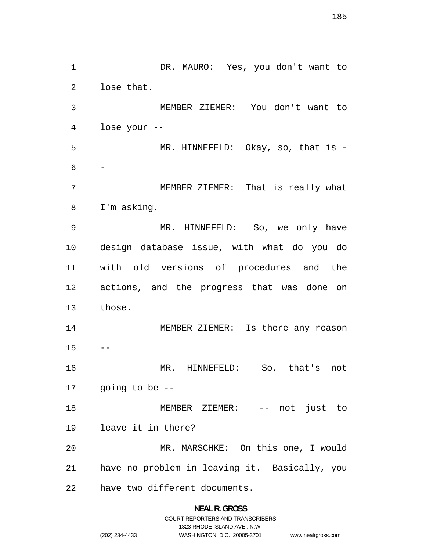DR. MAURO: Yes, you don't want to lose that. MEMBER ZIEMER: You don't want to lose your -- MR. HINNEFELD: Okay, so, that is -  $6 \overline{6}$ MEMBER ZIEMER: That is really what I'm asking. MR. HINNEFELD: So, we only have design database issue, with what do you do with old versions of procedures and the actions, and the progress that was done on those. MEMBER ZIEMER: Is there any reason  $15 - -$ MR. HINNEFELD: So, that's not going to be -- 18 MEMBER ZIEMER: -- not just to leave it in there? MR. MARSCHKE: On this one, I would have no problem in leaving it. Basically, you have two different documents.

www.nealrgross.com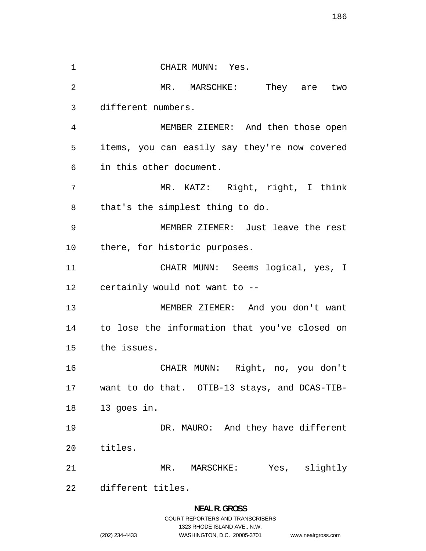1 CHAIR MUNN: Yes. 2 MR. MARSCHKE: They are two different numbers. MEMBER ZIEMER: And then those open items, you can easily say they're now covered in this other document. MR. KATZ: Right, right, I think that's the simplest thing to do. MEMBER ZIEMER: Just leave the rest there, for historic purposes. CHAIR MUNN: Seems logical, yes, I certainly would not want to -- MEMBER ZIEMER: And you don't want to lose the information that you've closed on the issues. CHAIR MUNN: Right, no, you don't want to do that. OTIB-13 stays, and DCAS-TIB-13 goes in. DR. MAURO: And they have different titles. MR. MARSCHKE: Yes, slightly different titles.

## **NEAL R. GROSS**  COURT REPORTERS AND TRANSCRIBERS

1323 RHODE ISLAND AVE., N.W.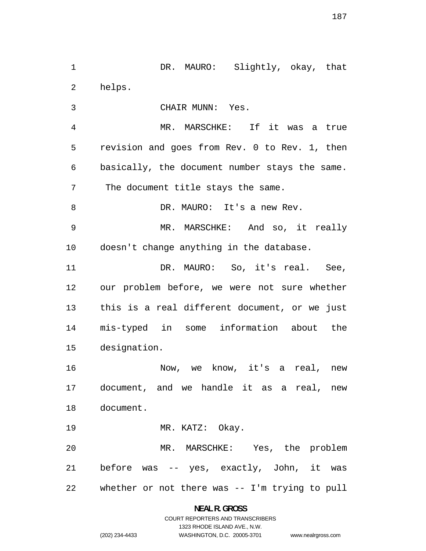helps. CHAIR MUNN: Yes. MR. MARSCHKE: If it was a true revision and goes from Rev. 0 to Rev. 1, then basically, the document number stays the same. The document title stays the same. DR. MAURO: It's a new Rev. MR. MARSCHKE: And so, it really doesn't change anything in the database. 11 DR. MAURO: So, it's real. See, our problem before, we were not sure whether this is a real different document, or we just mis-typed in some information about the designation. Now, we know, it's a real, new document, and we handle it as a real, new document. MR. KATZ: Okay. MR. MARSCHKE: Yes, the problem before was -- yes, exactly, John, it was whether or not there was -- I'm trying to pull

1 DR. MAURO: Slightly, okay, that

**NEAL R. GROSS**  COURT REPORTERS AND TRANSCRIBERS 1323 RHODE ISLAND AVE., N.W. (202) 234-4433 WASHINGTON, D.C. 20005-3701

www.nealrgross.com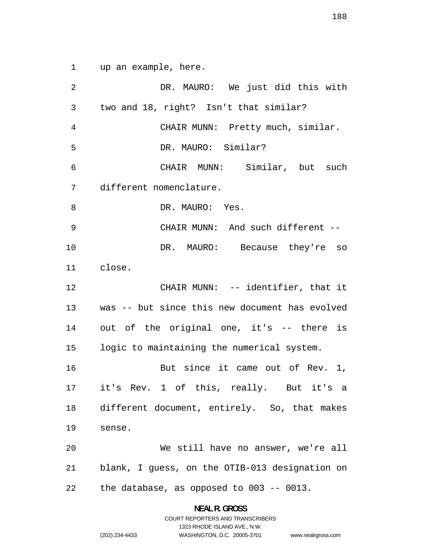up an example, here.

DR. MAURO: We just did this with two and 18, right? Isn't that similar? CHAIR MUNN: Pretty much, similar. DR. MAURO: Similar? CHAIR MUNN: Similar, but such different nomenclature. 8 DR. MAURO: Yes. CHAIR MUNN: And such different -- DR. MAURO: Because they're so close. 12 CHAIR MUNN: -- identifier, that it was -- but since this new document has evolved out of the original one, it's -- there is logic to maintaining the numerical system. 16 But since it came out of Rev. 1, it's Rev. 1 of this, really. But it's a different document, entirely. So, that makes sense. We still have no answer, we're all blank, I guess, on the OTIB-013 designation on the database, as opposed to 003 -- 0013.

> **NEAL R. GROSS**  COURT REPORTERS AND TRANSCRIBERS

> > 1323 RHODE ISLAND AVE., N.W.

(202) 234-4433 WASHINGTON, D.C. 20005-3701 www.nealrgross.com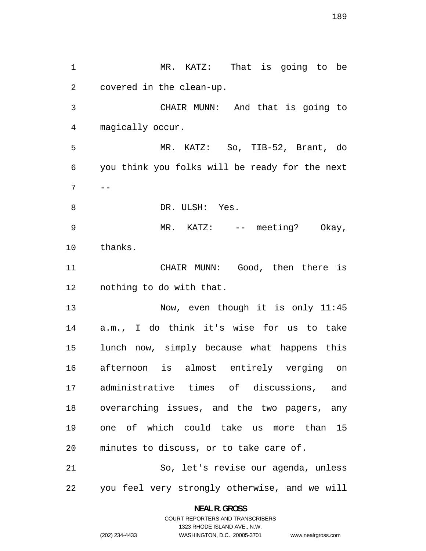MR. KATZ: That is going to be covered in the clean-up. CHAIR MUNN: And that is going to magically occur. MR. KATZ: So, TIB-52, Brant, do you think you folks will be ready for the next  $7 \quad -$ 8 DR. ULSH: Yes. MR. KATZ: -- meeting? Okay, thanks. CHAIR MUNN: Good, then there is nothing to do with that. 13 Now, even though it is only 11:45 a.m., I do think it's wise for us to take lunch now, simply because what happens this afternoon is almost entirely verging on administrative times of discussions, and overarching issues, and the two pagers, any one of which could take us more than 15 minutes to discuss, or to take care of. So, let's revise our agenda, unless you feel very strongly otherwise, and we will

> **NEAL R. GROSS**  COURT REPORTERS AND TRANSCRIBERS

> > 1323 RHODE ISLAND AVE., N.W.

(202) 234-4433 WASHINGTON, D.C. 20005-3701

www.nealrgross.com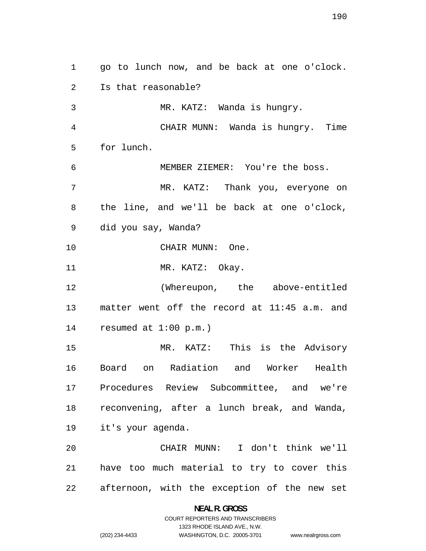go to lunch now, and be back at one o'clock. Is that reasonable? MR. KATZ: Wanda is hungry. CHAIR MUNN: Wanda is hungry. Time for lunch. MEMBER ZIEMER: You're the boss. MR. KATZ: Thank you, everyone on the line, and we'll be back at one o'clock, did you say, Wanda? CHAIR MUNN: One. 11 MR. KATZ: Okay. (Whereupon, the above-entitled matter went off the record at 11:45 a.m. and resumed at 1:00 p.m.) MR. KATZ: This is the Advisory Board on Radiation and Worker Health Procedures Review Subcommittee, and we're reconvening, after a lunch break, and Wanda, it's your agenda. CHAIR MUNN: I don't think we'll have too much material to try to cover this afternoon, with the exception of the new set

> **NEAL R. GROSS**  COURT REPORTERS AND TRANSCRIBERS

> > 1323 RHODE ISLAND AVE., N.W.

(202) 234-4433 WASHINGTON, D.C. 20005-3701

```
www.nealrgross.com
```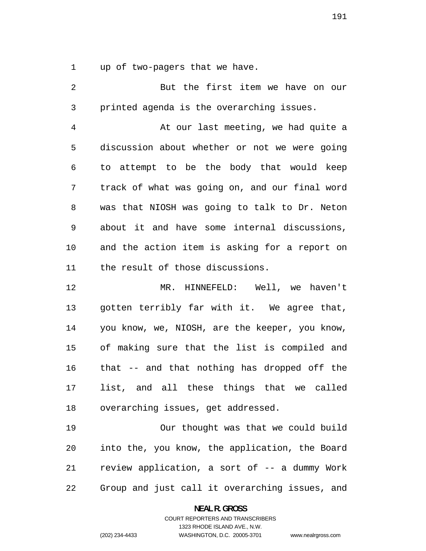up of two-pagers that we have.

But the first item we have on our printed agenda is the overarching issues. At our last meeting, we had quite a discussion about whether or not we were going to attempt to be the body that would keep track of what was going on, and our final word was that NIOSH was going to talk to Dr. Neton about it and have some internal discussions, and the action item is asking for a report on the result of those discussions. MR. HINNEFELD: Well, we haven't gotten terribly far with it. We agree that, you know, we, NIOSH, are the keeper, you know, of making sure that the list is compiled and that -- and that nothing has dropped off the list, and all these things that we called

overarching issues, get addressed.

Our thought was that we could build into the, you know, the application, the Board review application, a sort of -- a dummy Work Group and just call it overarching issues, and

**NEAL R. GROSS** 

COURT REPORTERS AND TRANSCRIBERS 1323 RHODE ISLAND AVE., N.W. (202) 234-4433 WASHINGTON, D.C. 20005-3701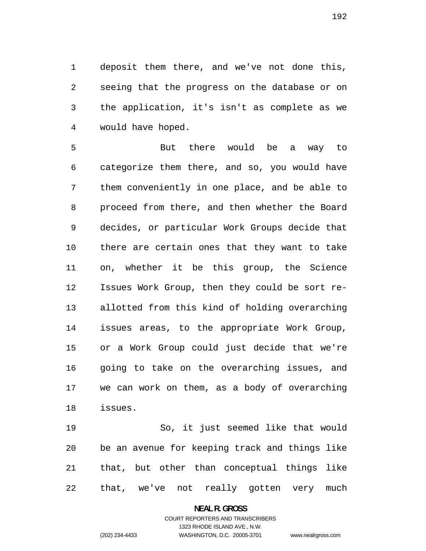deposit them there, and we've not done this, seeing that the progress on the database or on the application, it's isn't as complete as we would have hoped.

But there would be a way to categorize them there, and so, you would have them conveniently in one place, and be able to proceed from there, and then whether the Board decides, or particular Work Groups decide that there are certain ones that they want to take on, whether it be this group, the Science Issues Work Group, then they could be sort re-allotted from this kind of holding overarching issues areas, to the appropriate Work Group, or a Work Group could just decide that we're going to take on the overarching issues, and we can work on them, as a body of overarching issues.

So, it just seemed like that would be an avenue for keeping track and things like that, but other than conceptual things like that, we've not really gotten very much

#### **NEAL R. GROSS**

## COURT REPORTERS AND TRANSCRIBERS 1323 RHODE ISLAND AVE., N.W. (202) 234-4433 WASHINGTON, D.C. 20005-3701

www.nealrgross.com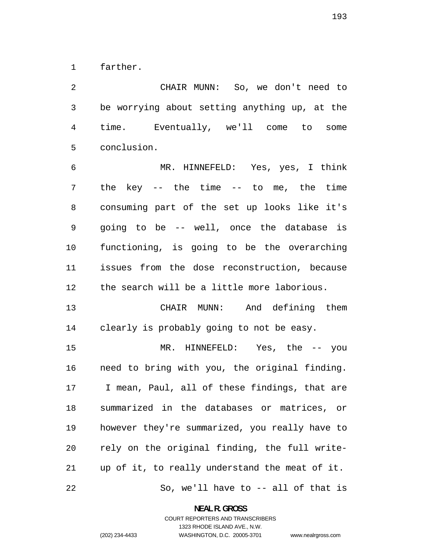farther.

CHAIR MUNN: So, we don't need to be worrying about setting anything up, at the time. Eventually, we'll come to some conclusion.

MR. HINNEFELD: Yes, yes, I think the key -- the time -- to me, the time consuming part of the set up looks like it's going to be -- well, once the database is functioning, is going to be the overarching issues from the dose reconstruction, because the search will be a little more laborious.

CHAIR MUNN: And defining them clearly is probably going to not be easy.

MR. HINNEFELD: Yes, the -- you need to bring with you, the original finding. I mean, Paul, all of these findings, that are summarized in the databases or matrices, or however they're summarized, you really have to rely on the original finding, the full write-up of it, to really understand the meat of it. So, we'll have to -- all of that is

**NEAL R. GROSS**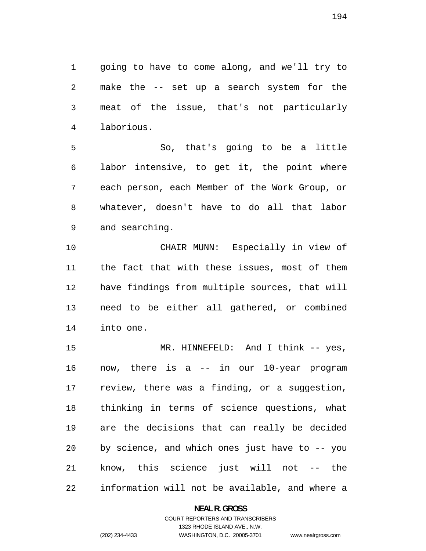going to have to come along, and we'll try to make the -- set up a search system for the meat of the issue, that's not particularly laborious.

So, that's going to be a little labor intensive, to get it, the point where each person, each Member of the Work Group, or whatever, doesn't have to do all that labor and searching.

CHAIR MUNN: Especially in view of the fact that with these issues, most of them have findings from multiple sources, that will need to be either all gathered, or combined into one.

MR. HINNEFELD: And I think -- yes, now, there is a -- in our 10-year program review, there was a finding, or a suggestion, thinking in terms of science questions, what are the decisions that can really be decided by science, and which ones just have to -- you know, this science just will not -- the information will not be available, and where a

### **NEAL R. GROSS**

## COURT REPORTERS AND TRANSCRIBERS 1323 RHODE ISLAND AVE., N.W. (202) 234-4433 WASHINGTON, D.C. 20005-3701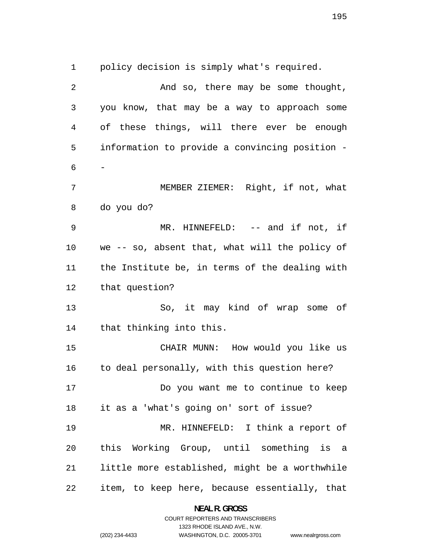policy decision is simply what's required.

| $\overline{2}$ | And so, there may be some thought,             |
|----------------|------------------------------------------------|
| 3              | you know, that may be a way to approach some   |
| 4              | of these things, will there ever be enough     |
| 5              | information to provide a convincing position - |
| 6              | Ξ.                                             |
| 7              | MEMBER ZIEMER: Right, if not, what             |
| 8              | do you do?                                     |
| 9              | MR. HINNEFELD: -- and if not, if               |
| 10             | we -- so, absent that, what will the policy of |
| 11             | the Institute be, in terms of the dealing with |
| 12             | that question?                                 |
| 13             | So, it may kind of wrap some of                |
| 14             | that thinking into this.                       |
| 15             | CHAIR MUNN: How would you like us              |
| 16             | to deal personally, with this question here?   |
| 17             | Do you want me to continue to keep             |
| 18             | it as a 'what's going on' sort of issue?       |
| 19             | MR. HINNEFELD: I think a report of             |
| 20             | this Working Group, until something is a       |
| 21             | little more established, might be a worthwhile |
| 22             | item, to keep here, because essentially, that  |

**NEAL R. GROSS**  COURT REPORTERS AND TRANSCRIBERS

1323 RHODE ISLAND AVE., N.W.

(202) 234-4433 WASHINGTON, D.C. 20005-3701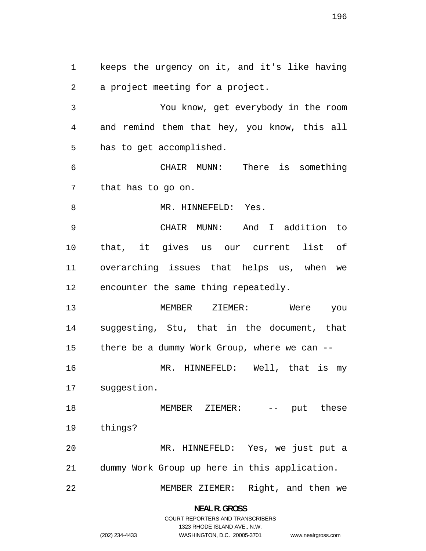keeps the urgency on it, and it's like having a project meeting for a project. You know, get everybody in the room and remind them that hey, you know, this all has to get accomplished. CHAIR MUNN: There is something that has to go on. 8 MR. HINNEFELD: Yes. CHAIR MUNN: And I addition to that, it gives us our current list of overarching issues that helps us, when we encounter the same thing repeatedly. MEMBER ZIEMER: Were you suggesting, Stu, that in the document, that there be a dummy Work Group, where we can -- MR. HINNEFELD: Well, that is my suggestion. 18 MEMBER ZIEMER: -- put these things? MR. HINNEFELD: Yes, we just put a dummy Work Group up here in this application. MEMBER ZIEMER: Right, and then we

> **NEAL R. GROSS**  COURT REPORTERS AND TRANSCRIBERS

> > 1323 RHODE ISLAND AVE., N.W.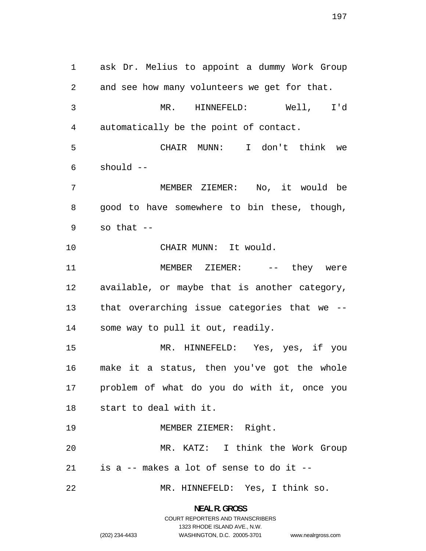ask Dr. Melius to appoint a dummy Work Group and see how many volunteers we get for that. MR. HINNEFELD: Well, I'd automatically be the point of contact. CHAIR MUNN: I don't think we should -- MEMBER ZIEMER: No, it would be good to have somewhere to bin these, though, so that  $-$ CHAIR MUNN: It would. 11 MEMBER ZIEMER: -- they were available, or maybe that is another category, that overarching issue categories that we -- some way to pull it out, readily. MR. HINNEFELD: Yes, yes, if you make it a status, then you've got the whole problem of what do you do with it, once you start to deal with it. MEMBER ZIEMER: Right. MR. KATZ: I think the Work Group is a -- makes a lot of sense to do it -- MR. HINNEFELD: Yes, I think so.

> **NEAL R. GROSS**  COURT REPORTERS AND TRANSCRIBERS

> > 1323 RHODE ISLAND AVE., N.W.

www.nealrgross.com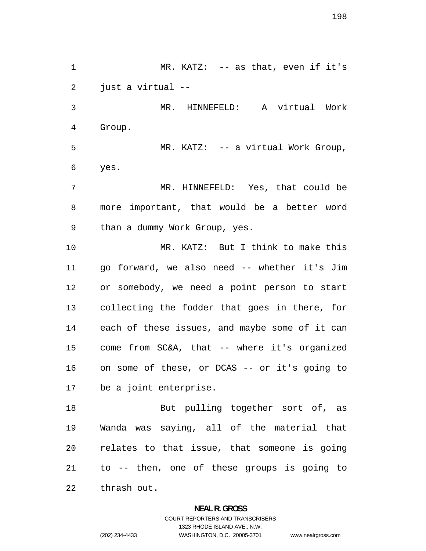MR. KATZ: -- as that, even if it's just a virtual -- MR. HINNEFELD: A virtual Work Group. MR. KATZ: -- a virtual Work Group, yes. MR. HINNEFELD: Yes, that could be more important, that would be a better word than a dummy Work Group, yes. MR. KATZ: But I think to make this go forward, we also need -- whether it's Jim or somebody, we need a point person to start collecting the fodder that goes in there, for each of these issues, and maybe some of it can come from SC&A, that -- where it's organized on some of these, or DCAS -- or it's going to be a joint enterprise. 18 But pulling together sort of, as Wanda was saying, all of the material that relates to that issue, that someone is going to -- then, one of these groups is going to thrash out.

> **NEAL R. GROSS**  COURT REPORTERS AND TRANSCRIBERS

> > 1323 RHODE ISLAND AVE., N.W.

(202) 234-4433 WASHINGTON, D.C. 20005-3701

www.nealrgross.com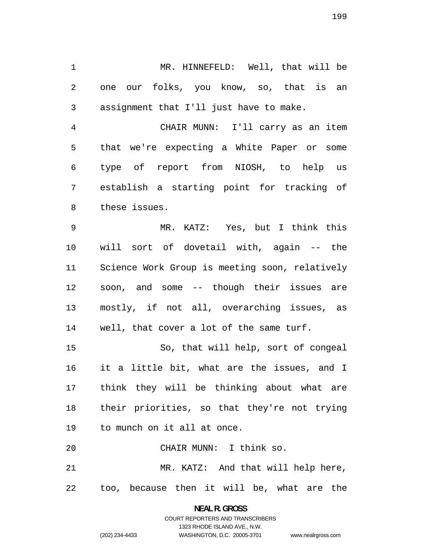MR. HINNEFELD: Well, that will be one our folks, you know, so, that is an assignment that I'll just have to make.

CHAIR MUNN: I'll carry as an item that we're expecting a White Paper or some type of report from NIOSH, to help us establish a starting point for tracking of these issues.

MR. KATZ: Yes, but I think this will sort of dovetail with, again -- the Science Work Group is meeting soon, relatively soon, and some -- though their issues are mostly, if not all, overarching issues, as well, that cover a lot of the same turf.

So, that will help, sort of congeal it a little bit, what are the issues, and I think they will be thinking about what are their priorities, so that they're not trying to munch on it all at once.

CHAIR MUNN: I think so. MR. KATZ: And that will help here, too, because then it will be, what are the

# **NEAL R. GROSS**  COURT REPORTERS AND TRANSCRIBERS 1323 RHODE ISLAND AVE., N.W. (202) 234-4433 WASHINGTON, D.C. 20005-3701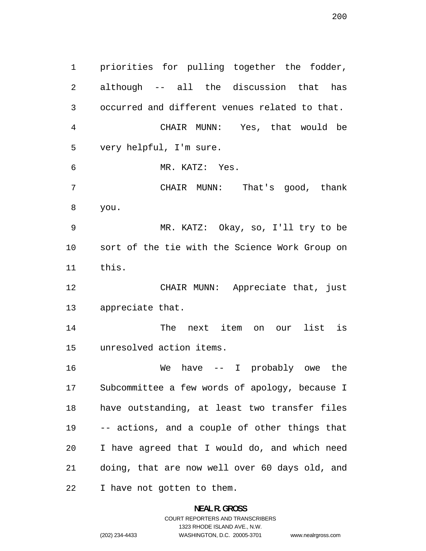priorities for pulling together the fodder, although -- all the discussion that has occurred and different venues related to that. CHAIR MUNN: Yes, that would be very helpful, I'm sure. MR. KATZ: Yes. CHAIR MUNN: That's good, thank you. MR. KATZ: Okay, so, I'll try to be sort of the tie with the Science Work Group on this. CHAIR MUNN: Appreciate that, just appreciate that. The next item on our list is unresolved action items. We have -- I probably owe the Subcommittee a few words of apology, because I have outstanding, at least two transfer files -- actions, and a couple of other things that I have agreed that I would do, and which need doing, that are now well over 60 days old, and I have not gotten to them.

> **NEAL R. GROSS**  COURT REPORTERS AND TRANSCRIBERS 1323 RHODE ISLAND AVE., N.W. (202) 234-4433 WASHINGTON, D.C. 20005-3701 www.nealrgross.com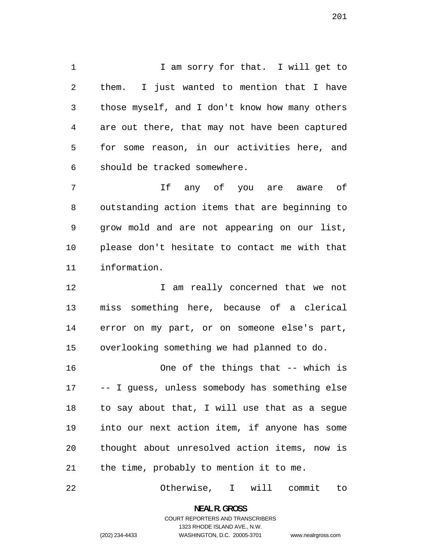1 I am sorry for that. I will get to them. I just wanted to mention that I have those myself, and I don't know how many others are out there, that may not have been captured for some reason, in our activities here, and should be tracked somewhere.

If any of you are aware of outstanding action items that are beginning to grow mold and are not appearing on our list, please don't hesitate to contact me with that information.

I am really concerned that we not miss something here, because of a clerical error on my part, or on someone else's part, overlooking something we had planned to do.

One of the things that -- which is -- I guess, unless somebody has something else to say about that, I will use that as a segue into our next action item, if anyone has some thought about unresolved action items, now is the time, probably to mention it to me.

Otherwise, I will commit to

**NEAL R. GROSS**  COURT REPORTERS AND TRANSCRIBERS

1323 RHODE ISLAND AVE., N.W.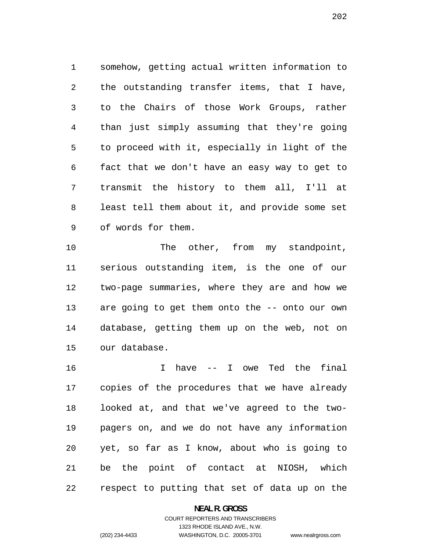somehow, getting actual written information to the outstanding transfer items, that I have, to the Chairs of those Work Groups, rather than just simply assuming that they're going to proceed with it, especially in light of the fact that we don't have an easy way to get to transmit the history to them all, I'll at least tell them about it, and provide some set of words for them.

10 The other, from my standpoint, serious outstanding item, is the one of our two-page summaries, where they are and how we are going to get them onto the -- onto our own database, getting them up on the web, not on our database.

I have -- I owe Ted the final copies of the procedures that we have already looked at, and that we've agreed to the two-pagers on, and we do not have any information yet, so far as I know, about who is going to be the point of contact at NIOSH, which respect to putting that set of data up on the

**NEAL R. GROSS**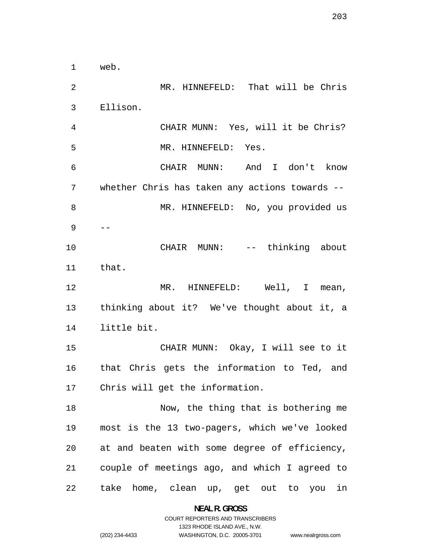web. MR. HINNEFELD: That will be Chris Ellison. CHAIR MUNN: Yes, will it be Chris? MR. HINNEFELD: Yes. CHAIR MUNN: And I don't know whether Chris has taken any actions towards -- 8 MR. HINNEFELD: No, you provided us -- CHAIR MUNN: -- thinking about that. 12 MR. HINNEFELD: Well, I mean, thinking about it? We've thought about it, a little bit. CHAIR MUNN: Okay, I will see to it that Chris gets the information to Ted, and Chris will get the information. Now, the thing that is bothering me most is the 13 two-pagers, which we've looked at and beaten with some degree of efficiency, couple of meetings ago, and which I agreed to take home, clean up, get out to you in

> **NEAL R. GROSS**  COURT REPORTERS AND TRANSCRIBERS

> > 1323 RHODE ISLAND AVE., N.W.

(202) 234-4433 WASHINGTON, D.C. 20005-3701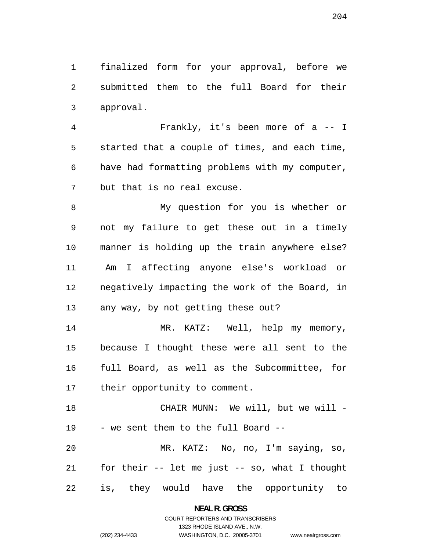finalized form for your approval, before we submitted them to the full Board for their approval.

Frankly, it's been more of a -- I started that a couple of times, and each time, have had formatting problems with my computer, but that is no real excuse.

My question for you is whether or not my failure to get these out in a timely manner is holding up the train anywhere else? Am I affecting anyone else's workload or negatively impacting the work of the Board, in any way, by not getting these out?

14 MR. KATZ: Well, help my memory, because I thought these were all sent to the full Board, as well as the Subcommittee, for their opportunity to comment.

18 CHAIR MUNN: We will, but we will -- we sent them to the full Board -- MR. KATZ: No, no, I'm saying, so, for their -- let me just -- so, what I thought

is, they would have the opportunity to

**NEAL R. GROSS**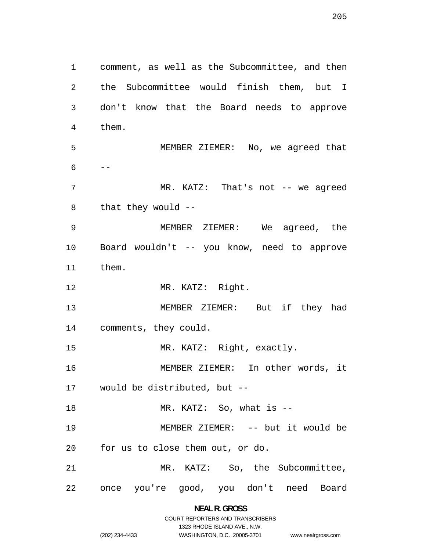comment, as well as the Subcommittee, and then the Subcommittee would finish them, but I don't know that the Board needs to approve them. MEMBER ZIEMER: No, we agreed that  $6 - -$ 7 MR. KATZ: That's not -- we agreed that they would -- MEMBER ZIEMER: We agreed, the Board wouldn't -- you know, need to approve MEMBER ZIEMER: But if they had comments, they could. MR. KATZ: Right, exactly. MEMBER ZIEMER: In other words, it would be distributed, but -- MR. KATZ: So, what is -- MEMBER ZIEMER: -- but it would be for us to close them out, or do. MR. KATZ: So, the Subcommittee, once you're good, you don't need Board

them.

MR. KATZ: Right.

**NEAL R. GROSS**  COURT REPORTERS AND TRANSCRIBERS

1323 RHODE ISLAND AVE., N.W.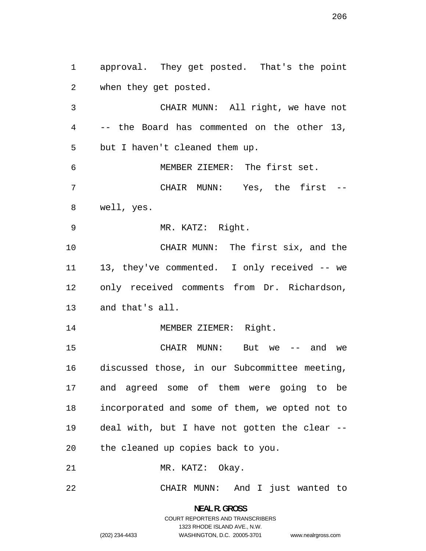approval. They get posted. That's the point when they get posted. CHAIR MUNN: All right, we have not

-- the Board has commented on the other 13, but I haven't cleaned them up. MEMBER ZIEMER: The first set. CHAIR MUNN: Yes, the first -- well, yes. MR. KATZ: Right. CHAIR MUNN: The first six, and the 13, they've commented. I only received -- we only received comments from Dr. Richardson, and that's all. 14 MEMBER ZIEMER: Right. CHAIR MUNN: But we -- and we discussed those, in our Subcommittee meeting,

and agreed some of them were going to be incorporated and some of them, we opted not to deal with, but I have not gotten the clear -- the cleaned up copies back to you.

21 MR. KATZ: Okay.

CHAIR MUNN: And I just wanted to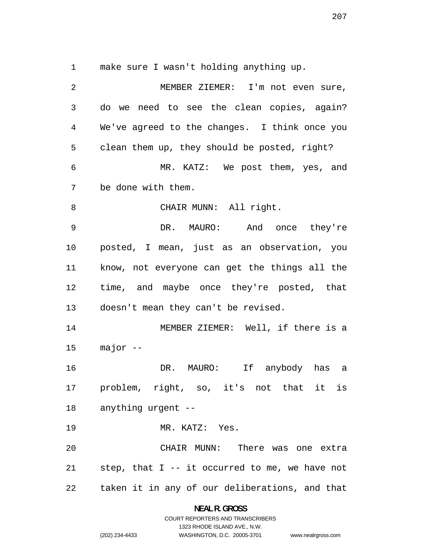make sure I wasn't holding anything up.

MEMBER ZIEMER: I'm not even sure, do we need to see the clean copies, again? We've agreed to the changes. I think once you clean them up, they should be posted, right? MR. KATZ: We post them, yes, and be done with them. 8 CHAIR MUNN: All right. DR. MAURO: And once they're posted, I mean, just as an observation, you know, not everyone can get the things all the time, and maybe once they're posted, that doesn't mean they can't be revised. MEMBER ZIEMER: Well, if there is a major -- DR. MAURO: If anybody has a problem, right, so, it's not that it is anything urgent -- MR. KATZ: Yes. CHAIR MUNN: There was one extra step, that I -- it occurred to me, we have not taken it in any of our deliberations, and that

> **NEAL R. GROSS**  COURT REPORTERS AND TRANSCRIBERS

> > 1323 RHODE ISLAND AVE., N.W.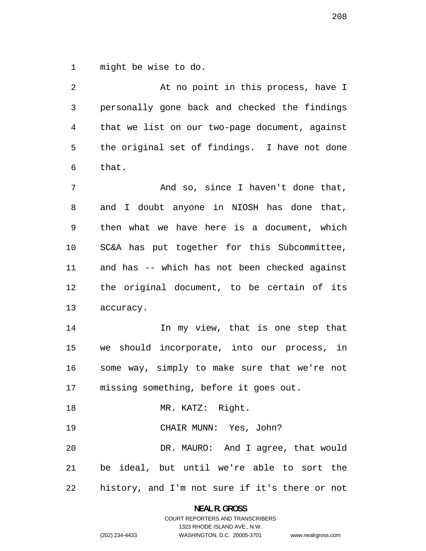might be wise to do.

| 2              | At no point in this process, have I            |
|----------------|------------------------------------------------|
| 3              | personally gone back and checked the findings  |
| $\overline{4}$ | that we list on our two-page document, against |
| 5              | the original set of findings. I have not done  |
| 6              | that.                                          |
| 7              | And so, since I haven't done that,             |
| 8              | and I doubt anyone in NIOSH has done that,     |
| 9              | then what we have here is a document, which    |
| 10             | SC&A has put together for this Subcommittee,   |
| 11             | and has -- which has not been checked against  |
| 12             | the original document, to be certain of its    |
| 13             | accuracy.                                      |
| 14             | In my view, that is one step that              |
| 15             | we should incorporate, into our process, in    |
| 16             | some way, simply to make sure that we're not   |
| 17             | missing something, before it goes out.         |
| 18             | MR. KATZ: Right.                               |
| 19             | CHAIR MUNN: Yes, John?                         |
| 20             | DR. MAURO: And I agree, that would             |
| 21             | be ideal, but until we're able to sort the     |
| 22             | history, and I'm not sure if it's there or not |

**NEAL R. GROSS** 

# COURT REPORTERS AND TRANSCRIBERS 1323 RHODE ISLAND AVE., N.W. (202) 234-4433 WASHINGTON, D.C. 20005-3701

www.nealrgross.com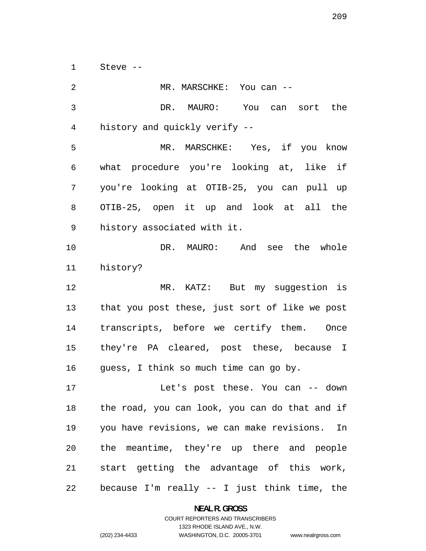Steve --

DR. MAURO: You can sort the history and quickly verify -- MR. MARSCHKE: Yes, if you know what procedure you're looking at, like if you're looking at OTIB-25, you can pull up OTIB-25, open it up and look at all the history associated with it. DR. MAURO: And see the whole history? MR. KATZ: But my suggestion is that you post these, just sort of like we post transcripts, before we certify them. Once they're PA cleared, post these, because I guess, I think so much time can go by. Let's post these. You can -- down the road, you can look, you can do that and if you have revisions, we can make revisions. In the meantime, they're up there and people start getting the advantage of this work, because I'm really -- I just think time, the

2 MR. MARSCHKE: You can --

**NEAL R. GROSS** 

COURT REPORTERS AND TRANSCRIBERS 1323 RHODE ISLAND AVE., N.W. (202) 234-4433 WASHINGTON, D.C. 20005-3701

www.nealrgross.com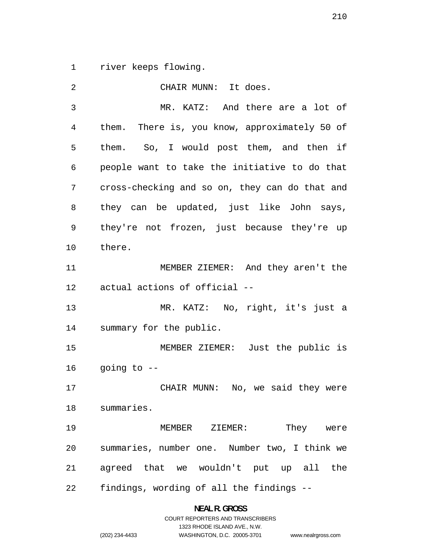river keeps flowing.

| $\overline{2}$ | CHAIR MUNN: It does.                           |
|----------------|------------------------------------------------|
| 3              | MR. KATZ: And there are a lot of               |
| 4              | them. There is, you know, approximately 50 of  |
| 5              | them. So, I would post them, and then if       |
| 6              | people want to take the initiative to do that  |
| 7              | cross-checking and so on, they can do that and |
| 8              | they can be updated, just like John says,      |
| 9              | they're not frozen, just because they're up    |
| 10             | there.                                         |
| 11             | MEMBER ZIEMER: And they aren't the             |
| 12             | actual actions of official --                  |
| 13             | MR. KATZ: No, right, it's just a               |
| 14             | summary for the public.                        |
| 15             | MEMBER ZIEMER: Just the public is              |
| 16             | going to --                                    |
| 17             | CHAIR MUNN: No, we said they were              |
|                | 18 summaries.                                  |
| 19             | MEMBER ZIEMER:<br>They were                    |
| 20             | summaries, number one. Number two, I think we  |
| 21             | agreed that we wouldn't put up all the         |
| 22             | findings, wording of all the findings --       |

**NEAL R. GROSS**  COURT REPORTERS AND TRANSCRIBERS

1323 RHODE ISLAND AVE., N.W.

(202) 234-4433 WASHINGTON, D.C. 20005-3701 www.nealrgross.com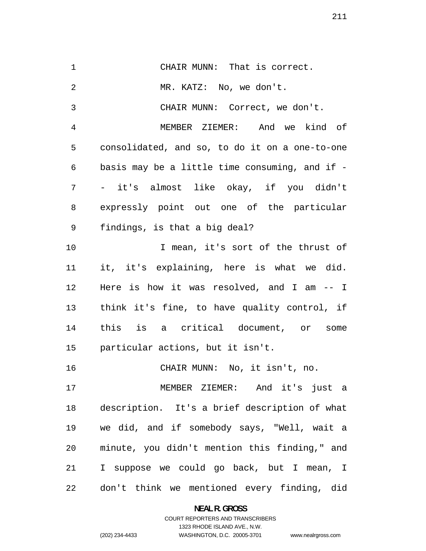CHAIR MUNN: That is correct. MR. KATZ: No, we don't. CHAIR MUNN: Correct, we don't. MEMBER ZIEMER: And we kind of consolidated, and so, to do it on a one-to-one basis may be a little time consuming, and if - - it's almost like okay, if you didn't expressly point out one of the particular findings, is that a big deal? I mean, it's sort of the thrust of it, it's explaining, here is what we did. Here is how it was resolved, and I am -- I think it's fine, to have quality control, if this is a critical document, or some particular actions, but it isn't. CHAIR MUNN: No, it isn't, no. MEMBER ZIEMER: And it's just a description. It's a brief description of what we did, and if somebody says, "Well, wait a minute, you didn't mention this finding," and I suppose we could go back, but I mean, I don't think we mentioned every finding, did

> **NEAL R. GROSS**  COURT REPORTERS AND TRANSCRIBERS

> > 1323 RHODE ISLAND AVE., N.W.

(202) 234-4433 WASHINGTON, D.C. 20005-3701

www.nealrgross.com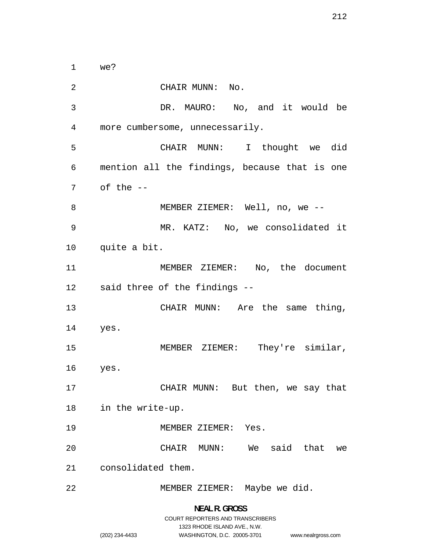CHAIR MUNN: No. DR. MAURO: No, and it would be more cumbersome, unnecessarily. CHAIR MUNN: I thought we did mention all the findings, because that is one of the -- 8 MEMBER ZIEMER: Well, no, we --MR. KATZ: No, we consolidated it quite a bit. 11 MEMBER ZIEMER: No, the document said three of the findings -- 13 CHAIR MUNN: Are the same thing, yes. MEMBER ZIEMER: They're similar, yes. CHAIR MUNN: But then, we say that in the write-up. MEMBER ZIEMER: Yes. CHAIR MUNN: We said that we consolidated them. MEMBER ZIEMER: Maybe we did.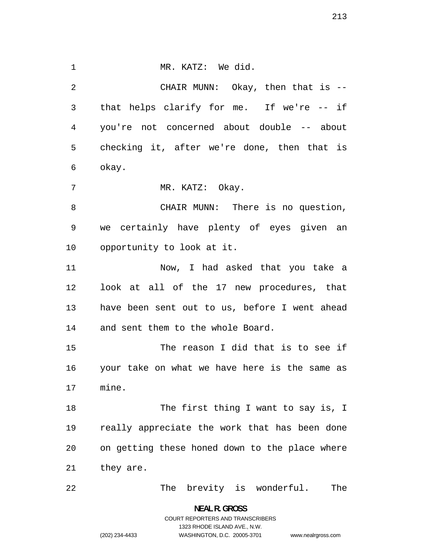1 MR. KATZ: We did. CHAIR MUNN: Okay, then that is -- that helps clarify for me. If we're -- if you're not concerned about double -- about checking it, after we're done, then that is okay. 7 MR. KATZ: Okay. CHAIR MUNN: There is no question, we certainly have plenty of eyes given an opportunity to look at it. Now, I had asked that you take a look at all of the 17 new procedures, that have been sent out to us, before I went ahead and sent them to the whole Board. The reason I did that is to see if your take on what we have here is the same as mine. 18 The first thing I want to say is, I really appreciate the work that has been done on getting these honed down to the place where they are. 22 The brevity is wonderful. The

> **NEAL R. GROSS**  COURT REPORTERS AND TRANSCRIBERS 1323 RHODE ISLAND AVE., N.W. (202) 234-4433 WASHINGTON, D.C. 20005-3701

www.nealrgross.com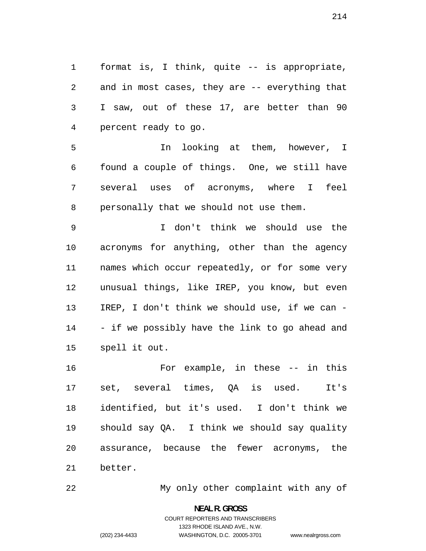format is, I think, quite -- is appropriate, and in most cases, they are -- everything that I saw, out of these 17, are better than 90 percent ready to go.

In looking at them, however, I found a couple of things. One, we still have several uses of acronyms, where I feel personally that we should not use them.

I don't think we should use the acronyms for anything, other than the agency names which occur repeatedly, or for some very unusual things, like IREP, you know, but even IREP, I don't think we should use, if we can - - if we possibly have the link to go ahead and spell it out.

For example, in these -- in this set, several times, QA is used. It's identified, but it's used. I don't think we should say QA. I think we should say quality assurance, because the fewer acronyms, the better.

My only other complaint with any of

**NEAL R. GROSS**  COURT REPORTERS AND TRANSCRIBERS

1323 RHODE ISLAND AVE., N.W.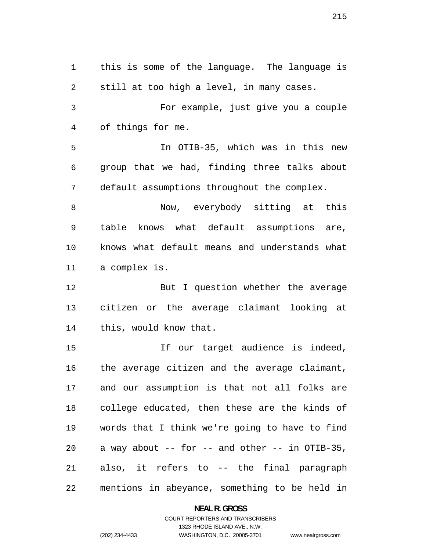this is some of the language. The language is still at too high a level, in many cases. For example, just give you a couple of things for me. In OTIB-35, which was in this new group that we had, finding three talks about default assumptions throughout the complex. Now, everybody sitting at this table knows what default assumptions are, knows what default means and understands what a complex is. But I question whether the average citizen or the average claimant looking at this, would know that. If our target audience is indeed, the average citizen and the average claimant, and our assumption is that not all folks are college educated, then these are the kinds of words that I think we're going to have to find 20 a way about  $--$  for  $--$  and other  $--$  in OTIB-35, also, it refers to -- the final paragraph mentions in abeyance, something to be held in

**NEAL R. GROSS** 

COURT REPORTERS AND TRANSCRIBERS 1323 RHODE ISLAND AVE., N.W. (202) 234-4433 WASHINGTON, D.C. 20005-3701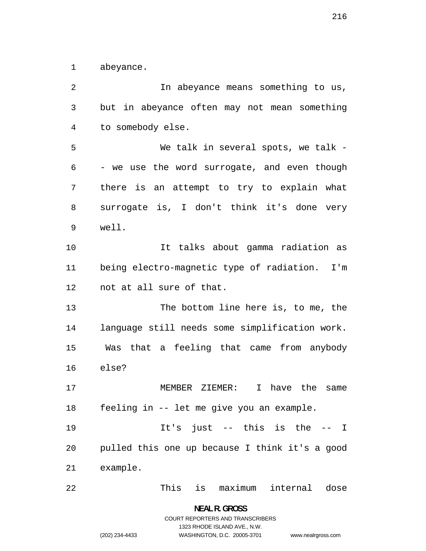abeyance.

In abeyance means something to us, but in abeyance often may not mean something to somebody else. We talk in several spots, we talk - - we use the word surrogate, and even though there is an attempt to try to explain what surrogate is, I don't think it's done very well. It talks about gamma radiation as being electro-magnetic type of radiation. I'm not at all sure of that. The bottom line here is, to me, the language still needs some simplification work. Was that a feeling that came from anybody else? MEMBER ZIEMER: I have the same feeling in -- let me give you an example. It's just -- this is the -- I pulled this one up because I think it's a good example. This is maximum internal dose

> **NEAL R. GROSS**  COURT REPORTERS AND TRANSCRIBERS 1323 RHODE ISLAND AVE., N.W.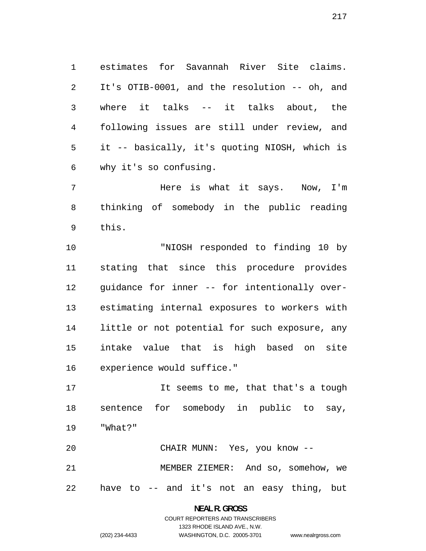estimates for Savannah River Site claims. It's OTIB-0001, and the resolution -- oh, and where it talks -- it talks about, the following issues are still under review, and it -- basically, it's quoting NIOSH, which is why it's so confusing.

7 Here is what it says. Now, I'm thinking of somebody in the public reading this.

"NIOSH responded to finding 10 by stating that since this procedure provides guidance for inner -- for intentionally over-estimating internal exposures to workers with little or not potential for such exposure, any intake value that is high based on site experience would suffice."

 sentence for somebody in public to say, "What?" It seems to me, that that's a tough

 CHAIR MUNN: Yes, you know -- MEMBER ZIEMER: And so, somehow, we have to -- and it's not an easy thing, but 

> **NEAL R. GROSS**  COURT REPORTERS AND TRANSCRIBERS 1323 RHODE ISLAND AVE., N.W. (202) 234-4433 WASHINGTON, D.C. 20005-3701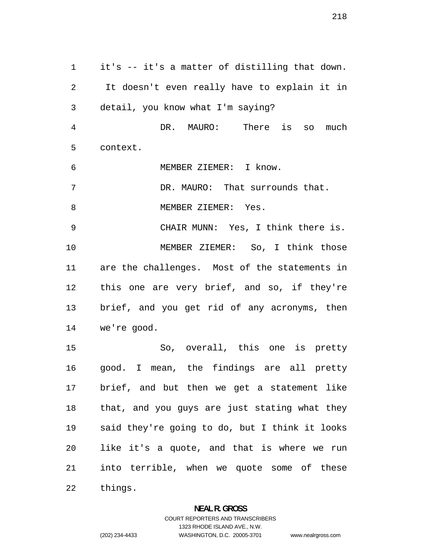it's -- it's a matter of distilling that down. It doesn't even really have to explain it in detail, you know what I'm saying? DR. MAURO: There is so much context. MEMBER ZIEMER: I know. DR. MAURO: That surrounds that. 8 MEMBER ZIEMER: Yes. CHAIR MUNN: Yes, I think there is. MEMBER ZIEMER: So, I think those are the challenges. Most of the statements in this one are very brief, and so, if they're brief, and you get rid of any acronyms, then we're good. So, overall, this one is pretty good. I mean, the findings are all pretty brief, and but then we get a statement like that, and you guys are just stating what they said they're going to do, but I think it looks like it's a quote, and that is where we run into terrible, when we quote some of these things.

#### **NEAL R. GROSS**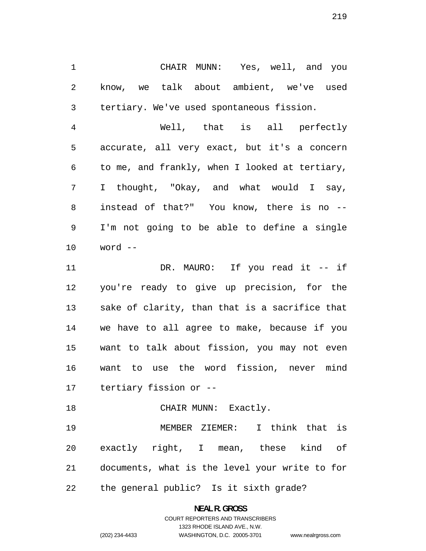CHAIR MUNN: Yes, well, and you know, we talk about ambient, we've used tertiary. We've used spontaneous fission.

Well, that is all perfectly accurate, all very exact, but it's a concern to me, and frankly, when I looked at tertiary, I thought, "Okay, and what would I say, instead of that?" You know, there is no -- I'm not going to be able to define a single word --

DR. MAURO: If you read it -- if you're ready to give up precision, for the sake of clarity, than that is a sacrifice that we have to all agree to make, because if you want to talk about fission, you may not even want to use the word fission, never mind tertiary fission or --

18 CHAIR MUNN: Exactly.

MEMBER ZIEMER: I think that is exactly right, I mean, these kind of documents, what is the level your write to for the general public? Is it sixth grade?

**NEAL R. GROSS**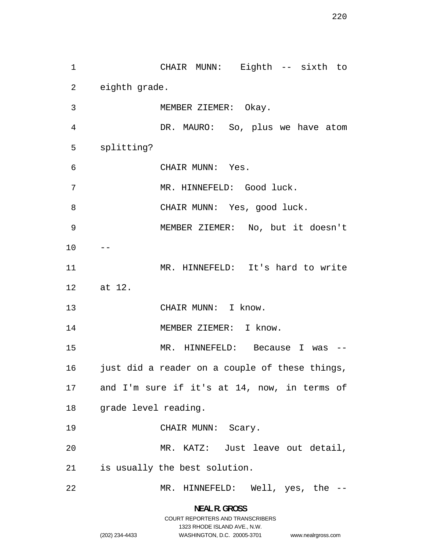CHAIR MUNN: Eighth -- sixth to eighth grade. MEMBER ZIEMER: Okay. DR. MAURO: So, plus we have atom splitting? CHAIR MUNN: Yes. 7 MR. HINNEFELD: Good luck. 8 CHAIR MUNN: Yes, good luck. MEMBER ZIEMER: No, but it doesn't  $10 - -$ MR. HINNEFELD: It's hard to write 12 at 12. 13 CHAIR MUNN: I know. 14 MEMBER ZIEMER: I know. MR. HINNEFELD: Because I was -- 16 just did a reader on a couple of these things, and I'm sure if it's at 14, now, in terms of grade level reading. 19 CHAIR MUNN: Scary. MR. KATZ: Just leave out detail, is usually the best solution. MR. HINNEFELD: Well, yes, the --

> **NEAL R. GROSS**  COURT REPORTERS AND TRANSCRIBERS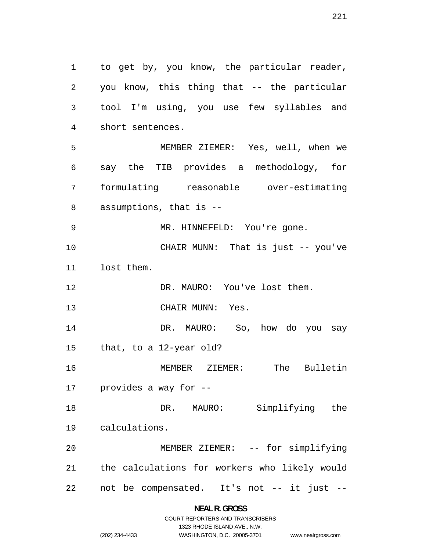to get by, you know, the particular reader, you know, this thing that -- the particular tool I'm using, you use few syllables and short sentences. MEMBER ZIEMER: Yes, well, when we say the TIB provides a methodology, for formulating reasonable over-estimating assumptions, that is -- MR. HINNEFELD: You're gone. CHAIR MUNN: That is just -- you've lost them. DR. MAURO: You've lost them. CHAIR MUNN: Yes. DR. MAURO: So, how do you say that, to a 12-year old? MEMBER ZIEMER: The Bulletin provides a way for -- DR. MAURO: Simplifying the calculations. MEMBER ZIEMER: -- for simplifying the calculations for workers who likely would not be compensated. It's not -- it just --

> **NEAL R. GROSS**  COURT REPORTERS AND TRANSCRIBERS

> > 1323 RHODE ISLAND AVE., N.W.

www.nealrgross.com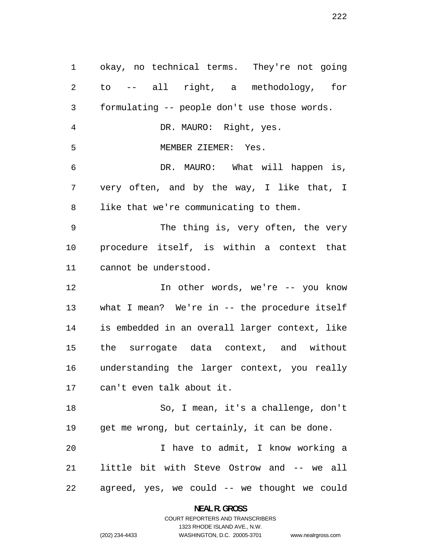okay, no technical terms. They're not going to -- all right, a methodology, for formulating -- people don't use those words. DR. MAURO: Right, yes. MEMBER ZIEMER: Yes. DR. MAURO: What will happen is, very often, and by the way, I like that, I like that we're communicating to them. The thing is, very often, the very procedure itself, is within a context that cannot be understood. In other words, we're -- you know what I mean? We're in -- the procedure itself is embedded in an overall larger context, like the surrogate data context, and without understanding the larger context, you really can't even talk about it. So, I mean, it's a challenge, don't get me wrong, but certainly, it can be done. I have to admit, I know working a little bit with Steve Ostrow and -- we all agreed, yes, we could -- we thought we could

**NEAL R. GROSS** 

COURT REPORTERS AND TRANSCRIBERS 1323 RHODE ISLAND AVE., N.W. (202) 234-4433 WASHINGTON, D.C. 20005-3701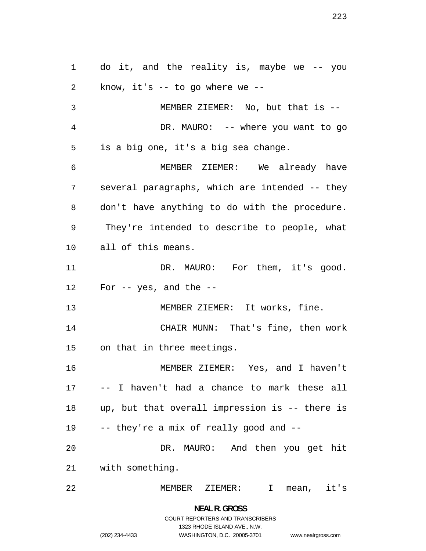do it, and the reality is, maybe we -- you know, it's -- to go where we -- MEMBER ZIEMER: No, but that is -- 4 DR. MAURO: -- where you want to go is a big one, it's a big sea change. MEMBER ZIEMER: We already have several paragraphs, which are intended -- they don't have anything to do with the procedure. They're intended to describe to people, what all of this means. 11 DR. MAURO: For them, it's good. For  $-$  yes, and the  $-$ 13 MEMBER ZIEMER: It works, fine. CHAIR MUNN: That's fine, then work on that in three meetings. MEMBER ZIEMER: Yes, and I haven't -- I haven't had a chance to mark these all up, but that overall impression is -- there is -- they're a mix of really good and -- DR. MAURO: And then you get hit with something. MEMBER ZIEMER: I mean, it's

> **NEAL R. GROSS**  COURT REPORTERS AND TRANSCRIBERS 1323 RHODE ISLAND AVE., N.W. (202) 234-4433 WASHINGTON, D.C. 20005-3701

www.nealrgross.com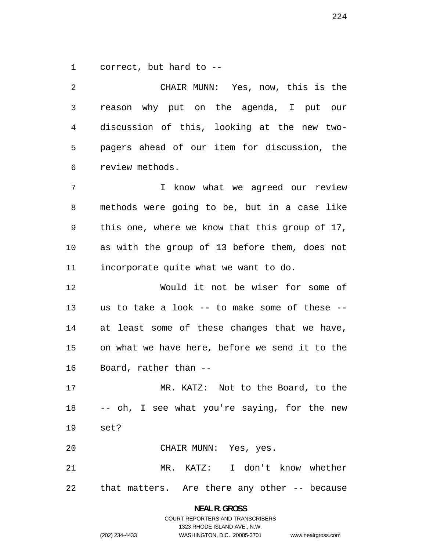correct, but hard to --

CHAIR MUNN: Yes, now, this is the reason why put on the agenda, I put our discussion of this, looking at the new two-pagers ahead of our item for discussion, the review methods. I know what we agreed our review methods were going to be, but in a case like this one, where we know that this group of 17, as with the group of 13 before them, does not incorporate quite what we want to do. Would it not be wiser for some of us to take a look -- to make some of these -- at least some of these changes that we have, on what we have here, before we send it to the Board, rather than -- MR. KATZ: Not to the Board, to the -- oh, I see what you're saying, for the new set? CHAIR MUNN: Yes, yes. MR. KATZ: I don't know whether

that matters. Are there any other -- because

**NEAL R. GROSS**  COURT REPORTERS AND TRANSCRIBERS

1323 RHODE ISLAND AVE., N.W.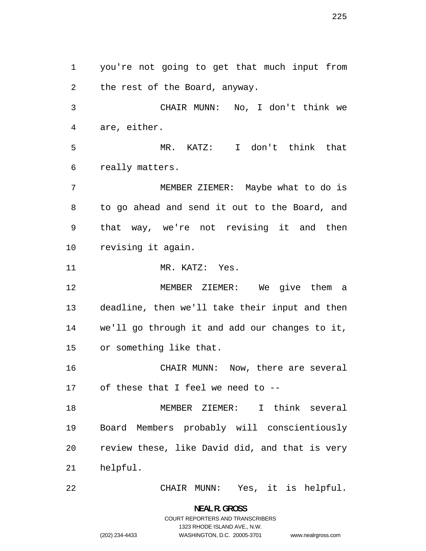you're not going to get that much input from the rest of the Board, anyway. CHAIR MUNN: No, I don't think we are, either. MR. KATZ: I don't think that really matters. MEMBER ZIEMER: Maybe what to do is to go ahead and send it out to the Board, and that way, we're not revising it and then revising it again. MR. KATZ: Yes. MEMBER ZIEMER: We give them a deadline, then we'll take their input and then we'll go through it and add our changes to it, or something like that. CHAIR MUNN: Now, there are several of these that I feel we need to -- MEMBER ZIEMER: I think several Board Members probably will conscientiously review these, like David did, and that is very helpful. CHAIR MUNN: Yes, it is helpful.

> **NEAL R. GROSS**  COURT REPORTERS AND TRANSCRIBERS 1323 RHODE ISLAND AVE., N.W. (202) 234-4433 WASHINGTON, D.C. 20005-3701

www.nealrgross.com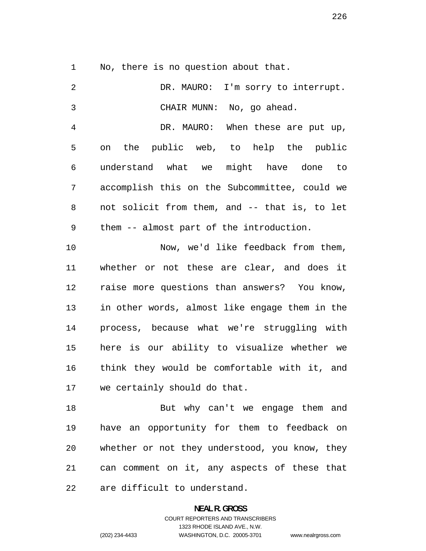No, there is no question about that.

| 2              | DR. MAURO: I'm sorry to interrupt.             |
|----------------|------------------------------------------------|
| 3              | CHAIR MUNN: No, go ahead.                      |
| $\overline{4}$ | DR. MAURO: When these are put up,              |
| 5              | on the public web, to help the public          |
| $\epsilon$     | understand what we might have done to          |
| 7              | accomplish this on the Subcommittee, could we  |
| 8              | not solicit from them, and -- that is, to let  |
| 9              | them -- almost part of the introduction.       |
| 10             | Now, we'd like feedback from them,             |
| 11             | whether or not these are clear, and does it    |
| 12             | raise more questions than answers? You know,   |
| 13             | in other words, almost like engage them in the |
| 14             | process, because what we're struggling with    |
| 15             | here is our ability to visualize whether we    |
| 16             | think they would be comfortable with it, and   |
| 17             | we certainly should do that.                   |
| 18             | But why can't we engage them and               |
| 19             | have an opportunity for them to feedback on    |
| 20             | whether or not they understood, you know, they |
| 21             | can comment on it, any aspects of these that   |
| 22             | are difficult to understand.                   |

**NEAL R. GROSS**  COURT REPORTERS AND TRANSCRIBERS

1323 RHODE ISLAND AVE., N.W.

(202) 234-4433 WASHINGTON, D.C. 20005-3701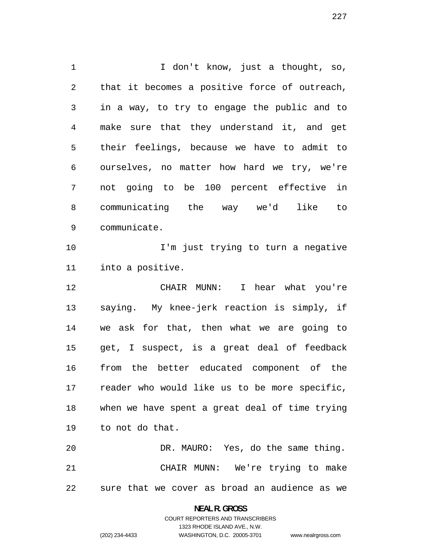1 I don't know, just a thought, so, that it becomes a positive force of outreach, in a way, to try to engage the public and to make sure that they understand it, and get their feelings, because we have to admit to ourselves, no matter how hard we try, we're not going to be 100 percent effective in communicating the way we'd like to communicate. I'm just trying to turn a negative into a positive. CHAIR MUNN: I hear what you're saying. My knee-jerk reaction is simply, if we ask for that, then what we are going to get, I suspect, is a great deal of feedback from the better educated component of the reader who would like us to be more specific, when we have spent a great deal of time trying to not do that. DR. MAURO: Yes, do the same thing. CHAIR MUNN: We're trying to make

sure that we cover as broad an audience as we

**NEAL R. GROSS**  COURT REPORTERS AND TRANSCRIBERS

1323 RHODE ISLAND AVE., N.W.

(202) 234-4433 WASHINGTON, D.C. 20005-3701

www.nealrgross.com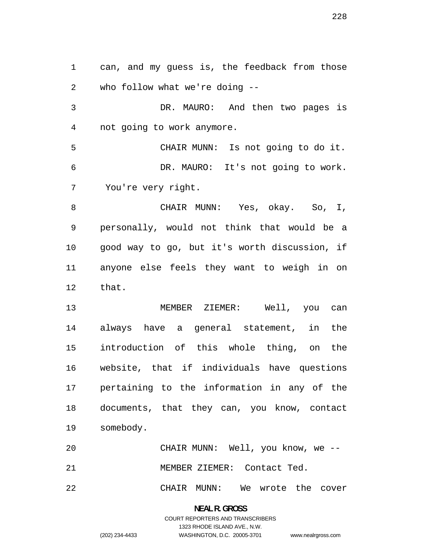can, and my guess is, the feedback from those who follow what we're doing --

DR. MAURO: And then two pages is not going to work anymore.

CHAIR MUNN: Is not going to do it. DR. MAURO: It's not going to work. You're very right.

CHAIR MUNN: Yes, okay. So, I, personally, would not think that would be a good way to go, but it's worth discussion, if anyone else feels they want to weigh in on that.

MEMBER ZIEMER: Well, you can always have a general statement, in the introduction of this whole thing, on the website, that if individuals have questions pertaining to the information in any of the documents, that they can, you know, contact somebody.

CHAIR MUNN: Well, you know, we -- MEMBER ZIEMER: Contact Ted.

CHAIR MUNN: We wrote the cover

**NEAL R. GROSS**  COURT REPORTERS AND TRANSCRIBERS 1323 RHODE ISLAND AVE., N.W. (202) 234-4433 WASHINGTON, D.C. 20005-3701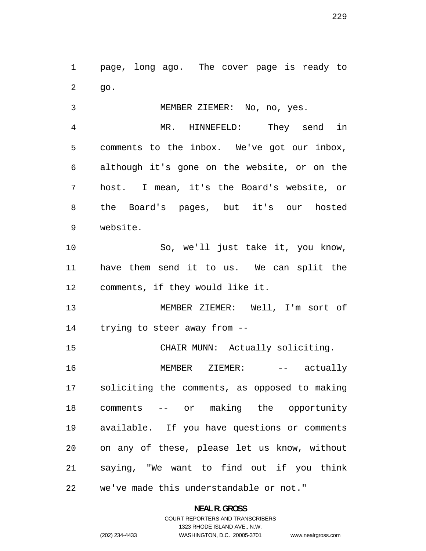page, long ago. The cover page is ready to go.

MEMBER ZIEMER: No, no, yes. MR. HINNEFELD: They send in comments to the inbox. We've got our inbox, although it's gone on the website, or on the host. I mean, it's the Board's website, or

the Board's pages, but it's our hosted website.

So, we'll just take it, you know, have them send it to us. We can split the comments, if they would like it.

MEMBER ZIEMER: Well, I'm sort of trying to steer away from --

CHAIR MUNN: Actually soliciting.

16 MEMBER ZIEMER: -- actually soliciting the comments, as opposed to making comments -- or making the opportunity available. If you have questions or comments on any of these, please let us know, without saying, "We want to find out if you think we've made this understandable or not."

**NEAL R. GROSS**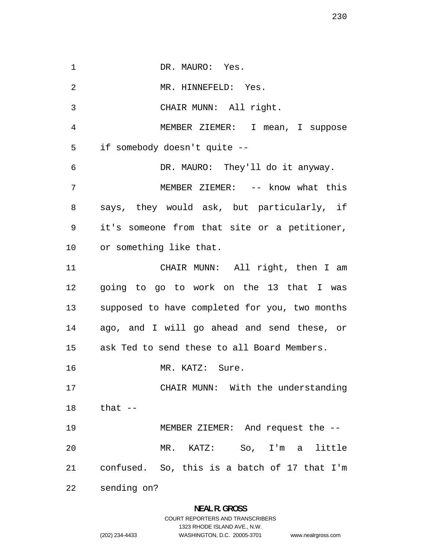1 DR. MAURO: Yes. MR. HINNEFELD: Yes. CHAIR MUNN: All right. MEMBER ZIEMER: I mean, I suppose if somebody doesn't quite -- DR. MAURO: They'll do it anyway. 7 MEMBER ZIEMER: -- know what this says, they would ask, but particularly, if it's someone from that site or a petitioner, or something like that. CHAIR MUNN: All right, then I am going to go to work on the 13 that I was supposed to have completed for you, two months ago, and I will go ahead and send these, or ask Ted to send these to all Board Members. that -- confused. sending on? MR. KATZ: Sure. CHAIR MUNN: With the understanding MEMBER ZIEMER: And request the -- MR. KATZ: So, I'm a little So, this is a batch of 17 that I'm

1323 RHODE ISLAND AVE., N.W.

WASHINGTON, D.C. 20005-3701 www.nealrgross.com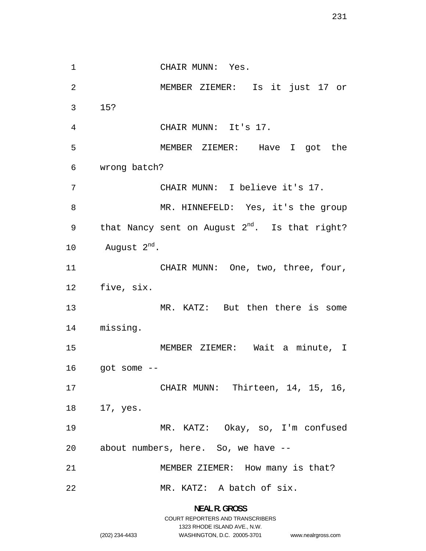1 CHAIR MUNN: Yes. MEMBER ZIEMER: Is it just 17 or 15? CHAIR MUNN: It's 17. MEMBER ZIEMER: Have I got the wrong batch? CHAIR MUNN: I believe it's 17. MR. HINNEFELD: Yes, it's the group 9 that Nancy sent on August  $2^{nd}$ . Is that right? 10 August  $2^{nd}$ . 11 CHAIR MUNN: One, two, three, four, five, six. 13 MR. KATZ: But then there is some missing. MEMBER ZIEMER: Wait a minute, I got some  $-$ CHAIR MUNN: Thirteen, 14, 15, 16, 17, yes. MR. KATZ: Okay, so, I'm confused about numbers, here. So, we have -- MEMBER ZIEMER: How many is that? MR. KATZ: A batch of six.

> **NEAL R. GROSS**  COURT REPORTERS AND TRANSCRIBERS 1323 RHODE ISLAND AVE., N.W. (202) 234-4433 WASHINGTON, D.C. 20005-3701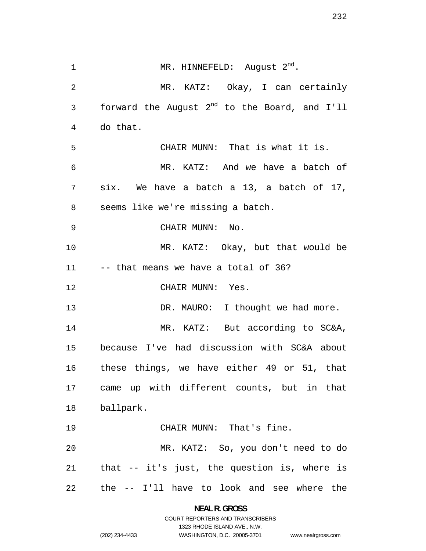1 MR. HINNEFELD: August 2<sup>nd</sup>. MR. KATZ: Okay, I can certainly 3 forward the August  $2^{nd}$  to the Board, and I'll do that. CHAIR MUNN: That is what it is. MR. KATZ: And we have a batch of six. We have a batch a 13, a batch of 17, seems like we're missing a batch. CHAIR MUNN: No. MR. KATZ: Okay, but that would be -- that means we have a total of 36? CHAIR MUNN: Yes. 13 DR. MAURO: I thought we had more. MR. KATZ: But according to SC&A, because I've had discussion with SC&A about these things, we have either 49 or 51, that came up with different counts, but in that ballpark. CHAIR MUNN: That's fine. MR. KATZ: So, you don't need to do that -- it's just, the question is, where is the -- I'll have to look and see where the

> **NEAL R. GROSS**  COURT REPORTERS AND TRANSCRIBERS 1323 RHODE ISLAND AVE., N.W. (202) 234-4433 WASHINGTON, D.C. 20005-3701

```
www.nealrgross.com
```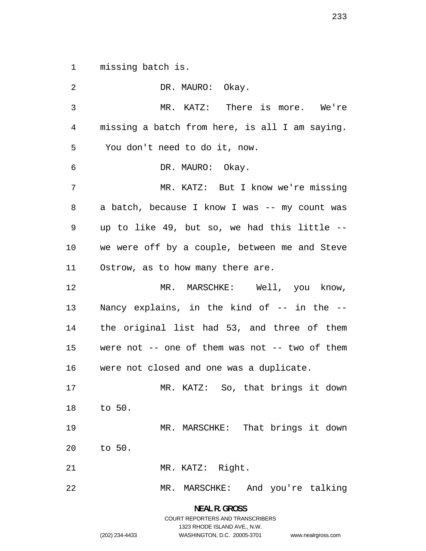1 missing batch is.

2 DR. MAURO: Okay. 3 MR. KATZ: There is more. We're 4 missing a batch from here, is all I am saying. 5 You don't need to do it, now. 6 DR. MAURO: Okay. 7 MR. KATZ: But I know we're missing 8 a batch, because I know I was -- my count was 9 up to like 49, but so, we had this little -- 10 we were off by a couple, between me and Steve 11 Ostrow, as to how many there are. 12 MR. MARSCHKE: Well, you know, 13 Nancy explains, in the kind of -- in the --14 the original list had 53, and three of them 15 were not -- one of them was not -- two of them 16 were not closed and one was a duplicate. 17 18 19 20 21 22 to 50. to 50. MR. KATZ: So, that brings it down MR. MARSCHKE: That brings it down MR. KATZ: Right. MR. MARSCHKE: And you're talking

> **NEAL R. GROSS**  COURT REPORTERS AND TRANSCRIBERS 1323 RHODE ISLAND AVE., N.W. WASHINGTON, D.C. 20005-3701

(202) 234-4433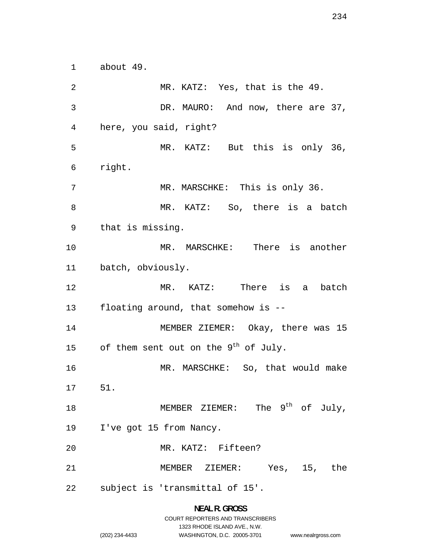about 49.

MR. KATZ: Yes, that is the 49. DR. MAURO: And now, there are 37, here, you said, right? MR. KATZ: But this is only 36, right. 7 MR. MARSCHKE: This is only 36. MR. KATZ: So, there is a batch that is missing. MR. MARSCHKE: There is another batch, obviously. MR. KATZ: There is a batch floating around, that somehow is -- MEMBER ZIEMER: Okay, there was 15 15 of them sent out on the  $9^{th}$  of July. MR. MARSCHKE: So, that would make 51. 18 MEMBER ZIEMER: The 9<sup>th</sup> of July, I've got 15 from Nancy. MR. KATZ: Fifteen? MEMBER ZIEMER: Yes, 15, the subject is 'transmittal of 15'.

> **NEAL R. GROSS**  COURT REPORTERS AND TRANSCRIBERS 1323 RHODE ISLAND AVE., N.W.

(202) 234-4433 WASHINGTON, D.C. 20005-3701 www.nealrgross.com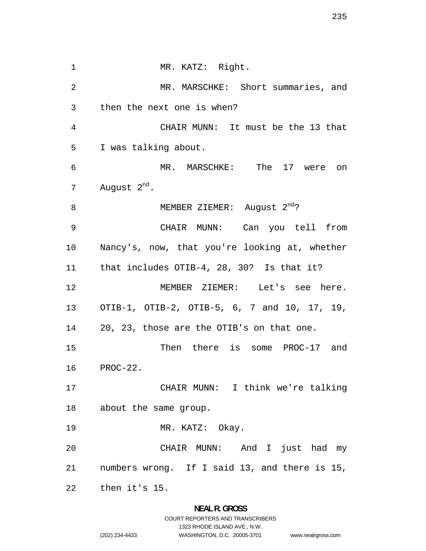1 MR. KATZ: Right. MR. MARSCHKE: Short summaries, and then the next one is when? CHAIR MUNN: It must be the 13 that I was talking about. MR. MARSCHKE: The 17 were on 7 August  $2^{nd}$ . 8 MEMBER ZIEMER: August 2<sup>nd</sup>? CHAIR MUNN: Can you tell from Nancy's, now, that you're looking at, whether that includes OTIB-4, 28, 30? Is that it? MEMBER ZIEMER: Let's see here. OTIB-1, OTIB-2, OTIB-5, 6, 7 and 10, 17, 19, 20, 23, those are the OTIB's on that one. Then there is some PROC-17 and PROC-22. CHAIR MUNN: I think we're talking about the same group. MR. KATZ: Okay. CHAIR MUNN: And I just had my numbers wrong. If I said 13, and there is 15, then it's 15.

### **NEAL R. GROSS**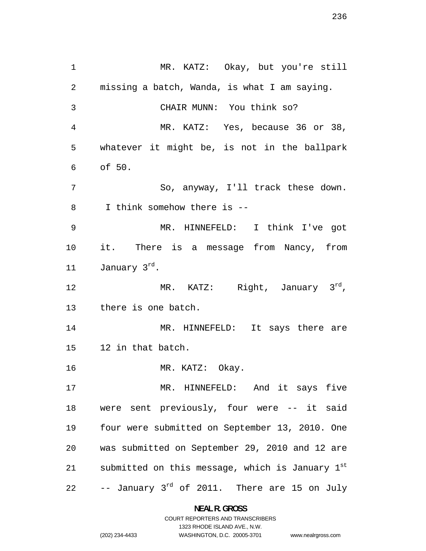MR. KATZ: Okay, but you're still missing a batch, Wanda, is what I am saying. CHAIR MUNN: You think so? MR. KATZ: Yes, because 36 or 38, whatever it might be, is not in the ballpark of 50. So, anyway, I'll track these down. I think somehow there is -- MR. HINNEFELD: I think I've got it. There is a message from Nancy, from 11 January 3<sup>rd</sup>. 12 MR. KATZ: Right, January 3<sup>rd</sup>, there is one batch. 14 MR. HINNEFELD: It says there are 12 in that batch. 16 MR. KATZ: Okay. MR. HINNEFELD: And it says five were sent previously, four were -- it said four were submitted on September 13, 2010. One was submitted on September 29, 2010 and 12 are 21 submitted on this message, which is January  $1^{st}$  $-$ - January  $3^{rd}$  of 2011. There are 15 on July

> **NEAL R. GROSS**  COURT REPORTERS AND TRANSCRIBERS

> > 1323 RHODE ISLAND AVE., N.W.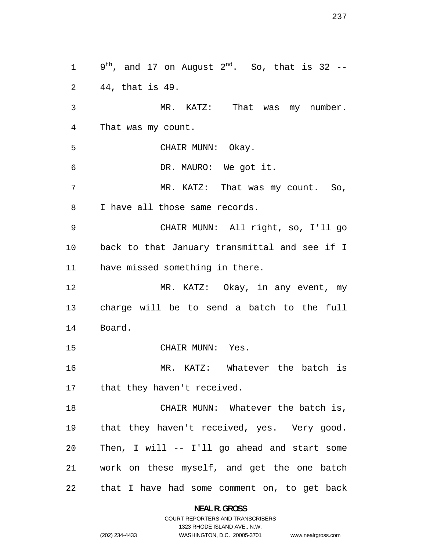9<sup>th</sup>, and 17 on August 2<sup>nd</sup>. So, that is 32 --44, that is 49. MR. KATZ: That was my number. That was my count. CHAIR MUNN: Okay. DR. MAURO: We got it. 7 MR. KATZ: That was my count. So, I have all those same records. CHAIR MUNN: All right, so, I'll go back to that January transmittal and see if I have missed something in there. 12 MR. KATZ: Okay, in any event, my charge will be to send a batch to the full Board. CHAIR MUNN: Yes. MR. KATZ: Whatever the batch is 17 that they haven't received. CHAIR MUNN: Whatever the batch is, that they haven't received, yes. Very good. Then, I will -- I'll go ahead and start some work on these myself, and get the one batch that I have had some comment on, to get back

> **NEAL R. GROSS**  COURT REPORTERS AND TRANSCRIBERS

> > 1323 RHODE ISLAND AVE., N.W.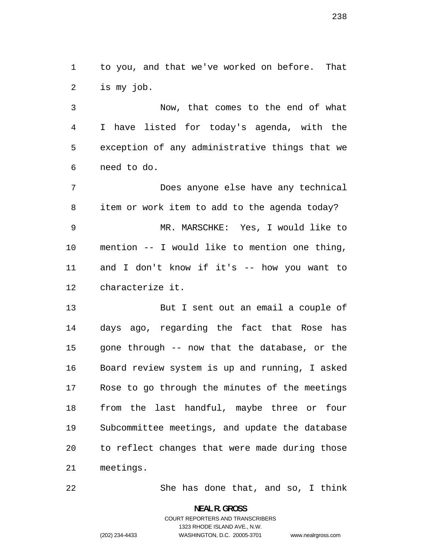to you, and that we've worked on before. That is my job.

Now, that comes to the end of what I have listed for today's agenda, with the exception of any administrative things that we need to do.

Does anyone else have any technical item or work item to add to the agenda today? MR. MARSCHKE: Yes, I would like to mention -- I would like to mention one thing, and I don't know if it's -- how you want to characterize it.

But I sent out an email a couple of days ago, regarding the fact that Rose has gone through -- now that the database, or the Board review system is up and running, I asked Rose to go through the minutes of the meetings from the last handful, maybe three or four Subcommittee meetings, and update the database to reflect changes that were made during those meetings.

She has done that, and so, I think

**NEAL R. GROSS** 

# COURT REPORTERS AND TRANSCRIBERS 1323 RHODE ISLAND AVE., N.W. (202) 234-4433 WASHINGTON, D.C. 20005-3701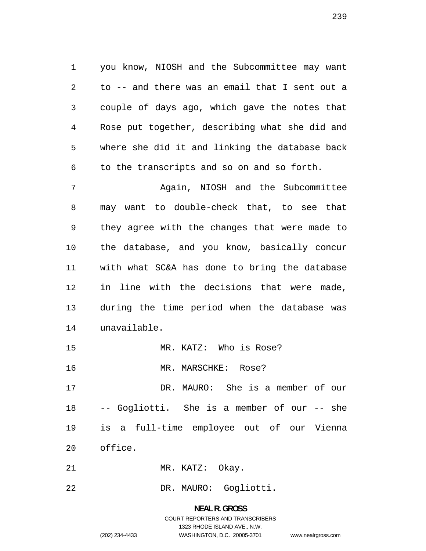you know, NIOSH and the Subcommittee may want to -- and there was an email that I sent out a couple of days ago, which gave the notes that Rose put together, describing what she did and where she did it and linking the database back to the transcripts and so on and so forth.

Again, NIOSH and the Subcommittee may want to double-check that, to see that they agree with the changes that were made to the database, and you know, basically concur with what SC&A has done to bring the database in line with the decisions that were made, during the time period when the database was unavailable.

- MR. KATZ: Who is Rose?
- MR. MARSCHKE: Rose?

DR. MAURO: She is a member of our -- Gogliotti. She is a member of our -- she is a full-time employee out of our Vienna office.

- 21 MR. KATZ: Okay.
- DR. MAURO: Gogliotti.

# **NEAL R. GROSS**  COURT REPORTERS AND TRANSCRIBERS 1323 RHODE ISLAND AVE., N.W. (202) 234-4433 WASHINGTON, D.C. 20005-3701 www.nealrgross.com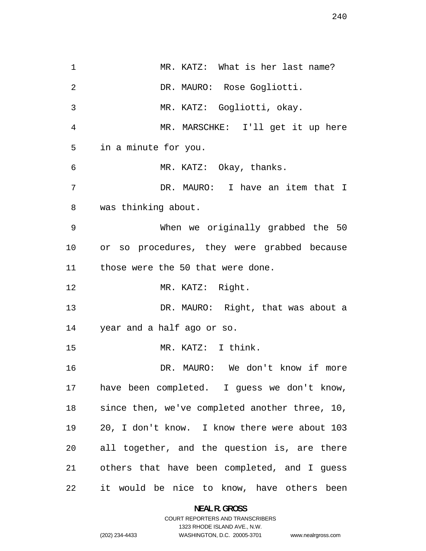1 MR. KATZ: What is her last name? DR. MAURO: Rose Gogliotti. MR. KATZ: Gogliotti, okay. MR. MARSCHKE: I'll get it up here in a minute for you. MR. KATZ: Okay, thanks. DR. MAURO: I have an item that I was thinking about. When we originally grabbed the 50 or so procedures, they were grabbed because those were the 50 that were done. MR. KATZ: Right. DR. MAURO: Right, that was about a year and a half ago or so. MR. KATZ: I think. DR. MAURO: We don't know if more have been completed. I guess we don't know, since then, we've completed another three, 10, 20, I don't know. I know there were about 103 all together, and the question is, are there others that have been completed, and I guess it would be nice to know, have others been

> **NEAL R. GROSS**  COURT REPORTERS AND TRANSCRIBERS

> > 1323 RHODE ISLAND AVE., N.W.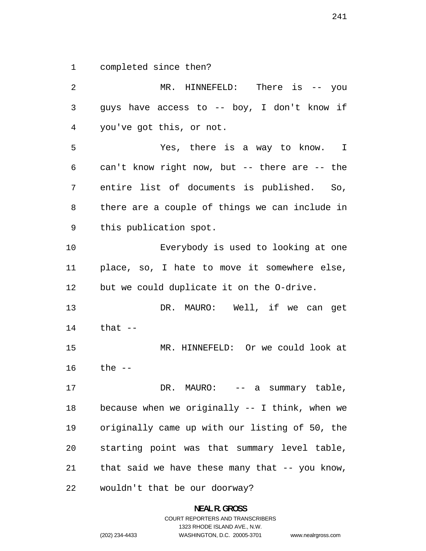completed since then?

MR. HINNEFELD: There is -- you guys have access to -- boy, I don't know if you've got this, or not. Yes, there is a way to know. I can't know right now, but -- there are -- the entire list of documents is published. So, there are a couple of things we can include in this publication spot. Everybody is used to looking at one place, so, I hate to move it somewhere else, but we could duplicate it on the O-drive. DR. MAURO: Well, if we can get that -- MR. HINNEFELD: Or we could look at the -- 17 DR. MAURO: -- a summary table, because when we originally -- I think, when we originally came up with our listing of 50, the starting point was that summary level table, that said we have these many that -- you know, wouldn't that be our doorway?

> **NEAL R. GROSS**  COURT REPORTERS AND TRANSCRIBERS 1323 RHODE ISLAND AVE., N.W. (202) 234-4433 WASHINGTON, D.C. 20005-3701 www.nealrgross.com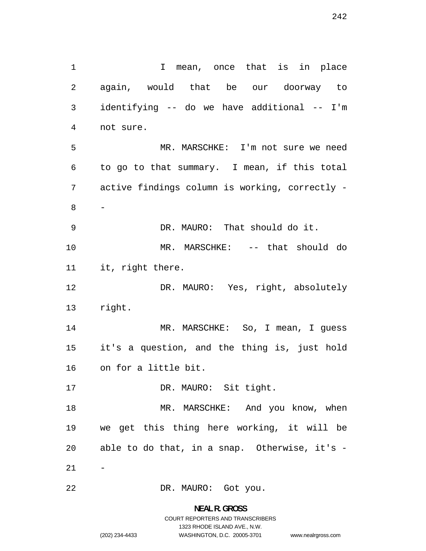1 1 I mean, once that is in place again, would that be our doorway to identifying -- do we have additional -- I'm not sure. MR. MARSCHKE: I'm not sure we need to go to that summary. I mean, if this total active findings column is working, correctly - - DR. MAURO: That should do it. MR. MARSCHKE: -- that should do it, right there. 12 DR. MAURO: Yes, right, absolutely 14 MR. MARSCHKE: So, I mean, I guess 17 DR. MAURO: Sit tight. 18 MR. MARSCHKE: And you know, when  $21 - -$ 

right.

it's a question, and the thing is, just hold on for a little bit.

we get this thing here working, it will be able to do that, in a snap. Otherwise, it's -

DR. MAURO: Got you.

**NEAL R. GROSS**  COURT REPORTERS AND TRANSCRIBERS 1323 RHODE ISLAND AVE., N.W. (202) 234-4433 WASHINGTON, D.C. 20005-3701 www.nealrgross.com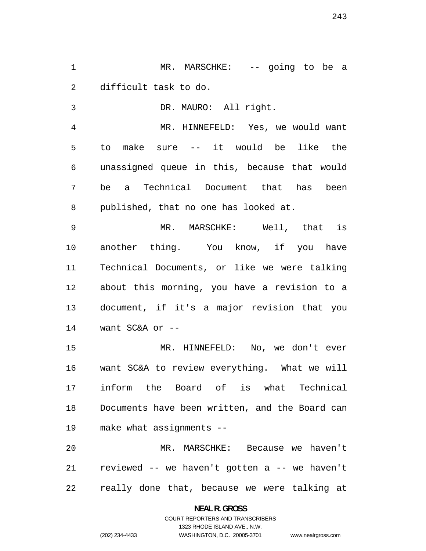MR. MARSCHKE: -- going to be a difficult task to do.

DR. MAURO: All right.

MR. HINNEFELD: Yes, we would want to make sure -- it would be like the unassigned queue in this, because that would be a Technical Document that has been published, that no one has looked at.

MR. MARSCHKE: Well, that is another thing. You know, if you have Technical Documents, or like we were talking about this morning, you have a revision to a document, if it's a major revision that you want SC&A or --

MR. HINNEFELD: No, we don't ever want SC&A to review everything. What we will inform the Board of is what Technical Documents have been written, and the Board can make what assignments --

MR. MARSCHKE: Because we haven't reviewed -- we haven't gotten a -- we haven't really done that, because we were talking at

## **NEAL R. GROSS**  COURT REPORTERS AND TRANSCRIBERS 1323 RHODE ISLAND AVE., N.W. (202) 234-4433 WASHINGTON, D.C. 20005-3701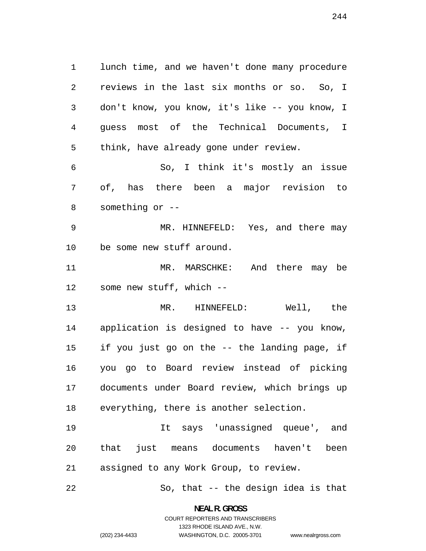lunch time, and we haven't done many procedure reviews in the last six months or so. So, I don't know, you know, it's like -- you know, I guess most of the Technical Documents, I think, have already gone under review. So, I think it's mostly an issue of, has there been a major revision to something or -- MR. HINNEFELD: Yes, and there may be some new stuff around. MR. MARSCHKE: And there may be some new stuff, which -- MR. HINNEFELD: Well, the application is designed to have -- you know, if you just go on the -- the landing page, if you go to Board review instead of picking documents under Board review, which brings up everything, there is another selection. It says 'unassigned queue', and that just means documents haven't been

assigned to any Work Group, to review.

So, that -- the design idea is that

**NEAL R. GROSS**  COURT REPORTERS AND TRANSCRIBERS

1323 RHODE ISLAND AVE., N.W.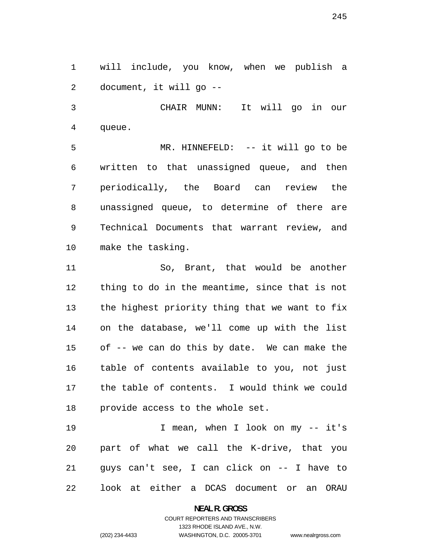will include, you know, when we publish a document, it will go --

CHAIR MUNN: It will go in our queue.

MR. HINNEFELD: -- it will go to be written to that unassigned queue, and then periodically, the Board can review the unassigned queue, to determine of there are Technical Documents that warrant review, and make the tasking.

So, Brant, that would be another thing to do in the meantime, since that is not the highest priority thing that we want to fix on the database, we'll come up with the list of -- we can do this by date. We can make the table of contents available to you, not just the table of contents. I would think we could provide access to the whole set.

I mean, when I look on my -- it's part of what we call the K-drive, that you guys can't see, I can click on -- I have to look at either a DCAS document or an ORAU

> **NEAL R. GROSS**  COURT REPORTERS AND TRANSCRIBERS

> > 1323 RHODE ISLAND AVE., N.W.

(202) 234-4433 WASHINGTON, D.C. 20005-3701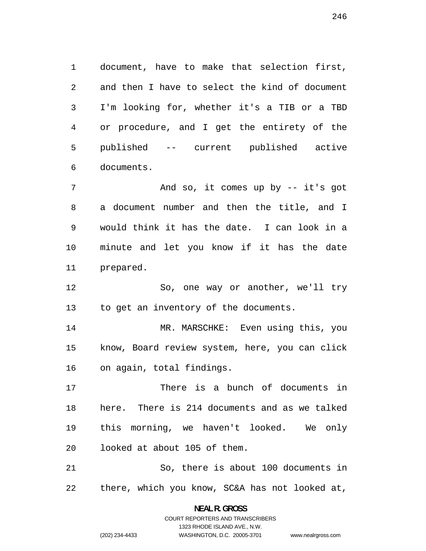document, have to make that selection first, and then I have to select the kind of document I'm looking for, whether it's a TIB or a TBD or procedure, and I get the entirety of the published -- current published active documents.

7 And so, it comes up by -- it's got a document number and then the title, and I would think it has the date. I can look in a minute and let you know if it has the date prepared.

So, one way or another, we'll try to get an inventory of the documents.

MR. MARSCHKE: Even using this, you know, Board review system, here, you can click on again, total findings.

There is a bunch of documents in here. There is 214 documents and as we talked this morning, we haven't looked. We only looked at about 105 of them.

So, there is about 100 documents in there, which you know, SC&A has not looked at,

> **NEAL R. GROSS**  COURT REPORTERS AND TRANSCRIBERS

> > 1323 RHODE ISLAND AVE., N.W.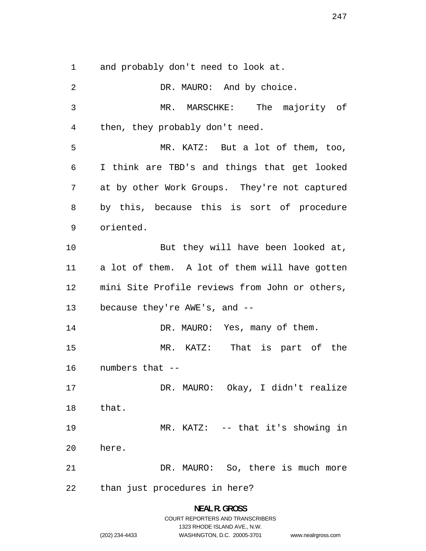and probably don't need to look at.

2 DR. MAURO: And by choice. MR. MARSCHKE: The majority of then, they probably don't need. MR. KATZ: But a lot of them, too, I think are TBD's and things that get looked at by other Work Groups. They're not captured by this, because this is sort of procedure oriented. 10 But they will have been looked at, a lot of them. A lot of them will have gotten mini Site Profile reviews from John or others, because they're AWE's, and -- 14 DR. MAURO: Yes, many of them. MR. KATZ: numbers that -- that. here. DR. MAURO: Okay, I didn't realize MR. KATZ: -- that it's showing in DR. MAURO: So, there is much more That is part of the than just procedures in here? 

> **NEAL R. GROSS**  COURT REPORTERS AND TRANSCRIBERS 1323 RHODE ISLAND AVE., N.W. (202) 234-4433 WASHINGTON, D.C. 20005-3701 www.nealrgross.com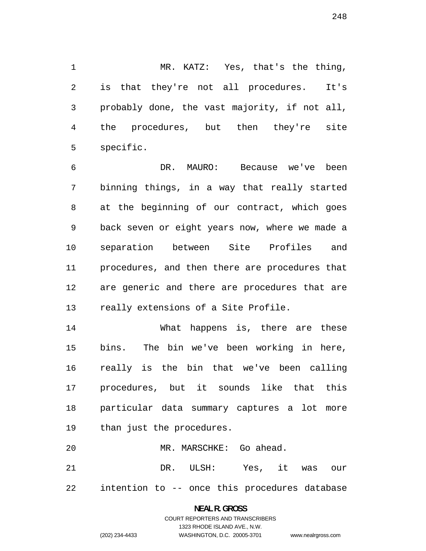MR. KATZ: Yes, that's the thing, is that they're not all procedures. It's probably done, the vast majority, if not all, the procedures, but then they're site specific.

DR. MAURO: Because we've been binning things, in a way that really started at the beginning of our contract, which goes back seven or eight years now, where we made a separation between Site Profiles and procedures, and then there are procedures that are generic and there are procedures that are really extensions of a Site Profile.

What happens is, there are these bins. The bin we've been working in here, really is the bin that we've been calling procedures, but it sounds like that this particular data summary captures a lot more than just the procedures.

MR. MARSCHKE: Go ahead. DR. ULSH: Yes, it was our intention to -- once this procedures database

### **NEAL R. GROSS**  COURT REPORTERS AND TRANSCRIBERS 1323 RHODE ISLAND AVE., N.W. (202) 234-4433 WASHINGTON, D.C. 20005-3701

www.nealrgross.com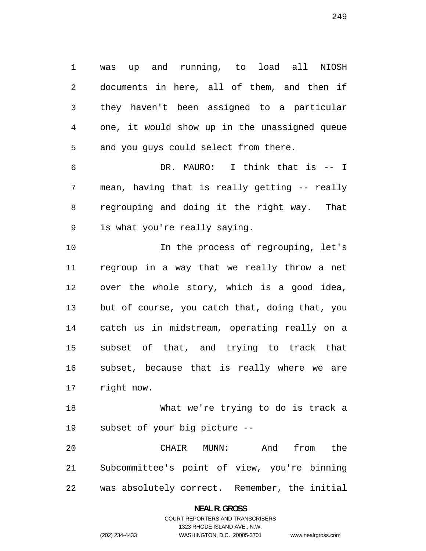was up and running, to load all NIOSH documents in here, all of them, and then if they haven't been assigned to a particular one, it would show up in the unassigned queue and you guys could select from there.

DR. MAURO: I think that is -- I mean, having that is really getting -- really regrouping and doing it the right way. That is what you're really saying.

10 10 In the process of regrouping, let's regroup in a way that we really throw a net over the whole story, which is a good idea, but of course, you catch that, doing that, you catch us in midstream, operating really on a subset of that, and trying to track that subset, because that is really where we are right now.

What we're trying to do is track a subset of your big picture --

CHAIR MUNN: And from the Subcommittee's point of view, you're binning was absolutely correct. Remember, the initial

> **NEAL R. GROSS**  COURT REPORTERS AND TRANSCRIBERS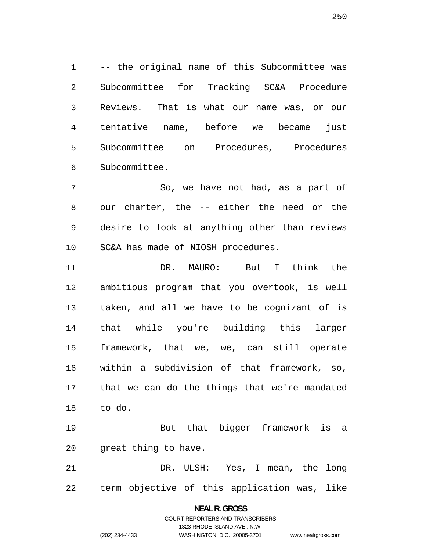-- the original name of this Subcommittee was Subcommittee for Tracking SC&A Procedure Reviews. That is what our name was, or our tentative name, before we became just Subcommittee on Procedures, Procedures Subcommittee.

So, we have not had, as a part of our charter, the -- either the need or the desire to look at anything other than reviews SC&A has made of NIOSH procedures.

DR. MAURO: But I think the ambitious program that you overtook, is well taken, and all we have to be cognizant of is that while you're building this larger framework, that we, we, can still operate within a subdivision of that framework, so, that we can do the things that we're mandated to do.

But that bigger framework is a great thing to have.

DR. ULSH: Yes, I mean, the long term objective of this application was, like

#### **NEAL R. GROSS**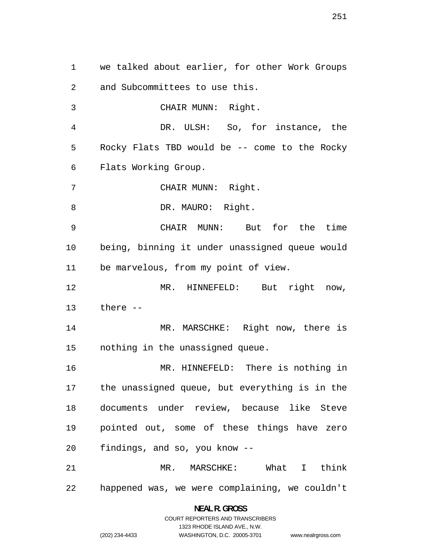we talked about earlier, for other Work Groups and Subcommittees to use this. CHAIR MUNN: Right. DR. ULSH: So, for instance, the Rocky Flats TBD would be -- come to the Rocky Flats Working Group. CHAIR MUNN: Right. 8 DR. MAURO: Right. CHAIR MUNN: But for the time being, binning it under unassigned queue would be marvelous, from my point of view. MR. HINNEFELD: But right now, there -- MR. MARSCHKE: Right now, there is nothing in the unassigned queue. MR. HINNEFELD: There is nothing in the unassigned queue, but everything is in the documents under review, because like Steve pointed out, some of these things have zero findings, and so, you know -- MR. MARSCHKE: What I think happened was, we were complaining, we couldn't

> **NEAL R. GROSS**  COURT REPORTERS AND TRANSCRIBERS 1323 RHODE ISLAND AVE., N.W.

www.nealrgross.com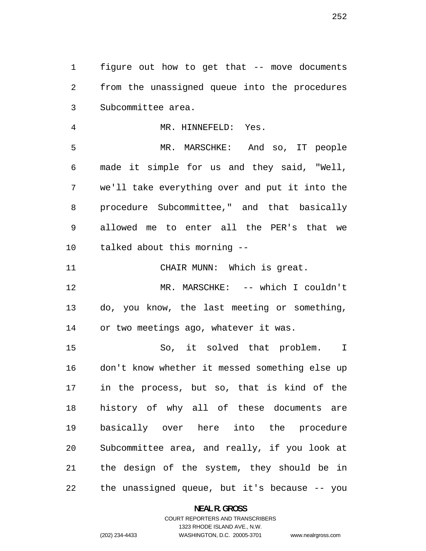figure out how to get that -- move documents from the unassigned queue into the procedures Subcommittee area.

MR. HINNEFELD: Yes. MR. MARSCHKE: And so, IT people made it simple for us and they said, "Well, we'll take everything over and put it into the procedure Subcommittee," and that basically allowed me to enter all the PER's that we talked about this morning -- CHAIR MUNN: Which is great.

MR. MARSCHKE: -- which I couldn't do, you know, the last meeting or something, or two meetings ago, whatever it was.

So, it solved that problem. I don't know whether it messed something else up in the process, but so, that is kind of the history of why all of these documents are basically over here into the procedure Subcommittee area, and really, if you look at the design of the system, they should be in the unassigned queue, but it's because -- you

**NEAL R. GROSS** 

COURT REPORTERS AND TRANSCRIBERS 1323 RHODE ISLAND AVE., N.W. (202) 234-4433 WASHINGTON, D.C. 20005-3701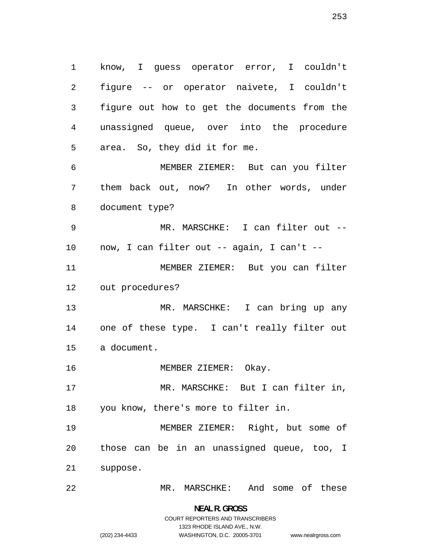know, I guess operator error, I couldn't figure -- or operator naivete, I couldn't figure out how to get the documents from the unassigned queue, over into the procedure area. So, they did it for me. MEMBER ZIEMER: But can you filter them back out, now? In other words, under document type? MR. MARSCHKE: I can filter out -- now, I can filter out -- again, I can't -- MEMBER ZIEMER: But you can filter out procedures? MR. MARSCHKE: I can bring up any one of these type. I can't really filter out a document. 16 MEMBER ZIEMER: Okay. MR. MARSCHKE: But I can filter in, you know, there's more to filter in. MEMBER ZIEMER: Right, but some of those can be in an unassigned queue, too, I suppose.

MR. MARSCHKE: And some of these

**NEAL R. GROSS**  COURT REPORTERS AND TRANSCRIBERS

1323 RHODE ISLAND AVE., N.W.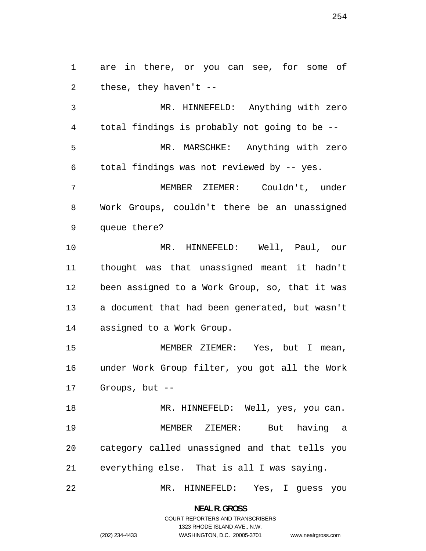are in there, or you can see, for some of these, they haven't --

MR. HINNEFELD: Anything with zero total findings is probably not going to be -- MR. MARSCHKE: Anything with zero total findings was not reviewed by -- yes. MEMBER ZIEMER: Couldn't, under Work Groups, couldn't there be an unassigned

queue there?

MR. HINNEFELD: Well, Paul, our thought was that unassigned meant it hadn't been assigned to a Work Group, so, that it was a document that had been generated, but wasn't assigned to a Work Group.

MEMBER ZIEMER: Yes, but I mean, under Work Group filter, you got all the Work Groups, but --

18 MR. HINNEFELD: Well, yes, you can. MEMBER ZIEMER: But having a category called unassigned and that tells you everything else. That is all I was saying.

MR. HINNEFELD: Yes, I guess you

**NEAL R. GROSS**  COURT REPORTERS AND TRANSCRIBERS

1323 RHODE ISLAND AVE., N.W.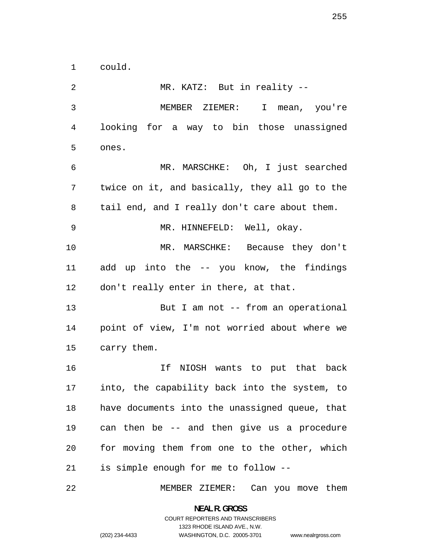could.

MR. KATZ: But in reality -- MEMBER ZIEMER: I mean, you're looking for a way to bin those unassigned ones. MR. MARSCHKE: Oh, I just searched twice on it, and basically, they all go to the 8 tail end, and I really don't care about them. MR. HINNEFELD: Well, okay. MR. MARSCHKE: Because they don't add up into the -- you know, the findings don't really enter in there, at that. 13 But I am not -- from an operational point of view, I'm not worried about where we carry them. If NIOSH wants to put that back into, the capability back into the system, to have documents into the unassigned queue, that can then be -- and then give us a procedure for moving them from one to the other, which is simple enough for me to follow --

MEMBER ZIEMER: Can you move them

**NEAL R. GROSS**  COURT REPORTERS AND TRANSCRIBERS

1323 RHODE ISLAND AVE., N.W.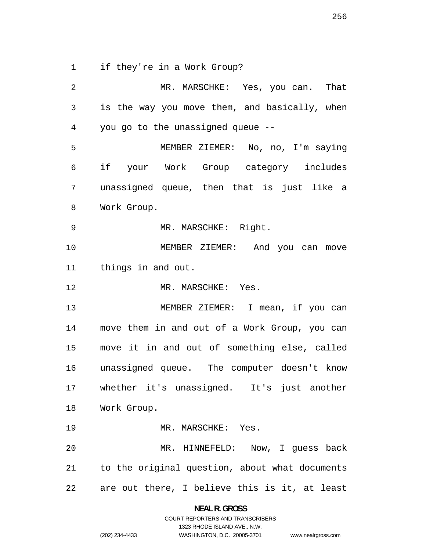if they're in a Work Group?

MR. MARSCHKE: Yes, you can. That is the way you move them, and basically, when you go to the unassigned queue -- MEMBER ZIEMER: No, no, I'm saying if your Work Group category includes unassigned queue, then that is just like a Work Group. MR. MARSCHKE: Right. MEMBER ZIEMER: And you can move things in and out. 12 MR. MARSCHKE: Yes. 13 MEMBER ZIEMER: I mean, if you can move them in and out of a Work Group, you can move it in and out of something else, called unassigned queue. The computer doesn't know whether it's unassigned. It's just another Work Group. 19 MR. MARSCHKE: Yes. MR. HINNEFELD: Now, I guess back to the original question, about what documents are out there, I believe this is it, at least

> **NEAL R. GROSS**  COURT REPORTERS AND TRANSCRIBERS

> > 1323 RHODE ISLAND AVE., N.W.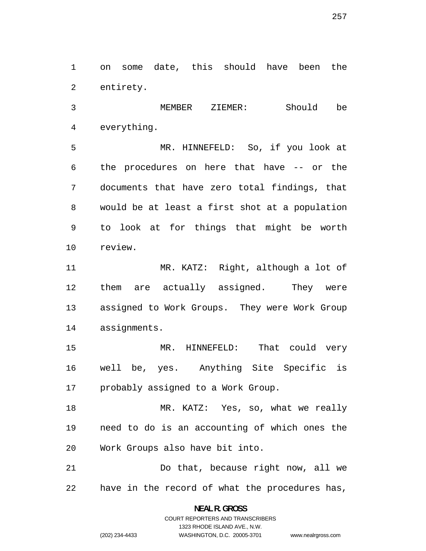on some date, this should have been the entirety.

MEMBER ZIEMER: Should be everything.

MR. HINNEFELD: So, if you look at the procedures on here that have -- or the documents that have zero total findings, that would be at least a first shot at a population to look at for things that might be worth review.

MR. KATZ: Right, although a lot of them are actually assigned. They were assigned to Work Groups. They were Work Group assignments.

MR. HINNEFELD: That could very well be, yes. Anything Site Specific is probably assigned to a Work Group.

MR. KATZ: Yes, so, what we really need to do is an accounting of which ones the Work Groups also have bit into.

Do that, because right now, all we have in the record of what the procedures has,

> **NEAL R. GROSS**  COURT REPORTERS AND TRANSCRIBERS

> > 1323 RHODE ISLAND AVE., N.W.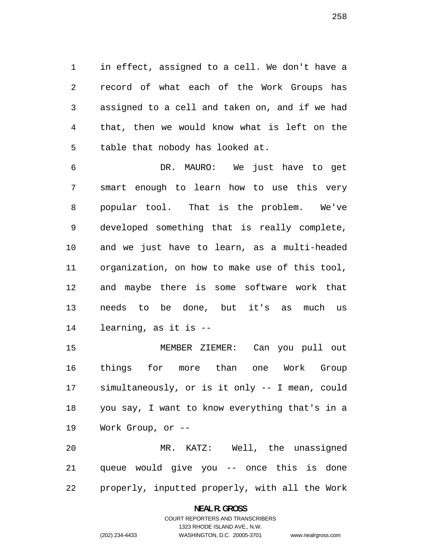in effect, assigned to a cell. We don't have a record of what each of the Work Groups has assigned to a cell and taken on, and if we had that, then we would know what is left on the table that nobody has looked at.

DR. MAURO: We just have to get smart enough to learn how to use this very popular tool. That is the problem. We've developed something that is really complete, and we just have to learn, as a multi-headed organization, on how to make use of this tool, and maybe there is some software work that needs to be done, but it's as much us learning, as it is --

MEMBER ZIEMER: Can you pull out things for more than one Work Group simultaneously, or is it only -- I mean, could you say, I want to know everything that's in a Work Group, or --

MR. KATZ: Well, the unassigned queue would give you -- once this is done properly, inputted properly, with all the Work

#### **NEAL R. GROSS**

## COURT REPORTERS AND TRANSCRIBERS 1323 RHODE ISLAND AVE., N.W. (202) 234-4433 WASHINGTON, D.C. 20005-3701

```
www.nealrgross.com
```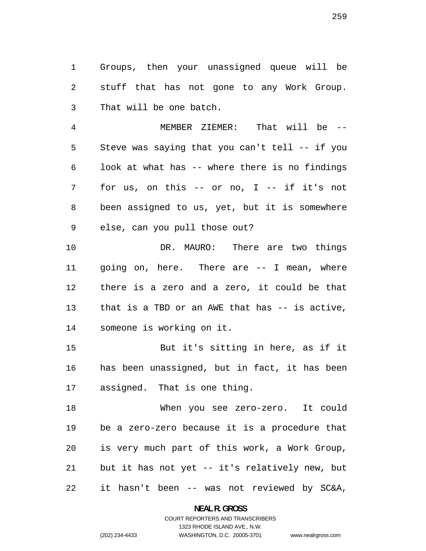Groups, then your unassigned queue will be stuff that has not gone to any Work Group. That will be one batch.

MEMBER ZIEMER: That will be -- Steve was saying that you can't tell -- if you look at what has -- where there is no findings for us, on this -- or no, I -- if it's not been assigned to us, yet, but it is somewhere else, can you pull those out?

DR. MAURO: There are two things going on, here. There are -- I mean, where there is a zero and a zero, it could be that that is a TBD or an AWE that has -- is active, someone is working on it.

But it's sitting in here, as if it has been unassigned, but in fact, it has been assigned. That is one thing.

When you see zero-zero. It could be a zero-zero because it is a procedure that is very much part of this work, a Work Group, but it has not yet -- it's relatively new, but it hasn't been -- was not reviewed by SC&A,

> **NEAL R. GROSS**  COURT REPORTERS AND TRANSCRIBERS

> > 1323 RHODE ISLAND AVE., N.W.

(202) 234-4433 WASHINGTON, D.C. 20005-3701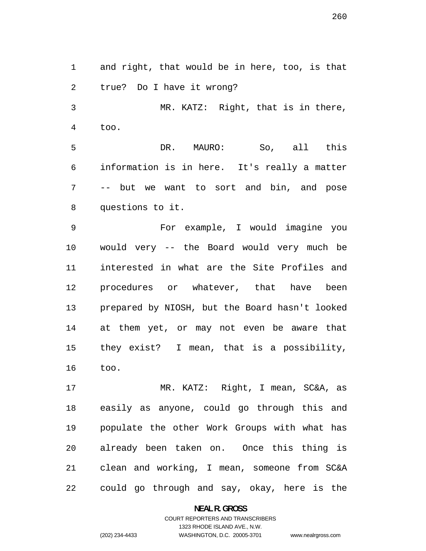and right, that would be in here, too, is that true? Do I have it wrong?

MR. KATZ: Right, that is in there, too.

DR. MAURO: So, all this information is in here. It's really a matter -- but we want to sort and bin, and pose questions to it.

For example, I would imagine you would very -- the Board would very much be interested in what are the Site Profiles and procedures or whatever, that have been prepared by NIOSH, but the Board hasn't looked at them yet, or may not even be aware that they exist? I mean, that is a possibility, too.

17 MR. KATZ: Right, I mean, SC&A, as easily as anyone, could go through this and populate the other Work Groups with what has already been taken on. Once this thing is clean and working, I mean, someone from SC&A could go through and say, okay, here is the

**NEAL R. GROSS** 

## COURT REPORTERS AND TRANSCRIBERS 1323 RHODE ISLAND AVE., N.W. (202) 234-4433 WASHINGTON, D.C. 20005-3701

www.nealrgross.com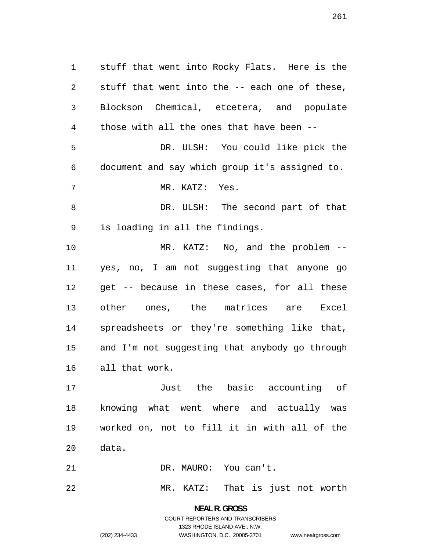stuff that went into Rocky Flats. Here is the stuff that went into the -- each one of these, Blockson Chemical, etcetera, and populate those with all the ones that have been -- DR. ULSH: You could like pick the document and say which group it's assigned to. MR. KATZ: Yes. DR. ULSH: The second part of that is loading in all the findings. MR. KATZ: No, and the problem -- yes, no, I am not suggesting that anyone go get -- because in these cases, for all these other ones, the matrices are Excel spreadsheets or they're something like that, and I'm not suggesting that anybody go through all that work. Just the basic accounting of knowing what went where and actually was

worked on, not to fill it in with all of the data.

DR. MAURO: You can't.

MR. KATZ: That is just not worth

**NEAL R. GROSS**  COURT REPORTERS AND TRANSCRIBERS 1323 RHODE ISLAND AVE., N.W. (202) 234-4433 WASHINGTON, D.C. 20005-3701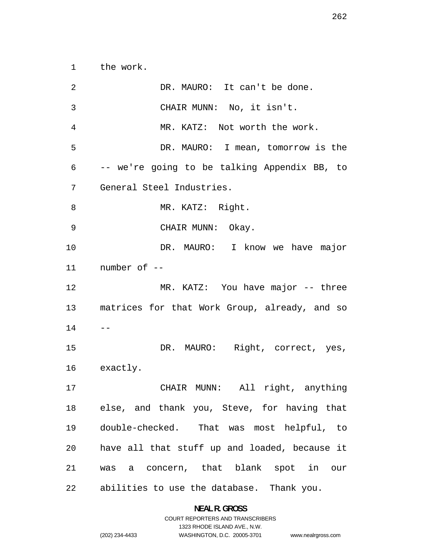the work.

2 DR. MAURO: It can't be done. CHAIR MUNN: No, it isn't. MR. KATZ: Not worth the work. DR. MAURO: I mean, tomorrow is the -- we're going to be talking Appendix BB, to General Steel Industries. 8 MR. KATZ: Right. CHAIR MUNN: Okay. DR. MAURO: I know we have major number of -- MR. KATZ: You have major -- three matrices for that Work Group, already, and so  $14 - -$ DR. MAURO: Right, correct, yes, exactly. CHAIR MUNN: All right, anything else, and thank you, Steve, for having that double-checked. That was most helpful, to have all that stuff up and loaded, because it was a concern, that blank spot in our abilities to use the database. Thank you.

> **NEAL R. GROSS**  COURT REPORTERS AND TRANSCRIBERS

1323 RHODE ISLAND AVE., N.W. (202) 234-4433 WASHINGTON, D.C. 20005-3701 www.nealrgross.com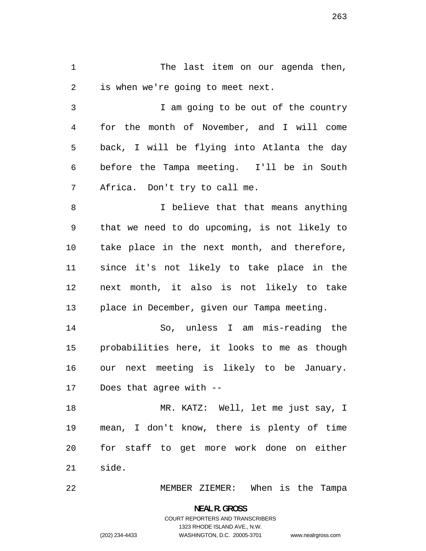The last item on our agenda then, is when we're going to meet next.

I am going to be out of the country for the month of November, and I will come back, I will be flying into Atlanta the day before the Tampa meeting. I'll be in South Africa. Don't try to call me.

I believe that that means anything that we need to do upcoming, is not likely to take place in the next month, and therefore, since it's not likely to take place in the next month, it also is not likely to take place in December, given our Tampa meeting.

So, unless I am mis-reading the probabilities here, it looks to me as though our next meeting is likely to be January. Does that agree with --

MR. KATZ: Well, let me just say, I mean, I don't know, there is plenty of time for staff to get more work done on either side.

MEMBER ZIEMER: When is the Tampa

**NEAL R. GROSS**  COURT REPORTERS AND TRANSCRIBERS 1323 RHODE ISLAND AVE., N.W. (202) 234-4433 WASHINGTON, D.C. 20005-3701

www.nealrgross.com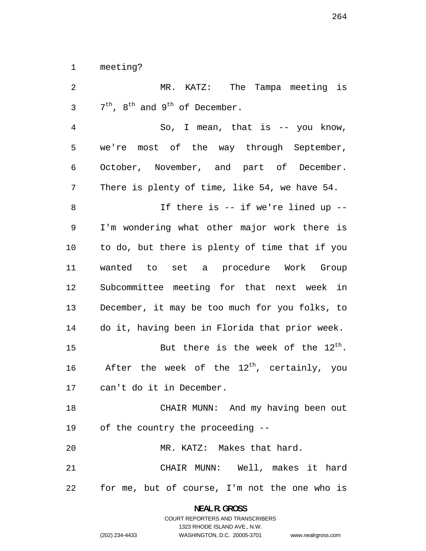meeting?

MR. KATZ: The Tampa meeting is  $7<sup>th</sup>$ ,  $8<sup>th</sup>$  and  $9<sup>th</sup>$  of December.

So, I mean, that is -- you know, we're most of the way through September, October, November, and part of December. There is plenty of time, like 54, we have 54. If there is -- if we're lined up --

I'm wondering what other major work there is to do, but there is plenty of time that if you wanted to set a procedure Work Group Subcommittee meeting for that next week in December, it may be too much for you folks, to do it, having been in Florida that prior week. 15 But there is the week of the  $12^{th}$ .

16 After the week of the  $12^{th}$ , certainly, you can't do it in December.

CHAIR MUNN: And my having been out of the country the proceeding --

MR. KATZ: Makes that hard.

CHAIR MUNN: Well, makes it hard for me, but of course, I'm not the one who is

> **NEAL R. GROSS**  COURT REPORTERS AND TRANSCRIBERS

> > 1323 RHODE ISLAND AVE., N.W.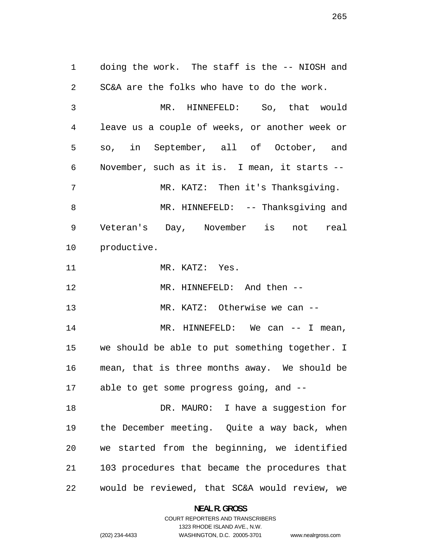doing the work. The staff is the -- NIOSH and SC&A are the folks who have to do the work. MR. HINNEFELD: So, that would leave us a couple of weeks, or another week or so, in September, all of October, and November, such as it is. I mean, it starts -- MR. KATZ: Then it's Thanksgiving. 8 MR. HINNEFELD: -- Thanksqiving and Veteran's Day, November is not real productive. MR. KATZ: Yes. 12 MR. HINNEFELD: And then --13 MR. KATZ: Otherwise we can --14 MR. HINNEFELD: We can -- I mean, we should be able to put something together. I mean, that is three months away. We should be able to get some progress going, and -- DR. MAURO: I have a suggestion for the December meeting. Quite a way back, when we started from the beginning, we identified 103 procedures that became the procedures that would be reviewed, that SC&A would review, we

> **NEAL R. GROSS**  COURT REPORTERS AND TRANSCRIBERS

> > 1323 RHODE ISLAND AVE., N.W.

(202) 234-4433 WASHINGTON, D.C. 20005-3701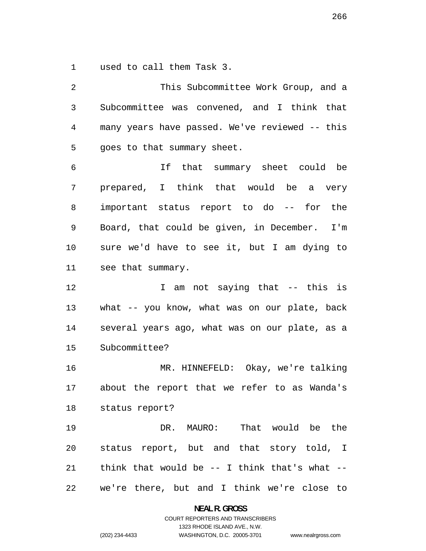used to call them Task 3.

This Subcommittee Work Group, and a Subcommittee was convened, and I think that many years have passed. We've reviewed -- this goes to that summary sheet. If that summary sheet could be prepared, I think that would be a very important status report to do -- for the Board, that could be given, in December. I'm sure we'd have to see it, but I am dying to see that summary. I am not saying that -- this is what -- you know, what was on our plate, back several years ago, what was on our plate, as a Subcommittee? MR. HINNEFELD: Okay, we're talking about the report that we refer to as Wanda's status report? DR. MAURO: That would be the status report, but and that story told, I 21 think that would be  $-$  I think that's what  $-$ we're there, but and I think we're close to

**NEAL R. GROSS** 

COURT REPORTERS AND TRANSCRIBERS 1323 RHODE ISLAND AVE., N.W. (202) 234-4433 WASHINGTON, D.C. 20005-3701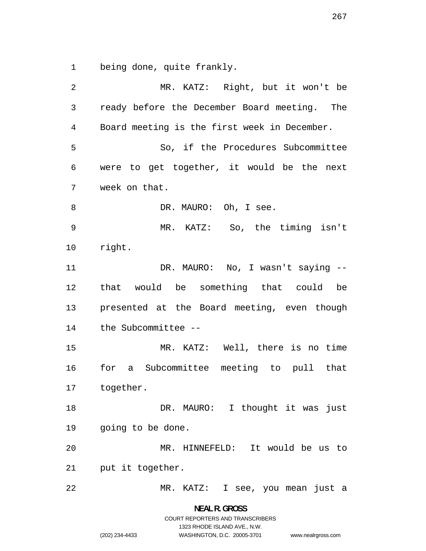being done, quite frankly.

MR. KATZ: Right, but it won't be ready before the December Board meeting. The Board meeting is the first week in December. So, if the Procedures Subcommittee were to get together, it would be the next week on that. 8 DR. MAURO: Oh, I see. MR. KATZ: So, the timing isn't right. 11 DR. MAURO: No, I wasn't saying --that would be something that could be presented at the Board meeting, even though the Subcommittee -- MR. KATZ: Well, there is no time for a Subcommittee meeting to pull that together. 18 DR. MAURO: I thought it was just going to be done. MR. HINNEFELD: It would be us to put it together. MR. KATZ: I see, you mean just a

> **NEAL R. GROSS**  COURT REPORTERS AND TRANSCRIBERS 1323 RHODE ISLAND AVE., N.W. (202) 234-4433 WASHINGTON, D.C. 20005-3701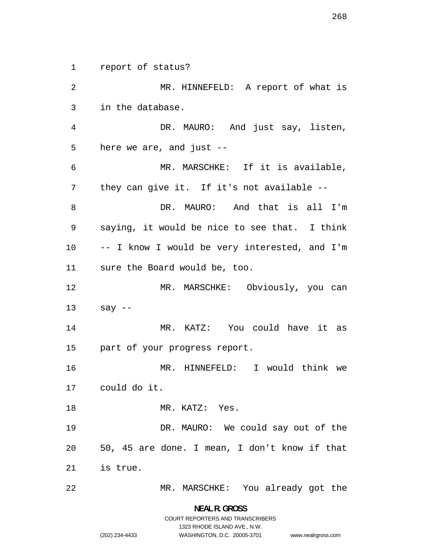report of status? MR. HINNEFELD: A report of what is in the database. DR. MAURO: And just say, listen, here we are, and just -- MR. MARSCHKE: If it is available, they can give it. If it's not available -- DR. MAURO: And that is all I'm saying, it would be nice to see that. I think -- I know I would be very interested, and I'm sure the Board would be, too. 12 MR. MARSCHKE: Obviously, you can say -- MR. KATZ: You could have it as part of your progress report. MR. HINNEFELD: I would think we could do it. 18 MR. KATZ: Yes. DR. MAURO: We could say out of the 50, 45 are done. I mean, I don't know if that is true. MR. MARSCHKE: You already got the

> **NEAL R. GROSS**  COURT REPORTERS AND TRANSCRIBERS 1323 RHODE ISLAND AVE., N.W.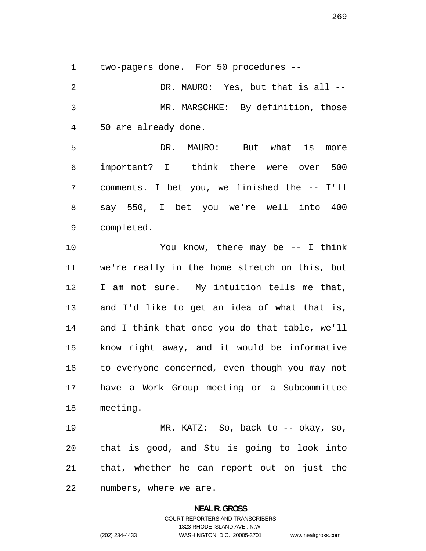two-pagers done. For 50 procedures --

DR. MAURO: Yes, but that is all -- MR. MARSCHKE: By definition, those 50 are already done.

DR. MAURO: But what is more important? I think there were over 500 comments. I bet you, we finished the -- I'll say 550, I bet you we're well into 400 completed.

You know, there may be -- I think we're really in the home stretch on this, but I am not sure. My intuition tells me that, and I'd like to get an idea of what that is, and I think that once you do that table, we'll know right away, and it would be informative to everyone concerned, even though you may not have a Work Group meeting or a Subcommittee meeting.

MR. KATZ: So, back to -- okay, so, that is good, and Stu is going to look into that, whether he can report out on just the numbers, where we are.

# **NEAL R. GROSS**  COURT REPORTERS AND TRANSCRIBERS 1323 RHODE ISLAND AVE., N.W. (202) 234-4433 WASHINGTON, D.C. 20005-3701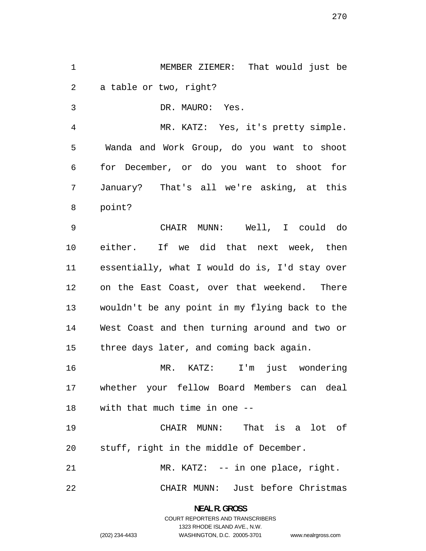MEMBER ZIEMER: That would just be a table or two, right?

DR. MAURO: Yes.

MR. KATZ: Yes, it's pretty simple. Wanda and Work Group, do you want to shoot for December, or do you want to shoot for January? That's all we're asking, at this point?

CHAIR MUNN: Well, I could do either. If we did that next week, then essentially, what I would do is, I'd stay over on the East Coast, over that weekend. There wouldn't be any point in my flying back to the West Coast and then turning around and two or three days later, and coming back again.

MR. KATZ: I'm just wondering whether your fellow Board Members can deal with that much time in one --

CHAIR MUNN: That is a lot of stuff, right in the middle of December.

MR. KATZ: -- in one place, right.

CHAIR MUNN: Just before Christmas

**NEAL R. GROSS**  COURT REPORTERS AND TRANSCRIBERS

1323 RHODE ISLAND AVE., N.W.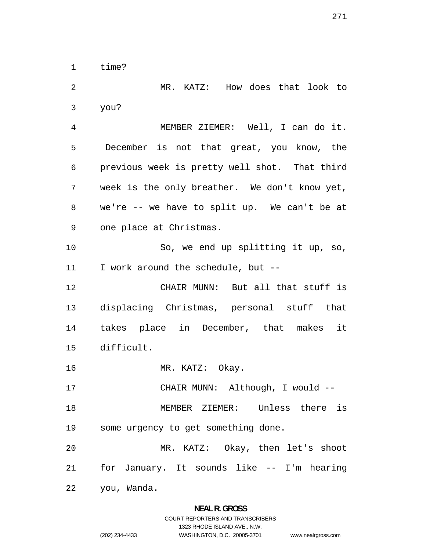time?

MR. KATZ: How does that look to you? MEMBER ZIEMER: Well, I can do it. December is not that great, you know, the previous week is pretty well shot. That third week is the only breather. We don't know yet, we're -- we have to split up. We can't be at one place at Christmas. So, we end up splitting it up, so, I work around the schedule, but -- CHAIR MUNN: But all that stuff is displacing Christmas, personal stuff that takes place in December, that makes it difficult. 16 MR. KATZ: Okay. CHAIR MUNN: Although, I would -- MEMBER ZIEMER: Unless there is some urgency to get something done. MR. KATZ: Okay, then let's shoot for January. It sounds like -- I'm hearing you, Wanda.

### **NEAL R. GROSS**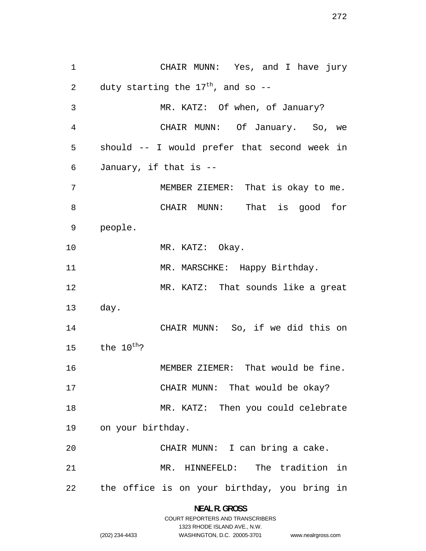CHAIR MUNN: Yes, and I have jury 2 duty starting the  $17<sup>th</sup>$ , and so --MR. KATZ: Of when, of January? CHAIR MUNN: Of January. So, we should -- I would prefer that second week in January, if that is -- MEMBER ZIEMER: That is okay to me. CHAIR MUNN: That is good for people. 10 MR. KATZ: Okay. 11 MR. MARSCHKE: Happy Birthday. MR. KATZ: That sounds like a great day. CHAIR MUNN: So, if we did this on 15 the  $10^{th}$ ? MEMBER ZIEMER: That would be fine. 17 CHAIR MUNN: That would be okay? MR. KATZ: Then you could celebrate on your birthday. CHAIR MUNN: I can bring a cake. MR. HINNEFELD: The tradition in the office is on your birthday, you bring in

> **NEAL R. GROSS**  COURT REPORTERS AND TRANSCRIBERS

> > 1323 RHODE ISLAND AVE., N.W.

(202) 234-4433 WASHINGTON, D.C. 20005-3701

www.nealrgross.com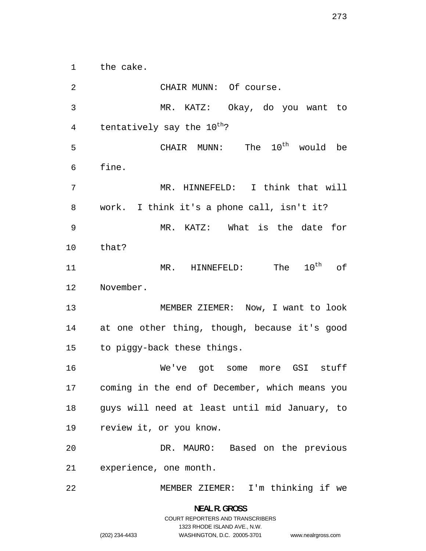the cake.

2 CHAIR MUNN: Of course. MR. KATZ: Okay, do you want to 4 tentatively say the  $10^{th}$ ? 5 CHAIR MUNN: The  $10^{\text{th}}$  would be fine. MR. HINNEFELD: I think that will work. I think it's a phone call, isn't it? MR. KATZ: What is the date for that? 11 MR. HINNEFELD: The  $10^{\text{th}}$  of November. MEMBER ZIEMER: Now, I want to look at one other thing, though, because it's good to piggy-back these things. We've got some more GSI stuff coming in the end of December, which means you guys will need at least until mid January, to review it, or you know. DR. MAURO: Based on the previous experience, one month. MEMBER ZIEMER: I'm thinking if we

> **NEAL R. GROSS**  COURT REPORTERS AND TRANSCRIBERS 1323 RHODE ISLAND AVE., N.W. (202) 234-4433 WASHINGTON, D.C. 20005-3701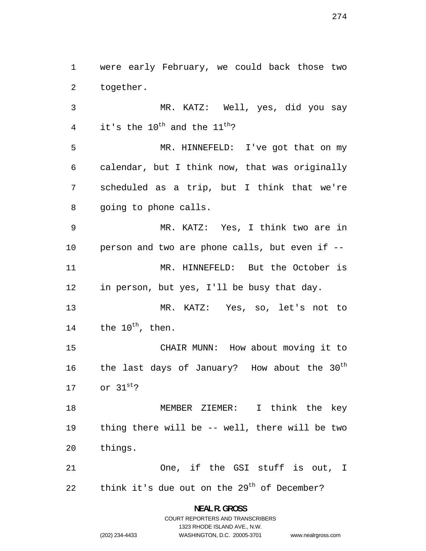were early February, we could back those two together.

MR. KATZ: Well, yes, did you say 4 it's the  $10^{\text{th}}$  and the  $11^{\text{th}}$ ?

MR. HINNEFELD: I've got that on my calendar, but I think now, that was originally scheduled as a trip, but I think that we're going to phone calls.

MR. KATZ: Yes, I think two are in person and two are phone calls, but even if -- MR. HINNEFELD: But the October is in person, but yes, I'll be busy that day.

MR. KATZ: Yes, so, let's not to 14 the  $10^{\text{th}}$ , then.

CHAIR MUNN: How about moving it to 16 the last days of January? How about the  $30<sup>th</sup>$ 17 or  $31^{st}$ ?

MEMBER ZIEMER: I think the key thing there will be -- well, there will be two things.

One, if the GSI stuff is out, I 22 think it's due out on the  $29<sup>th</sup>$  of December?

> **NEAL R. GROSS**  COURT REPORTERS AND TRANSCRIBERS

> > 1323 RHODE ISLAND AVE., N.W.

(202) 234-4433 WASHINGTON, D.C. 20005-3701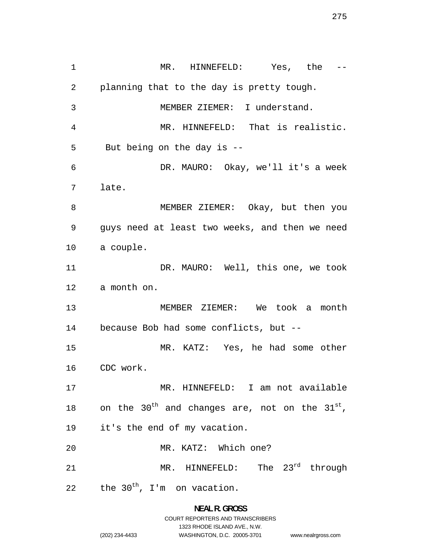MR. HINNEFELD: Yes, the -- planning that to the day is pretty tough. MEMBER ZIEMER: I understand. MR. HINNEFELD: That is realistic. But being on the day is -- DR. MAURO: Okay, we'll it's a week late. MEMBER ZIEMER: Okay, but then you guys need at least two weeks, and then we need a couple. 11 DR. MAURO: Well, this one, we took a month on. MEMBER ZIEMER: We took a month because Bob had some conflicts, but -- MR. KATZ: Yes, he had some other CDC work. MR. HINNEFELD: I am not available 18 on the 30<sup>th</sup> and changes are, not on the  $31^{st}$ , it's the end of my vacation. MR. KATZ: Which one? 21 MR. HINNEFELD: The 23<sup>rd</sup> through 22 the  $30<sup>th</sup>$ , I'm on vacation.

**NEAL R. GROSS** 

www.nealrgross.com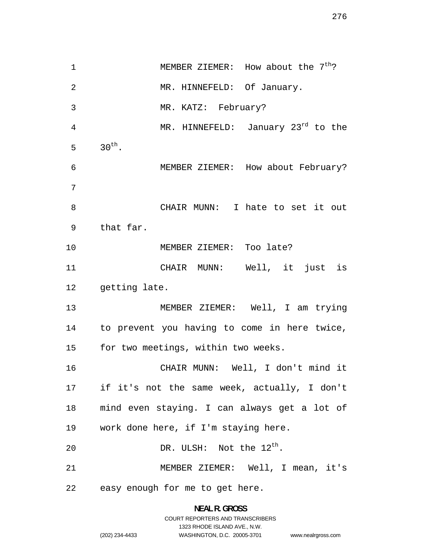1 MEMBER ZIEMER: How about the 7<sup>th</sup>? MR. HINNEFELD: Of January. MR. KATZ: February? 4 MR. HINNEFELD: January 23<sup>rd</sup> to the 5  $30^{th}$ . MEMBER ZIEMER: How about February? CHAIR MUNN: I hate to set it out that far. MEMBER ZIEMER: Too late? CHAIR MUNN: Well, it just is getting late. MEMBER ZIEMER: Well, I am trying to prevent you having to come in here twice, for two meetings, within two weeks. CHAIR MUNN: Well, I don't mind it if it's not the same week, actually, I don't mind even staying. I can always get a lot of work done here, if I'm staying here. 20 DR. ULSH: Not the  $12^{\text{th}}$ . MEMBER ZIEMER: Well, I mean, it's easy enough for me to get here.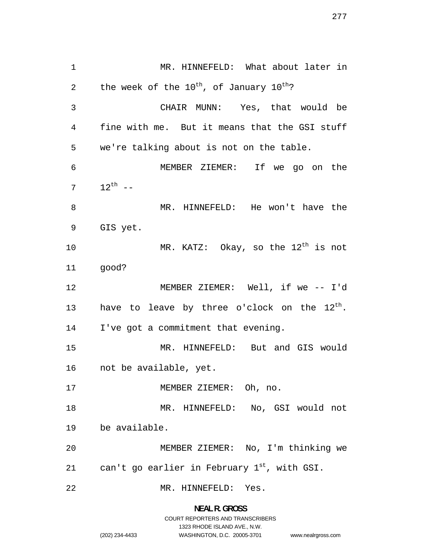MR. HINNEFELD: What about later in 2 the week of the  $10^{th}$ , of January  $10^{th}$ ? CHAIR MUNN: Yes, that would be fine with me. But it means that the GSI stuff we're talking about is not on the table. MEMBER ZIEMER: If we go on the  $12^{th}$  --MR. HINNEFELD: He won't have the GIS yet. 10 MR. KATZ: Okay, so the  $12^{th}$  is not good? MEMBER ZIEMER: Well, if we -- I'd 13 have to leave by three o'clock on the  $12^{th}$ . I've got a commitment that evening. MR. HINNEFELD: But and GIS would not be available, yet. MEMBER ZIEMER: Oh, no. MR. HINNEFELD: No, GSI would not be available. MEMBER ZIEMER: No, I'm thinking we 21 can't go earlier in February  $1^{st}$ , with GSI. MR. HINNEFELD: Yes.

> **NEAL R. GROSS**  COURT REPORTERS AND TRANSCRIBERS

> > 1323 RHODE ISLAND AVE., N.W.

www.nealrgross.com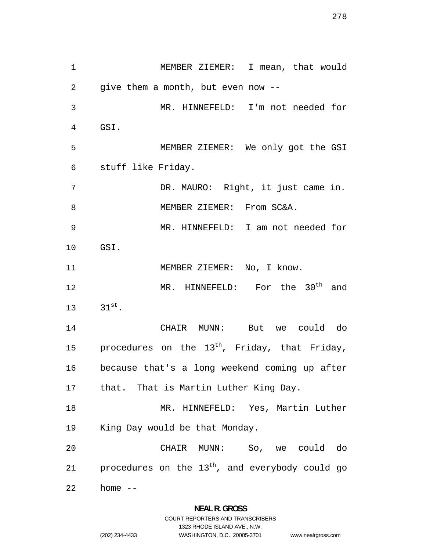1 MEMBER ZIEMER: I mean, that would 2 give them a month, but even now -- 3 MR. HINNEFELD: I'm not needed for 4 GSI. 5 MEMBER ZIEMER: We only got the GSI 6 stuff like Friday. 7 DR. MAURO: Right, it just came in. 8 MEMBER ZIEMER: From SC&A. 9 MR. HINNEFELD: I am not needed for 10 GSI. 11 MEMBER ZIEMER: No, I know. 12 MR. HINNEFELD: For the 30<sup>th</sup> and 13  $31^{st}$ . 14 CHAIR MUNN: But we could do 15 procedures on the  $13^{th}$ , Friday, that Friday, 16 because that's a long weekend coming up after 17 that. That is Martin Luther King Day. 18 MR. HINNEFELD: Yes, Martin Luther 19 King Day would be that Monday. 20 CHAIR MUNN: So, we could do 21 procedures on the  $13<sup>th</sup>$ , and everybody could go 22 home --

1323 RHODE ISLAND AVE., N.W.

www.nealrgross.com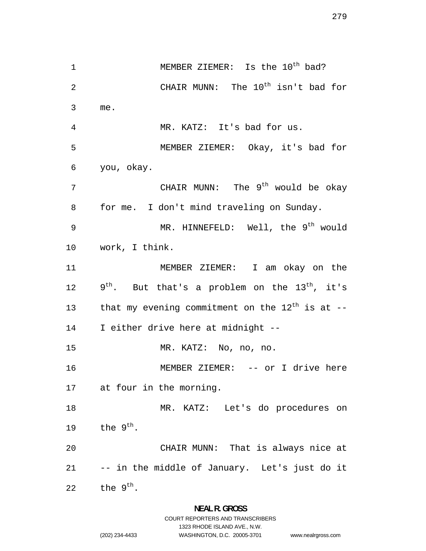1 MEMBER ZIEMER: Is the 10<sup>th</sup> bad? 2 CHAIR MUNN: The 10<sup>th</sup> isn't bad for 3 me. MR. KATZ: It's bad for us. MEMBER ZIEMER: Okay, it's bad for you, okay. 7 CHAIR MUNN: The 9<sup>th</sup> would be okay for me. I don't mind traveling on Sunday. 9 MR. HINNEFELD: Well, the 9<sup>th</sup> would work, I think. MEMBER ZIEMER: I am okay on the  $9^{th}$ . But that's a problem on the 13<sup>th</sup>, it's 13 that my evening commitment on the  $12^{th}$  is at --I either drive here at midnight -- MR. KATZ: No, no, no. MEMBER ZIEMER: -- or I drive here at four in the morning. MR. KATZ: Let's do procedures on 19 the  $9^{th}$ . CHAIR MUNN: That is always nice at -- in the middle of January. Let's just do it 22 the  $9^{th}$ .

### **NEAL R. GROSS**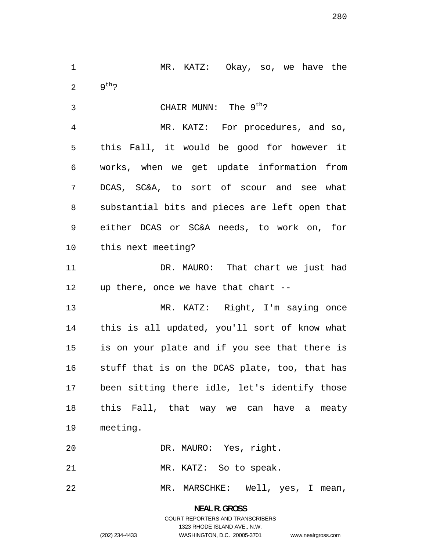MR. KATZ: Okay, so, we have the 2  $9^{th}$ ?

3 CHAIR MUNN: The 9<sup>th</sup>?

MR. KATZ: For procedures, and so, this Fall, it would be good for however it works, when we get update information from DCAS, SC&A, to sort of scour and see what substantial bits and pieces are left open that either DCAS or SC&A needs, to work on, for this next meeting?

11 DR. MAURO: That chart we just had up there, once we have that chart --

MR. KATZ: Right, I'm saying once this is all updated, you'll sort of know what is on your plate and if you see that there is stuff that is on the DCAS plate, too, that has been sitting there idle, let's identify those this Fall, that way we can have a meaty meeting.

DR. MAURO: Yes, right.

MR. KATZ: So to speak.

MR. MARSCHKE: Well, yes, I mean,

**NEAL R. GROSS**  COURT REPORTERS AND TRANSCRIBERS 1323 RHODE ISLAND AVE., N.W. (202) 234-4433 WASHINGTON, D.C. 20005-3701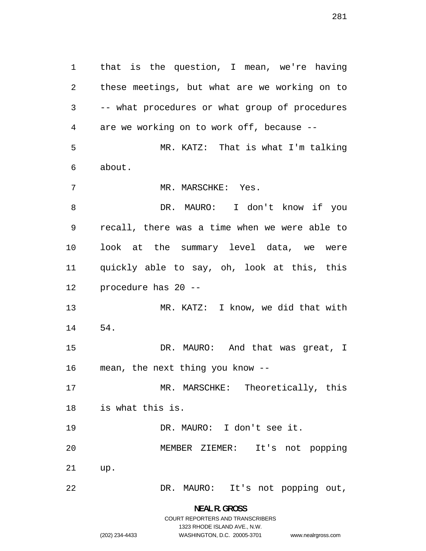that is the question, I mean, we're having these meetings, but what are we working on to -- what procedures or what group of procedures are we working on to work off, because -- MR. KATZ: That is what I'm talking about. 7 MR. MARSCHKE: Yes. DR. MAURO: I don't know if you recall, there was a time when we were able to look at the summary level data, we were quickly able to say, oh, look at this, this procedure has 20 -- MR. KATZ: I know, we did that with 54. DR. MAURO: And that was great, I mean, the next thing you know -- MR. MARSCHKE: Theoretically, this is what this is. DR. MAURO: I don't see it. MEMBER ZIEMER: It's not popping up. DR. MAURO: It's not popping out,

> **NEAL R. GROSS**  COURT REPORTERS AND TRANSCRIBERS

> > 1323 RHODE ISLAND AVE., N.W.

www.nealrgross.com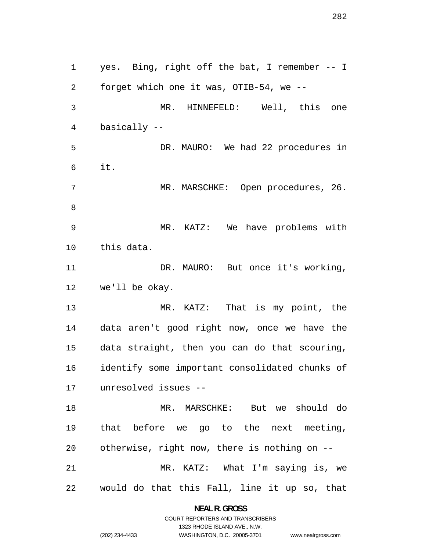yes. Bing, right off the bat, I remember -- I forget which one it was, OTIB-54, we -- MR. HINNEFELD: Well, this one basically -- DR. MAURO: We had 22 procedures in it. MR. MARSCHKE: Open procedures, 26. MR. KATZ: We have problems with this data. 11 DR. MAURO: But once it's working, we'll be okay. MR. KATZ: That is my point, the data aren't good right now, once we have the data straight, then you can do that scouring, identify some important consolidated chunks of unresolved issues -- MR. MARSCHKE: But we should do that before we go to the next meeting, otherwise, right now, there is nothing on -- MR. KATZ: What I'm saying is, we would do that this Fall, line it up so, that

> **NEAL R. GROSS**  COURT REPORTERS AND TRANSCRIBERS

> > 1323 RHODE ISLAND AVE., N.W.

(202) 234-4433 WASHINGTON, D.C. 20005-3701

www.nealrgross.com